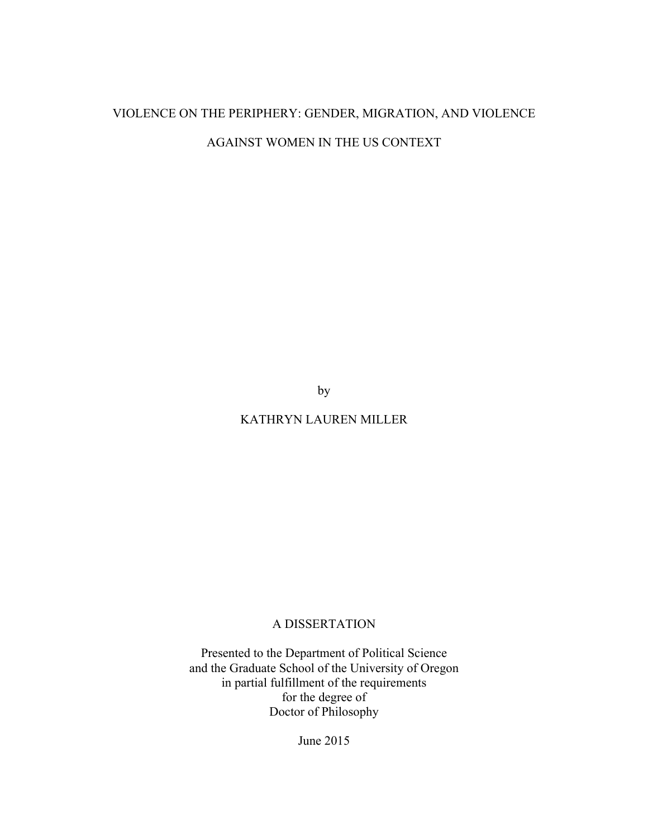# VIOLENCE ON THE PERIPHERY: GENDER, MIGRATION, AND VIOLENCE AGAINST WOMEN IN THE US CONTEXT

by

## KATHRYN LAUREN MILLER

## A DISSERTATION

Presented to the Department of Political Science and the Graduate School of the University of Oregon in partial fulfillment of the requirements for the degree of Doctor of Philosophy

June 2015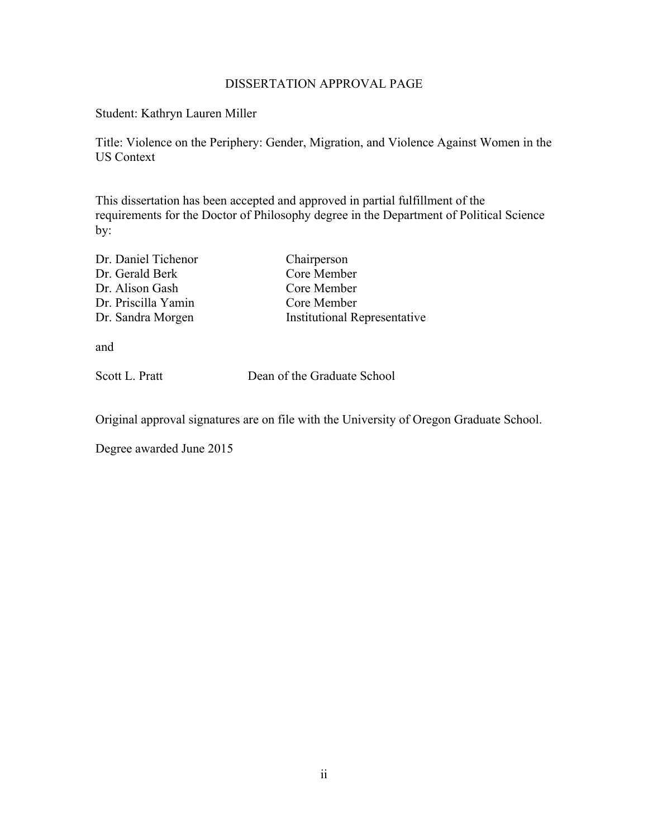### DISSERTATION APPROVAL PAGE

Student: Kathryn Lauren Miller

Title: Violence on the Periphery: Gender, Migration, and Violence Against Women in the US Context

This dissertation has been accepted and approved in partial fulfillment of the requirements for the Doctor of Philosophy degree in the Department of Political Science by:

| Dr. Daniel Tichenor | Chairperson                         |
|---------------------|-------------------------------------|
| Dr. Gerald Berk     | Core Member                         |
| Dr. Alison Gash     | Core Member                         |
| Dr. Priscilla Yamin | Core Member                         |
| Dr. Sandra Morgen   | <b>Institutional Representative</b> |
|                     |                                     |

and

Scott L. Pratt Dean of the Graduate School

Original approval signatures are on file with the University of Oregon Graduate School.

Degree awarded June 2015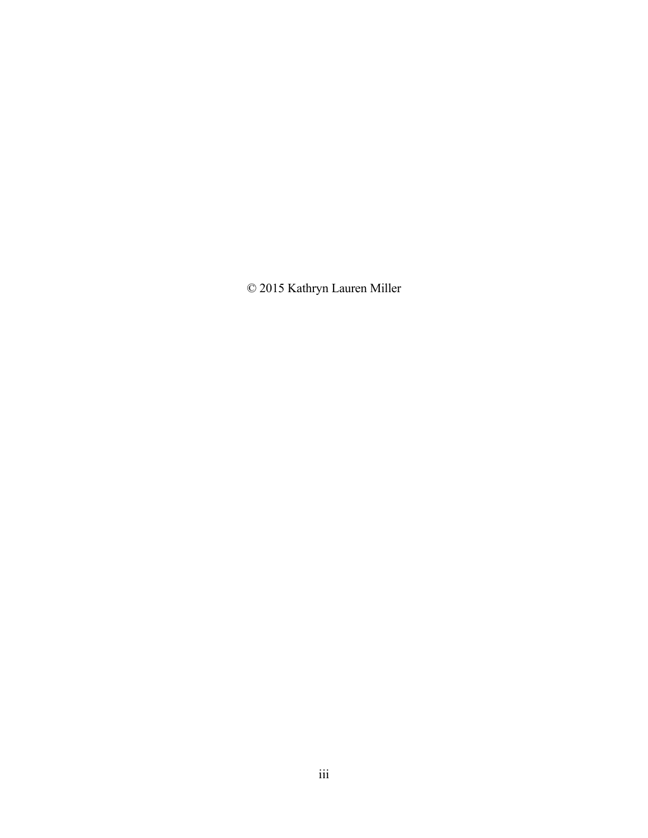© 2015 Kathryn Lauren Miller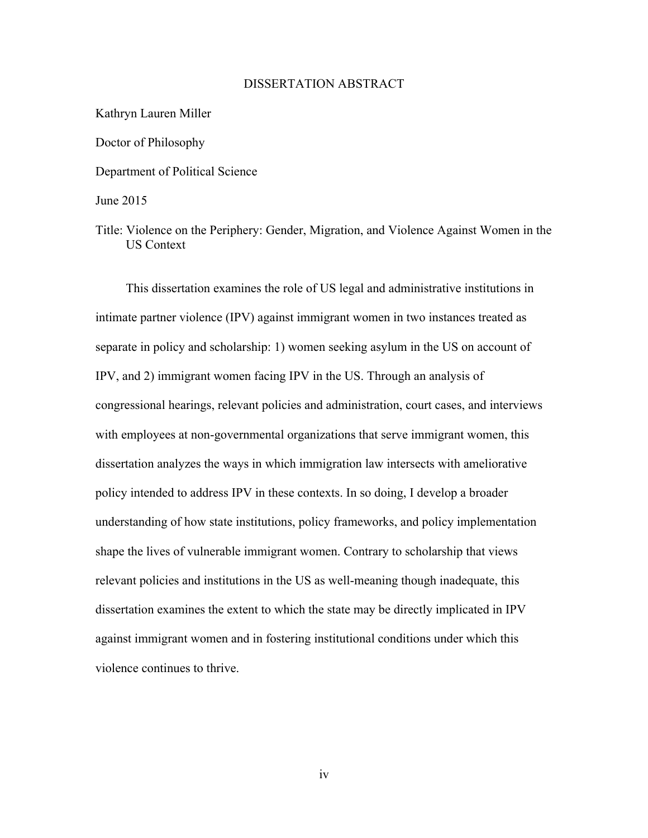### DISSERTATION ABSTRACT

Kathryn Lauren Miller Doctor of Philosophy Department of Political Science June 2015

Title: Violence on the Periphery: Gender, Migration, and Violence Against Women in the US Context

This dissertation examines the role of US legal and administrative institutions in intimate partner violence (IPV) against immigrant women in two instances treated as separate in policy and scholarship: 1) women seeking asylum in the US on account of IPV, and 2) immigrant women facing IPV in the US. Through an analysis of congressional hearings, relevant policies and administration, court cases, and interviews with employees at non-governmental organizations that serve immigrant women, this dissertation analyzes the ways in which immigration law intersects with ameliorative policy intended to address IPV in these contexts. In so doing, I develop a broader understanding of how state institutions, policy frameworks, and policy implementation shape the lives of vulnerable immigrant women. Contrary to scholarship that views relevant policies and institutions in the US as well-meaning though inadequate, this dissertation examines the extent to which the state may be directly implicated in IPV against immigrant women and in fostering institutional conditions under which this violence continues to thrive.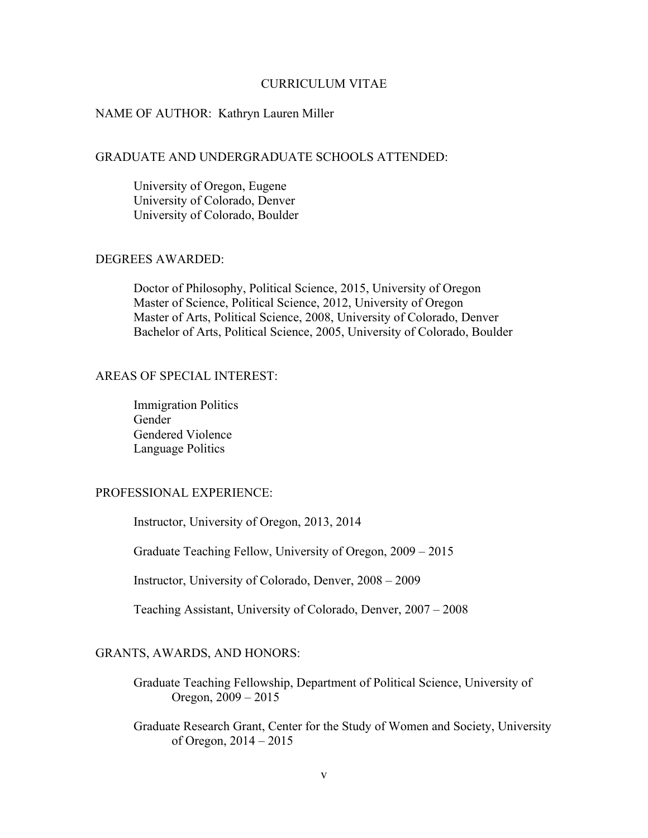### CURRICULUM VITAE

### NAME OF AUTHOR: Kathryn Lauren Miller

### GRADUATE AND UNDERGRADUATE SCHOOLS ATTENDED:

University of Oregon, Eugene University of Colorado, Denver University of Colorado, Boulder

### DEGREES AWARDED:

Doctor of Philosophy, Political Science, 2015, University of Oregon Master of Science, Political Science, 2012, University of Oregon Master of Arts, Political Science, 2008, University of Colorado, Denver Bachelor of Arts, Political Science, 2005, University of Colorado, Boulder

### AREAS OF SPECIAL INTEREST:

Immigration Politics Gender Gendered Violence Language Politics

### PROFESSIONAL EXPERIENCE:

Instructor, University of Oregon, 2013, 2014

Graduate Teaching Fellow, University of Oregon, 2009 – 2015

Instructor, University of Colorado, Denver, 2008 – 2009

Teaching Assistant, University of Colorado, Denver, 2007 – 2008

### GRANTS, AWARDS, AND HONORS:

- Graduate Teaching Fellowship, Department of Political Science, University of Oregon, 2009 – 2015
- Graduate Research Grant, Center for the Study of Women and Society, University of Oregon, 2014 – 2015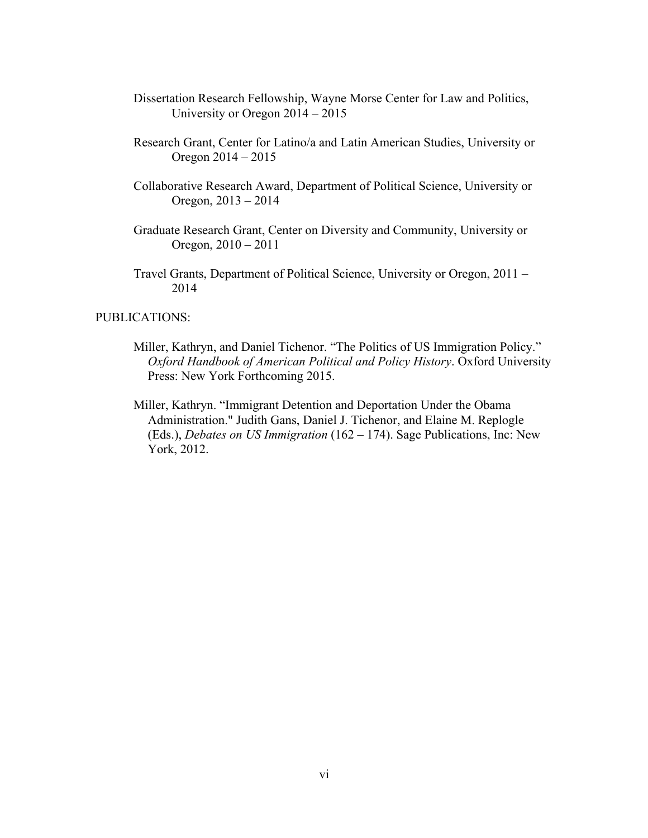- Dissertation Research Fellowship, Wayne Morse Center for Law and Politics, University or Oregon 2014 – 2015
- Research Grant, Center for Latino/a and Latin American Studies, University or Oregon 2014 – 2015
- Collaborative Research Award, Department of Political Science, University or Oregon, 2013 – 2014
- Graduate Research Grant, Center on Diversity and Community, University or Oregon, 2010 – 2011
- Travel Grants, Department of Political Science, University or Oregon, 2011 2014

### PUBLICATIONS:

- Miller, Kathryn, and Daniel Tichenor. "The Politics of US Immigration Policy." *Oxford Handbook of American Political and Policy History*. Oxford University Press: New York Forthcoming 2015.
- Miller, Kathryn. "Immigrant Detention and Deportation Under the Obama Administration." Judith Gans, Daniel J. Tichenor, and Elaine M. Replogle (Eds.), *Debates on US Immigration* (162 – 174). Sage Publications, Inc: New York, 2012.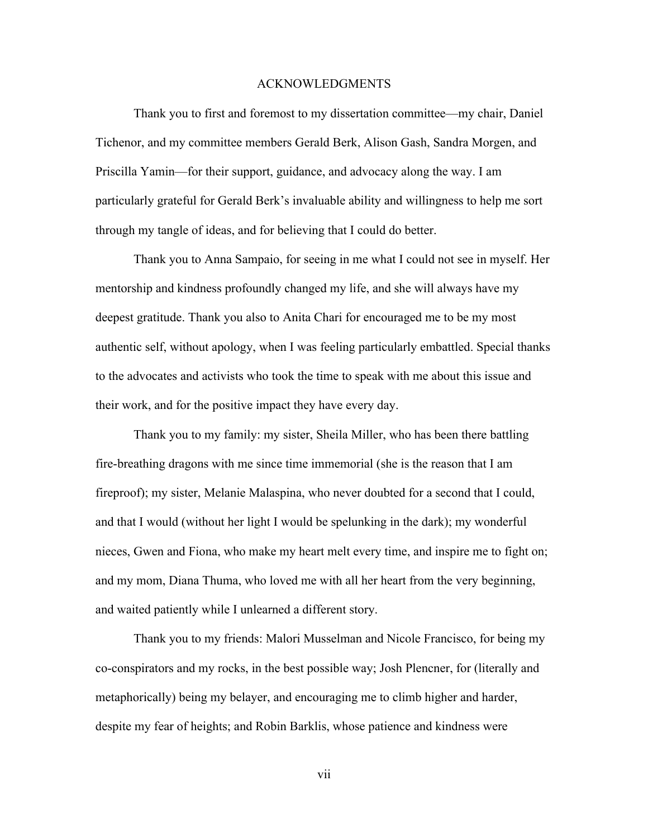### ACKNOWLEDGMENTS

Thank you to first and foremost to my dissertation committee—my chair, Daniel Tichenor, and my committee members Gerald Berk, Alison Gash, Sandra Morgen, and Priscilla Yamin—for their support, guidance, and advocacy along the way. I am particularly grateful for Gerald Berk's invaluable ability and willingness to help me sort through my tangle of ideas, and for believing that I could do better.

Thank you to Anna Sampaio, for seeing in me what I could not see in myself. Her mentorship and kindness profoundly changed my life, and she will always have my deepest gratitude. Thank you also to Anita Chari for encouraged me to be my most authentic self, without apology, when I was feeling particularly embattled. Special thanks to the advocates and activists who took the time to speak with me about this issue and their work, and for the positive impact they have every day.

Thank you to my family: my sister, Sheila Miller, who has been there battling fire-breathing dragons with me since time immemorial (she is the reason that I am fireproof); my sister, Melanie Malaspina, who never doubted for a second that I could, and that I would (without her light I would be spelunking in the dark); my wonderful nieces, Gwen and Fiona, who make my heart melt every time, and inspire me to fight on; and my mom, Diana Thuma, who loved me with all her heart from the very beginning, and waited patiently while I unlearned a different story.

Thank you to my friends: Malori Musselman and Nicole Francisco, for being my co-conspirators and my rocks, in the best possible way; Josh Plencner, for (literally and metaphorically) being my belayer, and encouraging me to climb higher and harder, despite my fear of heights; and Robin Barklis, whose patience and kindness were

vii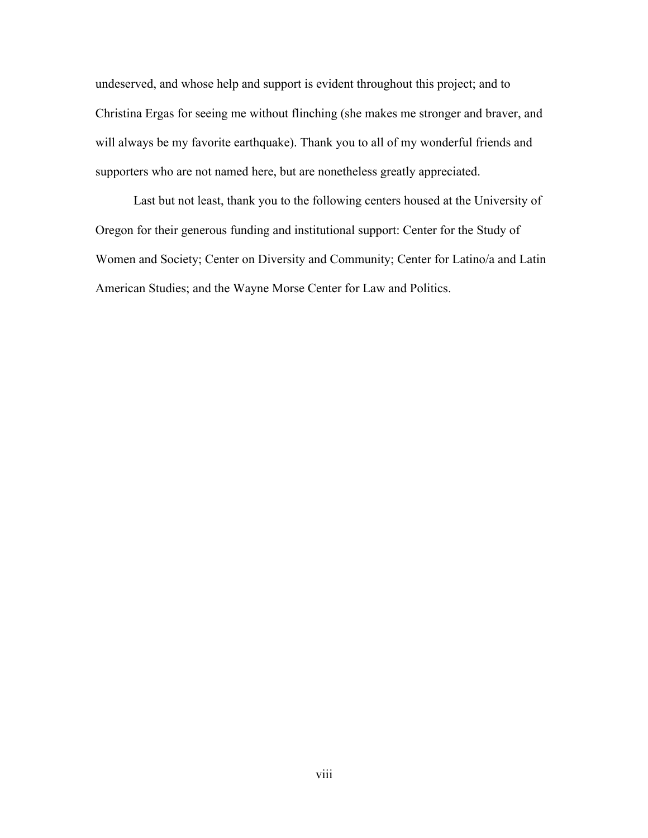undeserved, and whose help and support is evident throughout this project; and to Christina Ergas for seeing me without flinching (she makes me stronger and braver, and will always be my favorite earthquake). Thank you to all of my wonderful friends and supporters who are not named here, but are nonetheless greatly appreciated.

Last but not least, thank you to the following centers housed at the University of Oregon for their generous funding and institutional support: Center for the Study of Women and Society; Center on Diversity and Community; Center for Latino/a and Latin American Studies; and the Wayne Morse Center for Law and Politics.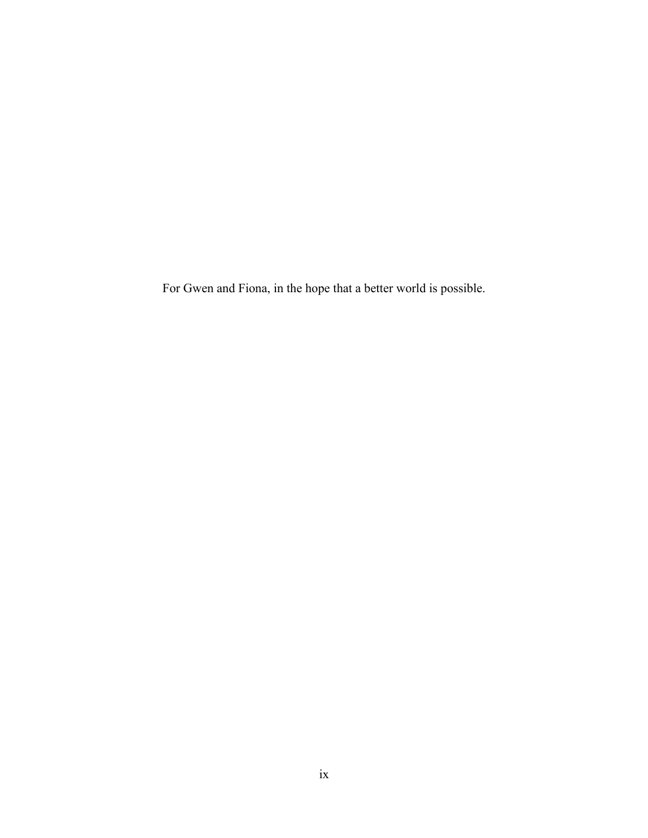For Gwen and Fiona, in the hope that a better world is possible.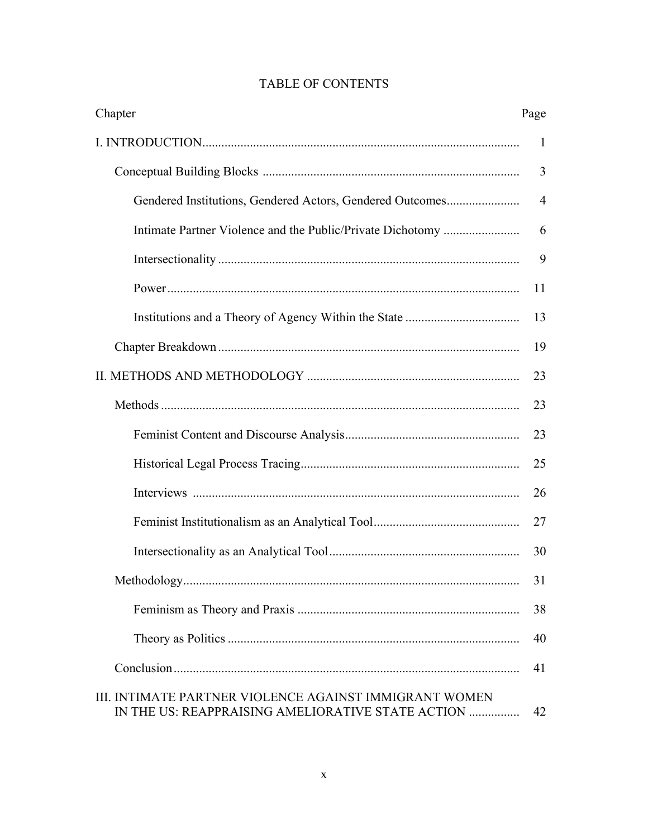| Chapter                                                                                                     | Page           |
|-------------------------------------------------------------------------------------------------------------|----------------|
|                                                                                                             |                |
|                                                                                                             | 3              |
| Gendered Institutions, Gendered Actors, Gendered Outcomes                                                   | $\overline{4}$ |
|                                                                                                             | 6              |
|                                                                                                             | 9              |
|                                                                                                             | 11             |
|                                                                                                             | 13             |
|                                                                                                             | 19             |
|                                                                                                             | 23             |
|                                                                                                             | 23             |
|                                                                                                             | 23             |
|                                                                                                             | 25             |
|                                                                                                             | 26             |
|                                                                                                             | 27             |
|                                                                                                             | 30             |
|                                                                                                             | 31             |
|                                                                                                             | 38             |
|                                                                                                             | 40             |
|                                                                                                             | 41             |
| III. INTIMATE PARTNER VIOLENCE AGAINST IMMIGRANT WOMEN<br>IN THE US: REAPPRAISING AMELIORATIVE STATE ACTION | 42             |

# TABLE OF CONTENTS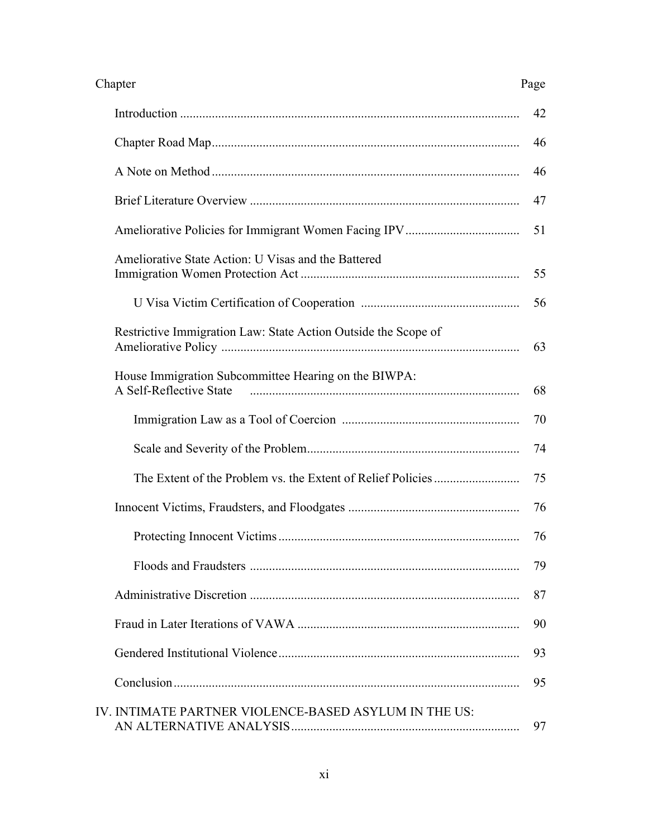| Chapter                                                                         | Page |
|---------------------------------------------------------------------------------|------|
|                                                                                 | 42   |
|                                                                                 | 46   |
|                                                                                 | 46   |
|                                                                                 | 47   |
|                                                                                 | 51   |
| Ameliorative State Action: U Visas and the Battered                             | 55   |
|                                                                                 | 56   |
| Restrictive Immigration Law: State Action Outside the Scope of                  | 63   |
| House Immigration Subcommittee Hearing on the BIWPA:<br>A Self-Reflective State | 68   |
|                                                                                 | 70   |
|                                                                                 | 74   |
|                                                                                 | 75   |
|                                                                                 | 76   |
|                                                                                 | 76   |
|                                                                                 | 79   |
|                                                                                 | 87   |
|                                                                                 | 90   |
|                                                                                 | 93   |
|                                                                                 | 95   |
| IV. INTIMATE PARTNER VIOLENCE-BASED ASYLUM IN THE US:                           | 97   |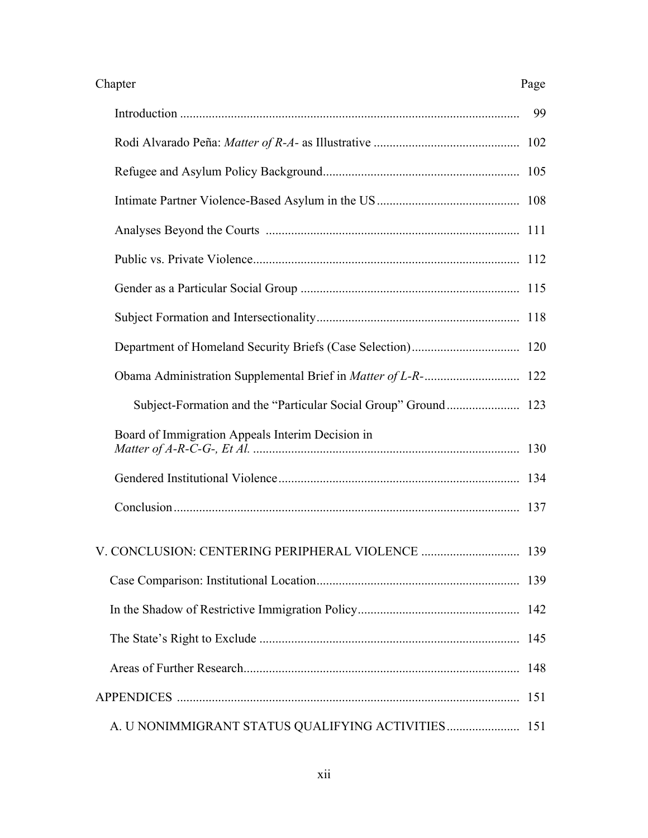### Chapter Page

|--|--|

|                                                                | 99  |
|----------------------------------------------------------------|-----|
|                                                                |     |
|                                                                |     |
|                                                                |     |
|                                                                |     |
|                                                                |     |
|                                                                |     |
|                                                                |     |
|                                                                |     |
|                                                                |     |
| Subject-Formation and the "Particular Social Group" Ground 123 |     |
| Board of Immigration Appeals Interim Decision in               |     |
|                                                                |     |
|                                                                |     |
|                                                                |     |
|                                                                |     |
|                                                                | 142 |
|                                                                | 145 |
|                                                                | 148 |
|                                                                | 151 |
|                                                                | 151 |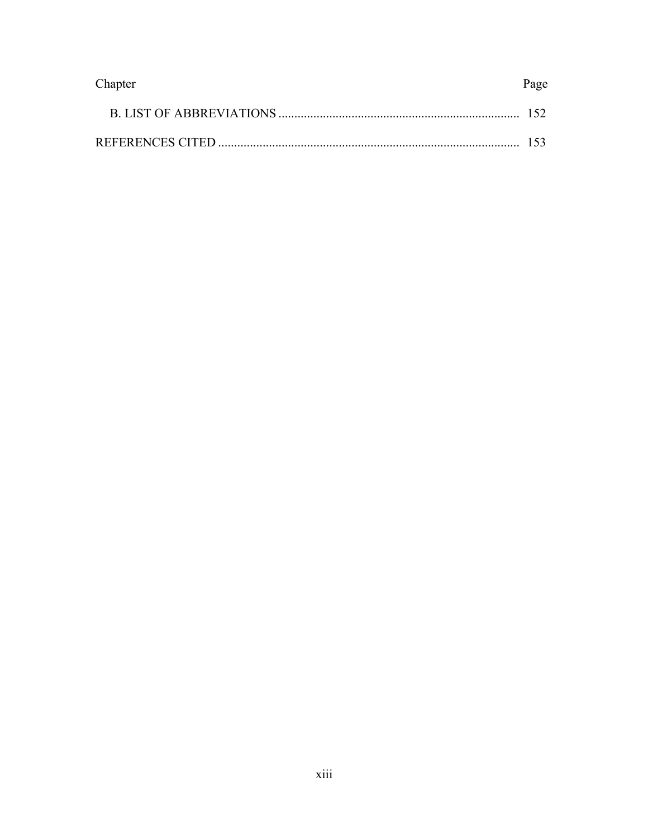| Chapter | Page |
|---------|------|
|         |      |
|         |      |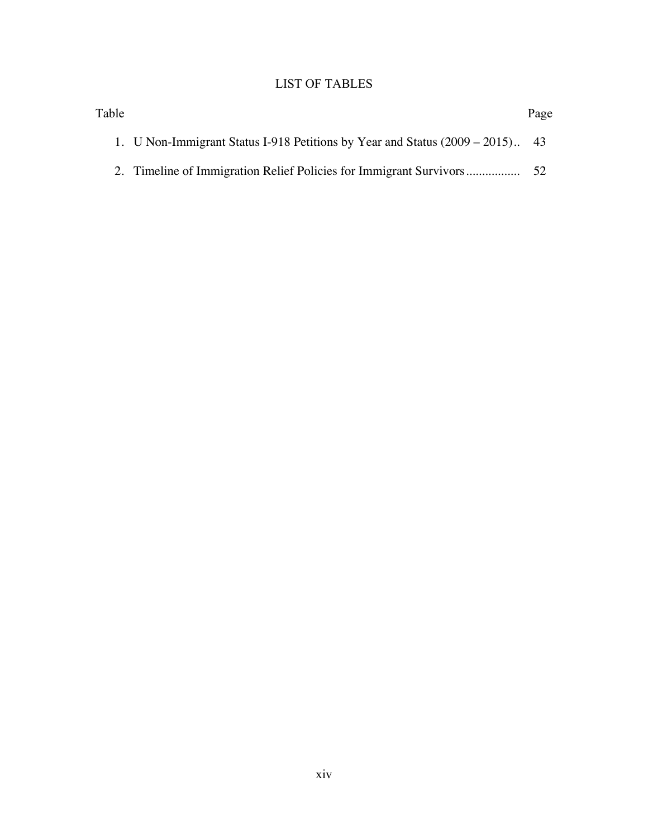# LIST OF TABLES

| Table |                                                                               | Page |
|-------|-------------------------------------------------------------------------------|------|
|       | 1. U Non-Immigrant Status I-918 Petitions by Year and Status (2009 – 2015) 43 |      |
|       |                                                                               | 52   |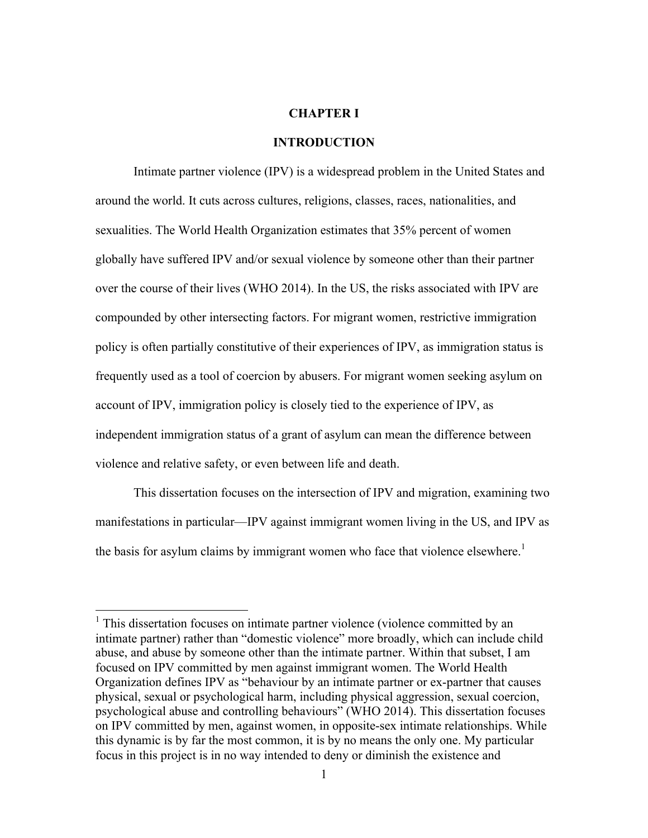### **CHAPTER I**

### **INTRODUCTION**

Intimate partner violence (IPV) is a widespread problem in the United States and around the world. It cuts across cultures, religions, classes, races, nationalities, and sexualities. The World Health Organization estimates that 35% percent of women globally have suffered IPV and/or sexual violence by someone other than their partner over the course of their lives (WHO 2014). In the US, the risks associated with IPV are compounded by other intersecting factors. For migrant women, restrictive immigration policy is often partially constitutive of their experiences of IPV, as immigration status is frequently used as a tool of coercion by abusers. For migrant women seeking asylum on account of IPV, immigration policy is closely tied to the experience of IPV, as independent immigration status of a grant of asylum can mean the difference between violence and relative safety, or even between life and death.

This dissertation focuses on the intersection of IPV and migration, examining two manifestations in particular—IPV against immigrant women living in the US, and IPV as the basis for asylum claims by immigrant women who face that violence elsewhere.<sup>1</sup>

 $<sup>1</sup>$  This dissertation focuses on intimate partner violence (violence committed by an</sup> intimate partner) rather than "domestic violence" more broadly, which can include child abuse, and abuse by someone other than the intimate partner. Within that subset, I am focused on IPV committed by men against immigrant women. The World Health Organization defines IPV as "behaviour by an intimate partner or ex-partner that causes physical, sexual or psychological harm, including physical aggression, sexual coercion, psychological abuse and controlling behaviours" (WHO 2014). This dissertation focuses on IPV committed by men, against women, in opposite-sex intimate relationships. While this dynamic is by far the most common, it is by no means the only one. My particular focus in this project is in no way intended to deny or diminish the existence and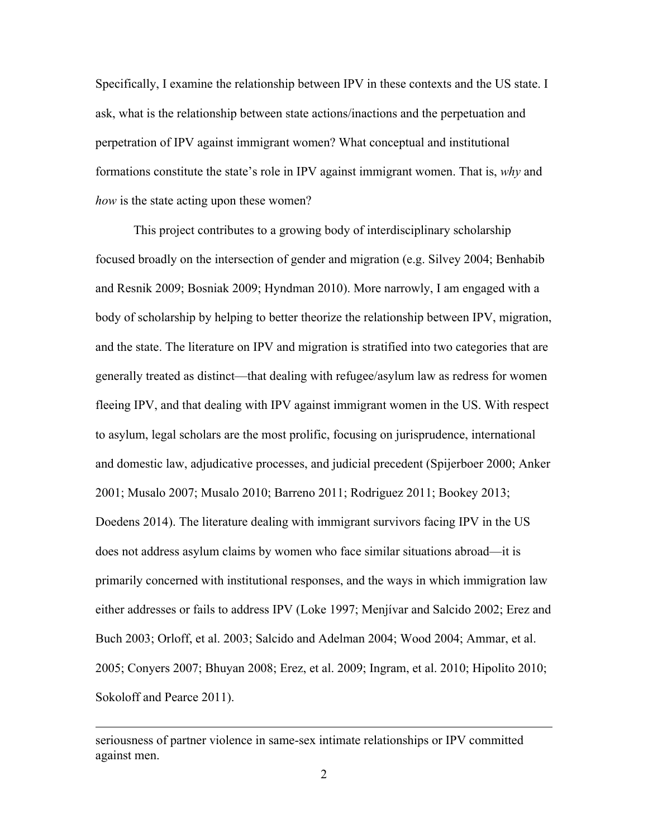Specifically, I examine the relationship between IPV in these contexts and the US state. I ask, what is the relationship between state actions/inactions and the perpetuation and perpetration of IPV against immigrant women? What conceptual and institutional formations constitute the state's role in IPV against immigrant women. That is, *why* and *how* is the state acting upon these women?

This project contributes to a growing body of interdisciplinary scholarship focused broadly on the intersection of gender and migration (e.g. Silvey 2004; Benhabib and Resnik 2009; Bosniak 2009; Hyndman 2010). More narrowly, I am engaged with a body of scholarship by helping to better theorize the relationship between IPV, migration, and the state. The literature on IPV and migration is stratified into two categories that are generally treated as distinct—that dealing with refugee/asylum law as redress for women fleeing IPV, and that dealing with IPV against immigrant women in the US. With respect to asylum, legal scholars are the most prolific, focusing on jurisprudence, international and domestic law, adjudicative processes, and judicial precedent (Spijerboer 2000; Anker 2001; Musalo 2007; Musalo 2010; Barreno 2011; Rodriguez 2011; Bookey 2013; Doedens 2014). The literature dealing with immigrant survivors facing IPV in the US does not address asylum claims by women who face similar situations abroad—it is primarily concerned with institutional responses, and the ways in which immigration law either addresses or fails to address IPV (Loke 1997; Menjívar and Salcido 2002; Erez and Buch 2003; Orloff, et al. 2003; Salcido and Adelman 2004; Wood 2004; Ammar, et al. 2005; Conyers 2007; Bhuyan 2008; Erez, et al. 2009; Ingram, et al. 2010; Hipolito 2010; Sokoloff and Pearce 2011).

<u>.</u>

seriousness of partner violence in same-sex intimate relationships or IPV committed against men.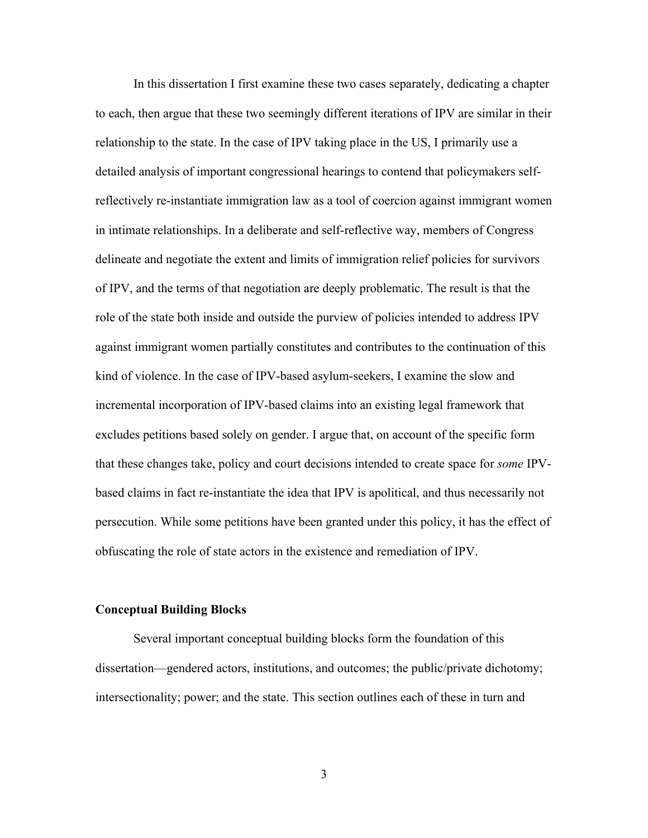In this dissertation I first examine these two cases separately, dedicating a chapter to each, then argue that these two seemingly different iterations of IPV are similar in their relationship to the state. In the case of IPV taking place in the US, I primarily use a detailed analysis of important congressional hearings to contend that policymakers selfreflectively re-instantiate immigration law as a tool of coercion against immigrant women in intimate relationships. In a deliberate and self-reflective way, members of Congress delineate and negotiate the extent and limits of immigration relief policies for survivors of IPV, and the terms of that negotiation are deeply problematic. The result is that the role of the state both inside and outside the purview of policies intended to address IPV against immigrant women partially constitutes and contributes to the continuation of this kind of violence. In the case of IPV-based asylum-seekers, I examine the slow and incremental incorporation of IPV-based claims into an existing legal framework that excludes petitions based solely on gender. I argue that, on account of the specific form that these changes take, policy and court decisions intended to create space for *some* IPVbased claims in fact re-instantiate the idea that IPV is apolitical, and thus necessarily not persecution. While some petitions have been granted under this policy, it has the effect of obfuscating the role of state actors in the existence and remediation of IPV.

### **Conceptual Building Blocks**

Several important conceptual building blocks form the foundation of this dissertation—gendered actors, institutions, and outcomes; the public/private dichotomy; intersectionality; power; and the state. This section outlines each of these in turn and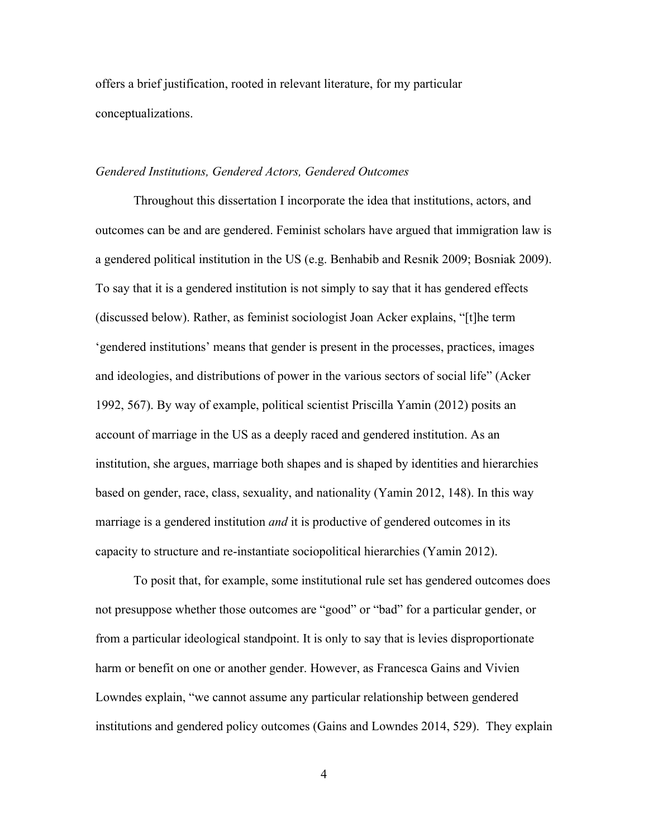offers a brief justification, rooted in relevant literature, for my particular conceptualizations.

### *Gendered Institutions, Gendered Actors, Gendered Outcomes*

Throughout this dissertation I incorporate the idea that institutions, actors, and outcomes can be and are gendered. Feminist scholars have argued that immigration law is a gendered political institution in the US (e.g. Benhabib and Resnik 2009; Bosniak 2009). To say that it is a gendered institution is not simply to say that it has gendered effects (discussed below). Rather, as feminist sociologist Joan Acker explains, "[t]he term 'gendered institutions' means that gender is present in the processes, practices, images and ideologies, and distributions of power in the various sectors of social life" (Acker 1992, 567). By way of example, political scientist Priscilla Yamin (2012) posits an account of marriage in the US as a deeply raced and gendered institution. As an institution, she argues, marriage both shapes and is shaped by identities and hierarchies based on gender, race, class, sexuality, and nationality (Yamin 2012, 148). In this way marriage is a gendered institution *and* it is productive of gendered outcomes in its capacity to structure and re-instantiate sociopolitical hierarchies (Yamin 2012).

To posit that, for example, some institutional rule set has gendered outcomes does not presuppose whether those outcomes are "good" or "bad" for a particular gender, or from a particular ideological standpoint. It is only to say that is levies disproportionate harm or benefit on one or another gender. However, as Francesca Gains and Vivien Lowndes explain, "we cannot assume any particular relationship between gendered institutions and gendered policy outcomes (Gains and Lowndes 2014, 529). They explain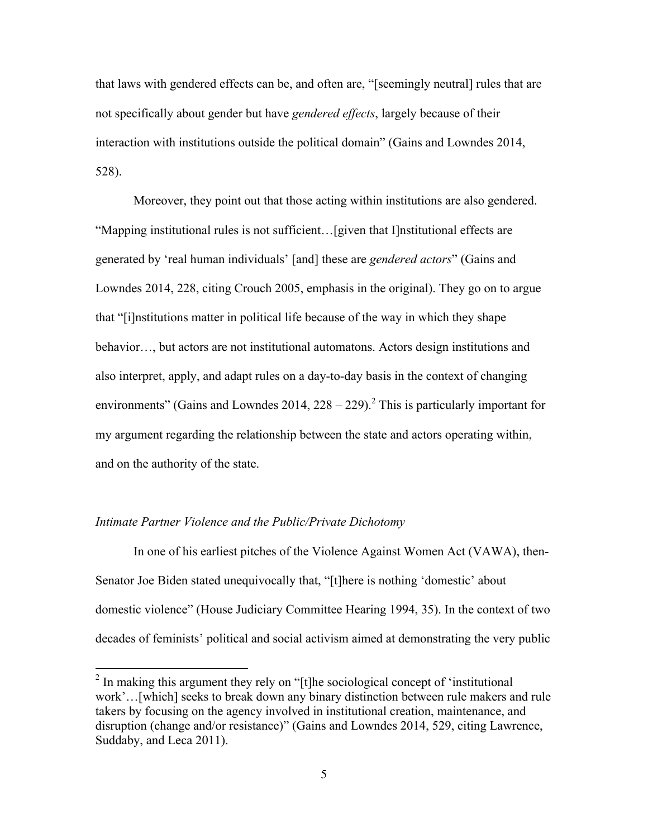that laws with gendered effects can be, and often are, "[seemingly neutral] rules that are not specifically about gender but have *gendered effects*, largely because of their interaction with institutions outside the political domain" (Gains and Lowndes 2014, 528).

Moreover, they point out that those acting within institutions are also gendered. "Mapping institutional rules is not sufficient…[given that I]nstitutional effects are generated by 'real human individuals' [and] these are *gendered actors*" (Gains and Lowndes 2014, 228, citing Crouch 2005, emphasis in the original). They go on to argue that "[i]nstitutions matter in political life because of the way in which they shape behavior…, but actors are not institutional automatons. Actors design institutions and also interpret, apply, and adapt rules on a day-to-day basis in the context of changing environments" (Gains and Lowndes 2014,  $228 - 229$ ).<sup>2</sup> This is particularly important for my argument regarding the relationship between the state and actors operating within, and on the authority of the state.

#### *Intimate Partner Violence and the Public/Private Dichotomy*

In one of his earliest pitches of the Violence Against Women Act (VAWA), then-Senator Joe Biden stated unequivocally that, "[t]here is nothing 'domestic' about domestic violence" (House Judiciary Committee Hearing 1994, 35). In the context of two decades of feminists' political and social activism aimed at demonstrating the very public

 <sup>2</sup> In making this argument they rely on "[t]he sociological concept of 'institutional work'…[which] seeks to break down any binary distinction between rule makers and rule takers by focusing on the agency involved in institutional creation, maintenance, and disruption (change and/or resistance)" (Gains and Lowndes 2014, 529, citing Lawrence, Suddaby, and Leca 2011).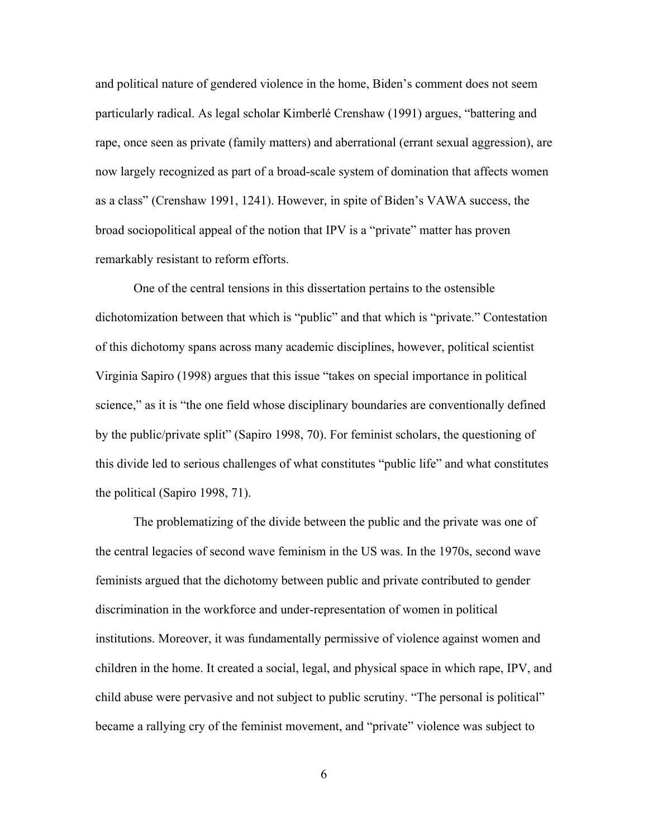and political nature of gendered violence in the home, Biden's comment does not seem particularly radical. As legal scholar Kimberlé Crenshaw (1991) argues, "battering and rape, once seen as private (family matters) and aberrational (errant sexual aggression), are now largely recognized as part of a broad-scale system of domination that affects women as a class" (Crenshaw 1991, 1241). However, in spite of Biden's VAWA success, the broad sociopolitical appeal of the notion that IPV is a "private" matter has proven remarkably resistant to reform efforts.

One of the central tensions in this dissertation pertains to the ostensible dichotomization between that which is "public" and that which is "private." Contestation of this dichotomy spans across many academic disciplines, however, political scientist Virginia Sapiro (1998) argues that this issue "takes on special importance in political science," as it is "the one field whose disciplinary boundaries are conventionally defined by the public/private split" (Sapiro 1998, 70). For feminist scholars, the questioning of this divide led to serious challenges of what constitutes "public life" and what constitutes the political (Sapiro 1998, 71).

The problematizing of the divide between the public and the private was one of the central legacies of second wave feminism in the US was. In the 1970s, second wave feminists argued that the dichotomy between public and private contributed to gender discrimination in the workforce and under-representation of women in political institutions. Moreover, it was fundamentally permissive of violence against women and children in the home. It created a social, legal, and physical space in which rape, IPV, and child abuse were pervasive and not subject to public scrutiny. "The personal is political" became a rallying cry of the feminist movement, and "private" violence was subject to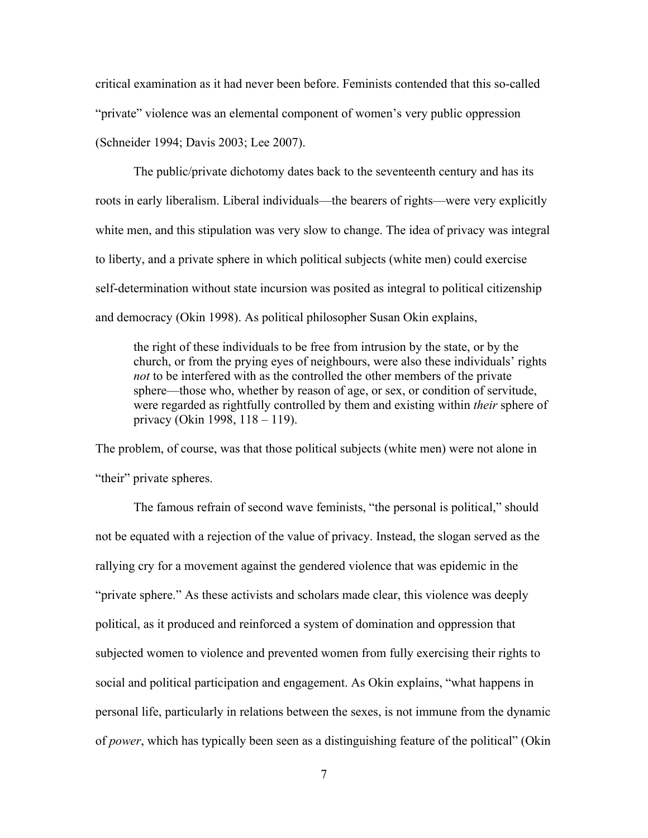critical examination as it had never been before. Feminists contended that this so-called "private" violence was an elemental component of women's very public oppression (Schneider 1994; Davis 2003; Lee 2007).

The public/private dichotomy dates back to the seventeenth century and has its roots in early liberalism. Liberal individuals—the bearers of rights—were very explicitly white men, and this stipulation was very slow to change. The idea of privacy was integral to liberty, and a private sphere in which political subjects (white men) could exercise self-determination without state incursion was posited as integral to political citizenship and democracy (Okin 1998). As political philosopher Susan Okin explains,

the right of these individuals to be free from intrusion by the state, or by the church, or from the prying eyes of neighbours, were also these individuals' rights *not* to be interfered with as the controlled the other members of the private sphere—those who, whether by reason of age, or sex, or condition of servitude, were regarded as rightfully controlled by them and existing within *their* sphere of privacy (Okin 1998, 118 – 119).

The problem, of course, was that those political subjects (white men) were not alone in "their" private spheres.

The famous refrain of second wave feminists, "the personal is political," should not be equated with a rejection of the value of privacy. Instead, the slogan served as the rallying cry for a movement against the gendered violence that was epidemic in the "private sphere." As these activists and scholars made clear, this violence was deeply political, as it produced and reinforced a system of domination and oppression that subjected women to violence and prevented women from fully exercising their rights to social and political participation and engagement. As Okin explains, "what happens in personal life, particularly in relations between the sexes, is not immune from the dynamic of *power*, which has typically been seen as a distinguishing feature of the political" (Okin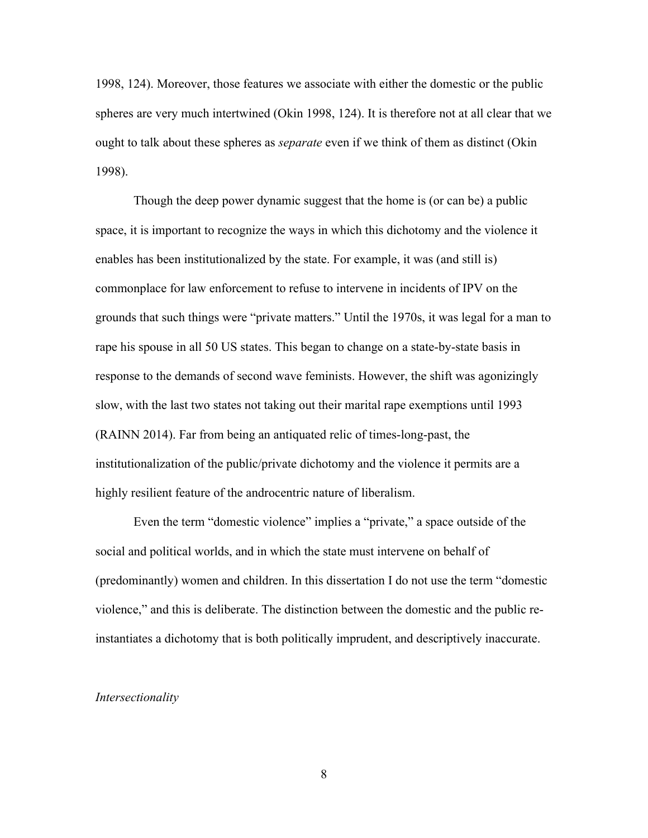1998, 124). Moreover, those features we associate with either the domestic or the public spheres are very much intertwined (Okin 1998, 124). It is therefore not at all clear that we ought to talk about these spheres as *separate* even if we think of them as distinct (Okin 1998).

Though the deep power dynamic suggest that the home is (or can be) a public space, it is important to recognize the ways in which this dichotomy and the violence it enables has been institutionalized by the state. For example, it was (and still is) commonplace for law enforcement to refuse to intervene in incidents of IPV on the grounds that such things were "private matters." Until the 1970s, it was legal for a man to rape his spouse in all 50 US states. This began to change on a state-by-state basis in response to the demands of second wave feminists. However, the shift was agonizingly slow, with the last two states not taking out their marital rape exemptions until 1993 (RAINN 2014). Far from being an antiquated relic of times-long-past, the institutionalization of the public/private dichotomy and the violence it permits are a highly resilient feature of the androcentric nature of liberalism.

Even the term "domestic violence" implies a "private," a space outside of the social and political worlds, and in which the state must intervene on behalf of (predominantly) women and children. In this dissertation I do not use the term "domestic violence," and this is deliberate. The distinction between the domestic and the public reinstantiates a dichotomy that is both politically imprudent, and descriptively inaccurate.

### *Intersectionality*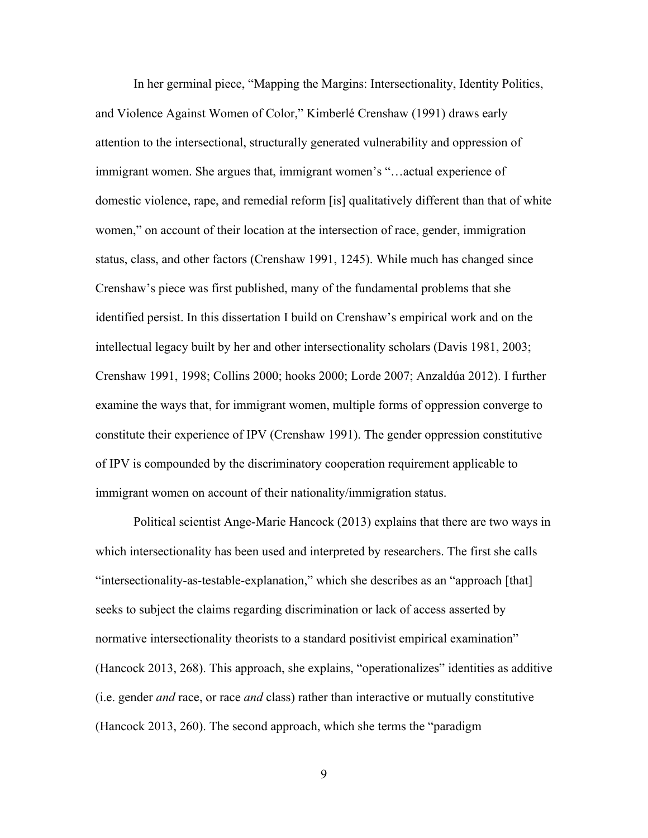In her germinal piece, "Mapping the Margins: Intersectionality, Identity Politics, and Violence Against Women of Color," Kimberlé Crenshaw (1991) draws early attention to the intersectional, structurally generated vulnerability and oppression of immigrant women. She argues that, immigrant women's "…actual experience of domestic violence, rape, and remedial reform [is] qualitatively different than that of white women," on account of their location at the intersection of race, gender, immigration status, class, and other factors (Crenshaw 1991, 1245). While much has changed since Crenshaw's piece was first published, many of the fundamental problems that she identified persist. In this dissertation I build on Crenshaw's empirical work and on the intellectual legacy built by her and other intersectionality scholars (Davis 1981, 2003; Crenshaw 1991, 1998; Collins 2000; hooks 2000; Lorde 2007; Anzaldúa 2012). I further examine the ways that, for immigrant women, multiple forms of oppression converge to constitute their experience of IPV (Crenshaw 1991). The gender oppression constitutive of IPV is compounded by the discriminatory cooperation requirement applicable to immigrant women on account of their nationality/immigration status.

Political scientist Ange-Marie Hancock (2013) explains that there are two ways in which intersectionality has been used and interpreted by researchers. The first she calls "intersectionality-as-testable-explanation," which she describes as an "approach [that] seeks to subject the claims regarding discrimination or lack of access asserted by normative intersectionality theorists to a standard positivist empirical examination" (Hancock 2013, 268). This approach, she explains, "operationalizes" identities as additive (i.e. gender *and* race, or race *and* class) rather than interactive or mutually constitutive (Hancock 2013, 260). The second approach, which she terms the "paradigm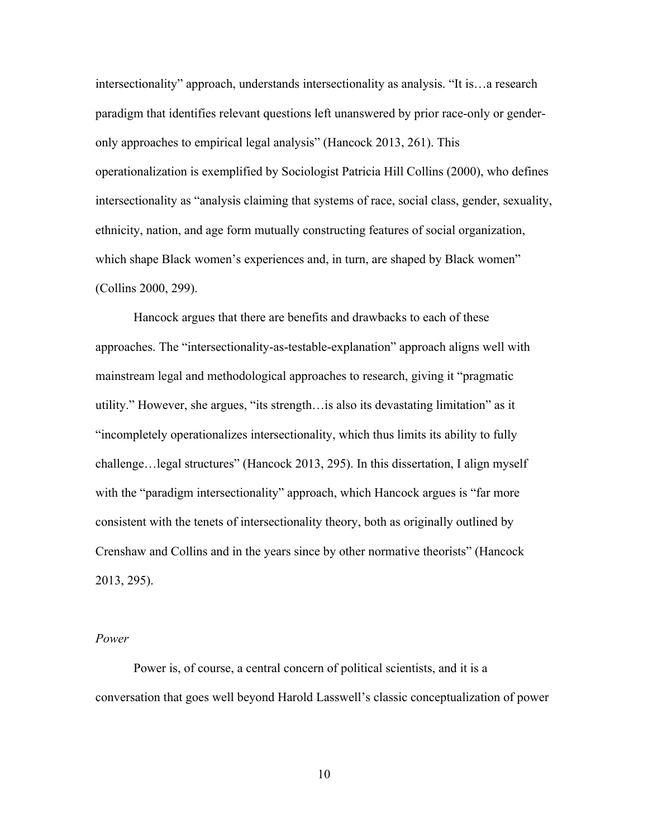intersectionality" approach, understands intersectionality as analysis. "It is…a research paradigm that identifies relevant questions left unanswered by prior race-only or genderonly approaches to empirical legal analysis" (Hancock 2013, 261). This operationalization is exemplified by Sociologist Patricia Hill Collins (2000), who defines intersectionality as "analysis claiming that systems of race, social class, gender, sexuality, ethnicity, nation, and age form mutually constructing features of social organization, which shape Black women's experiences and, in turn, are shaped by Black women" (Collins 2000, 299).

Hancock argues that there are benefits and drawbacks to each of these approaches. The "intersectionality-as-testable-explanation" approach aligns well with mainstream legal and methodological approaches to research, giving it "pragmatic utility." However, she argues, "its strength…is also its devastating limitation" as it "incompletely operationalizes intersectionality, which thus limits its ability to fully challenge…legal structures" (Hancock 2013, 295). In this dissertation, I align myself with the "paradigm intersectionality" approach, which Hancock argues is "far more consistent with the tenets of intersectionality theory, both as originally outlined by Crenshaw and Collins and in the years since by other normative theorists" (Hancock 2013, 295).

#### *Power*

Power is, of course, a central concern of political scientists, and it is a conversation that goes well beyond Harold Lasswell's classic conceptualization of power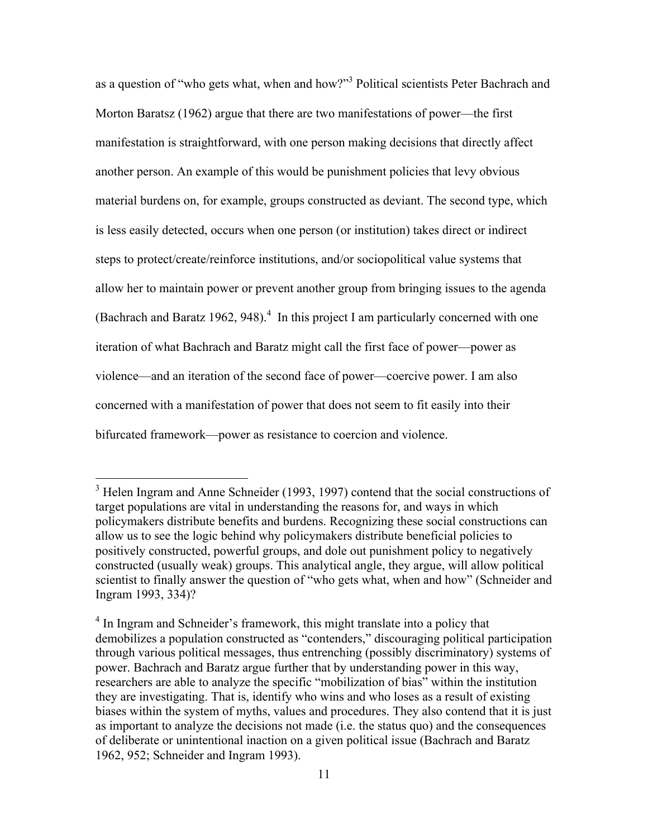as a question of "who gets what, when and how?"<sup>3</sup> Political scientists Peter Bachrach and Morton Baratsz (1962) argue that there are two manifestations of power—the first manifestation is straightforward, with one person making decisions that directly affect another person. An example of this would be punishment policies that levy obvious material burdens on, for example, groups constructed as deviant. The second type, which is less easily detected, occurs when one person (or institution) takes direct or indirect steps to protect/create/reinforce institutions, and/or sociopolitical value systems that allow her to maintain power or prevent another group from bringing issues to the agenda (Bachrach and Baratz 1962, 948). $<sup>4</sup>$  In this project I am particularly concerned with one</sup> iteration of what Bachrach and Baratz might call the first face of power—power as violence—and an iteration of the second face of power—coercive power. I am also concerned with a manifestation of power that does not seem to fit easily into their bifurcated framework—power as resistance to coercion and violence.

<sup>&</sup>lt;sup>3</sup> Helen Ingram and Anne Schneider (1993, 1997) contend that the social constructions of target populations are vital in understanding the reasons for, and ways in which policymakers distribute benefits and burdens. Recognizing these social constructions can allow us to see the logic behind why policymakers distribute beneficial policies to positively constructed, powerful groups, and dole out punishment policy to negatively constructed (usually weak) groups. This analytical angle, they argue, will allow political scientist to finally answer the question of "who gets what, when and how" (Schneider and Ingram 1993, 334)?

<sup>&</sup>lt;sup>4</sup> In Ingram and Schneider's framework, this might translate into a policy that demobilizes a population constructed as "contenders," discouraging political participation through various political messages, thus entrenching (possibly discriminatory) systems of power. Bachrach and Baratz argue further that by understanding power in this way, researchers are able to analyze the specific "mobilization of bias" within the institution they are investigating. That is, identify who wins and who loses as a result of existing biases within the system of myths, values and procedures. They also contend that it is just as important to analyze the decisions not made (i.e. the status quo) and the consequences of deliberate or unintentional inaction on a given political issue (Bachrach and Baratz 1962, 952; Schneider and Ingram 1993).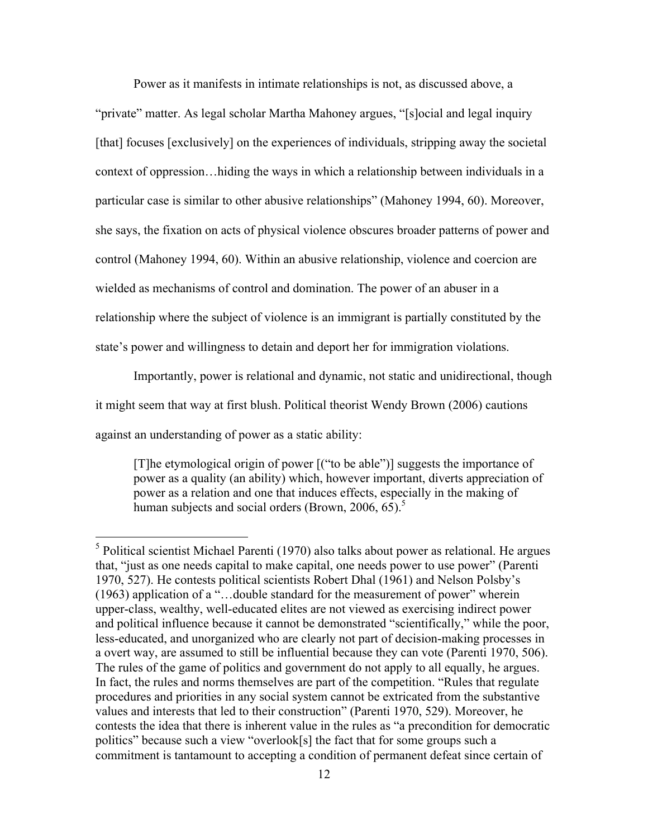Power as it manifests in intimate relationships is not, as discussed above, a

"private" matter. As legal scholar Martha Mahoney argues, "[s]ocial and legal inquiry [that] focuses [exclusively] on the experiences of individuals, stripping away the societal context of oppression…hiding the ways in which a relationship between individuals in a particular case is similar to other abusive relationships" (Mahoney 1994, 60). Moreover, she says, the fixation on acts of physical violence obscures broader patterns of power and control (Mahoney 1994, 60). Within an abusive relationship, violence and coercion are wielded as mechanisms of control and domination. The power of an abuser in a relationship where the subject of violence is an immigrant is partially constituted by the state's power and willingness to detain and deport her for immigration violations.

Importantly, power is relational and dynamic, not static and unidirectional, though

it might seem that way at first blush. Political theorist Wendy Brown (2006) cautions

against an understanding of power as a static ability:

[T]he etymological origin of power [("to be able")] suggests the importance of power as a quality (an ability) which, however important, diverts appreciation of power as a relation and one that induces effects, especially in the making of human subjects and social orders (Brown,  $2006, 65$ ).<sup>5</sup>

 <sup>5</sup> Political scientist Michael Parenti (1970) also talks about power as relational. He argues that, "just as one needs capital to make capital, one needs power to use power" (Parenti 1970, 527). He contests political scientists Robert Dhal (1961) and Nelson Polsby's (1963) application of a "…double standard for the measurement of power" wherein upper-class, wealthy, well-educated elites are not viewed as exercising indirect power and political influence because it cannot be demonstrated "scientifically," while the poor, less-educated, and unorganized who are clearly not part of decision-making processes in a overt way, are assumed to still be influential because they can vote (Parenti 1970, 506). The rules of the game of politics and government do not apply to all equally, he argues. In fact, the rules and norms themselves are part of the competition. "Rules that regulate procedures and priorities in any social system cannot be extricated from the substantive values and interests that led to their construction" (Parenti 1970, 529). Moreover, he contests the idea that there is inherent value in the rules as "a precondition for democratic politics" because such a view "overlook[s] the fact that for some groups such a commitment is tantamount to accepting a condition of permanent defeat since certain of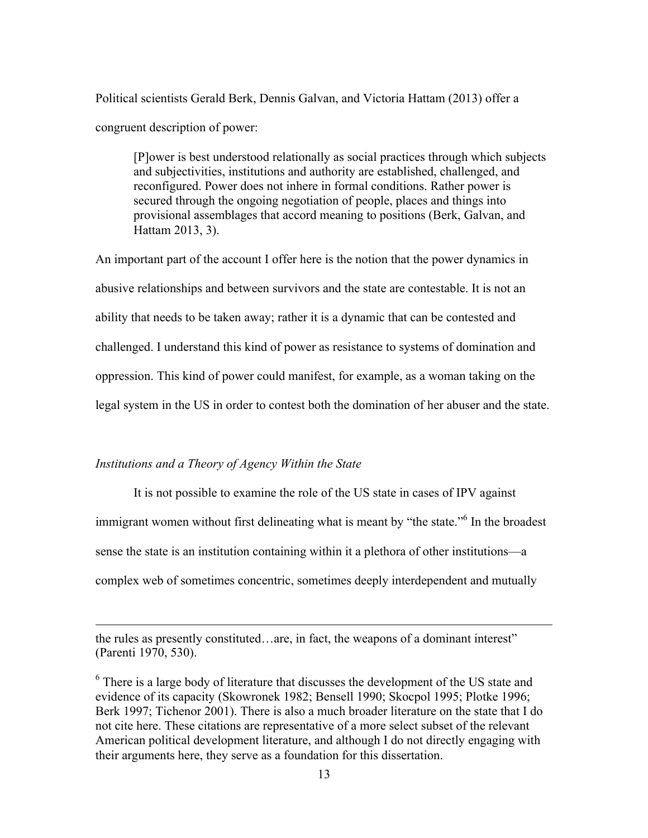Political scientists Gerald Berk, Dennis Galvan, and Victoria Hattam (2013) offer a congruent description of power:

[P]ower is best understood relationally as social practices through which subjects and subjectivities, institutions and authority are established, challenged, and reconfigured. Power does not inhere in formal conditions. Rather power is secured through the ongoing negotiation of people, places and things into provisional assemblages that accord meaning to positions (Berk, Galvan, and Hattam 2013, 3).

An important part of the account I offer here is the notion that the power dynamics in abusive relationships and between survivors and the state are contestable. It is not an ability that needs to be taken away; rather it is a dynamic that can be contested and challenged. I understand this kind of power as resistance to systems of domination and oppression. This kind of power could manifest, for example, as a woman taking on the legal system in the US in order to contest both the domination of her abuser and the state.

### *Institutions and a Theory of Agency Within the State*

<u>.</u>

It is not possible to examine the role of the US state in cases of IPV against immigrant women without first delineating what is meant by "the state."<sup>6</sup> In the broadest sense the state is an institution containing within it a plethora of other institutions—a complex web of sometimes concentric, sometimes deeply interdependent and mutually

the rules as presently constituted…are, in fact, the weapons of a dominant interest" (Parenti 1970, 530).

<sup>6</sup> There is a large body of literature that discusses the development of the US state and evidence of its capacity (Skowronek 1982; Bensell 1990; Skocpol 1995; Plotke 1996; Berk 1997; Tichenor 2001). There is also a much broader literature on the state that I do not cite here. These citations are representative of a more select subset of the relevant American political development literature, and although I do not directly engaging with their arguments here, they serve as a foundation for this dissertation.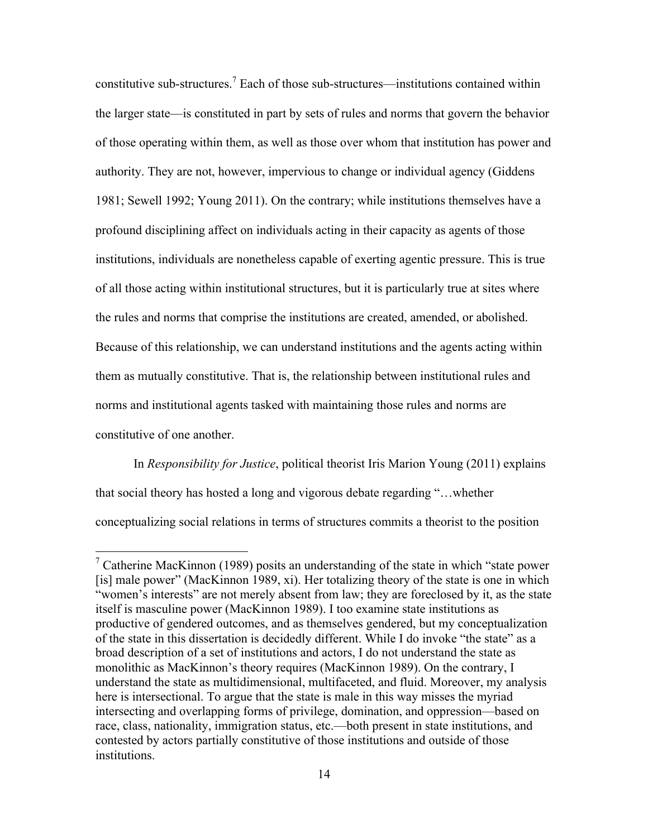constitutive sub-structures.<sup>7</sup> Each of those sub-structures—institutions contained within the larger state—is constituted in part by sets of rules and norms that govern the behavior of those operating within them, as well as those over whom that institution has power and authority. They are not, however, impervious to change or individual agency (Giddens 1981; Sewell 1992; Young 2011). On the contrary; while institutions themselves have a profound disciplining affect on individuals acting in their capacity as agents of those institutions, individuals are nonetheless capable of exerting agentic pressure. This is true of all those acting within institutional structures, but it is particularly true at sites where the rules and norms that comprise the institutions are created, amended, or abolished. Because of this relationship, we can understand institutions and the agents acting within them as mutually constitutive. That is, the relationship between institutional rules and norms and institutional agents tasked with maintaining those rules and norms are constitutive of one another.

In *Responsibility for Justice*, political theorist Iris Marion Young (2011) explains that social theory has hosted a long and vigorous debate regarding "…whether conceptualizing social relations in terms of structures commits a theorist to the position

 $\frac{7}{1}$  Catherine MacKinnon (1989) posits an understanding of the state in which "state power [is] male power" (MacKinnon 1989, xi). Her totalizing theory of the state is one in which "women's interests" are not merely absent from law; they are foreclosed by it, as the state itself is masculine power (MacKinnon 1989). I too examine state institutions as productive of gendered outcomes, and as themselves gendered, but my conceptualization of the state in this dissertation is decidedly different. While I do invoke "the state" as a broad description of a set of institutions and actors, I do not understand the state as monolithic as MacKinnon's theory requires (MacKinnon 1989). On the contrary, I understand the state as multidimensional, multifaceted, and fluid. Moreover, my analysis here is intersectional. To argue that the state is male in this way misses the myriad intersecting and overlapping forms of privilege, domination, and oppression—based on race, class, nationality, immigration status, etc.—both present in state institutions, and contested by actors partially constitutive of those institutions and outside of those institutions.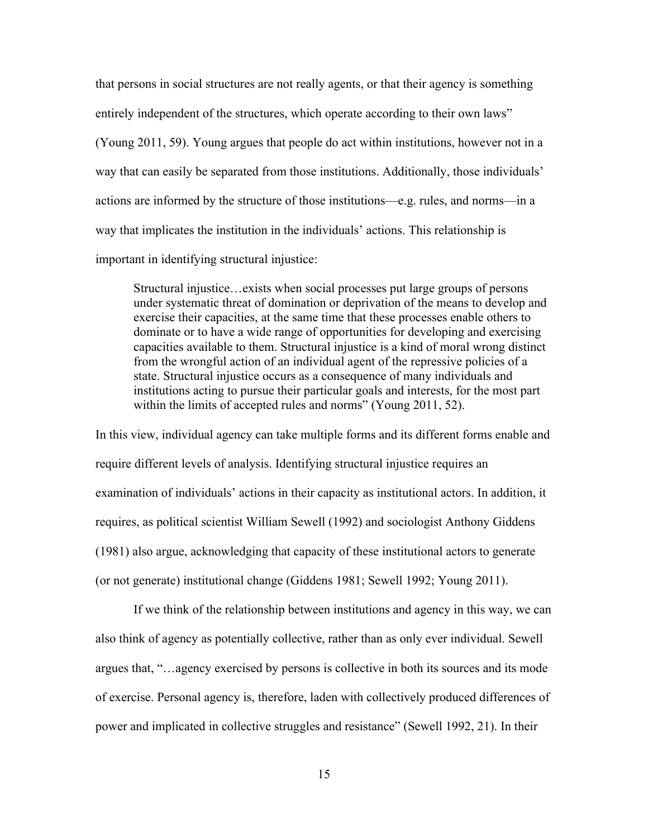that persons in social structures are not really agents, or that their agency is something entirely independent of the structures, which operate according to their own laws" (Young 2011, 59). Young argues that people do act within institutions, however not in a way that can easily be separated from those institutions. Additionally, those individuals' actions are informed by the structure of those institutions—e.g. rules, and norms—in a way that implicates the institution in the individuals' actions. This relationship is important in identifying structural injustice:

Structural injustice…exists when social processes put large groups of persons under systematic threat of domination or deprivation of the means to develop and exercise their capacities, at the same time that these processes enable others to dominate or to have a wide range of opportunities for developing and exercising capacities available to them. Structural injustice is a kind of moral wrong distinct from the wrongful action of an individual agent of the repressive policies of a state. Structural injustice occurs as a consequence of many individuals and institutions acting to pursue their particular goals and interests, for the most part within the limits of accepted rules and norms" (Young 2011, 52).

In this view, individual agency can take multiple forms and its different forms enable and require different levels of analysis. Identifying structural injustice requires an examination of individuals' actions in their capacity as institutional actors. In addition, it requires, as political scientist William Sewell (1992) and sociologist Anthony Giddens (1981) also argue, acknowledging that capacity of these institutional actors to generate (or not generate) institutional change (Giddens 1981; Sewell 1992; Young 2011).

If we think of the relationship between institutions and agency in this way, we can also think of agency as potentially collective, rather than as only ever individual. Sewell argues that, "…agency exercised by persons is collective in both its sources and its mode of exercise. Personal agency is, therefore, laden with collectively produced differences of power and implicated in collective struggles and resistance" (Sewell 1992, 21). In their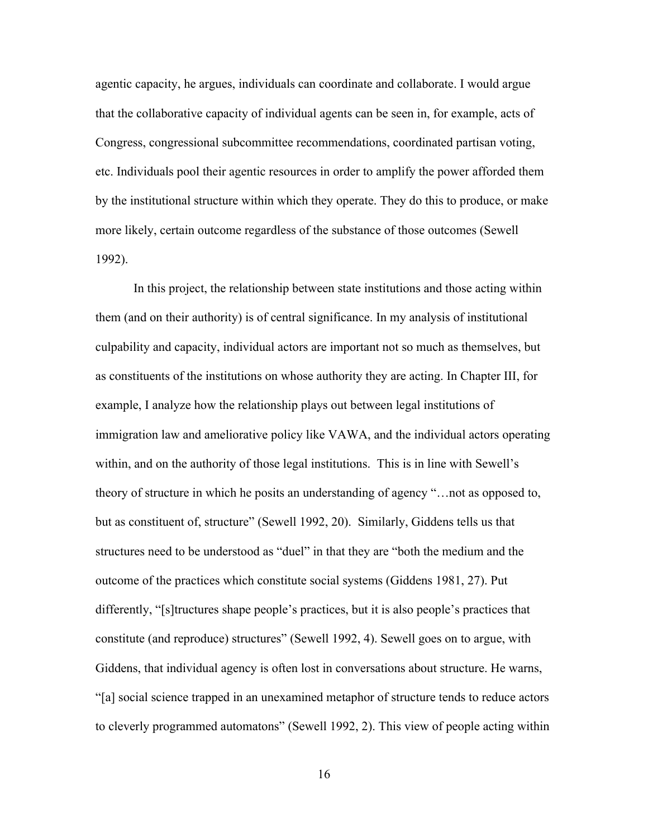agentic capacity, he argues, individuals can coordinate and collaborate. I would argue that the collaborative capacity of individual agents can be seen in, for example, acts of Congress, congressional subcommittee recommendations, coordinated partisan voting, etc. Individuals pool their agentic resources in order to amplify the power afforded them by the institutional structure within which they operate. They do this to produce, or make more likely, certain outcome regardless of the substance of those outcomes (Sewell 1992).

In this project, the relationship between state institutions and those acting within them (and on their authority) is of central significance. In my analysis of institutional culpability and capacity, individual actors are important not so much as themselves, but as constituents of the institutions on whose authority they are acting. In Chapter III, for example, I analyze how the relationship plays out between legal institutions of immigration law and ameliorative policy like VAWA, and the individual actors operating within, and on the authority of those legal institutions. This is in line with Sewell's theory of structure in which he posits an understanding of agency "…not as opposed to, but as constituent of, structure" (Sewell 1992, 20). Similarly, Giddens tells us that structures need to be understood as "duel" in that they are "both the medium and the outcome of the practices which constitute social systems (Giddens 1981, 27). Put differently, "[s]tructures shape people's practices, but it is also people's practices that constitute (and reproduce) structures" (Sewell 1992, 4). Sewell goes on to argue, with Giddens, that individual agency is often lost in conversations about structure. He warns, "[a] social science trapped in an unexamined metaphor of structure tends to reduce actors to cleverly programmed automatons" (Sewell 1992, 2). This view of people acting within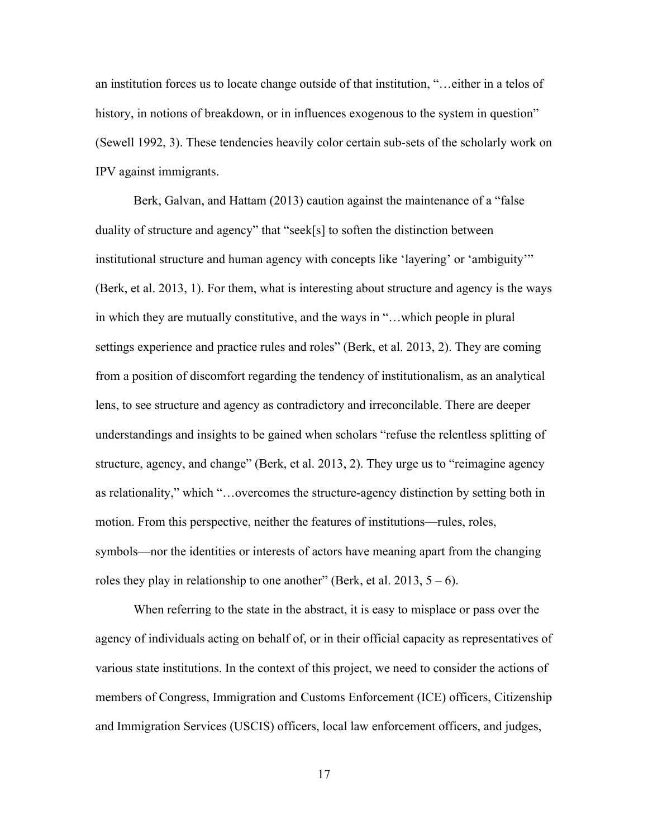an institution forces us to locate change outside of that institution, "…either in a telos of history, in notions of breakdown, or in influences exogenous to the system in question" (Sewell 1992, 3). These tendencies heavily color certain sub-sets of the scholarly work on IPV against immigrants.

Berk, Galvan, and Hattam (2013) caution against the maintenance of a "false duality of structure and agency" that "seek[s] to soften the distinction between institutional structure and human agency with concepts like 'layering' or 'ambiguity'" (Berk, et al. 2013, 1). For them, what is interesting about structure and agency is the ways in which they are mutually constitutive, and the ways in "…which people in plural settings experience and practice rules and roles" (Berk, et al. 2013, 2). They are coming from a position of discomfort regarding the tendency of institutionalism, as an analytical lens, to see structure and agency as contradictory and irreconcilable. There are deeper understandings and insights to be gained when scholars "refuse the relentless splitting of structure, agency, and change" (Berk, et al. 2013, 2). They urge us to "reimagine agency as relationality," which "…overcomes the structure-agency distinction by setting both in motion. From this perspective, neither the features of institutions—rules, roles, symbols—nor the identities or interests of actors have meaning apart from the changing roles they play in relationship to one another" (Berk, et al. 2013,  $5 - 6$ ).

When referring to the state in the abstract, it is easy to misplace or pass over the agency of individuals acting on behalf of, or in their official capacity as representatives of various state institutions. In the context of this project, we need to consider the actions of members of Congress, Immigration and Customs Enforcement (ICE) officers, Citizenship and Immigration Services (USCIS) officers, local law enforcement officers, and judges,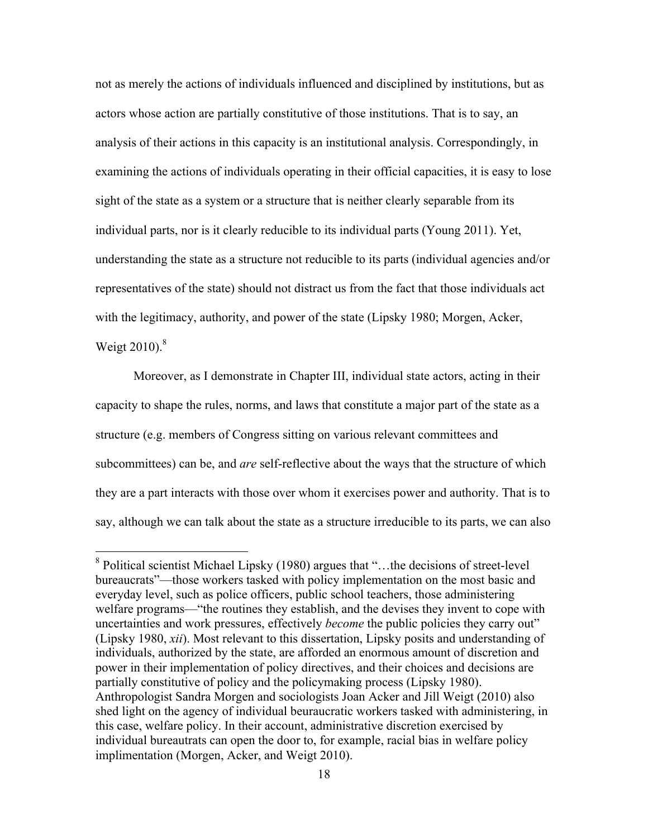not as merely the actions of individuals influenced and disciplined by institutions, but as actors whose action are partially constitutive of those institutions. That is to say, an analysis of their actions in this capacity is an institutional analysis. Correspondingly, in examining the actions of individuals operating in their official capacities, it is easy to lose sight of the state as a system or a structure that is neither clearly separable from its individual parts, nor is it clearly reducible to its individual parts (Young 2011). Yet, understanding the state as a structure not reducible to its parts (individual agencies and/or representatives of the state) should not distract us from the fact that those individuals act with the legitimacy, authority, and power of the state (Lipsky 1980; Morgen, Acker, Weigt 2010). 8

Moreover, as I demonstrate in Chapter III, individual state actors, acting in their capacity to shape the rules, norms, and laws that constitute a major part of the state as a structure (e.g. members of Congress sitting on various relevant committees and subcommittees) can be, and *are* self-reflective about the ways that the structure of which they are a part interacts with those over whom it exercises power and authority. That is to say, although we can talk about the state as a structure irreducible to its parts, we can also

 <sup>8</sup> Political scientist Michael Lipsky (1980) argues that "…the decisions of street-level bureaucrats"—those workers tasked with policy implementation on the most basic and everyday level, such as police officers, public school teachers, those administering welfare programs—"the routines they establish, and the devises they invent to cope with uncertainties and work pressures, effectively *become* the public policies they carry out" (Lipsky 1980, *xii*). Most relevant to this dissertation, Lipsky posits and understanding of individuals, authorized by the state, are afforded an enormous amount of discretion and power in their implementation of policy directives, and their choices and decisions are partially constitutive of policy and the policymaking process (Lipsky 1980). Anthropologist Sandra Morgen and sociologists Joan Acker and Jill Weigt (2010) also shed light on the agency of individual beuraucratic workers tasked with administering, in this case, welfare policy. In their account, administrative discretion exercised by individual bureautrats can open the door to, for example, racial bias in welfare policy implimentation (Morgen, Acker, and Weigt 2010).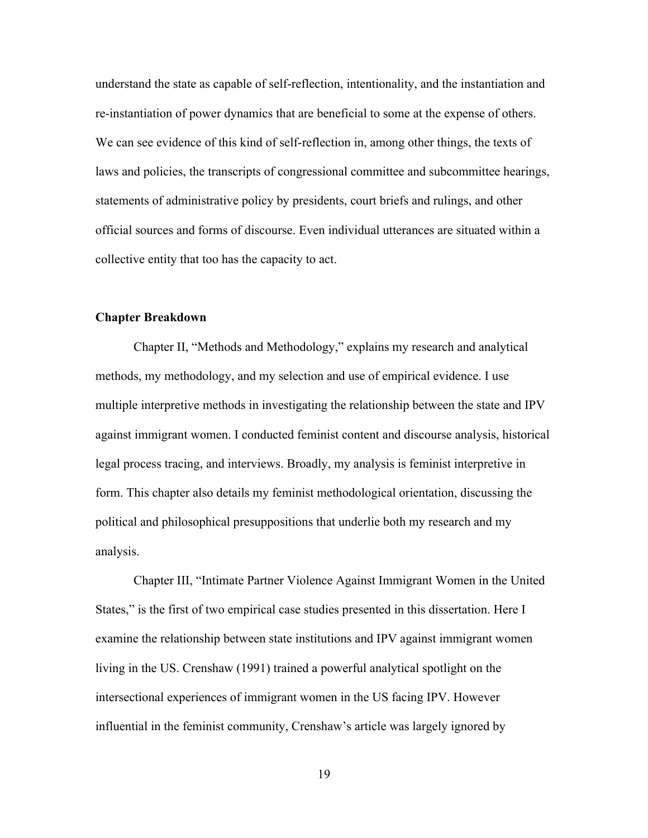understand the state as capable of self-reflection, intentionality, and the instantiation and re-instantiation of power dynamics that are beneficial to some at the expense of others. We can see evidence of this kind of self-reflection in, among other things, the texts of laws and policies, the transcripts of congressional committee and subcommittee hearings, statements of administrative policy by presidents, court briefs and rulings, and other official sources and forms of discourse. Even individual utterances are situated within a collective entity that too has the capacity to act.

### **Chapter Breakdown**

Chapter II, "Methods and Methodology," explains my research and analytical methods, my methodology, and my selection and use of empirical evidence. I use multiple interpretive methods in investigating the relationship between the state and IPV against immigrant women. I conducted feminist content and discourse analysis, historical legal process tracing, and interviews. Broadly, my analysis is feminist interpretive in form. This chapter also details my feminist methodological orientation, discussing the political and philosophical presuppositions that underlie both my research and my analysis.

Chapter III, "Intimate Partner Violence Against Immigrant Women in the United States," is the first of two empirical case studies presented in this dissertation. Here I examine the relationship between state institutions and IPV against immigrant women living in the US. Crenshaw (1991) trained a powerful analytical spotlight on the intersectional experiences of immigrant women in the US facing IPV. However influential in the feminist community, Crenshaw's article was largely ignored by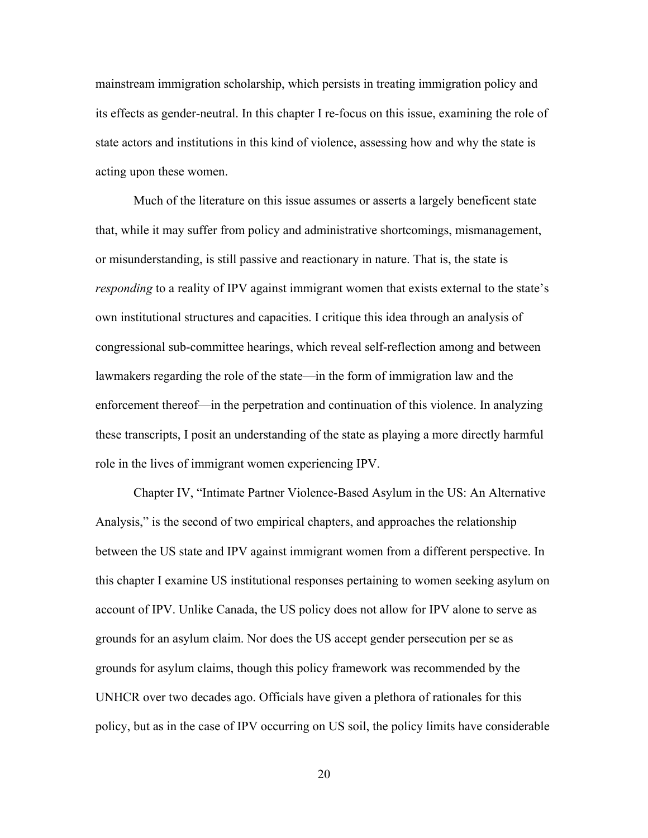mainstream immigration scholarship, which persists in treating immigration policy and its effects as gender-neutral. In this chapter I re-focus on this issue, examining the role of state actors and institutions in this kind of violence, assessing how and why the state is acting upon these women.

Much of the literature on this issue assumes or asserts a largely beneficent state that, while it may suffer from policy and administrative shortcomings, mismanagement, or misunderstanding, is still passive and reactionary in nature. That is, the state is *responding* to a reality of IPV against immigrant women that exists external to the state's own institutional structures and capacities. I critique this idea through an analysis of congressional sub-committee hearings, which reveal self-reflection among and between lawmakers regarding the role of the state—in the form of immigration law and the enforcement thereof—in the perpetration and continuation of this violence. In analyzing these transcripts, I posit an understanding of the state as playing a more directly harmful role in the lives of immigrant women experiencing IPV.

Chapter IV, "Intimate Partner Violence-Based Asylum in the US: An Alternative Analysis," is the second of two empirical chapters, and approaches the relationship between the US state and IPV against immigrant women from a different perspective. In this chapter I examine US institutional responses pertaining to women seeking asylum on account of IPV. Unlike Canada, the US policy does not allow for IPV alone to serve as grounds for an asylum claim. Nor does the US accept gender persecution per se as grounds for asylum claims, though this policy framework was recommended by the UNHCR over two decades ago. Officials have given a plethora of rationales for this policy, but as in the case of IPV occurring on US soil, the policy limits have considerable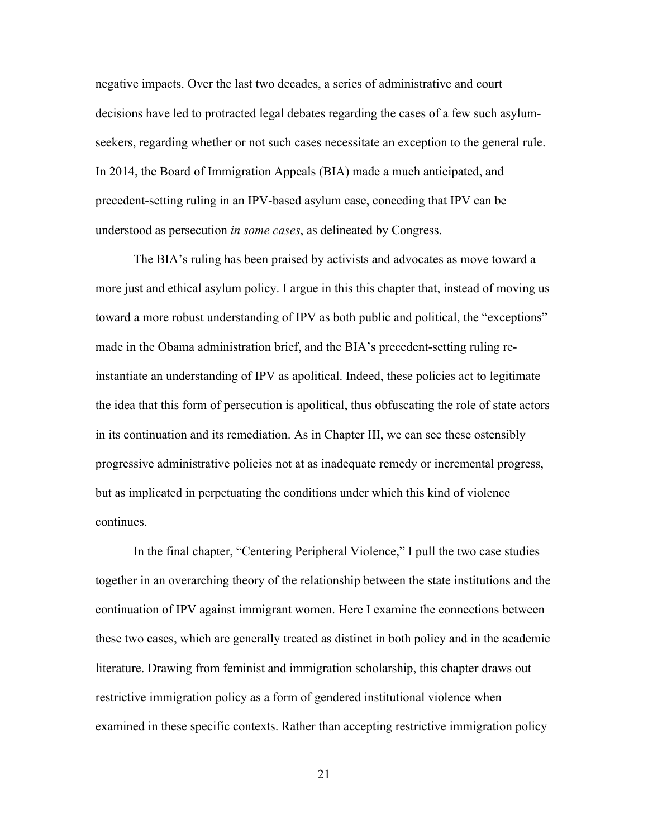negative impacts. Over the last two decades, a series of administrative and court decisions have led to protracted legal debates regarding the cases of a few such asylumseekers, regarding whether or not such cases necessitate an exception to the general rule. In 2014, the Board of Immigration Appeals (BIA) made a much anticipated, and precedent-setting ruling in an IPV-based asylum case, conceding that IPV can be understood as persecution *in some cases*, as delineated by Congress.

The BIA's ruling has been praised by activists and advocates as move toward a more just and ethical asylum policy. I argue in this this chapter that, instead of moving us toward a more robust understanding of IPV as both public and political, the "exceptions" made in the Obama administration brief, and the BIA's precedent-setting ruling reinstantiate an understanding of IPV as apolitical. Indeed, these policies act to legitimate the idea that this form of persecution is apolitical, thus obfuscating the role of state actors in its continuation and its remediation. As in Chapter III, we can see these ostensibly progressive administrative policies not at as inadequate remedy or incremental progress, but as implicated in perpetuating the conditions under which this kind of violence continues.

In the final chapter, "Centering Peripheral Violence," I pull the two case studies together in an overarching theory of the relationship between the state institutions and the continuation of IPV against immigrant women. Here I examine the connections between these two cases, which are generally treated as distinct in both policy and in the academic literature. Drawing from feminist and immigration scholarship, this chapter draws out restrictive immigration policy as a form of gendered institutional violence when examined in these specific contexts. Rather than accepting restrictive immigration policy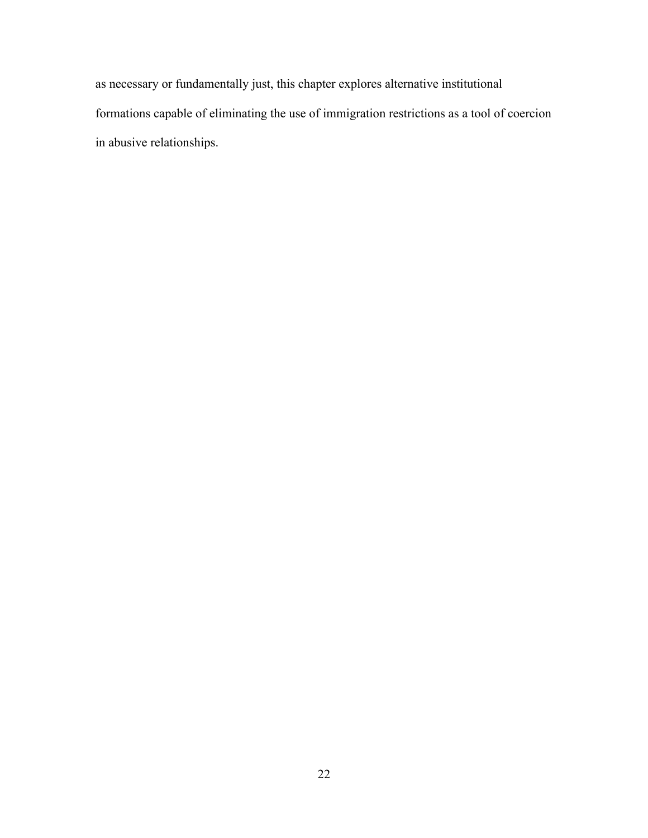as necessary or fundamentally just, this chapter explores alternative institutional formations capable of eliminating the use of immigration restrictions as a tool of coercion in abusive relationships.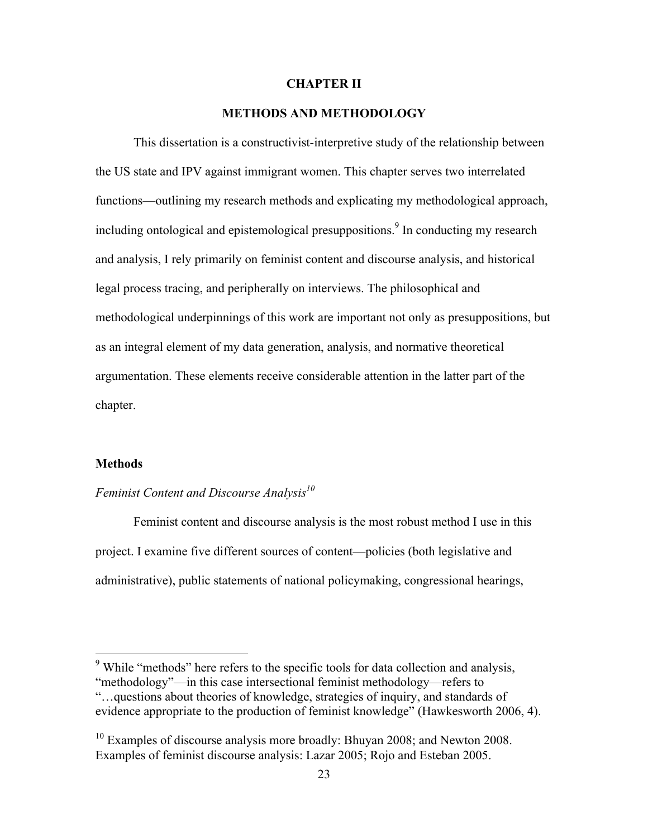#### **CHAPTER II**

#### **METHODS AND METHODOLOGY**

This dissertation is a constructivist-interpretive study of the relationship between the US state and IPV against immigrant women. This chapter serves two interrelated functions—outlining my research methods and explicating my methodological approach, including ontological and epistemological presuppositions.<sup>9</sup> In conducting my research and analysis, I rely primarily on feminist content and discourse analysis, and historical legal process tracing, and peripherally on interviews. The philosophical and methodological underpinnings of this work are important not only as presuppositions, but as an integral element of my data generation, analysis, and normative theoretical argumentation. These elements receive considerable attention in the latter part of the chapter.

#### **Methods**

### *Feminist Content and Discourse Analysis*<sup>10</sup>

Feminist content and discourse analysis is the most robust method I use in this project. I examine five different sources of content—policies (both legislative and administrative), public statements of national policymaking, congressional hearings,

<sup>&</sup>lt;sup>9</sup> While "methods" here refers to the specific tools for data collection and analysis, "methodology"—in this case intersectional feminist methodology—refers to

<sup>&</sup>quot;…questions about theories of knowledge, strategies of inquiry, and standards of evidence appropriate to the production of feminist knowledge" (Hawkesworth 2006, 4).

 $10$  Examples of discourse analysis more broadly: Bhuyan 2008; and Newton 2008. Examples of feminist discourse analysis: Lazar 2005; Rojo and Esteban 2005.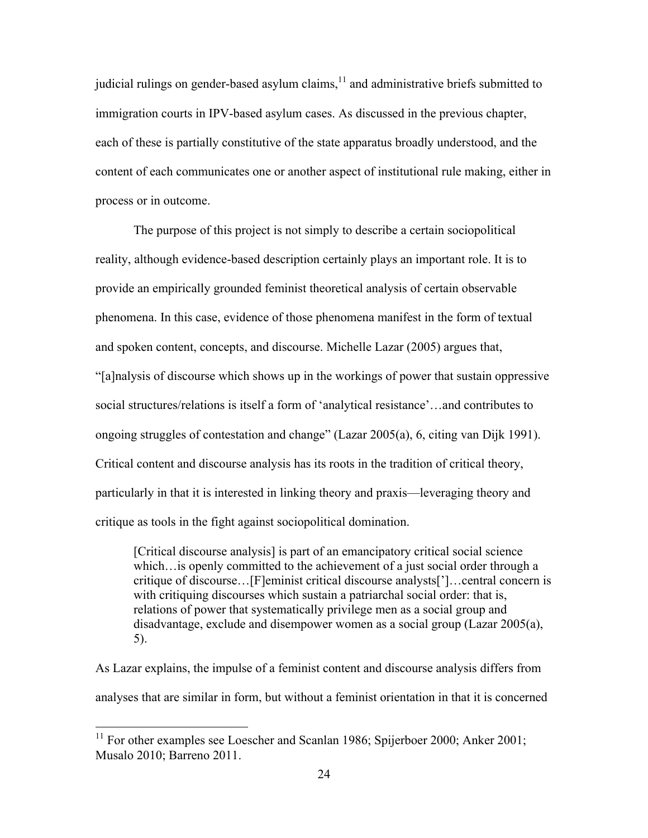judicial rulings on gender-based asylum claims, $11$  and administrative briefs submitted to immigration courts in IPV-based asylum cases. As discussed in the previous chapter, each of these is partially constitutive of the state apparatus broadly understood, and the content of each communicates one or another aspect of institutional rule making, either in process or in outcome.

The purpose of this project is not simply to describe a certain sociopolitical reality, although evidence-based description certainly plays an important role. It is to provide an empirically grounded feminist theoretical analysis of certain observable phenomena. In this case, evidence of those phenomena manifest in the form of textual and spoken content, concepts, and discourse. Michelle Lazar (2005) argues that, "[a]nalysis of discourse which shows up in the workings of power that sustain oppressive social structures/relations is itself a form of 'analytical resistance'…and contributes to ongoing struggles of contestation and change" (Lazar 2005(a), 6, citing van Dijk 1991). Critical content and discourse analysis has its roots in the tradition of critical theory, particularly in that it is interested in linking theory and praxis—leveraging theory and critique as tools in the fight against sociopolitical domination.

[Critical discourse analysis] is part of an emancipatory critical social science which…is openly committed to the achievement of a just social order through a critique of discourse…[F]eminist critical discourse analysts[']…central concern is with critiquing discourses which sustain a patriarchal social order: that is, relations of power that systematically privilege men as a social group and disadvantage, exclude and disempower women as a social group (Lazar 2005(a), 5).

As Lazar explains, the impulse of a feminist content and discourse analysis differs from analyses that are similar in form, but without a feminist orientation in that it is concerned

<sup>&</sup>lt;sup>11</sup> For other examples see Loescher and Scanlan 1986; Spijerboer 2000; Anker 2001; Musalo 2010; Barreno 2011.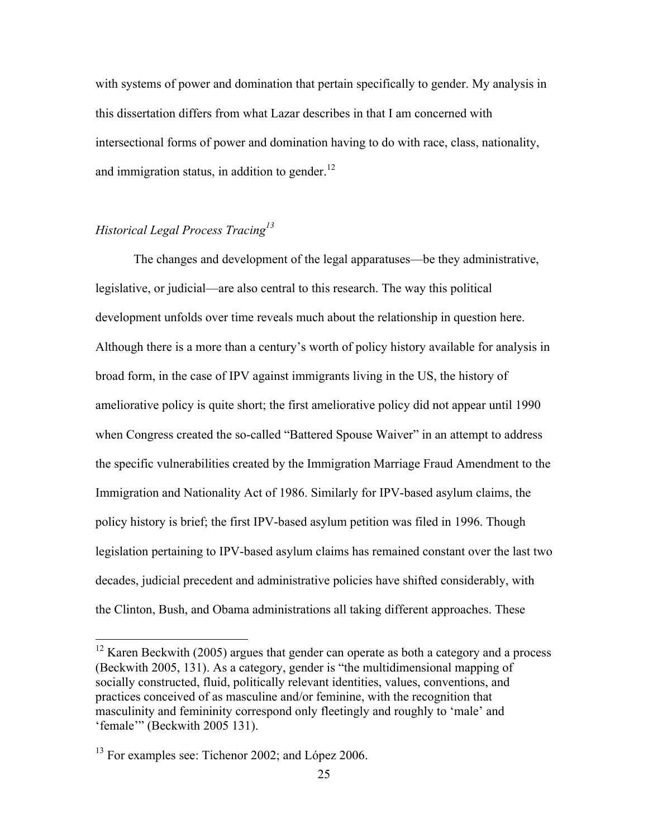with systems of power and domination that pertain specifically to gender. My analysis in this dissertation differs from what Lazar describes in that I am concerned with intersectional forms of power and domination having to do with race, class, nationality, and immigration status, in addition to gender. $12$ 

## *Historical Legal Process Tracing<sup>13</sup>*

The changes and development of the legal apparatuses—be they administrative, legislative, or judicial—are also central to this research. The way this political development unfolds over time reveals much about the relationship in question here. Although there is a more than a century's worth of policy history available for analysis in broad form, in the case of IPV against immigrants living in the US, the history of ameliorative policy is quite short; the first ameliorative policy did not appear until 1990 when Congress created the so-called "Battered Spouse Waiver" in an attempt to address the specific vulnerabilities created by the Immigration Marriage Fraud Amendment to the Immigration and Nationality Act of 1986. Similarly for IPV-based asylum claims, the policy history is brief; the first IPV-based asylum petition was filed in 1996. Though legislation pertaining to IPV-based asylum claims has remained constant over the last two decades, judicial precedent and administrative policies have shifted considerably, with the Clinton, Bush, and Obama administrations all taking different approaches. These

<sup>&</sup>lt;sup>12</sup> Karen Beckwith (2005) argues that gender can operate as both a category and a process (Beckwith 2005, 131). As a category, gender is "the multidimensional mapping of socially constructed, fluid, politically relevant identities, values, conventions, and practices conceived of as masculine and/or feminine, with the recognition that masculinity and femininity correspond only fleetingly and roughly to 'male' and 'female'" (Beckwith 2005 131).

<sup>&</sup>lt;sup>13</sup> For examples see: Tichenor 2002; and López 2006.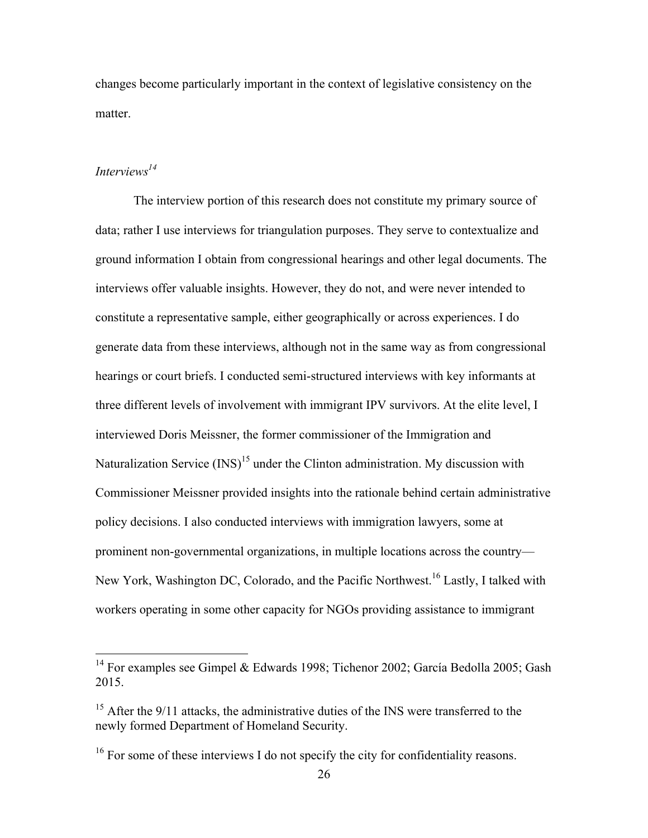changes become particularly important in the context of legislative consistency on the matter.

### *Interviews14*

The interview portion of this research does not constitute my primary source of data; rather I use interviews for triangulation purposes. They serve to contextualize and ground information I obtain from congressional hearings and other legal documents. The interviews offer valuable insights. However, they do not, and were never intended to constitute a representative sample, either geographically or across experiences. I do generate data from these interviews, although not in the same way as from congressional hearings or court briefs. I conducted semi-structured interviews with key informants at three different levels of involvement with immigrant IPV survivors. At the elite level, I interviewed Doris Meissner, the former commissioner of the Immigration and Naturalization Service  $(INS)^{15}$  under the Clinton administration. My discussion with Commissioner Meissner provided insights into the rationale behind certain administrative policy decisions. I also conducted interviews with immigration lawyers, some at prominent non-governmental organizations, in multiple locations across the country— New York, Washington DC, Colorado, and the Pacific Northwest.<sup>16</sup> Lastly, I talked with workers operating in some other capacity for NGOs providing assistance to immigrant

<sup>&</sup>lt;sup>14</sup> For examples see Gimpel & Edwards 1998; Tichenor 2002; García Bedolla 2005; Gash 2015.

 $15$  After the 9/11 attacks, the administrative duties of the INS were transferred to the newly formed Department of Homeland Security.

<sup>&</sup>lt;sup>16</sup> For some of these interviews I do not specify the city for confidentiality reasons.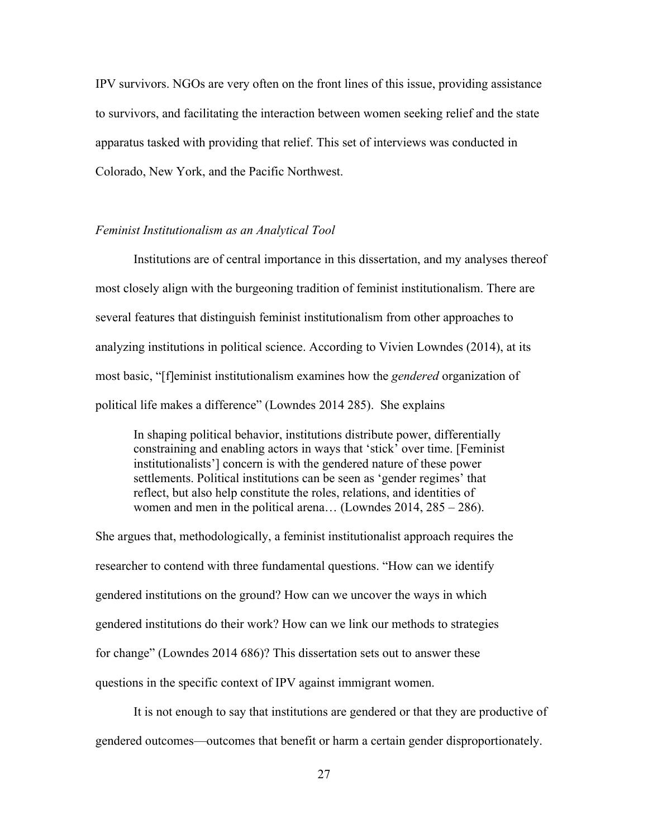IPV survivors. NGOs are very often on the front lines of this issue, providing assistance to survivors, and facilitating the interaction between women seeking relief and the state apparatus tasked with providing that relief. This set of interviews was conducted in Colorado, New York, and the Pacific Northwest.

#### *Feminist Institutionalism as an Analytical Tool*

Institutions are of central importance in this dissertation, and my analyses thereof most closely align with the burgeoning tradition of feminist institutionalism. There are several features that distinguish feminist institutionalism from other approaches to analyzing institutions in political science. According to Vivien Lowndes (2014), at its most basic, "[f]eminist institutionalism examines how the *gendered* organization of political life makes a difference" (Lowndes 2014 285). She explains

In shaping political behavior, institutions distribute power, differentially constraining and enabling actors in ways that 'stick' over time. [Feminist institutionalists'] concern is with the gendered nature of these power settlements. Political institutions can be seen as 'gender regimes' that reflect, but also help constitute the roles, relations, and identities of women and men in the political arena… (Lowndes 2014, 285 – 286).

She argues that, methodologically, a feminist institutionalist approach requires the researcher to contend with three fundamental questions. "How can we identify gendered institutions on the ground? How can we uncover the ways in which gendered institutions do their work? How can we link our methods to strategies for change" (Lowndes 2014 686)? This dissertation sets out to answer these questions in the specific context of IPV against immigrant women.

It is not enough to say that institutions are gendered or that they are productive of gendered outcomes—outcomes that benefit or harm a certain gender disproportionately.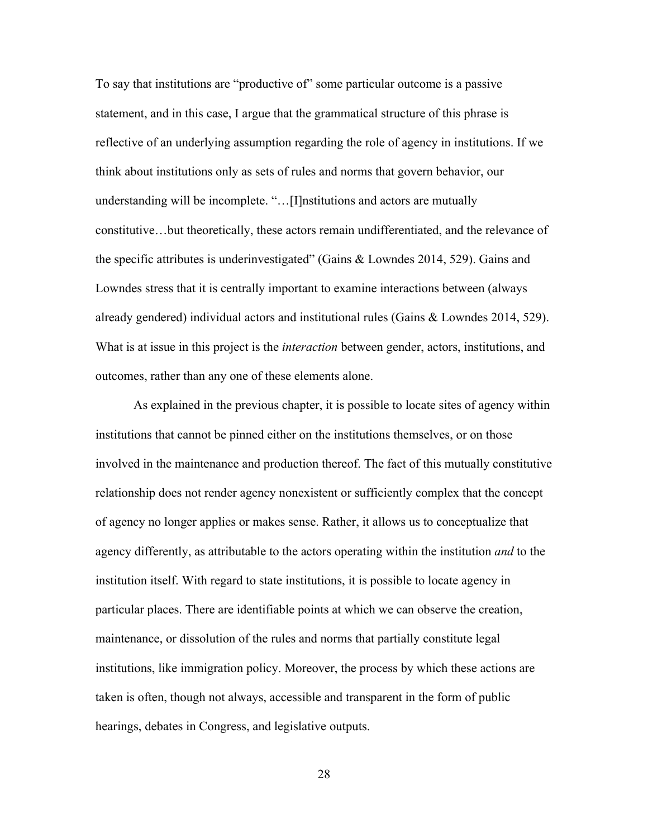To say that institutions are "productive of" some particular outcome is a passive statement, and in this case, I argue that the grammatical structure of this phrase is reflective of an underlying assumption regarding the role of agency in institutions. If we think about institutions only as sets of rules and norms that govern behavior, our understanding will be incomplete. "…[I]nstitutions and actors are mutually constitutive…but theoretically, these actors remain undifferentiated, and the relevance of the specific attributes is underinvestigated" (Gains & Lowndes 2014, 529). Gains and Lowndes stress that it is centrally important to examine interactions between (always already gendered) individual actors and institutional rules (Gains & Lowndes 2014, 529). What is at issue in this project is the *interaction* between gender, actors, institutions, and outcomes, rather than any one of these elements alone.

As explained in the previous chapter, it is possible to locate sites of agency within institutions that cannot be pinned either on the institutions themselves, or on those involved in the maintenance and production thereof. The fact of this mutually constitutive relationship does not render agency nonexistent or sufficiently complex that the concept of agency no longer applies or makes sense. Rather, it allows us to conceptualize that agency differently, as attributable to the actors operating within the institution *and* to the institution itself. With regard to state institutions, it is possible to locate agency in particular places. There are identifiable points at which we can observe the creation, maintenance, or dissolution of the rules and norms that partially constitute legal institutions, like immigration policy. Moreover, the process by which these actions are taken is often, though not always, accessible and transparent in the form of public hearings, debates in Congress, and legislative outputs.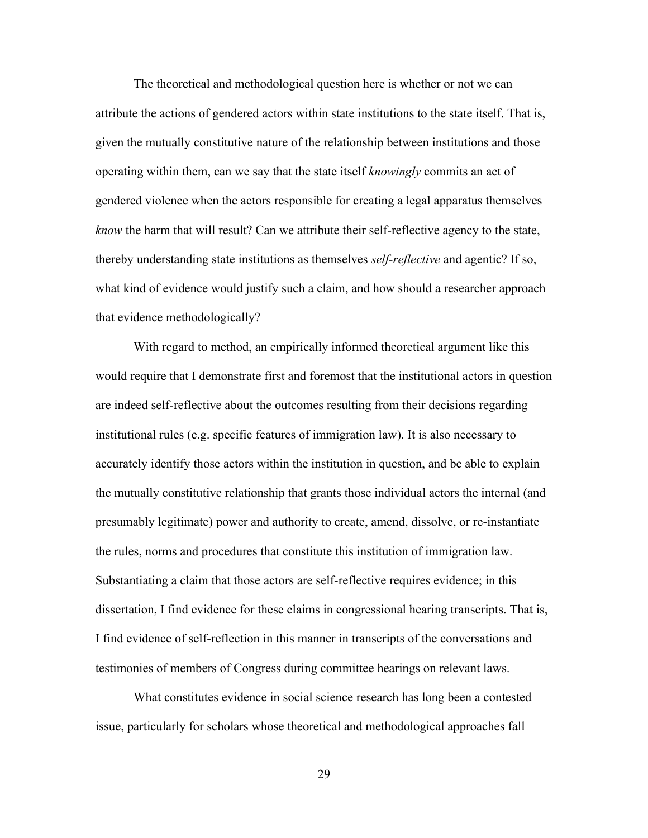The theoretical and methodological question here is whether or not we can attribute the actions of gendered actors within state institutions to the state itself. That is, given the mutually constitutive nature of the relationship between institutions and those operating within them, can we say that the state itself *knowingly* commits an act of gendered violence when the actors responsible for creating a legal apparatus themselves *know* the harm that will result? Can we attribute their self-reflective agency to the state, thereby understanding state institutions as themselves *self-reflective* and agentic? If so, what kind of evidence would justify such a claim, and how should a researcher approach that evidence methodologically?

With regard to method, an empirically informed theoretical argument like this would require that I demonstrate first and foremost that the institutional actors in question are indeed self-reflective about the outcomes resulting from their decisions regarding institutional rules (e.g. specific features of immigration law). It is also necessary to accurately identify those actors within the institution in question, and be able to explain the mutually constitutive relationship that grants those individual actors the internal (and presumably legitimate) power and authority to create, amend, dissolve, or re-instantiate the rules, norms and procedures that constitute this institution of immigration law. Substantiating a claim that those actors are self-reflective requires evidence; in this dissertation, I find evidence for these claims in congressional hearing transcripts. That is, I find evidence of self-reflection in this manner in transcripts of the conversations and testimonies of members of Congress during committee hearings on relevant laws.

What constitutes evidence in social science research has long been a contested issue, particularly for scholars whose theoretical and methodological approaches fall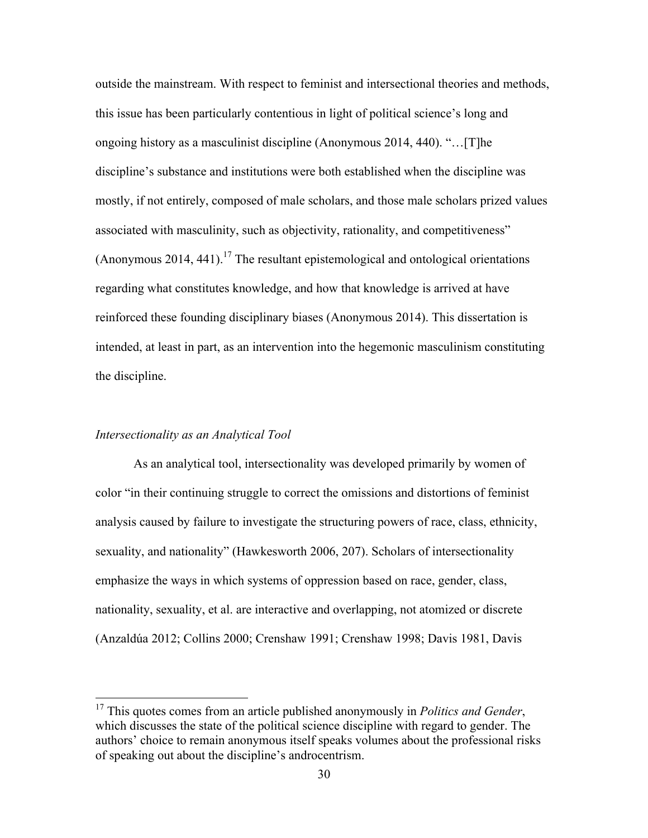outside the mainstream. With respect to feminist and intersectional theories and methods, this issue has been particularly contentious in light of political science's long and ongoing history as a masculinist discipline (Anonymous 2014, 440). "…[T]he discipline's substance and institutions were both established when the discipline was mostly, if not entirely, composed of male scholars, and those male scholars prized values associated with masculinity, such as objectivity, rationality, and competitiveness"  $($ Anonymous 2014, 441).<sup>17</sup> The resultant epistemological and ontological orientations regarding what constitutes knowledge, and how that knowledge is arrived at have reinforced these founding disciplinary biases (Anonymous 2014). This dissertation is intended, at least in part, as an intervention into the hegemonic masculinism constituting the discipline.

#### *Intersectionality as an Analytical Tool*

As an analytical tool, intersectionality was developed primarily by women of color "in their continuing struggle to correct the omissions and distortions of feminist analysis caused by failure to investigate the structuring powers of race, class, ethnicity, sexuality, and nationality" (Hawkesworth 2006, 207). Scholars of intersectionality emphasize the ways in which systems of oppression based on race, gender, class, nationality, sexuality, et al. are interactive and overlapping, not atomized or discrete (Anzaldúa 2012; Collins 2000; Crenshaw 1991; Crenshaw 1998; Davis 1981, Davis

 <sup>17</sup> This quotes comes from an article published anonymously in *Politics and Gender*, which discusses the state of the political science discipline with regard to gender. The authors' choice to remain anonymous itself speaks volumes about the professional risks of speaking out about the discipline's androcentrism.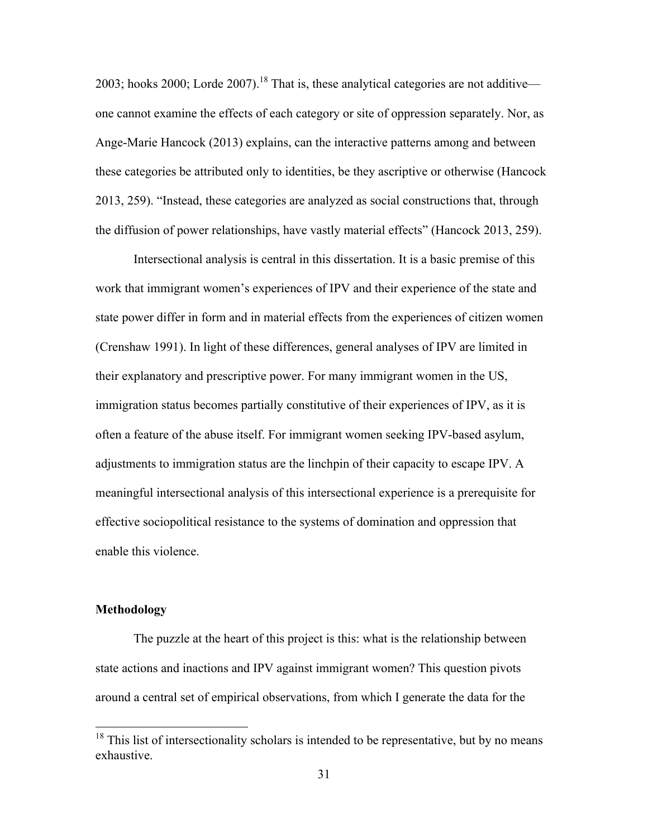2003; hooks 2000; Lorde 2007).<sup>18</sup> That is, these analytical categories are not additive one cannot examine the effects of each category or site of oppression separately. Nor, as Ange-Marie Hancock (2013) explains, can the interactive patterns among and between these categories be attributed only to identities, be they ascriptive or otherwise (Hancock 2013, 259). "Instead, these categories are analyzed as social constructions that, through the diffusion of power relationships, have vastly material effects" (Hancock 2013, 259).

Intersectional analysis is central in this dissertation. It is a basic premise of this work that immigrant women's experiences of IPV and their experience of the state and state power differ in form and in material effects from the experiences of citizen women (Crenshaw 1991). In light of these differences, general analyses of IPV are limited in their explanatory and prescriptive power. For many immigrant women in the US, immigration status becomes partially constitutive of their experiences of IPV, as it is often a feature of the abuse itself. For immigrant women seeking IPV-based asylum, adjustments to immigration status are the linchpin of their capacity to escape IPV. A meaningful intersectional analysis of this intersectional experience is a prerequisite for effective sociopolitical resistance to the systems of domination and oppression that enable this violence.

#### **Methodology**

The puzzle at the heart of this project is this: what is the relationship between state actions and inactions and IPV against immigrant women? This question pivots around a central set of empirical observations, from which I generate the data for the

 $18$  This list of intersectionality scholars is intended to be representative, but by no means exhaustive.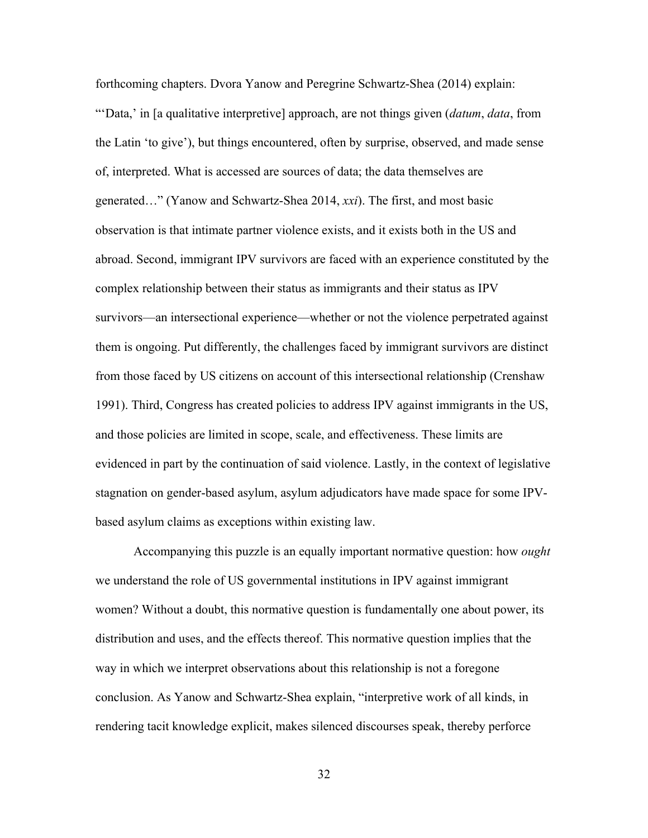forthcoming chapters. Dvora Yanow and Peregrine Schwartz-Shea (2014) explain: "'Data,' in [a qualitative interpretive] approach, are not things given (*datum*, *data*, from the Latin 'to give'), but things encountered, often by surprise, observed, and made sense of, interpreted. What is accessed are sources of data; the data themselves are generated…" (Yanow and Schwartz-Shea 2014, *xxi*). The first, and most basic observation is that intimate partner violence exists, and it exists both in the US and abroad. Second, immigrant IPV survivors are faced with an experience constituted by the complex relationship between their status as immigrants and their status as IPV survivors—an intersectional experience—whether or not the violence perpetrated against them is ongoing. Put differently, the challenges faced by immigrant survivors are distinct from those faced by US citizens on account of this intersectional relationship (Crenshaw 1991). Third, Congress has created policies to address IPV against immigrants in the US, and those policies are limited in scope, scale, and effectiveness. These limits are evidenced in part by the continuation of said violence. Lastly, in the context of legislative stagnation on gender-based asylum, asylum adjudicators have made space for some IPVbased asylum claims as exceptions within existing law.

Accompanying this puzzle is an equally important normative question: how *ought* we understand the role of US governmental institutions in IPV against immigrant women? Without a doubt, this normative question is fundamentally one about power, its distribution and uses, and the effects thereof. This normative question implies that the way in which we interpret observations about this relationship is not a foregone conclusion. As Yanow and Schwartz-Shea explain, "interpretive work of all kinds, in rendering tacit knowledge explicit, makes silenced discourses speak, thereby perforce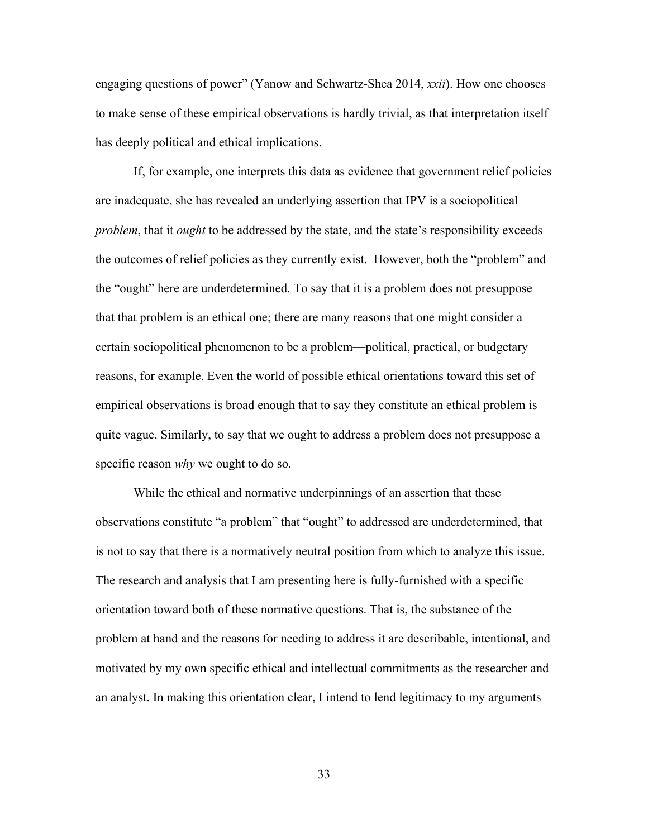engaging questions of power" (Yanow and Schwartz-Shea 2014, *xxii*). How one chooses to make sense of these empirical observations is hardly trivial, as that interpretation itself has deeply political and ethical implications.

If, for example, one interprets this data as evidence that government relief policies are inadequate, she has revealed an underlying assertion that IPV is a sociopolitical *problem*, that it *ought* to be addressed by the state, and the state's responsibility exceeds the outcomes of relief policies as they currently exist. However, both the "problem" and the "ought" here are underdetermined. To say that it is a problem does not presuppose that that problem is an ethical one; there are many reasons that one might consider a certain sociopolitical phenomenon to be a problem—political, practical, or budgetary reasons, for example. Even the world of possible ethical orientations toward this set of empirical observations is broad enough that to say they constitute an ethical problem is quite vague. Similarly, to say that we ought to address a problem does not presuppose a specific reason *why* we ought to do so.

While the ethical and normative underpinnings of an assertion that these observations constitute "a problem" that "ought" to addressed are underdetermined, that is not to say that there is a normatively neutral position from which to analyze this issue. The research and analysis that I am presenting here is fully-furnished with a specific orientation toward both of these normative questions. That is, the substance of the problem at hand and the reasons for needing to address it are describable, intentional, and motivated by my own specific ethical and intellectual commitments as the researcher and an analyst. In making this orientation clear, I intend to lend legitimacy to my arguments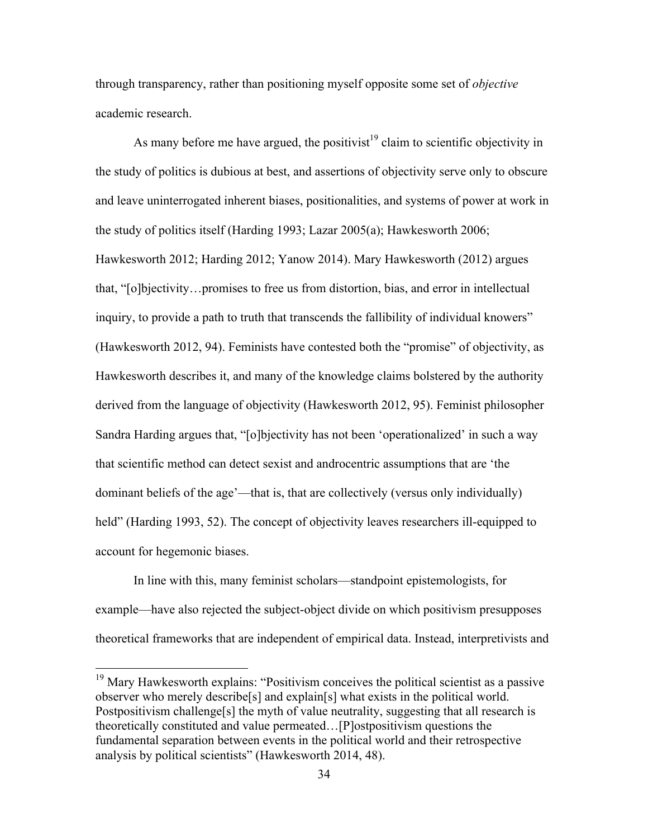through transparency, rather than positioning myself opposite some set of *objective*  academic research.

As many before me have argued, the positivist<sup>19</sup> claim to scientific objectivity in the study of politics is dubious at best, and assertions of objectivity serve only to obscure and leave uninterrogated inherent biases, positionalities, and systems of power at work in the study of politics itself (Harding 1993; Lazar 2005(a); Hawkesworth 2006; Hawkesworth 2012; Harding 2012; Yanow 2014). Mary Hawkesworth (2012) argues that, "[o]bjectivity…promises to free us from distortion, bias, and error in intellectual inquiry, to provide a path to truth that transcends the fallibility of individual knowers" (Hawkesworth 2012, 94). Feminists have contested both the "promise" of objectivity, as Hawkesworth describes it, and many of the knowledge claims bolstered by the authority derived from the language of objectivity (Hawkesworth 2012, 95). Feminist philosopher Sandra Harding argues that, "[o]bjectivity has not been 'operationalized' in such a way that scientific method can detect sexist and androcentric assumptions that are 'the dominant beliefs of the age'—that is, that are collectively (versus only individually) held" (Harding 1993, 52). The concept of objectivity leaves researchers ill-equipped to account for hegemonic biases.

In line with this, many feminist scholars—standpoint epistemologists, for example—have also rejected the subject-object divide on which positivism presupposes theoretical frameworks that are independent of empirical data. Instead, interpretivists and

<sup>&</sup>lt;sup>19</sup> Mary Hawkesworth explains: "Positivism conceives the political scientist as a passive observer who merely describe[s] and explain[s] what exists in the political world. Postpositivism challenge<sup>[s]</sup> the myth of value neutrality, suggesting that all research is theoretically constituted and value permeated…[P]ostpositivism questions the fundamental separation between events in the political world and their retrospective analysis by political scientists" (Hawkesworth 2014, 48).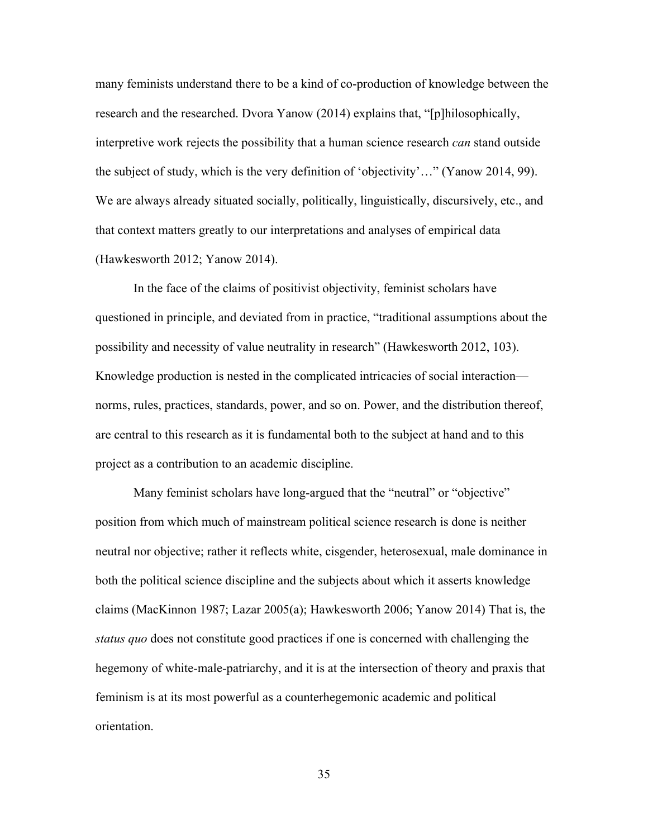many feminists understand there to be a kind of co-production of knowledge between the research and the researched. Dvora Yanow (2014) explains that, "[p]hilosophically, interpretive work rejects the possibility that a human science research *can* stand outside the subject of study, which is the very definition of 'objectivity'…" (Yanow 2014, 99). We are always already situated socially, politically, linguistically, discursively, etc., and that context matters greatly to our interpretations and analyses of empirical data (Hawkesworth 2012; Yanow 2014).

In the face of the claims of positivist objectivity, feminist scholars have questioned in principle, and deviated from in practice, "traditional assumptions about the possibility and necessity of value neutrality in research" (Hawkesworth 2012, 103). Knowledge production is nested in the complicated intricacies of social interaction norms, rules, practices, standards, power, and so on. Power, and the distribution thereof, are central to this research as it is fundamental both to the subject at hand and to this project as a contribution to an academic discipline.

Many feminist scholars have long-argued that the "neutral" or "objective" position from which much of mainstream political science research is done is neither neutral nor objective; rather it reflects white, cisgender, heterosexual, male dominance in both the political science discipline and the subjects about which it asserts knowledge claims (MacKinnon 1987; Lazar 2005(a); Hawkesworth 2006; Yanow 2014) That is, the *status quo* does not constitute good practices if one is concerned with challenging the hegemony of white-male-patriarchy, and it is at the intersection of theory and praxis that feminism is at its most powerful as a counterhegemonic academic and political orientation.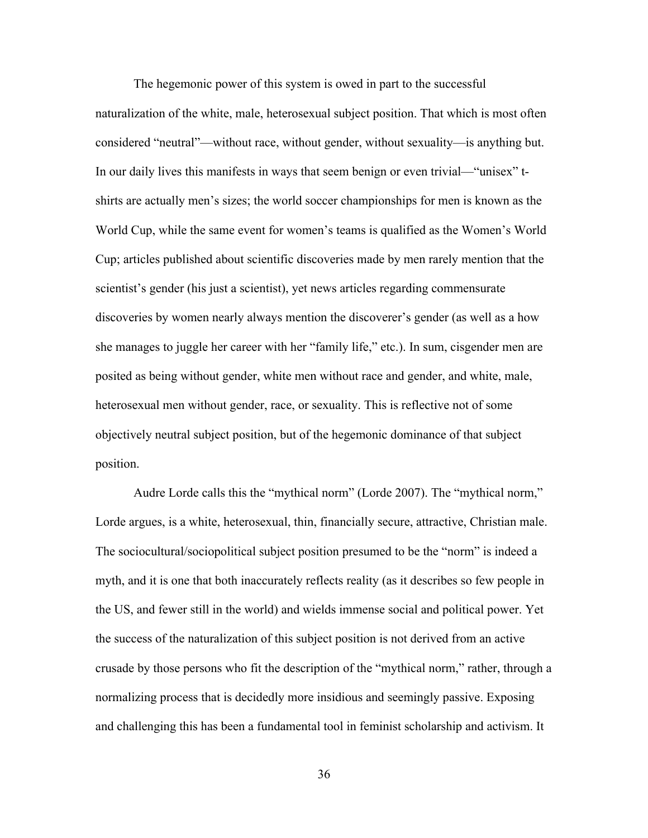The hegemonic power of this system is owed in part to the successful naturalization of the white, male, heterosexual subject position. That which is most often considered "neutral"—without race, without gender, without sexuality—is anything but. In our daily lives this manifests in ways that seem benign or even trivial—"unisex" tshirts are actually men's sizes; the world soccer championships for men is known as the World Cup, while the same event for women's teams is qualified as the Women's World Cup; articles published about scientific discoveries made by men rarely mention that the scientist's gender (his just a scientist), yet news articles regarding commensurate discoveries by women nearly always mention the discoverer's gender (as well as a how she manages to juggle her career with her "family life," etc.). In sum, cisgender men are posited as being without gender, white men without race and gender, and white, male, heterosexual men without gender, race, or sexuality. This is reflective not of some objectively neutral subject position, but of the hegemonic dominance of that subject position.

Audre Lorde calls this the "mythical norm" (Lorde 2007). The "mythical norm," Lorde argues, is a white, heterosexual, thin, financially secure, attractive, Christian male. The sociocultural/sociopolitical subject position presumed to be the "norm" is indeed a myth, and it is one that both inaccurately reflects reality (as it describes so few people in the US, and fewer still in the world) and wields immense social and political power. Yet the success of the naturalization of this subject position is not derived from an active crusade by those persons who fit the description of the "mythical norm," rather, through a normalizing process that is decidedly more insidious and seemingly passive. Exposing and challenging this has been a fundamental tool in feminist scholarship and activism. It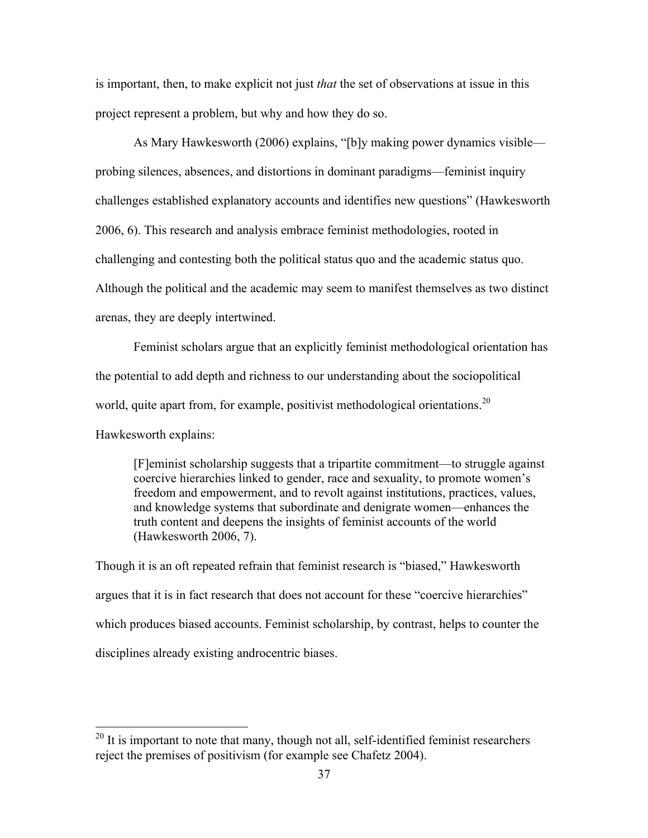is important, then, to make explicit not just *that* the set of observations at issue in this project represent a problem, but why and how they do so.

As Mary Hawkesworth (2006) explains, "[b]y making power dynamics visible probing silences, absences, and distortions in dominant paradigms—feminist inquiry challenges established explanatory accounts and identifies new questions" (Hawkesworth 2006, 6). This research and analysis embrace feminist methodologies, rooted in challenging and contesting both the political status quo and the academic status quo. Although the political and the academic may seem to manifest themselves as two distinct arenas, they are deeply intertwined.

Feminist scholars argue that an explicitly feminist methodological orientation has the potential to add depth and richness to our understanding about the sociopolitical world, quite apart from, for example, positivist methodological orientations.<sup>20</sup> Hawkesworth explains:

[F]eminist scholarship suggests that a tripartite commitment—to struggle against coercive hierarchies linked to gender, race and sexuality, to promote women's freedom and empowerment, and to revolt against institutions, practices, values, and knowledge systems that subordinate and denigrate women—enhances the truth content and deepens the insights of feminist accounts of the world (Hawkesworth 2006, 7).

Though it is an oft repeated refrain that feminist research is "biased," Hawkesworth argues that it is in fact research that does not account for these "coercive hierarchies" which produces biased accounts. Feminist scholarship, by contrast, helps to counter the disciplines already existing androcentric biases.

 $20$  It is important to note that many, though not all, self-identified feminist researchers reject the premises of positivism (for example see Chafetz 2004).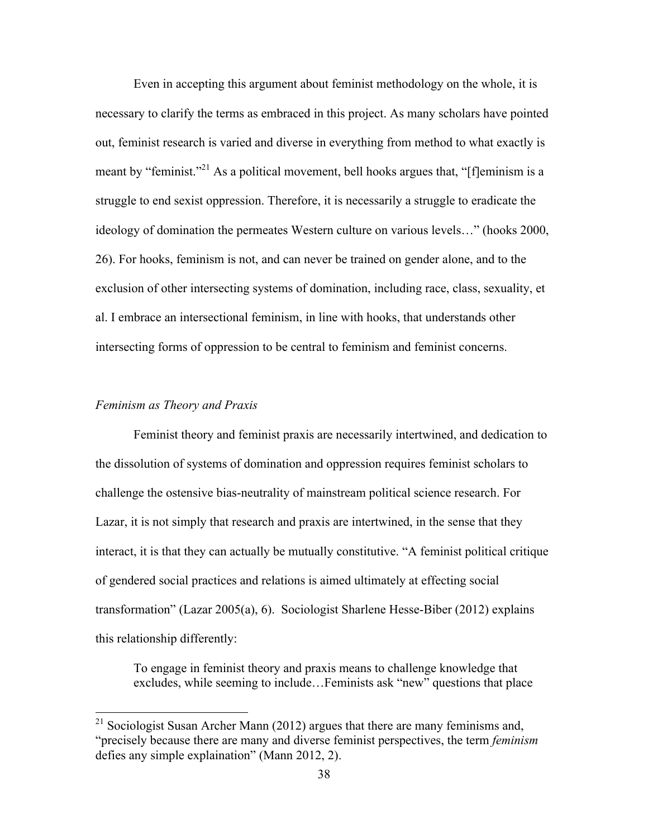Even in accepting this argument about feminist methodology on the whole, it is necessary to clarify the terms as embraced in this project. As many scholars have pointed out, feminist research is varied and diverse in everything from method to what exactly is meant by "feminist."<sup>21</sup> As a political movement, bell hooks argues that, "[f]eminism is a struggle to end sexist oppression. Therefore, it is necessarily a struggle to eradicate the ideology of domination the permeates Western culture on various levels…" (hooks 2000, 26). For hooks, feminism is not, and can never be trained on gender alone, and to the exclusion of other intersecting systems of domination, including race, class, sexuality, et al. I embrace an intersectional feminism, in line with hooks, that understands other intersecting forms of oppression to be central to feminism and feminist concerns.

#### *Feminism as Theory and Praxis*

Feminist theory and feminist praxis are necessarily intertwined, and dedication to the dissolution of systems of domination and oppression requires feminist scholars to challenge the ostensive bias-neutrality of mainstream political science research. For Lazar, it is not simply that research and praxis are intertwined, in the sense that they interact, it is that they can actually be mutually constitutive. "A feminist political critique of gendered social practices and relations is aimed ultimately at effecting social transformation" (Lazar 2005(a), 6). Sociologist Sharlene Hesse-Biber (2012) explains this relationship differently:

To engage in feminist theory and praxis means to challenge knowledge that excludes, while seeming to include…Feminists ask "new" questions that place

<sup>&</sup>lt;sup>21</sup> Sociologist Susan Archer Mann (2012) argues that there are many feminisms and, "precisely because there are many and diverse feminist perspectives, the term *feminism* defies any simple explaination" (Mann 2012, 2).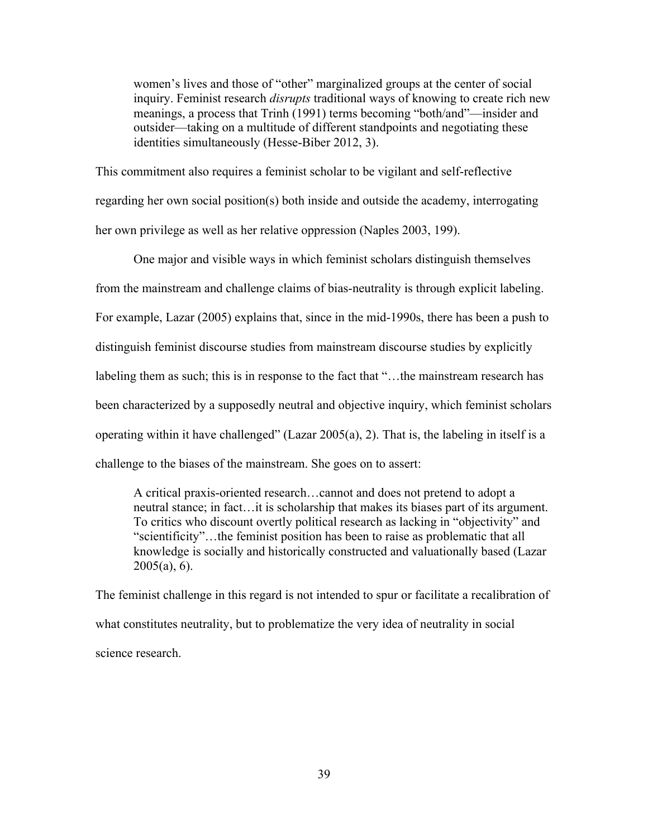women's lives and those of "other" marginalized groups at the center of social inquiry. Feminist research *disrupts* traditional ways of knowing to create rich new meanings, a process that Trinh (1991) terms becoming "both/and"—insider and outsider—taking on a multitude of different standpoints and negotiating these identities simultaneously (Hesse-Biber 2012, 3).

This commitment also requires a feminist scholar to be vigilant and self-reflective regarding her own social position(s) both inside and outside the academy, interrogating her own privilege as well as her relative oppression (Naples 2003, 199).

One major and visible ways in which feminist scholars distinguish themselves from the mainstream and challenge claims of bias-neutrality is through explicit labeling. For example, Lazar (2005) explains that, since in the mid-1990s, there has been a push to distinguish feminist discourse studies from mainstream discourse studies by explicitly labeling them as such; this is in response to the fact that "…the mainstream research has been characterized by a supposedly neutral and objective inquiry, which feminist scholars operating within it have challenged" (Lazar 2005(a), 2). That is, the labeling in itself is a challenge to the biases of the mainstream. She goes on to assert:

A critical praxis-oriented research…cannot and does not pretend to adopt a neutral stance; in fact…it is scholarship that makes its biases part of its argument. To critics who discount overtly political research as lacking in "objectivity" and "scientificity"…the feminist position has been to raise as problematic that all knowledge is socially and historically constructed and valuationally based (Lazar  $2005(a)$ , 6).

The feminist challenge in this regard is not intended to spur or facilitate a recalibration of what constitutes neutrality, but to problematize the very idea of neutrality in social science research.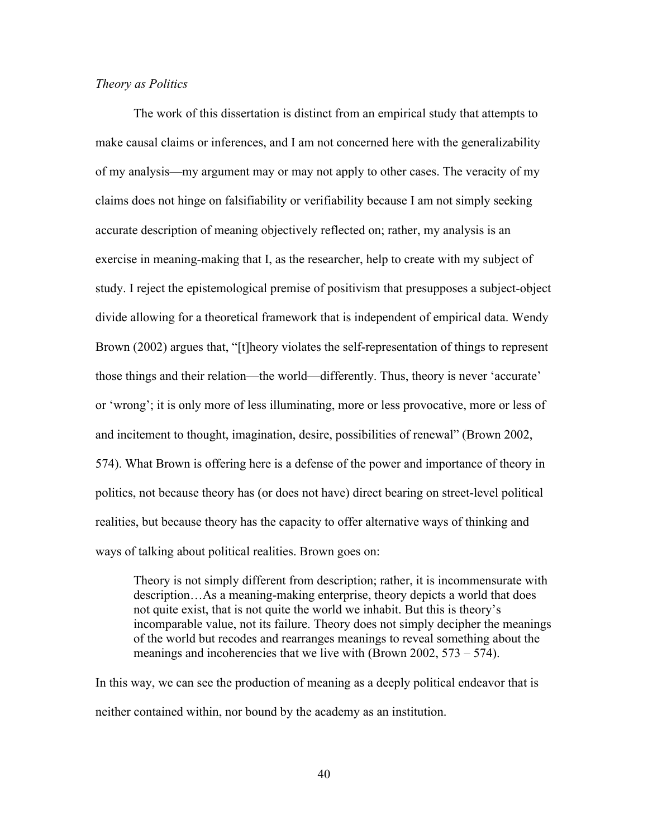#### *Theory as Politics*

The work of this dissertation is distinct from an empirical study that attempts to make causal claims or inferences, and I am not concerned here with the generalizability of my analysis—my argument may or may not apply to other cases. The veracity of my claims does not hinge on falsifiability or verifiability because I am not simply seeking accurate description of meaning objectively reflected on; rather, my analysis is an exercise in meaning-making that I, as the researcher, help to create with my subject of study. I reject the epistemological premise of positivism that presupposes a subject-object divide allowing for a theoretical framework that is independent of empirical data. Wendy Brown (2002) argues that, "[t]heory violates the self-representation of things to represent those things and their relation—the world—differently. Thus, theory is never 'accurate' or 'wrong'; it is only more of less illuminating, more or less provocative, more or less of and incitement to thought, imagination, desire, possibilities of renewal" (Brown 2002, 574). What Brown is offering here is a defense of the power and importance of theory in politics, not because theory has (or does not have) direct bearing on street-level political realities, but because theory has the capacity to offer alternative ways of thinking and ways of talking about political realities. Brown goes on:

Theory is not simply different from description; rather, it is incommensurate with description…As a meaning-making enterprise, theory depicts a world that does not quite exist, that is not quite the world we inhabit. But this is theory's incomparable value, not its failure. Theory does not simply decipher the meanings of the world but recodes and rearranges meanings to reveal something about the meanings and incoherencies that we live with (Brown 2002, 573 – 574).

In this way, we can see the production of meaning as a deeply political endeavor that is neither contained within, nor bound by the academy as an institution.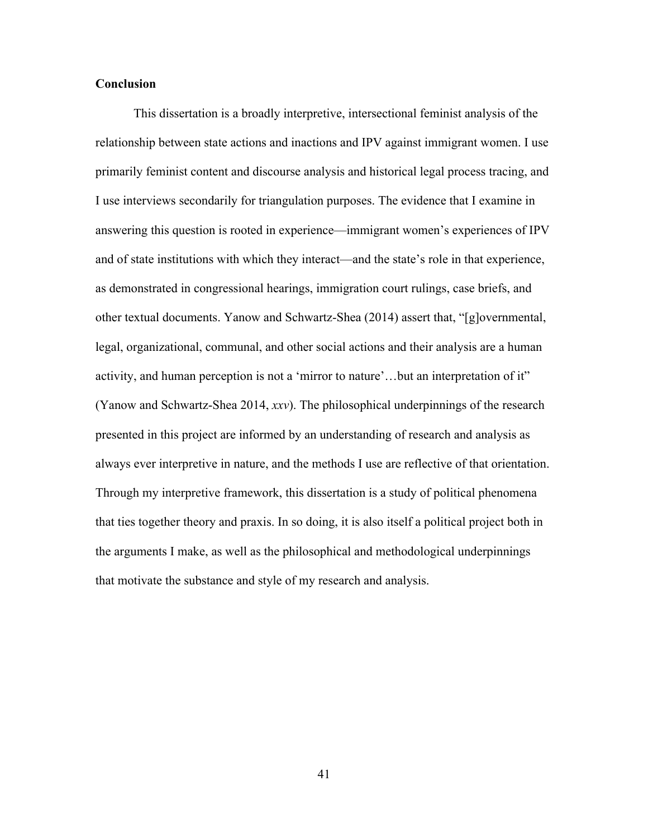#### **Conclusion**

This dissertation is a broadly interpretive, intersectional feminist analysis of the relationship between state actions and inactions and IPV against immigrant women. I use primarily feminist content and discourse analysis and historical legal process tracing, and I use interviews secondarily for triangulation purposes. The evidence that I examine in answering this question is rooted in experience—immigrant women's experiences of IPV and of state institutions with which they interact—and the state's role in that experience, as demonstrated in congressional hearings, immigration court rulings, case briefs, and other textual documents. Yanow and Schwartz-Shea (2014) assert that, "[g]overnmental, legal, organizational, communal, and other social actions and their analysis are a human activity, and human perception is not a 'mirror to nature'…but an interpretation of it" (Yanow and Schwartz-Shea 2014, *xxv*). The philosophical underpinnings of the research presented in this project are informed by an understanding of research and analysis as always ever interpretive in nature, and the methods I use are reflective of that orientation. Through my interpretive framework, this dissertation is a study of political phenomena that ties together theory and praxis. In so doing, it is also itself a political project both in the arguments I make, as well as the philosophical and methodological underpinnings that motivate the substance and style of my research and analysis.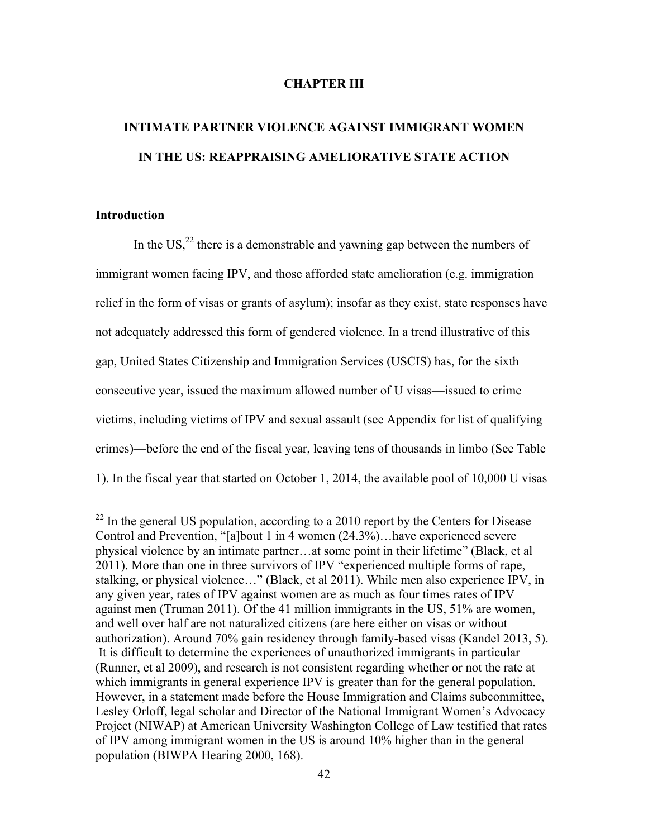#### **CHAPTER III**

# **INTIMATE PARTNER VIOLENCE AGAINST IMMIGRANT WOMEN IN THE US: REAPPRAISING AMELIORATIVE STATE ACTION**

#### **Introduction**

In the US, $^{22}$  there is a demonstrable and vawning gap between the numbers of immigrant women facing IPV, and those afforded state amelioration (e.g. immigration relief in the form of visas or grants of asylum); insofar as they exist, state responses have not adequately addressed this form of gendered violence. In a trend illustrative of this gap, United States Citizenship and Immigration Services (USCIS) has, for the sixth consecutive year, issued the maximum allowed number of U visas—issued to crime victims, including victims of IPV and sexual assault (see Appendix for list of qualifying crimes)—before the end of the fiscal year, leaving tens of thousands in limbo (See Table 1). In the fiscal year that started on October 1, 2014, the available pool of 10,000 U visas

 $^{22}$  In the general US population, according to a 2010 report by the Centers for Disease Control and Prevention, "[a]bout 1 in 4 women (24.3%)…have experienced severe physical violence by an intimate partner…at some point in their lifetime" (Black, et al 2011). More than one in three survivors of IPV "experienced multiple forms of rape, stalking, or physical violence…" (Black, et al 2011). While men also experience IPV, in any given year, rates of IPV against women are as much as four times rates of IPV against men (Truman 2011). Of the 41 million immigrants in the US, 51% are women, and well over half are not naturalized citizens (are here either on visas or without authorization). Around 70% gain residency through family-based visas (Kandel 2013, 5). It is difficult to determine the experiences of unauthorized immigrants in particular (Runner, et al 2009), and research is not consistent regarding whether or not the rate at which immigrants in general experience IPV is greater than for the general population. However, in a statement made before the House Immigration and Claims subcommittee, Lesley Orloff, legal scholar and Director of the National Immigrant Women's Advocacy Project (NIWAP) at American University Washington College of Law testified that rates of IPV among immigrant women in the US is around 10% higher than in the general population (BIWPA Hearing 2000, 168).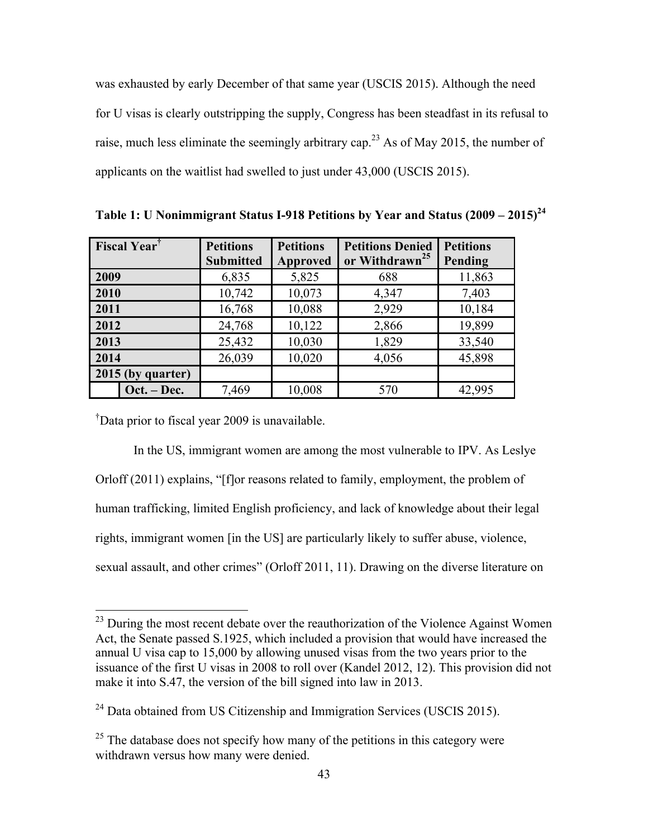was exhausted by early December of that same year (USCIS 2015). Although the need for U visas is clearly outstripping the supply, Congress has been steadfast in its refusal to raise, much less eliminate the seemingly arbitrary cap.<sup>23</sup> As of May 2015, the number of applicants on the waitlist had swelled to just under 43,000 (USCIS 2015).

| <b>Fiscal Year</b> <sup>†</sup> |               | <b>Petitions</b> | <b>Petitions</b> | <b>Petitions Denied</b>    | <b>Petitions</b> |
|---------------------------------|---------------|------------------|------------------|----------------------------|------------------|
|                                 |               | <b>Submitted</b> | <b>Approved</b>  | or Withdrawn <sup>25</sup> | Pending          |
| 2009                            |               | 6,835            | 5,825            | 688                        | 11,863           |
| 2010                            |               | 10,742           | 10,073           | 4,347                      | 7,403            |
| 2011                            |               | 16,768           | 10,088           | 2,929                      | 10,184           |
| 2012                            |               | 24,768           | 10,122           | 2,866                      | 19,899           |
| 2013                            |               | 25,432           | 10,030           | 1,829                      | 33,540           |
| 2014                            |               | 26,039           | 10,020           | 4,056                      | 45,898           |
| 2015 (by quarter)               |               |                  |                  |                            |                  |
|                                 | $Oct. - Dec.$ | 7,469            | 10,008           | 570                        | 42,995           |

**Table 1: U Nonimmigrant Status I-918 Petitions by Year and Status (2009 – 2015) 24**

† Data prior to fiscal year 2009 is unavailable.

In the US, immigrant women are among the most vulnerable to IPV. As Leslye Orloff (2011) explains, "[f]or reasons related to family, employment, the problem of human trafficking, limited English proficiency, and lack of knowledge about their legal rights, immigrant women [in the US] are particularly likely to suffer abuse, violence, sexual assault, and other crimes" (Orloff 2011, 11). Drawing on the diverse literature on

<sup>&</sup>lt;sup>23</sup> During the most recent debate over the reauthorization of the Violence Against Women Act, the Senate passed S.1925, which included a provision that would have increased the annual U visa cap to 15,000 by allowing unused visas from the two years prior to the issuance of the first U visas in 2008 to roll over (Kandel 2012, 12). This provision did not make it into S.47, the version of the bill signed into law in 2013.

 $^{24}$  Data obtained from US Citizenship and Immigration Services (USCIS 2015).

 $25$  The database does not specify how many of the petitions in this category were withdrawn versus how many were denied.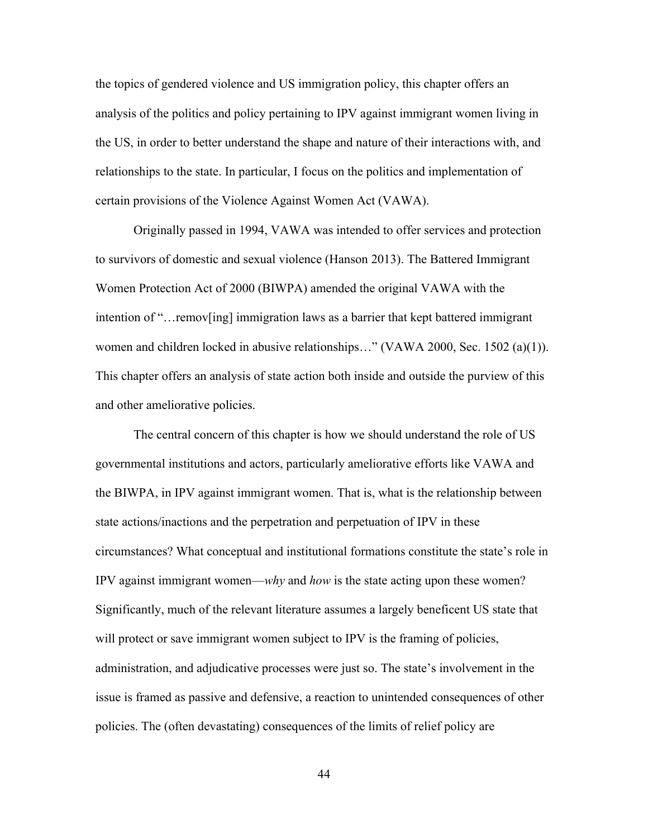the topics of gendered violence and US immigration policy, this chapter offers an analysis of the politics and policy pertaining to IPV against immigrant women living in the US, in order to better understand the shape and nature of their interactions with, and relationships to the state. In particular, I focus on the politics and implementation of certain provisions of the Violence Against Women Act (VAWA).

Originally passed in 1994, VAWA was intended to offer services and protection to survivors of domestic and sexual violence (Hanson 2013). The Battered Immigrant Women Protection Act of 2000 (BIWPA) amended the original VAWA with the intention of "…remov[ing] immigration laws as a barrier that kept battered immigrant women and children locked in abusive relationships..." (VAWA 2000, Sec. 1502 (a)(1)). This chapter offers an analysis of state action both inside and outside the purview of this and other ameliorative policies.

The central concern of this chapter is how we should understand the role of US governmental institutions and actors, particularly ameliorative efforts like VAWA and the BIWPA, in IPV against immigrant women. That is, what is the relationship between state actions/inactions and the perpetration and perpetuation of IPV in these circumstances? What conceptual and institutional formations constitute the state's role in IPV against immigrant women—*why* and *how* is the state acting upon these women? Significantly, much of the relevant literature assumes a largely beneficent US state that will protect or save immigrant women subject to IPV is the framing of policies, administration, and adjudicative processes were just so. The state's involvement in the issue is framed as passive and defensive, a reaction to unintended consequences of other policies. The (often devastating) consequences of the limits of relief policy are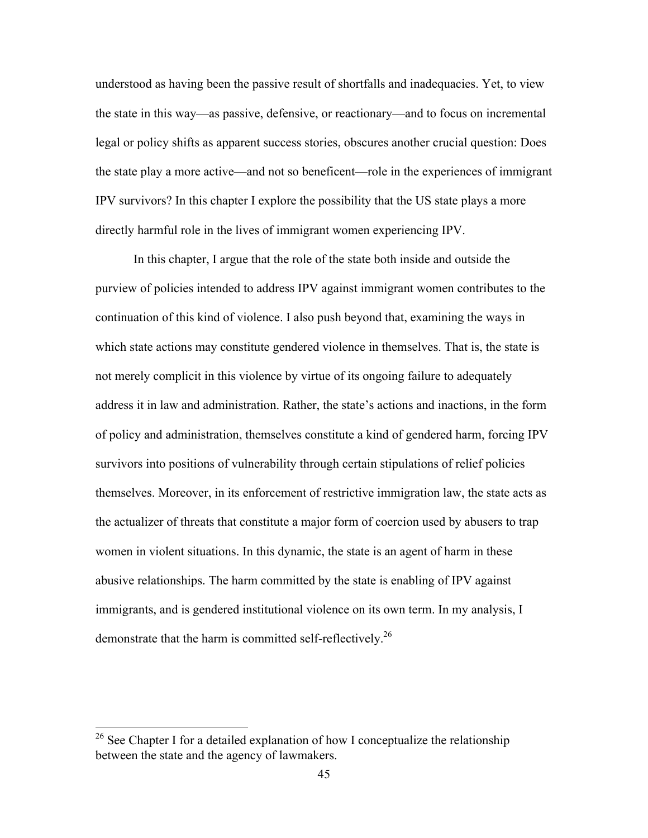understood as having been the passive result of shortfalls and inadequacies. Yet, to view the state in this way—as passive, defensive, or reactionary—and to focus on incremental legal or policy shifts as apparent success stories, obscures another crucial question: Does the state play a more active—and not so beneficent—role in the experiences of immigrant IPV survivors? In this chapter I explore the possibility that the US state plays a more directly harmful role in the lives of immigrant women experiencing IPV.

In this chapter, I argue that the role of the state both inside and outside the purview of policies intended to address IPV against immigrant women contributes to the continuation of this kind of violence. I also push beyond that, examining the ways in which state actions may constitute gendered violence in themselves. That is, the state is not merely complicit in this violence by virtue of its ongoing failure to adequately address it in law and administration. Rather, the state's actions and inactions, in the form of policy and administration, themselves constitute a kind of gendered harm, forcing IPV survivors into positions of vulnerability through certain stipulations of relief policies themselves. Moreover, in its enforcement of restrictive immigration law, the state acts as the actualizer of threats that constitute a major form of coercion used by abusers to trap women in violent situations. In this dynamic, the state is an agent of harm in these abusive relationships. The harm committed by the state is enabling of IPV against immigrants, and is gendered institutional violence on its own term. In my analysis, I demonstrate that the harm is committed self-reflectively.<sup>26</sup>

<sup>&</sup>lt;sup>26</sup> See Chapter I for a detailed explanation of how I conceptualize the relationship between the state and the agency of lawmakers.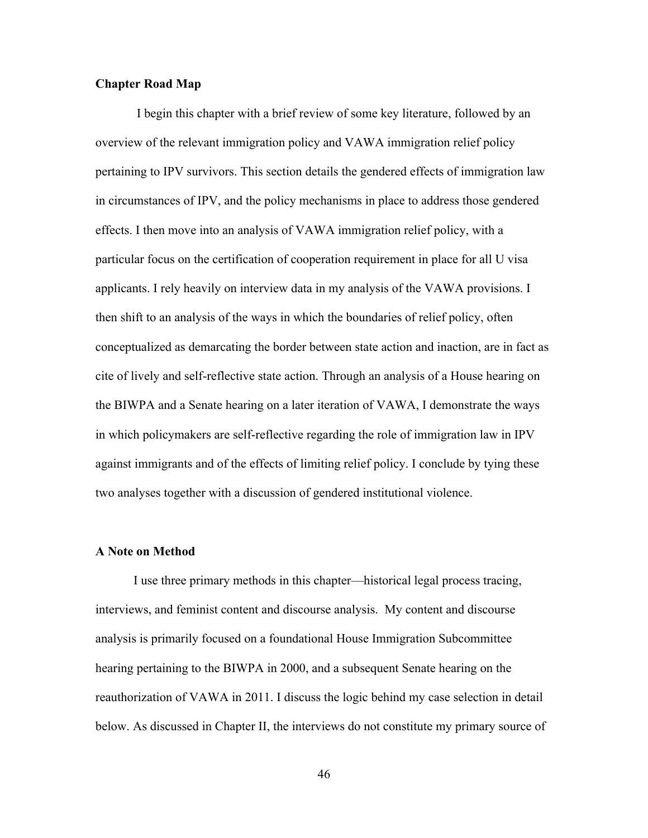#### **Chapter Road Map**

I begin this chapter with a brief review of some key literature, followed by an overview of the relevant immigration policy and VAWA immigration relief policy pertaining to IPV survivors. This section details the gendered effects of immigration law in circumstances of IPV, and the policy mechanisms in place to address those gendered effects. I then move into an analysis of VAWA immigration relief policy, with a particular focus on the certification of cooperation requirement in place for all U visa applicants. I rely heavily on interview data in my analysis of the VAWA provisions. I then shift to an analysis of the ways in which the boundaries of relief policy, often conceptualized as demarcating the border between state action and inaction, are in fact as cite of lively and self-reflective state action. Through an analysis of a House hearing on the BIWPA and a Senate hearing on a later iteration of VAWA, I demonstrate the ways in which policymakers are self-reflective regarding the role of immigration law in IPV against immigrants and of the effects of limiting relief policy. I conclude by tying these two analyses together with a discussion of gendered institutional violence.

#### **A Note on Method**

I use three primary methods in this chapter—historical legal process tracing, interviews, and feminist content and discourse analysis. My content and discourse analysis is primarily focused on a foundational House Immigration Subcommittee hearing pertaining to the BIWPA in 2000, and a subsequent Senate hearing on the reauthorization of VAWA in 2011. I discuss the logic behind my case selection in detail below. As discussed in Chapter II, the interviews do not constitute my primary source of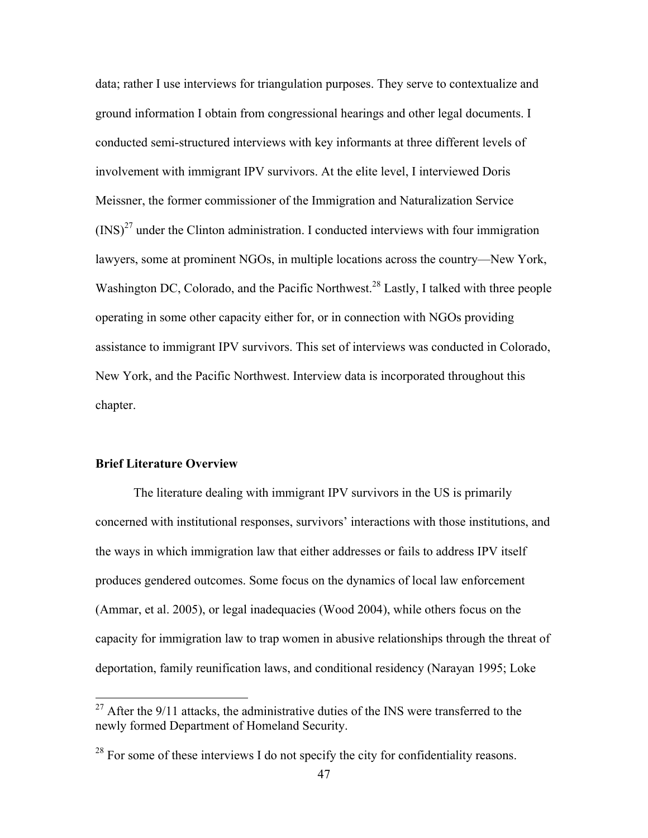data; rather I use interviews for triangulation purposes. They serve to contextualize and ground information I obtain from congressional hearings and other legal documents. I conducted semi-structured interviews with key informants at three different levels of involvement with immigrant IPV survivors. At the elite level, I interviewed Doris Meissner, the former commissioner of the Immigration and Naturalization Service  $(INS)^{27}$  under the Clinton administration. I conducted interviews with four immigration lawyers, some at prominent NGOs, in multiple locations across the country—New York, Washington DC, Colorado, and the Pacific Northwest.<sup>28</sup> Lastly, I talked with three people operating in some other capacity either for, or in connection with NGOs providing assistance to immigrant IPV survivors. This set of interviews was conducted in Colorado, New York, and the Pacific Northwest. Interview data is incorporated throughout this chapter.

#### **Brief Literature Overview**

The literature dealing with immigrant IPV survivors in the US is primarily concerned with institutional responses, survivors' interactions with those institutions, and the ways in which immigration law that either addresses or fails to address IPV itself produces gendered outcomes. Some focus on the dynamics of local law enforcement (Ammar, et al. 2005), or legal inadequacies (Wood 2004), while others focus on the capacity for immigration law to trap women in abusive relationships through the threat of deportation, family reunification laws, and conditional residency (Narayan 1995; Loke

 $27$  After the 9/11 attacks, the administrative duties of the INS were transferred to the newly formed Department of Homeland Security.

 $28$  For some of these interviews I do not specify the city for confidentiality reasons.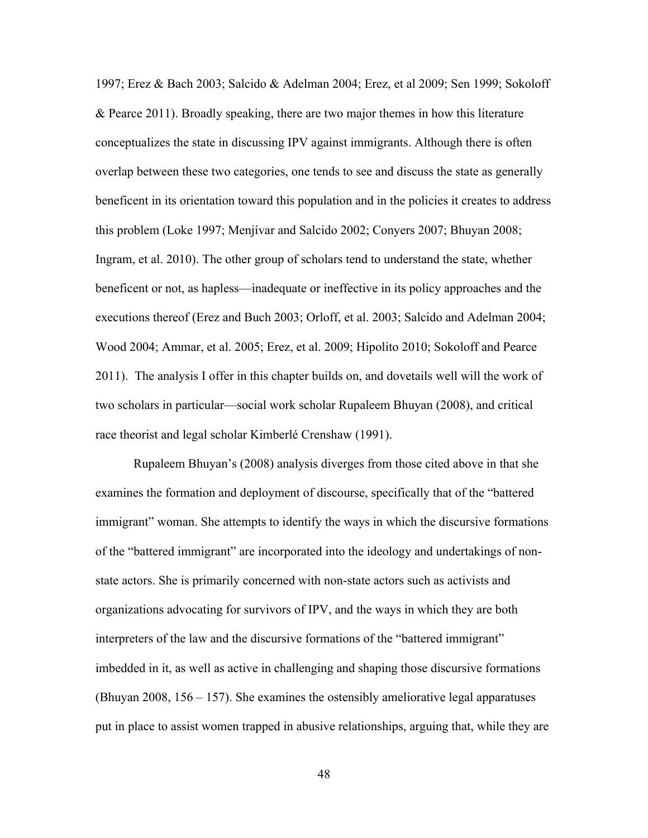1997; Erez & Bach 2003; Salcido & Adelman 2004; Erez, et al 2009; Sen 1999; Sokoloff & Pearce 2011). Broadly speaking, there are two major themes in how this literature conceptualizes the state in discussing IPV against immigrants. Although there is often overlap between these two categories, one tends to see and discuss the state as generally beneficent in its orientation toward this population and in the policies it creates to address this problem (Loke 1997; Menjívar and Salcido 2002; Conyers 2007; Bhuyan 2008; Ingram, et al. 2010). The other group of scholars tend to understand the state, whether beneficent or not, as hapless—inadequate or ineffective in its policy approaches and the executions thereof (Erez and Buch 2003; Orloff, et al. 2003; Salcido and Adelman 2004; Wood 2004; Ammar, et al. 2005; Erez, et al. 2009; Hipolito 2010; Sokoloff and Pearce 2011). The analysis I offer in this chapter builds on, and dovetails well will the work of two scholars in particular—social work scholar Rupaleem Bhuyan (2008), and critical race theorist and legal scholar Kimberlé Crenshaw (1991).

Rupaleem Bhuyan's (2008) analysis diverges from those cited above in that she examines the formation and deployment of discourse, specifically that of the "battered immigrant" woman. She attempts to identify the ways in which the discursive formations of the "battered immigrant" are incorporated into the ideology and undertakings of nonstate actors. She is primarily concerned with non-state actors such as activists and organizations advocating for survivors of IPV, and the ways in which they are both interpreters of the law and the discursive formations of the "battered immigrant" imbedded in it, as well as active in challenging and shaping those discursive formations (Bhuyan 2008, 156 – 157). She examines the ostensibly ameliorative legal apparatuses put in place to assist women trapped in abusive relationships, arguing that, while they are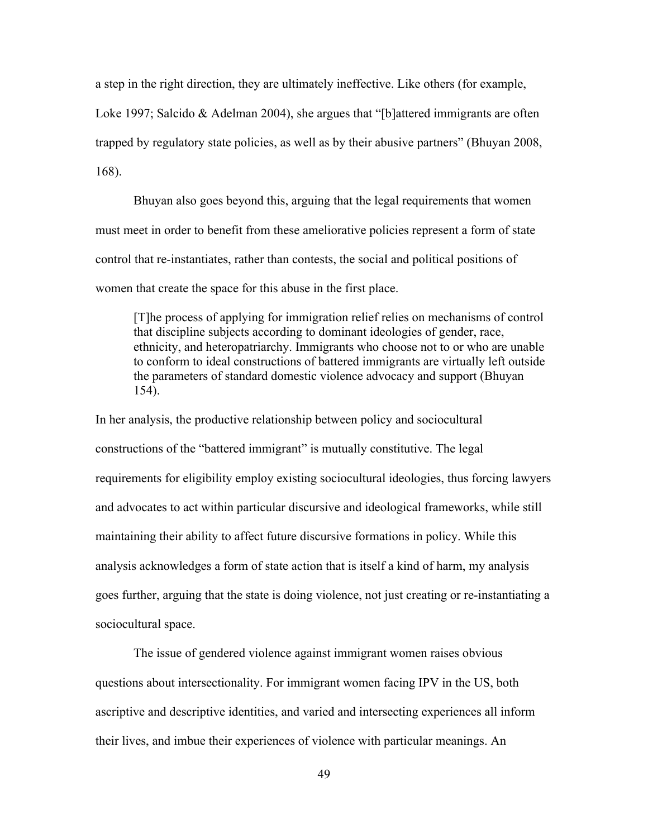a step in the right direction, they are ultimately ineffective. Like others (for example, Loke 1997; Salcido & Adelman 2004), she argues that "[b]attered immigrants are often trapped by regulatory state policies, as well as by their abusive partners" (Bhuyan 2008, 168).

Bhuyan also goes beyond this, arguing that the legal requirements that women must meet in order to benefit from these ameliorative policies represent a form of state control that re-instantiates, rather than contests, the social and political positions of women that create the space for this abuse in the first place.

[T]he process of applying for immigration relief relies on mechanisms of control that discipline subjects according to dominant ideologies of gender, race, ethnicity, and heteropatriarchy. Immigrants who choose not to or who are unable to conform to ideal constructions of battered immigrants are virtually left outside the parameters of standard domestic violence advocacy and support (Bhuyan 154).

In her analysis, the productive relationship between policy and sociocultural constructions of the "battered immigrant" is mutually constitutive. The legal requirements for eligibility employ existing sociocultural ideologies, thus forcing lawyers and advocates to act within particular discursive and ideological frameworks, while still maintaining their ability to affect future discursive formations in policy. While this analysis acknowledges a form of state action that is itself a kind of harm, my analysis goes further, arguing that the state is doing violence, not just creating or re-instantiating a sociocultural space.

The issue of gendered violence against immigrant women raises obvious questions about intersectionality. For immigrant women facing IPV in the US, both ascriptive and descriptive identities, and varied and intersecting experiences all inform their lives, and imbue their experiences of violence with particular meanings. An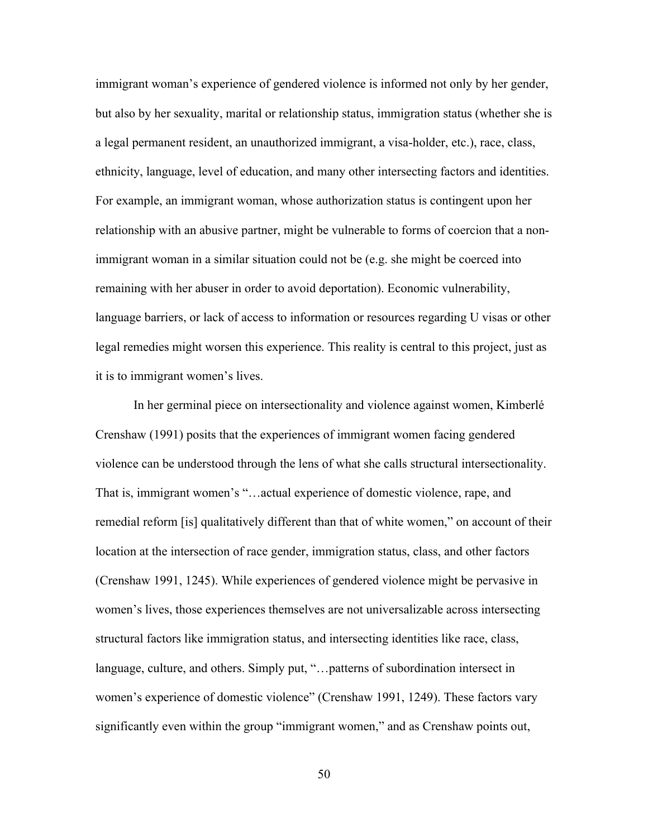immigrant woman's experience of gendered violence is informed not only by her gender, but also by her sexuality, marital or relationship status, immigration status (whether she is a legal permanent resident, an unauthorized immigrant, a visa-holder, etc.), race, class, ethnicity, language, level of education, and many other intersecting factors and identities. For example, an immigrant woman, whose authorization status is contingent upon her relationship with an abusive partner, might be vulnerable to forms of coercion that a nonimmigrant woman in a similar situation could not be (e.g. she might be coerced into remaining with her abuser in order to avoid deportation). Economic vulnerability, language barriers, or lack of access to information or resources regarding U visas or other legal remedies might worsen this experience. This reality is central to this project, just as it is to immigrant women's lives.

In her germinal piece on intersectionality and violence against women, Kimberlé Crenshaw (1991) posits that the experiences of immigrant women facing gendered violence can be understood through the lens of what she calls structural intersectionality. That is, immigrant women's "…actual experience of domestic violence, rape, and remedial reform [is] qualitatively different than that of white women," on account of their location at the intersection of race gender, immigration status, class, and other factors (Crenshaw 1991, 1245). While experiences of gendered violence might be pervasive in women's lives, those experiences themselves are not universalizable across intersecting structural factors like immigration status, and intersecting identities like race, class, language, culture, and others. Simply put, "…patterns of subordination intersect in women's experience of domestic violence" (Crenshaw 1991, 1249). These factors vary significantly even within the group "immigrant women," and as Crenshaw points out,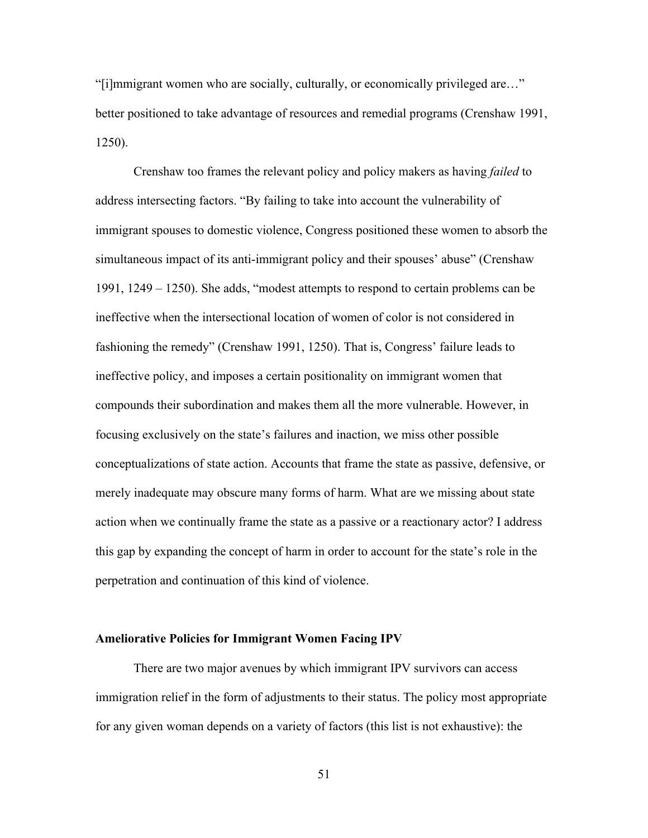"[i]mmigrant women who are socially, culturally, or economically privileged are…" better positioned to take advantage of resources and remedial programs (Crenshaw 1991, 1250).

Crenshaw too frames the relevant policy and policy makers as having *failed* to address intersecting factors. "By failing to take into account the vulnerability of immigrant spouses to domestic violence, Congress positioned these women to absorb the simultaneous impact of its anti-immigrant policy and their spouses' abuse" (Crenshaw 1991, 1249 – 1250). She adds, "modest attempts to respond to certain problems can be ineffective when the intersectional location of women of color is not considered in fashioning the remedy" (Crenshaw 1991, 1250). That is, Congress' failure leads to ineffective policy, and imposes a certain positionality on immigrant women that compounds their subordination and makes them all the more vulnerable. However, in focusing exclusively on the state's failures and inaction, we miss other possible conceptualizations of state action. Accounts that frame the state as passive, defensive, or merely inadequate may obscure many forms of harm. What are we missing about state action when we continually frame the state as a passive or a reactionary actor? I address this gap by expanding the concept of harm in order to account for the state's role in the perpetration and continuation of this kind of violence.

#### **Ameliorative Policies for Immigrant Women Facing IPV**

There are two major avenues by which immigrant IPV survivors can access immigration relief in the form of adjustments to their status. The policy most appropriate for any given woman depends on a variety of factors (this list is not exhaustive): the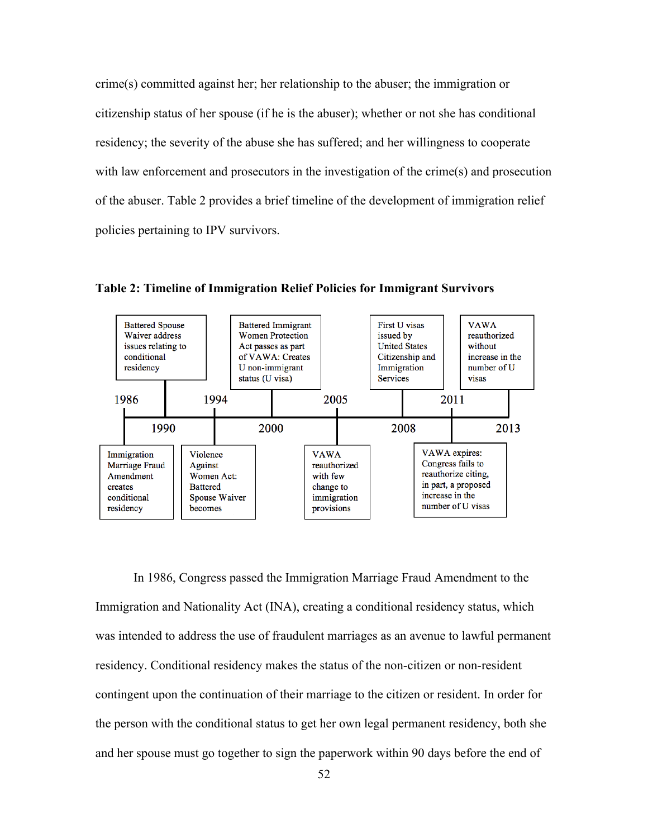crime(s) committed against her; her relationship to the abuser; the immigration or citizenship status of her spouse (if he is the abuser); whether or not she has conditional residency; the severity of the abuse she has suffered; and her willingness to cooperate with law enforcement and prosecutors in the investigation of the crime(s) and prosecution of the abuser. Table 2 provides a brief timeline of the development of immigration relief policies pertaining to IPV survivors.



**Table 2: Timeline of Immigration Relief Policies for Immigrant Survivors**

In 1986, Congress passed the Immigration Marriage Fraud Amendment to the Immigration and Nationality Act (INA), creating a conditional residency status, which was intended to address the use of fraudulent marriages as an avenue to lawful permanent residency. Conditional residency makes the status of the non-citizen or non-resident contingent upon the continuation of their marriage to the citizen or resident. In order for the person with the conditional status to get her own legal permanent residency, both she and her spouse must go together to sign the paperwork within 90 days before the end of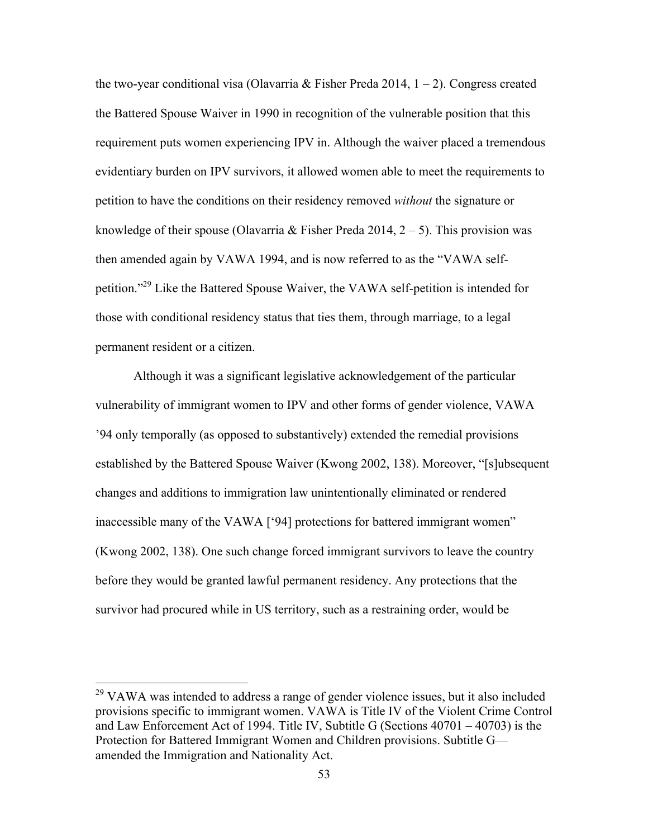the two-year conditional visa (Olavarria & Fisher Preda 2014,  $1 - 2$ ). Congress created the Battered Spouse Waiver in 1990 in recognition of the vulnerable position that this requirement puts women experiencing IPV in. Although the waiver placed a tremendous evidentiary burden on IPV survivors, it allowed women able to meet the requirements to petition to have the conditions on their residency removed *without* the signature or knowledge of their spouse (Olavarria & Fisher Preda 2014,  $2 - 5$ ). This provision was then amended again by VAWA 1994, and is now referred to as the "VAWA selfpetition."29 Like the Battered Spouse Waiver, the VAWA self-petition is intended for those with conditional residency status that ties them, through marriage, to a legal permanent resident or a citizen.

Although it was a significant legislative acknowledgement of the particular vulnerability of immigrant women to IPV and other forms of gender violence, VAWA '94 only temporally (as opposed to substantively) extended the remedial provisions established by the Battered Spouse Waiver (Kwong 2002, 138). Moreover, "[s]ubsequent changes and additions to immigration law unintentionally eliminated or rendered inaccessible many of the VAWA ['94] protections for battered immigrant women" (Kwong 2002, 138). One such change forced immigrant survivors to leave the country before they would be granted lawful permanent residency. Any protections that the survivor had procured while in US territory, such as a restraining order, would be

 $29$  VAWA was intended to address a range of gender violence issues, but it also included provisions specific to immigrant women. VAWA is Title IV of the Violent Crime Control and Law Enforcement Act of 1994. Title IV, Subtitle G (Sections 40701 – 40703) is the Protection for Battered Immigrant Women and Children provisions. Subtitle G amended the Immigration and Nationality Act.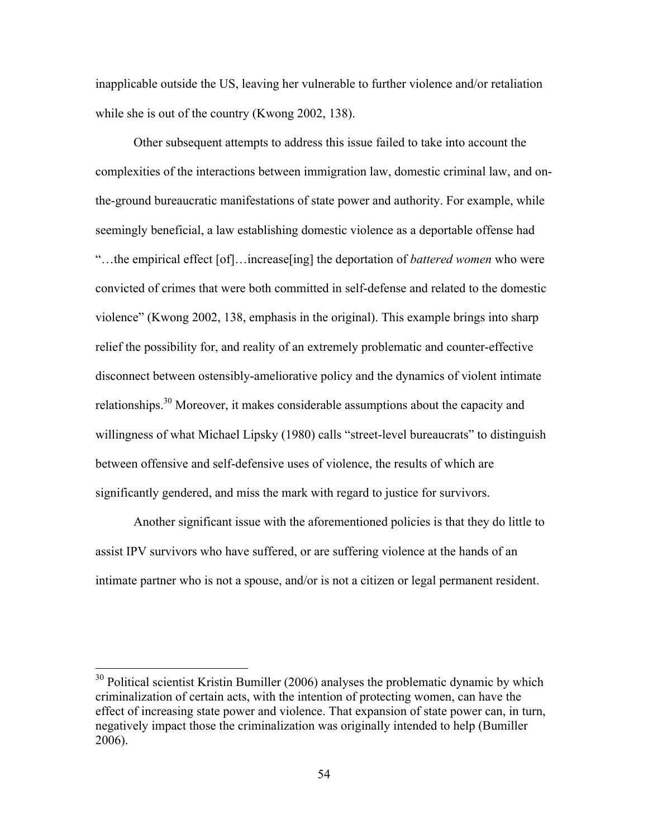inapplicable outside the US, leaving her vulnerable to further violence and/or retaliation while she is out of the country (Kwong 2002, 138).

Other subsequent attempts to address this issue failed to take into account the complexities of the interactions between immigration law, domestic criminal law, and onthe-ground bureaucratic manifestations of state power and authority. For example, while seemingly beneficial, a law establishing domestic violence as a deportable offense had "…the empirical effect [of]…increase[ing] the deportation of *battered women* who were convicted of crimes that were both committed in self-defense and related to the domestic violence" (Kwong 2002, 138, emphasis in the original). This example brings into sharp relief the possibility for, and reality of an extremely problematic and counter-effective disconnect between ostensibly-ameliorative policy and the dynamics of violent intimate relationships.<sup>30</sup> Moreover, it makes considerable assumptions about the capacity and willingness of what Michael Lipsky (1980) calls "street-level bureaucrats" to distinguish between offensive and self-defensive uses of violence, the results of which are significantly gendered, and miss the mark with regard to justice for survivors.

Another significant issue with the aforementioned policies is that they do little to assist IPV survivors who have suffered, or are suffering violence at the hands of an intimate partner who is not a spouse, and/or is not a citizen or legal permanent resident.

<sup>&</sup>lt;sup>30</sup> Political scientist Kristin Bumiller (2006) analyses the problematic dynamic by which criminalization of certain acts, with the intention of protecting women, can have the effect of increasing state power and violence. That expansion of state power can, in turn, negatively impact those the criminalization was originally intended to help (Bumiller 2006).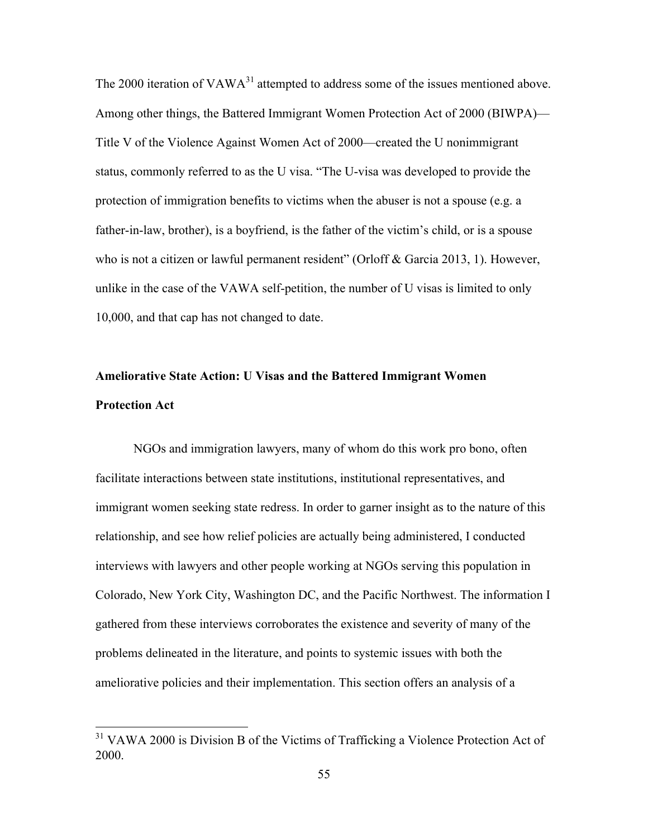The 2000 iteration of  $VAWA<sup>31</sup>$  attempted to address some of the issues mentioned above. Among other things, the Battered Immigrant Women Protection Act of 2000 (BIWPA)— Title V of the Violence Against Women Act of 2000—created the U nonimmigrant status, commonly referred to as the U visa. "The U-visa was developed to provide the protection of immigration benefits to victims when the abuser is not a spouse (e.g. a father-in-law, brother), is a boyfriend, is the father of the victim's child, or is a spouse who is not a citizen or lawful permanent resident" (Orloff & Garcia 2013, 1). However, unlike in the case of the VAWA self-petition, the number of U visas is limited to only 10,000, and that cap has not changed to date.

# **Ameliorative State Action: U Visas and the Battered Immigrant Women Protection Act**

NGOs and immigration lawyers, many of whom do this work pro bono, often facilitate interactions between state institutions, institutional representatives, and immigrant women seeking state redress. In order to garner insight as to the nature of this relationship, and see how relief policies are actually being administered, I conducted interviews with lawyers and other people working at NGOs serving this population in Colorado, New York City, Washington DC, and the Pacific Northwest. The information I gathered from these interviews corroborates the existence and severity of many of the problems delineated in the literature, and points to systemic issues with both the ameliorative policies and their implementation. This section offers an analysis of a

<sup>&</sup>lt;sup>31</sup> VAWA 2000 is Division B of the Victims of Trafficking a Violence Protection Act of 2000.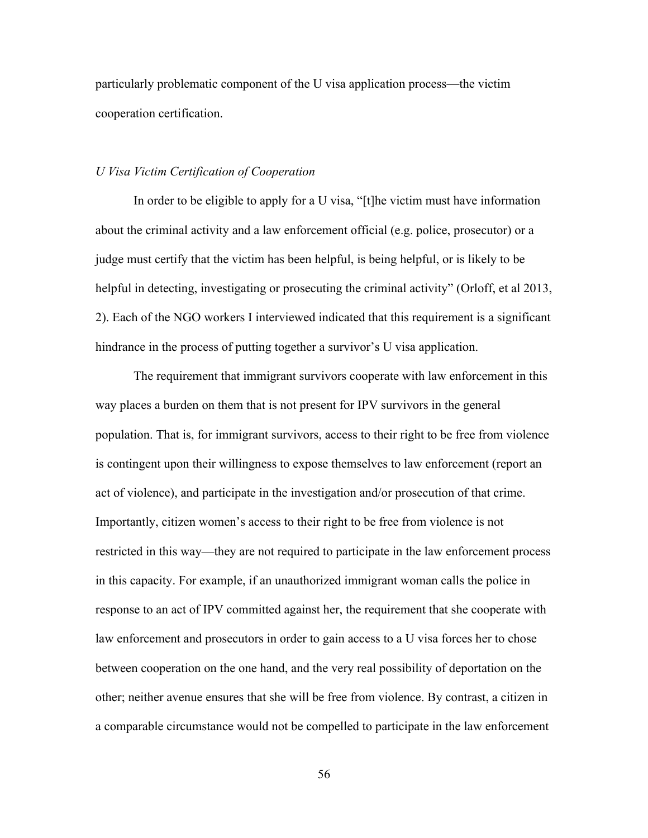particularly problematic component of the U visa application process—the victim cooperation certification.

#### *U Visa Victim Certification of Cooperation*

In order to be eligible to apply for a U visa, "[t]he victim must have information about the criminal activity and a law enforcement official (e.g. police, prosecutor) or a judge must certify that the victim has been helpful, is being helpful, or is likely to be helpful in detecting, investigating or prosecuting the criminal activity" (Orloff, et al 2013, 2). Each of the NGO workers I interviewed indicated that this requirement is a significant hindrance in the process of putting together a survivor's U visa application.

The requirement that immigrant survivors cooperate with law enforcement in this way places a burden on them that is not present for IPV survivors in the general population. That is, for immigrant survivors, access to their right to be free from violence is contingent upon their willingness to expose themselves to law enforcement (report an act of violence), and participate in the investigation and/or prosecution of that crime. Importantly, citizen women's access to their right to be free from violence is not restricted in this way—they are not required to participate in the law enforcement process in this capacity. For example, if an unauthorized immigrant woman calls the police in response to an act of IPV committed against her, the requirement that she cooperate with law enforcement and prosecutors in order to gain access to a U visa forces her to chose between cooperation on the one hand, and the very real possibility of deportation on the other; neither avenue ensures that she will be free from violence. By contrast, a citizen in a comparable circumstance would not be compelled to participate in the law enforcement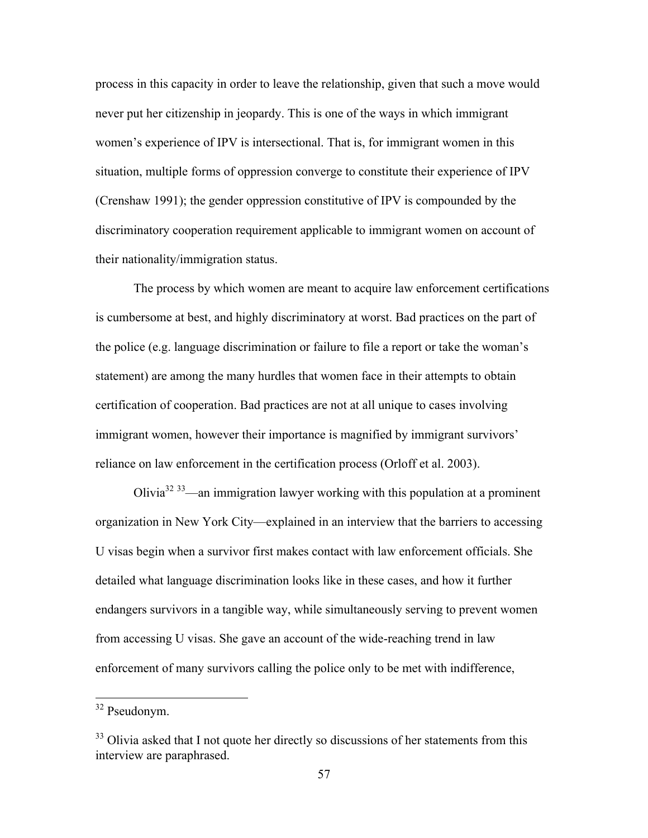process in this capacity in order to leave the relationship, given that such a move would never put her citizenship in jeopardy. This is one of the ways in which immigrant women's experience of IPV is intersectional. That is, for immigrant women in this situation, multiple forms of oppression converge to constitute their experience of IPV (Crenshaw 1991); the gender oppression constitutive of IPV is compounded by the discriminatory cooperation requirement applicable to immigrant women on account of their nationality/immigration status.

The process by which women are meant to acquire law enforcement certifications is cumbersome at best, and highly discriminatory at worst. Bad practices on the part of the police (e.g. language discrimination or failure to file a report or take the woman's statement) are among the many hurdles that women face in their attempts to obtain certification of cooperation. Bad practices are not at all unique to cases involving immigrant women, however their importance is magnified by immigrant survivors' reliance on law enforcement in the certification process (Orloff et al. 2003).

Olivia<sup>32 33</sup>—an immigration lawyer working with this population at a prominent organization in New York City—explained in an interview that the barriers to accessing U visas begin when a survivor first makes contact with law enforcement officials. She detailed what language discrimination looks like in these cases, and how it further endangers survivors in a tangible way, while simultaneously serving to prevent women from accessing U visas. She gave an account of the wide-reaching trend in law enforcement of many survivors calling the police only to be met with indifference,

 <sup>32</sup> Pseudonym.

<sup>&</sup>lt;sup>33</sup> Olivia asked that I not quote her directly so discussions of her statements from this interview are paraphrased.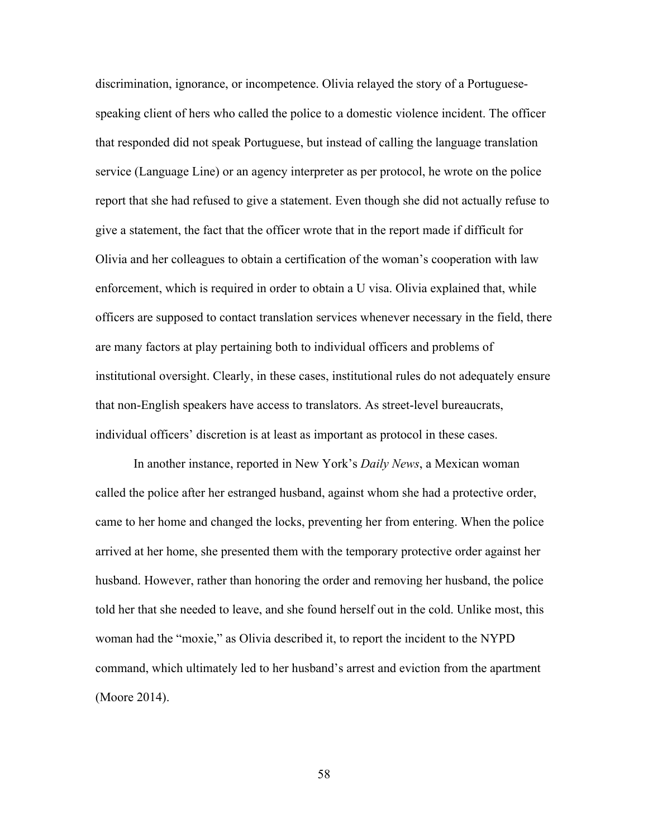discrimination, ignorance, or incompetence. Olivia relayed the story of a Portuguesespeaking client of hers who called the police to a domestic violence incident. The officer that responded did not speak Portuguese, but instead of calling the language translation service (Language Line) or an agency interpreter as per protocol, he wrote on the police report that she had refused to give a statement. Even though she did not actually refuse to give a statement, the fact that the officer wrote that in the report made if difficult for Olivia and her colleagues to obtain a certification of the woman's cooperation with law enforcement, which is required in order to obtain a U visa. Olivia explained that, while officers are supposed to contact translation services whenever necessary in the field, there are many factors at play pertaining both to individual officers and problems of institutional oversight. Clearly, in these cases, institutional rules do not adequately ensure that non-English speakers have access to translators. As street-level bureaucrats, individual officers' discretion is at least as important as protocol in these cases.

In another instance, reported in New York's *Daily News*, a Mexican woman called the police after her estranged husband, against whom she had a protective order, came to her home and changed the locks, preventing her from entering. When the police arrived at her home, she presented them with the temporary protective order against her husband. However, rather than honoring the order and removing her husband, the police told her that she needed to leave, and she found herself out in the cold. Unlike most, this woman had the "moxie," as Olivia described it, to report the incident to the NYPD command, which ultimately led to her husband's arrest and eviction from the apartment (Moore 2014).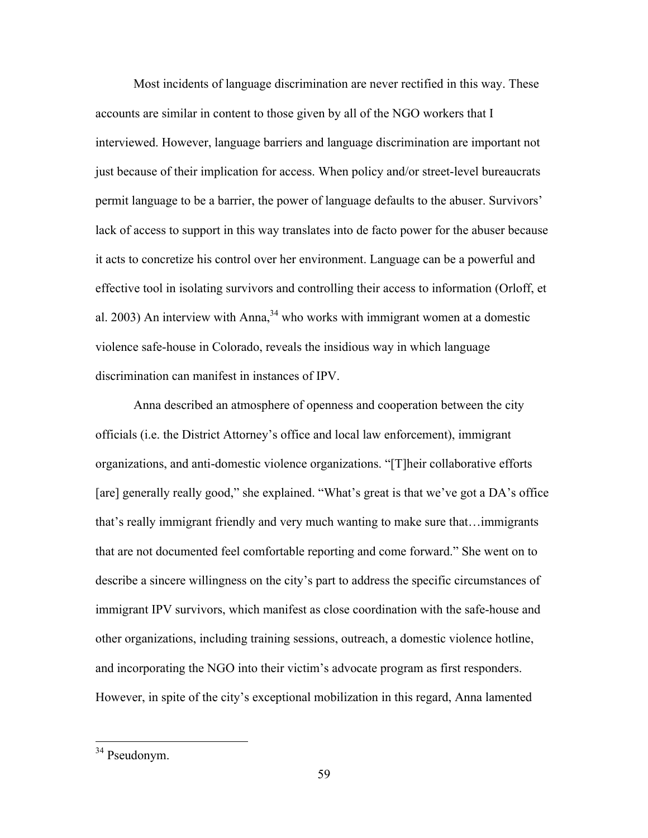Most incidents of language discrimination are never rectified in this way. These accounts are similar in content to those given by all of the NGO workers that I interviewed. However, language barriers and language discrimination are important not just because of their implication for access. When policy and/or street-level bureaucrats permit language to be a barrier, the power of language defaults to the abuser. Survivors' lack of access to support in this way translates into de facto power for the abuser because it acts to concretize his control over her environment. Language can be a powerful and effective tool in isolating survivors and controlling their access to information (Orloff, et al. 2003) An interview with Anna,  $34$  who works with immigrant women at a domestic violence safe-house in Colorado, reveals the insidious way in which language discrimination can manifest in instances of IPV.

Anna described an atmosphere of openness and cooperation between the city officials (i.e. the District Attorney's office and local law enforcement), immigrant organizations, and anti-domestic violence organizations. "[T]heir collaborative efforts [are] generally really good," she explained. "What's great is that we've got a DA's office that's really immigrant friendly and very much wanting to make sure that…immigrants that are not documented feel comfortable reporting and come forward." She went on to describe a sincere willingness on the city's part to address the specific circumstances of immigrant IPV survivors, which manifest as close coordination with the safe-house and other organizations, including training sessions, outreach, a domestic violence hotline, and incorporating the NGO into their victim's advocate program as first responders. However, in spite of the city's exceptional mobilization in this regard, Anna lamented

 <sup>34</sup> Pseudonym.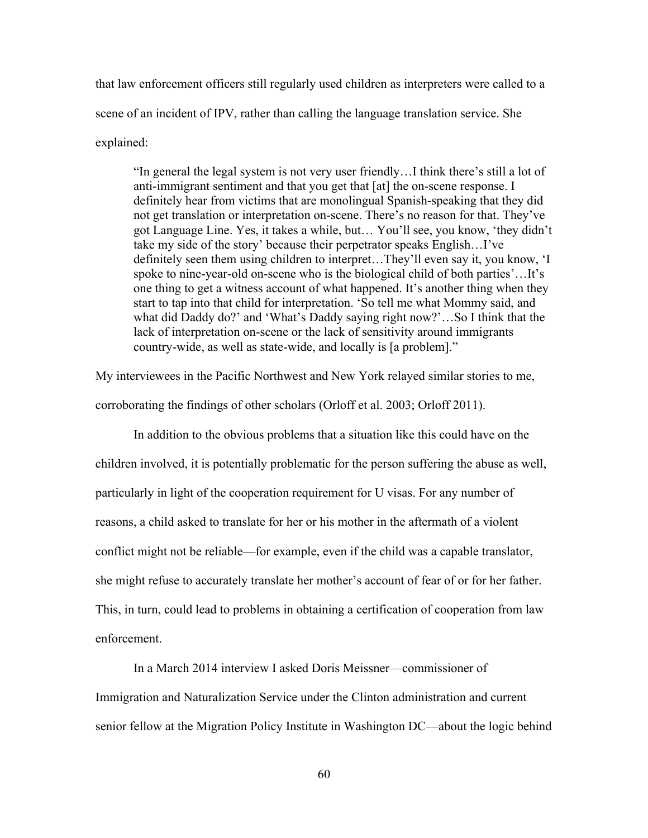that law enforcement officers still regularly used children as interpreters were called to a scene of an incident of IPV, rather than calling the language translation service. She explained:

"In general the legal system is not very user friendly…I think there's still a lot of anti-immigrant sentiment and that you get that [at] the on-scene response. I definitely hear from victims that are monolingual Spanish-speaking that they did not get translation or interpretation on-scene. There's no reason for that. They've got Language Line. Yes, it takes a while, but… You'll see, you know, 'they didn't take my side of the story' because their perpetrator speaks English…I've definitely seen them using children to interpret…They'll even say it, you know, 'I spoke to nine-year-old on-scene who is the biological child of both parties'…It's one thing to get a witness account of what happened. It's another thing when they start to tap into that child for interpretation. 'So tell me what Mommy said, and what did Daddy do?' and 'What's Daddy saying right now?'…So I think that the lack of interpretation on-scene or the lack of sensitivity around immigrants country-wide, as well as state-wide, and locally is [a problem]."

My interviewees in the Pacific Northwest and New York relayed similar stories to me,

corroborating the findings of other scholars (Orloff et al. 2003; Orloff 2011).

In addition to the obvious problems that a situation like this could have on the children involved, it is potentially problematic for the person suffering the abuse as well, particularly in light of the cooperation requirement for U visas. For any number of reasons, a child asked to translate for her or his mother in the aftermath of a violent conflict might not be reliable—for example, even if the child was a capable translator, she might refuse to accurately translate her mother's account of fear of or for her father. This, in turn, could lead to problems in obtaining a certification of cooperation from law enforcement.

In a March 2014 interview I asked Doris Meissner—commissioner of Immigration and Naturalization Service under the Clinton administration and current senior fellow at the Migration Policy Institute in Washington DC—about the logic behind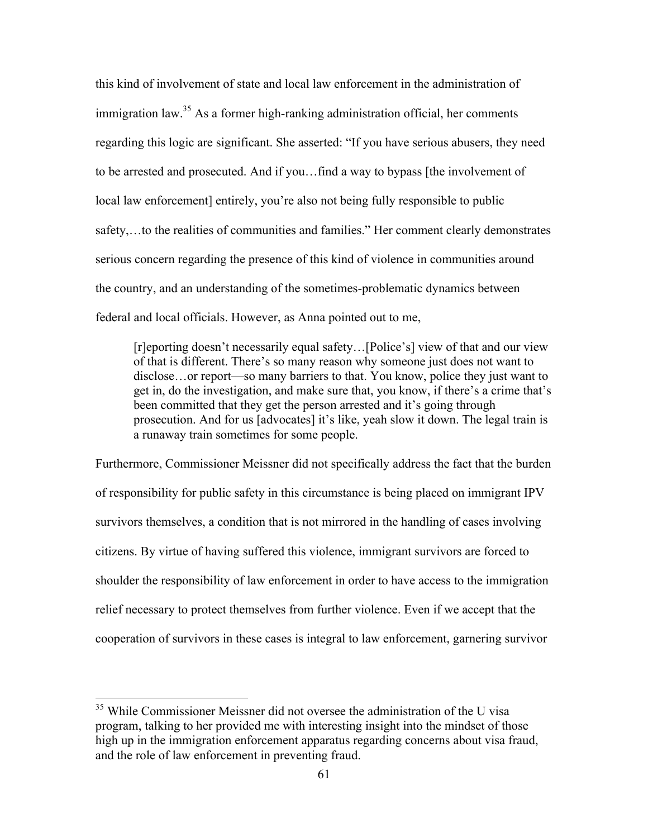this kind of involvement of state and local law enforcement in the administration of immigration law.<sup>35</sup> As a former high-ranking administration official, her comments regarding this logic are significant. She asserted: "If you have serious abusers, they need to be arrested and prosecuted. And if you…find a way to bypass [the involvement of local law enforcement] entirely, you're also not being fully responsible to public safety,…to the realities of communities and families." Her comment clearly demonstrates serious concern regarding the presence of this kind of violence in communities around the country, and an understanding of the sometimes-problematic dynamics between federal and local officials. However, as Anna pointed out to me,

[r]eporting doesn't necessarily equal safety…[Police's] view of that and our view of that is different. There's so many reason why someone just does not want to disclose…or report—so many barriers to that. You know, police they just want to get in, do the investigation, and make sure that, you know, if there's a crime that's been committed that they get the person arrested and it's going through prosecution. And for us [advocates] it's like, yeah slow it down. The legal train is a runaway train sometimes for some people.

Furthermore, Commissioner Meissner did not specifically address the fact that the burden of responsibility for public safety in this circumstance is being placed on immigrant IPV survivors themselves, a condition that is not mirrored in the handling of cases involving citizens. By virtue of having suffered this violence, immigrant survivors are forced to shoulder the responsibility of law enforcement in order to have access to the immigration relief necessary to protect themselves from further violence. Even if we accept that the cooperation of survivors in these cases is integral to law enforcement, garnering survivor

<sup>&</sup>lt;sup>35</sup> While Commissioner Meissner did not oversee the administration of the U visa program, talking to her provided me with interesting insight into the mindset of those high up in the immigration enforcement apparatus regarding concerns about visa fraud, and the role of law enforcement in preventing fraud.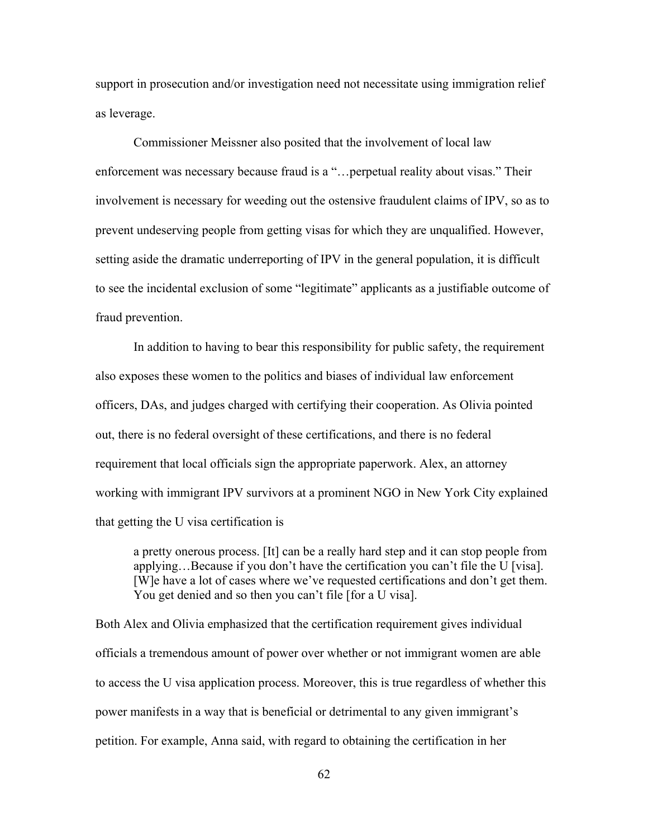support in prosecution and/or investigation need not necessitate using immigration relief as leverage.

Commissioner Meissner also posited that the involvement of local law enforcement was necessary because fraud is a "…perpetual reality about visas." Their involvement is necessary for weeding out the ostensive fraudulent claims of IPV, so as to prevent undeserving people from getting visas for which they are unqualified. However, setting aside the dramatic underreporting of IPV in the general population, it is difficult to see the incidental exclusion of some "legitimate" applicants as a justifiable outcome of fraud prevention.

In addition to having to bear this responsibility for public safety, the requirement also exposes these women to the politics and biases of individual law enforcement officers, DAs, and judges charged with certifying their cooperation. As Olivia pointed out, there is no federal oversight of these certifications, and there is no federal requirement that local officials sign the appropriate paperwork. Alex, an attorney working with immigrant IPV survivors at a prominent NGO in New York City explained that getting the U visa certification is

a pretty onerous process. [It] can be a really hard step and it can stop people from applying…Because if you don't have the certification you can't file the U [visa]. [W]e have a lot of cases where we've requested certifications and don't get them. You get denied and so then you can't file [for a U visa].

Both Alex and Olivia emphasized that the certification requirement gives individual officials a tremendous amount of power over whether or not immigrant women are able to access the U visa application process. Moreover, this is true regardless of whether this power manifests in a way that is beneficial or detrimental to any given immigrant's petition. For example, Anna said, with regard to obtaining the certification in her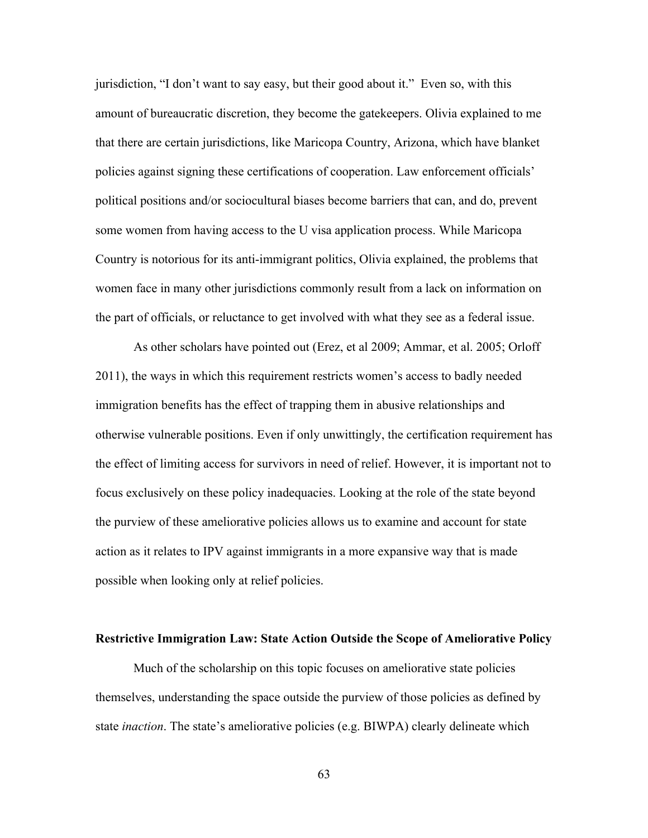jurisdiction, "I don't want to say easy, but their good about it." Even so, with this amount of bureaucratic discretion, they become the gatekeepers. Olivia explained to me that there are certain jurisdictions, like Maricopa Country, Arizona, which have blanket policies against signing these certifications of cooperation. Law enforcement officials' political positions and/or sociocultural biases become barriers that can, and do, prevent some women from having access to the U visa application process. While Maricopa Country is notorious for its anti-immigrant politics, Olivia explained, the problems that women face in many other jurisdictions commonly result from a lack on information on the part of officials, or reluctance to get involved with what they see as a federal issue.

As other scholars have pointed out (Erez, et al 2009; Ammar, et al. 2005; Orloff 2011), the ways in which this requirement restricts women's access to badly needed immigration benefits has the effect of trapping them in abusive relationships and otherwise vulnerable positions. Even if only unwittingly, the certification requirement has the effect of limiting access for survivors in need of relief. However, it is important not to focus exclusively on these policy inadequacies. Looking at the role of the state beyond the purview of these ameliorative policies allows us to examine and account for state action as it relates to IPV against immigrants in a more expansive way that is made possible when looking only at relief policies.

### **Restrictive Immigration Law: State Action Outside the Scope of Ameliorative Policy**

Much of the scholarship on this topic focuses on ameliorative state policies themselves, understanding the space outside the purview of those policies as defined by state *inaction*. The state's ameliorative policies (e.g. BIWPA) clearly delineate which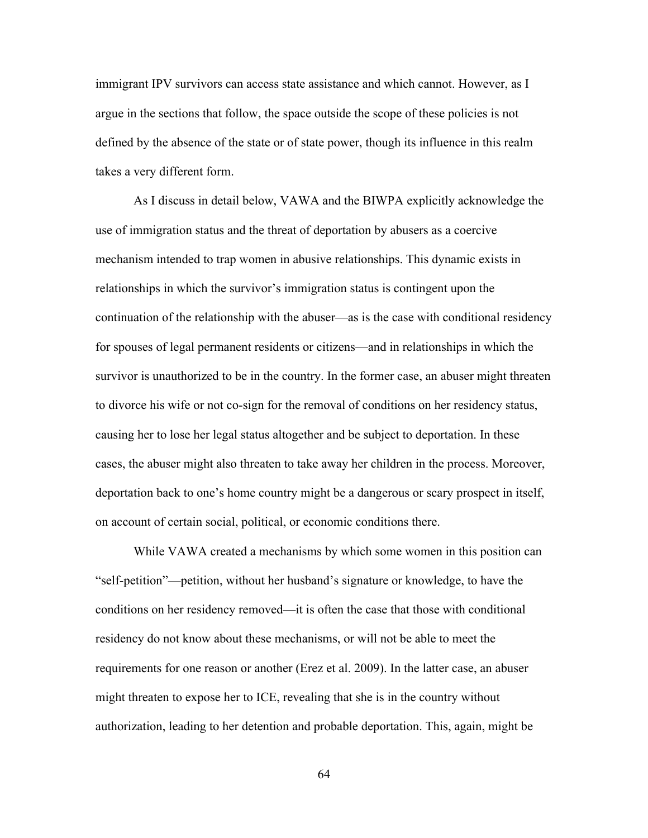immigrant IPV survivors can access state assistance and which cannot. However, as I argue in the sections that follow, the space outside the scope of these policies is not defined by the absence of the state or of state power, though its influence in this realm takes a very different form.

As I discuss in detail below, VAWA and the BIWPA explicitly acknowledge the use of immigration status and the threat of deportation by abusers as a coercive mechanism intended to trap women in abusive relationships. This dynamic exists in relationships in which the survivor's immigration status is contingent upon the continuation of the relationship with the abuser—as is the case with conditional residency for spouses of legal permanent residents or citizens—and in relationships in which the survivor is unauthorized to be in the country. In the former case, an abuser might threaten to divorce his wife or not co-sign for the removal of conditions on her residency status, causing her to lose her legal status altogether and be subject to deportation. In these cases, the abuser might also threaten to take away her children in the process. Moreover, deportation back to one's home country might be a dangerous or scary prospect in itself, on account of certain social, political, or economic conditions there.

While VAWA created a mechanisms by which some women in this position can "self-petition"—petition, without her husband's signature or knowledge, to have the conditions on her residency removed—it is often the case that those with conditional residency do not know about these mechanisms, or will not be able to meet the requirements for one reason or another (Erez et al. 2009). In the latter case, an abuser might threaten to expose her to ICE, revealing that she is in the country without authorization, leading to her detention and probable deportation. This, again, might be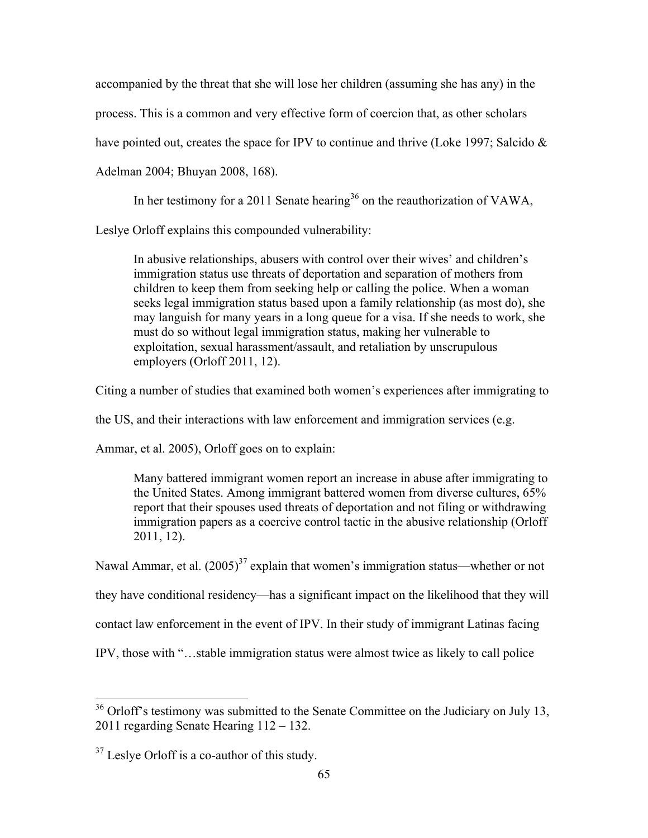accompanied by the threat that she will lose her children (assuming she has any) in the

process. This is a common and very effective form of coercion that, as other scholars

have pointed out, creates the space for IPV to continue and thrive (Loke 1997; Salcido &

Adelman 2004; Bhuyan 2008, 168).

In her testimony for a 2011 Senate hearing<sup>36</sup> on the reauthorization of VAWA,

Leslye Orloff explains this compounded vulnerability:

In abusive relationships, abusers with control over their wives' and children's immigration status use threats of deportation and separation of mothers from children to keep them from seeking help or calling the police. When a woman seeks legal immigration status based upon a family relationship (as most do), she may languish for many years in a long queue for a visa. If she needs to work, she must do so without legal immigration status, making her vulnerable to exploitation, sexual harassment/assault, and retaliation by unscrupulous employers (Orloff 2011, 12).

Citing a number of studies that examined both women's experiences after immigrating to

the US, and their interactions with law enforcement and immigration services (e.g.

Ammar, et al. 2005), Orloff goes on to explain:

Many battered immigrant women report an increase in abuse after immigrating to the United States. Among immigrant battered women from diverse cultures, 65% report that their spouses used threats of deportation and not filing or withdrawing immigration papers as a coercive control tactic in the abusive relationship (Orloff 2011, 12).

Nawal Ammar, et al.  $(2005)^{37}$  explain that women's immigration status—whether or not

they have conditional residency—has a significant impact on the likelihood that they will

contact law enforcement in the event of IPV. In their study of immigrant Latinas facing

IPV, those with "…stable immigration status were almost twice as likely to call police

<sup>&</sup>lt;sup>36</sup> Orloff's testimony was submitted to the Senate Committee on the Judiciary on July 13, 2011 regarding Senate Hearing 112 – 132.

<sup>&</sup>lt;sup>37</sup> Leslye Orloff is a co-author of this study.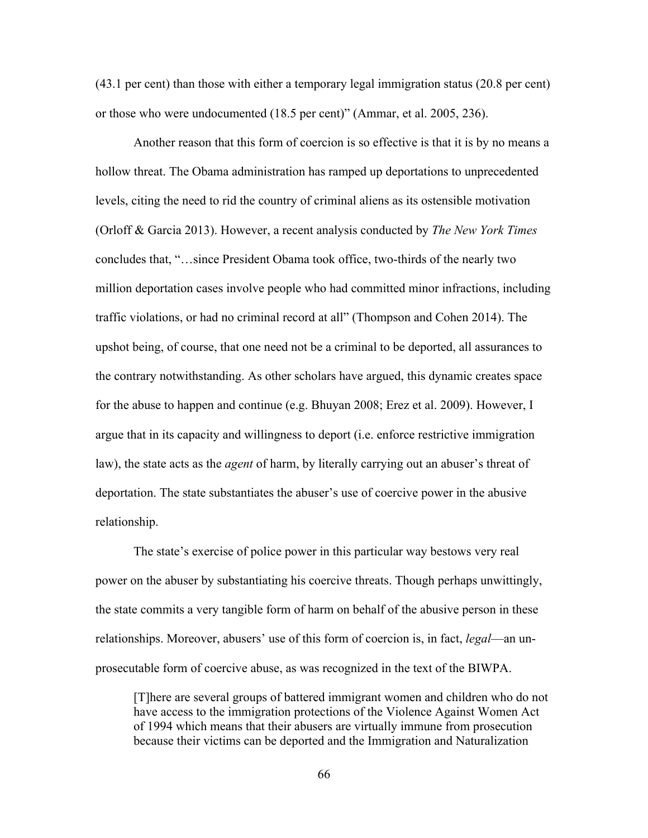(43.1 per cent) than those with either a temporary legal immigration status (20.8 per cent) or those who were undocumented (18.5 per cent)" (Ammar, et al. 2005, 236).

Another reason that this form of coercion is so effective is that it is by no means a hollow threat. The Obama administration has ramped up deportations to unprecedented levels, citing the need to rid the country of criminal aliens as its ostensible motivation (Orloff & Garcia 2013). However, a recent analysis conducted by *The New York Times* concludes that, "…since President Obama took office, two-thirds of the nearly two million deportation cases involve people who had committed minor infractions, including traffic violations, or had no criminal record at all" (Thompson and Cohen 2014). The upshot being, of course, that one need not be a criminal to be deported, all assurances to the contrary notwithstanding. As other scholars have argued, this dynamic creates space for the abuse to happen and continue (e.g. Bhuyan 2008; Erez et al. 2009). However, I argue that in its capacity and willingness to deport (i.e. enforce restrictive immigration law), the state acts as the *agent* of harm, by literally carrying out an abuser's threat of deportation. The state substantiates the abuser's use of coercive power in the abusive relationship.

The state's exercise of police power in this particular way bestows very real power on the abuser by substantiating his coercive threats. Though perhaps unwittingly, the state commits a very tangible form of harm on behalf of the abusive person in these relationships. Moreover, abusers' use of this form of coercion is, in fact, *legal*—an unprosecutable form of coercive abuse, as was recognized in the text of the BIWPA.

[T]here are several groups of battered immigrant women and children who do not have access to the immigration protections of the Violence Against Women Act of 1994 which means that their abusers are virtually immune from prosecution because their victims can be deported and the Immigration and Naturalization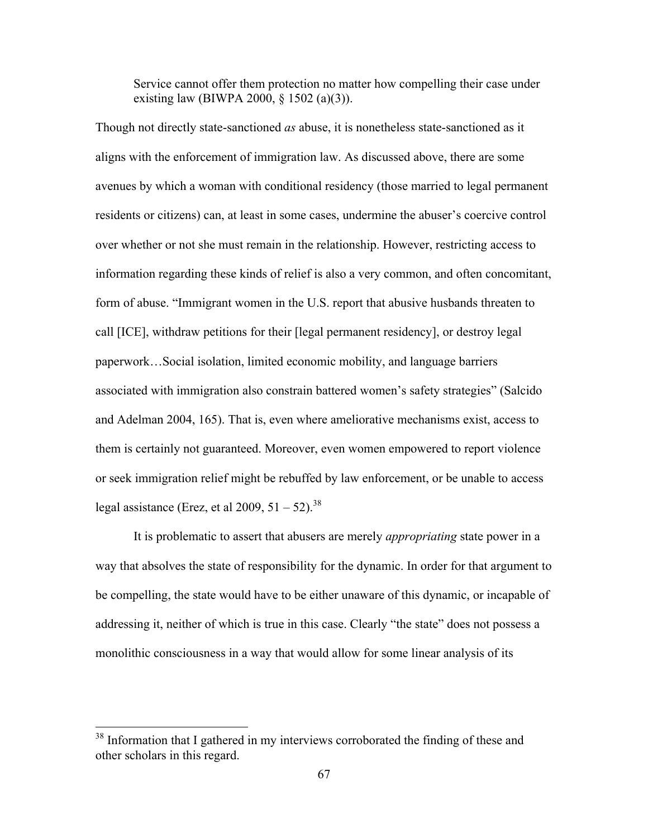Service cannot offer them protection no matter how compelling their case under existing law (BIWPA 2000, § 1502 (a)(3)).

Though not directly state-sanctioned *as* abuse, it is nonetheless state-sanctioned as it aligns with the enforcement of immigration law. As discussed above, there are some avenues by which a woman with conditional residency (those married to legal permanent residents or citizens) can, at least in some cases, undermine the abuser's coercive control over whether or not she must remain in the relationship. However, restricting access to information regarding these kinds of relief is also a very common, and often concomitant, form of abuse. "Immigrant women in the U.S. report that abusive husbands threaten to call [ICE], withdraw petitions for their [legal permanent residency], or destroy legal paperwork…Social isolation, limited economic mobility, and language barriers associated with immigration also constrain battered women's safety strategies" (Salcido and Adelman 2004, 165). That is, even where ameliorative mechanisms exist, access to them is certainly not guaranteed. Moreover, even women empowered to report violence or seek immigration relief might be rebuffed by law enforcement, or be unable to access legal assistance (Erez, et al 2009,  $51 - 52$ )<sup>38</sup>

It is problematic to assert that abusers are merely *appropriating* state power in a way that absolves the state of responsibility for the dynamic. In order for that argument to be compelling, the state would have to be either unaware of this dynamic, or incapable of addressing it, neither of which is true in this case. Clearly "the state" does not possess a monolithic consciousness in a way that would allow for some linear analysis of its

<sup>&</sup>lt;sup>38</sup> Information that I gathered in my interviews corroborated the finding of these and other scholars in this regard.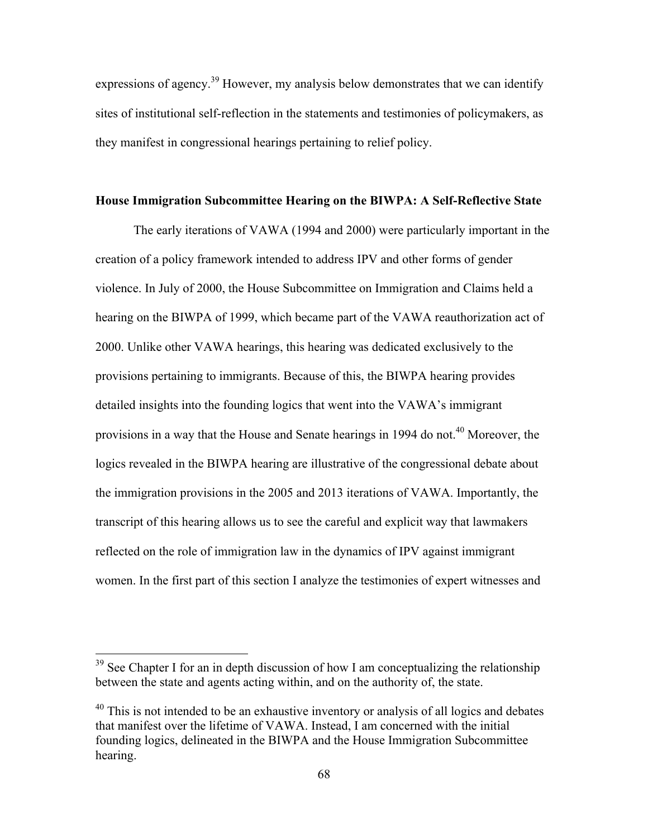expressions of agency.<sup>39</sup> However, my analysis below demonstrates that we can identify sites of institutional self-reflection in the statements and testimonies of policymakers, as they manifest in congressional hearings pertaining to relief policy.

### **House Immigration Subcommittee Hearing on the BIWPA: A Self-Reflective State**

The early iterations of VAWA (1994 and 2000) were particularly important in the creation of a policy framework intended to address IPV and other forms of gender violence. In July of 2000, the House Subcommittee on Immigration and Claims held a hearing on the BIWPA of 1999, which became part of the VAWA reauthorization act of 2000. Unlike other VAWA hearings, this hearing was dedicated exclusively to the provisions pertaining to immigrants. Because of this, the BIWPA hearing provides detailed insights into the founding logics that went into the VAWA's immigrant provisions in a way that the House and Senate hearings in 1994 do not.<sup>40</sup> Moreover, the logics revealed in the BIWPA hearing are illustrative of the congressional debate about the immigration provisions in the 2005 and 2013 iterations of VAWA. Importantly, the transcript of this hearing allows us to see the careful and explicit way that lawmakers reflected on the role of immigration law in the dynamics of IPV against immigrant women. In the first part of this section I analyze the testimonies of expert witnesses and

<sup>&</sup>lt;sup>39</sup> See Chapter I for an in depth discussion of how I am conceptualizing the relationship between the state and agents acting within, and on the authority of, the state.

 $40$  This is not intended to be an exhaustive inventory or analysis of all logics and debates that manifest over the lifetime of VAWA. Instead, I am concerned with the initial founding logics, delineated in the BIWPA and the House Immigration Subcommittee hearing.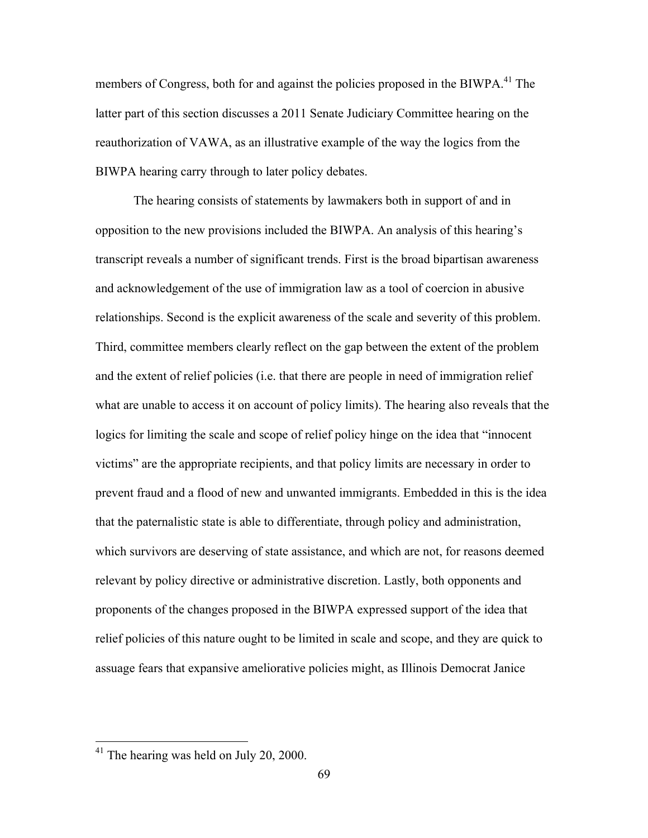members of Congress, both for and against the policies proposed in the BIWPA.<sup>41</sup> The latter part of this section discusses a 2011 Senate Judiciary Committee hearing on the reauthorization of VAWA, as an illustrative example of the way the logics from the BIWPA hearing carry through to later policy debates.

The hearing consists of statements by lawmakers both in support of and in opposition to the new provisions included the BIWPA. An analysis of this hearing's transcript reveals a number of significant trends. First is the broad bipartisan awareness and acknowledgement of the use of immigration law as a tool of coercion in abusive relationships. Second is the explicit awareness of the scale and severity of this problem. Third, committee members clearly reflect on the gap between the extent of the problem and the extent of relief policies (i.e. that there are people in need of immigration relief what are unable to access it on account of policy limits). The hearing also reveals that the logics for limiting the scale and scope of relief policy hinge on the idea that "innocent victims" are the appropriate recipients, and that policy limits are necessary in order to prevent fraud and a flood of new and unwanted immigrants. Embedded in this is the idea that the paternalistic state is able to differentiate, through policy and administration, which survivors are deserving of state assistance, and which are not, for reasons deemed relevant by policy directive or administrative discretion. Lastly, both opponents and proponents of the changes proposed in the BIWPA expressed support of the idea that relief policies of this nature ought to be limited in scale and scope, and they are quick to assuage fears that expansive ameliorative policies might, as Illinois Democrat Janice

<sup>&</sup>lt;sup>41</sup> The hearing was held on July 20, 2000.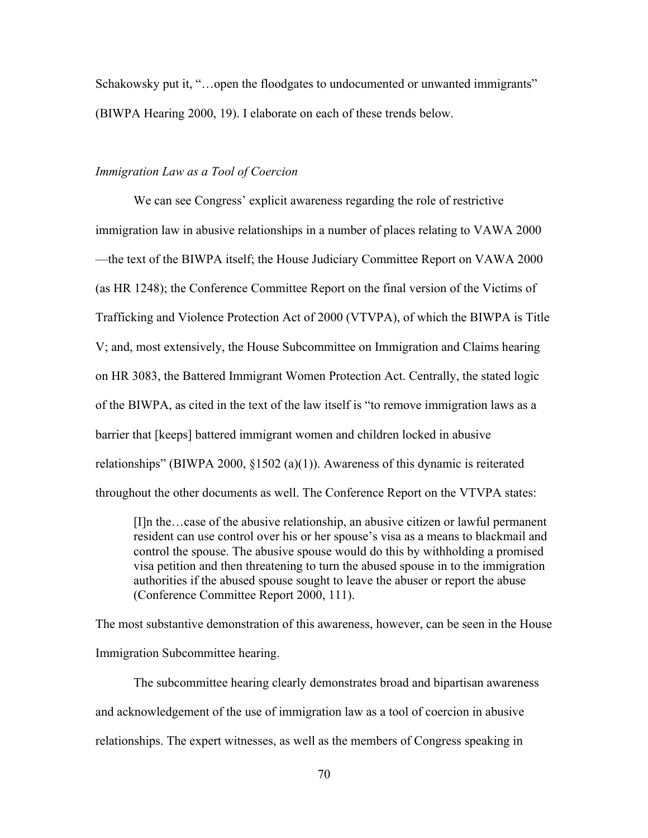Schakowsky put it, "...open the floodgates to undocumented or unwanted immigrants" (BIWPA Hearing 2000, 19). I elaborate on each of these trends below.

# *Immigration Law as a Tool of Coercion*

We can see Congress' explicit awareness regarding the role of restrictive immigration law in abusive relationships in a number of places relating to VAWA 2000 —the text of the BIWPA itself; the House Judiciary Committee Report on VAWA 2000 (as HR 1248); the Conference Committee Report on the final version of the Victims of Trafficking and Violence Protection Act of 2000 (VTVPA), of which the BIWPA is Title V; and, most extensively, the House Subcommittee on Immigration and Claims hearing on HR 3083, the Battered Immigrant Women Protection Act. Centrally, the stated logic of the BIWPA, as cited in the text of the law itself is "to remove immigration laws as a barrier that [keeps] battered immigrant women and children locked in abusive relationships" (BIWPA 2000, §1502 (a)(1)). Awareness of this dynamic is reiterated throughout the other documents as well. The Conference Report on the VTVPA states:

[I]n the…case of the abusive relationship, an abusive citizen or lawful permanent resident can use control over his or her spouse's visa as a means to blackmail and control the spouse. The abusive spouse would do this by withholding a promised visa petition and then threatening to turn the abused spouse in to the immigration authorities if the abused spouse sought to leave the abuser or report the abuse (Conference Committee Report 2000, 111).

The most substantive demonstration of this awareness, however, can be seen in the House Immigration Subcommittee hearing.

The subcommittee hearing clearly demonstrates broad and bipartisan awareness and acknowledgement of the use of immigration law as a tool of coercion in abusive relationships. The expert witnesses, as well as the members of Congress speaking in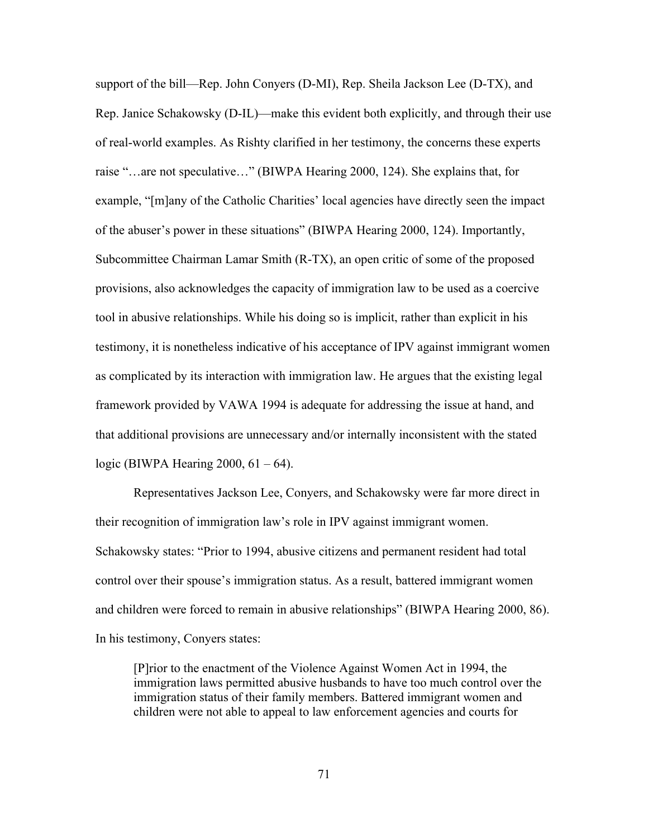support of the bill—Rep. John Conyers (D-MI), Rep. Sheila Jackson Lee (D-TX), and Rep. Janice Schakowsky (D-IL)—make this evident both explicitly, and through their use of real-world examples. As Rishty clarified in her testimony, the concerns these experts raise "…are not speculative…" (BIWPA Hearing 2000, 124). She explains that, for example, "[m]any of the Catholic Charities' local agencies have directly seen the impact of the abuser's power in these situations" (BIWPA Hearing 2000, 124). Importantly, Subcommittee Chairman Lamar Smith (R-TX), an open critic of some of the proposed provisions, also acknowledges the capacity of immigration law to be used as a coercive tool in abusive relationships. While his doing so is implicit, rather than explicit in his testimony, it is nonetheless indicative of his acceptance of IPV against immigrant women as complicated by its interaction with immigration law. He argues that the existing legal framework provided by VAWA 1994 is adequate for addressing the issue at hand, and that additional provisions are unnecessary and/or internally inconsistent with the stated logic (BIWPA Hearing 2000,  $61 - 64$ ).

Representatives Jackson Lee, Conyers, and Schakowsky were far more direct in their recognition of immigration law's role in IPV against immigrant women. Schakowsky states: "Prior to 1994, abusive citizens and permanent resident had total control over their spouse's immigration status. As a result, battered immigrant women and children were forced to remain in abusive relationships" (BIWPA Hearing 2000, 86). In his testimony, Conyers states:

[P]rior to the enactment of the Violence Against Women Act in 1994, the immigration laws permitted abusive husbands to have too much control over the immigration status of their family members. Battered immigrant women and children were not able to appeal to law enforcement agencies and courts for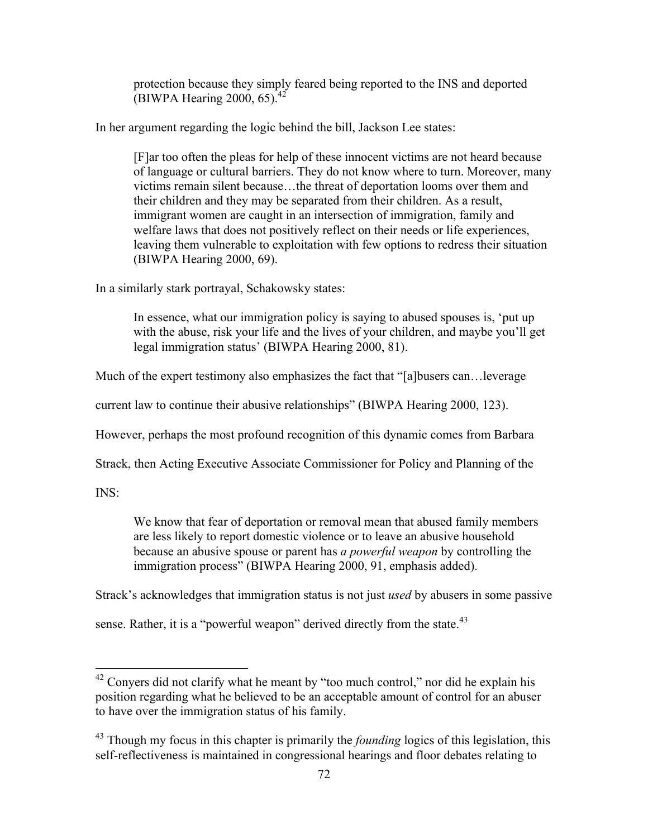protection because they simply feared being reported to the INS and deported (BIWPA Hearing 2000,  $65$ ).<sup>42</sup>

In her argument regarding the logic behind the bill, Jackson Lee states:

[F]ar too often the pleas for help of these innocent victims are not heard because of language or cultural barriers. They do not know where to turn. Moreover, many victims remain silent because…the threat of deportation looms over them and their children and they may be separated from their children. As a result, immigrant women are caught in an intersection of immigration, family and welfare laws that does not positively reflect on their needs or life experiences, leaving them vulnerable to exploitation with few options to redress their situation (BIWPA Hearing 2000, 69).

In a similarly stark portrayal, Schakowsky states:

In essence, what our immigration policy is saying to abused spouses is, 'put up with the abuse, risk your life and the lives of your children, and maybe you'll get legal immigration status' (BIWPA Hearing 2000, 81).

Much of the expert testimony also emphasizes the fact that "[a]busers can... leverage

current law to continue their abusive relationships" (BIWPA Hearing 2000, 123).

However, perhaps the most profound recognition of this dynamic comes from Barbara

Strack, then Acting Executive Associate Commissioner for Policy and Planning of the

INS:

We know that fear of deportation or removal mean that abused family members are less likely to report domestic violence or to leave an abusive household because an abusive spouse or parent has *a powerful weapon* by controlling the immigration process" (BIWPA Hearing 2000, 91, emphasis added).

Strack's acknowledges that immigration status is not just *used* by abusers in some passive

sense. Rather, it is a "powerful weapon" derived directly from the state.<sup>43</sup>

 $42$  Conyers did not clarify what he meant by "too much control," nor did he explain his position regarding what he believed to be an acceptable amount of control for an abuser to have over the immigration status of his family.

<sup>&</sup>lt;sup>43</sup> Though my focus in this chapter is primarily the *founding* logics of this legislation, this self-reflectiveness is maintained in congressional hearings and floor debates relating to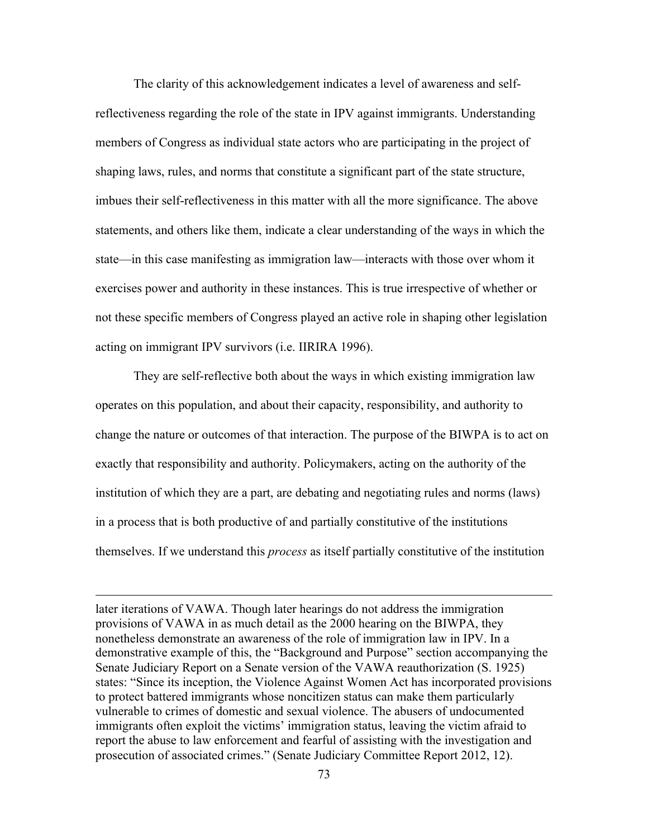The clarity of this acknowledgement indicates a level of awareness and selfreflectiveness regarding the role of the state in IPV against immigrants. Understanding members of Congress as individual state actors who are participating in the project of shaping laws, rules, and norms that constitute a significant part of the state structure, imbues their self-reflectiveness in this matter with all the more significance. The above statements, and others like them, indicate a clear understanding of the ways in which the state—in this case manifesting as immigration law—interacts with those over whom it exercises power and authority in these instances. This is true irrespective of whether or not these specific members of Congress played an active role in shaping other legislation acting on immigrant IPV survivors (i.e. IIRIRA 1996).

They are self-reflective both about the ways in which existing immigration law operates on this population, and about their capacity, responsibility, and authority to change the nature or outcomes of that interaction. The purpose of the BIWPA is to act on exactly that responsibility and authority. Policymakers, acting on the authority of the institution of which they are a part, are debating and negotiating rules and norms (laws) in a process that is both productive of and partially constitutive of the institutions themselves. If we understand this *process* as itself partially constitutive of the institution

later iterations of VAWA. Though later hearings do not address the immigration provisions of VAWA in as much detail as the 2000 hearing on the BIWPA, they nonetheless demonstrate an awareness of the role of immigration law in IPV. In a demonstrative example of this, the "Background and Purpose" section accompanying the Senate Judiciary Report on a Senate version of the VAWA reauthorization (S. 1925) states: "Since its inception, the Violence Against Women Act has incorporated provisions to protect battered immigrants whose noncitizen status can make them particularly vulnerable to crimes of domestic and sexual violence. The abusers of undocumented immigrants often exploit the victims' immigration status, leaving the victim afraid to report the abuse to law enforcement and fearful of assisting with the investigation and prosecution of associated crimes." (Senate Judiciary Committee Report 2012, 12).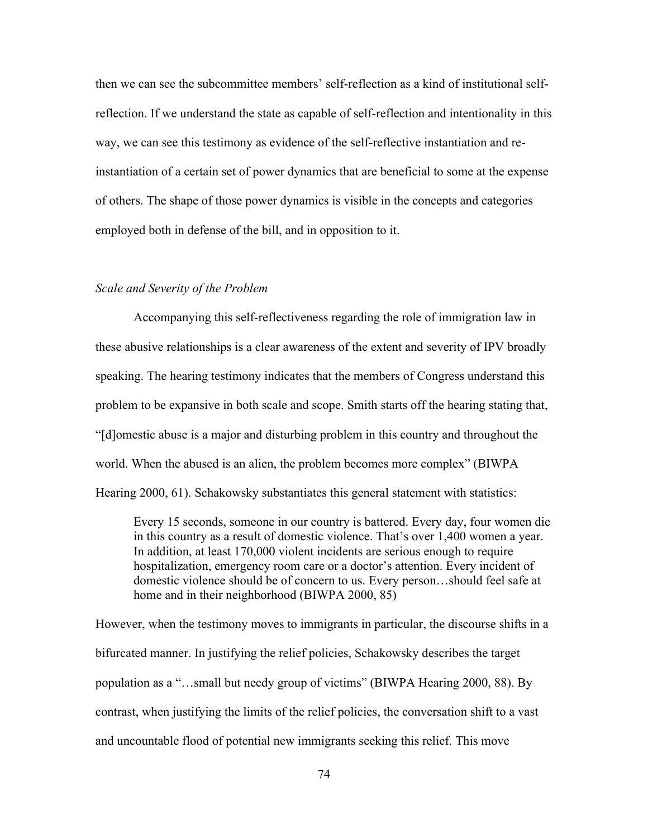then we can see the subcommittee members' self-reflection as a kind of institutional selfreflection. If we understand the state as capable of self-reflection and intentionality in this way, we can see this testimony as evidence of the self-reflective instantiation and reinstantiation of a certain set of power dynamics that are beneficial to some at the expense of others. The shape of those power dynamics is visible in the concepts and categories employed both in defense of the bill, and in opposition to it.

### *Scale and Severity of the Problem*

Accompanying this self-reflectiveness regarding the role of immigration law in these abusive relationships is a clear awareness of the extent and severity of IPV broadly speaking. The hearing testimony indicates that the members of Congress understand this problem to be expansive in both scale and scope. Smith starts off the hearing stating that, "[d]omestic abuse is a major and disturbing problem in this country and throughout the world. When the abused is an alien, the problem becomes more complex" (BIWPA Hearing 2000, 61). Schakowsky substantiates this general statement with statistics:

Every 15 seconds, someone in our country is battered. Every day, four women die in this country as a result of domestic violence. That's over 1,400 women a year. In addition, at least 170,000 violent incidents are serious enough to require hospitalization, emergency room care or a doctor's attention. Every incident of domestic violence should be of concern to us. Every person…should feel safe at home and in their neighborhood (BIWPA 2000, 85)

However, when the testimony moves to immigrants in particular, the discourse shifts in a bifurcated manner. In justifying the relief policies, Schakowsky describes the target population as a "…small but needy group of victims" (BIWPA Hearing 2000, 88). By contrast, when justifying the limits of the relief policies, the conversation shift to a vast and uncountable flood of potential new immigrants seeking this relief. This move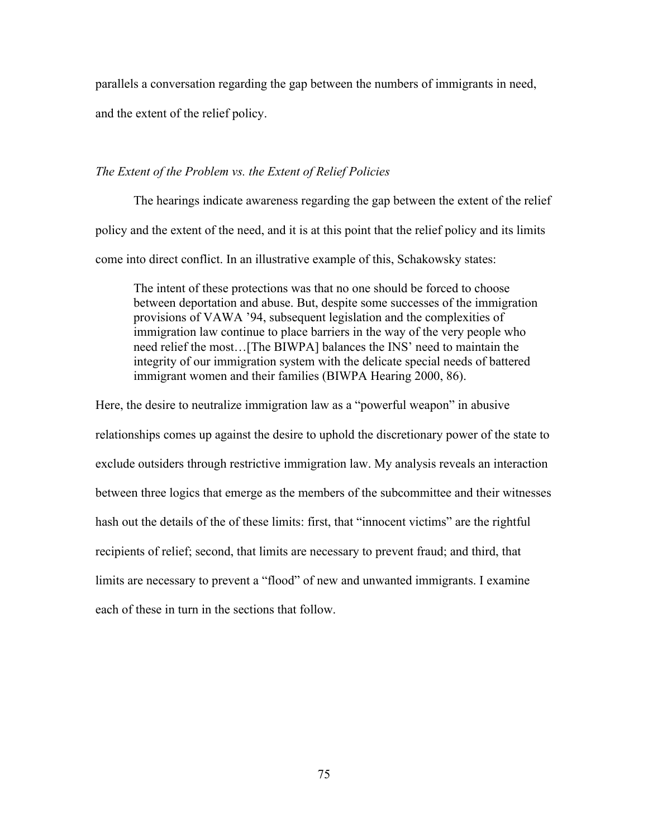parallels a conversation regarding the gap between the numbers of immigrants in need,

and the extent of the relief policy.

# *The Extent of the Problem vs. the Extent of Relief Policies*

The hearings indicate awareness regarding the gap between the extent of the relief policy and the extent of the need, and it is at this point that the relief policy and its limits come into direct conflict. In an illustrative example of this, Schakowsky states:

The intent of these protections was that no one should be forced to choose between deportation and abuse. But, despite some successes of the immigration provisions of VAWA '94, subsequent legislation and the complexities of immigration law continue to place barriers in the way of the very people who need relief the most…[The BIWPA] balances the INS' need to maintain the integrity of our immigration system with the delicate special needs of battered immigrant women and their families (BIWPA Hearing 2000, 86).

Here, the desire to neutralize immigration law as a "powerful weapon" in abusive relationships comes up against the desire to uphold the discretionary power of the state to exclude outsiders through restrictive immigration law. My analysis reveals an interaction between three logics that emerge as the members of the subcommittee and their witnesses hash out the details of the of these limits: first, that "innocent victims" are the rightful recipients of relief; second, that limits are necessary to prevent fraud; and third, that limits are necessary to prevent a "flood" of new and unwanted immigrants. I examine each of these in turn in the sections that follow.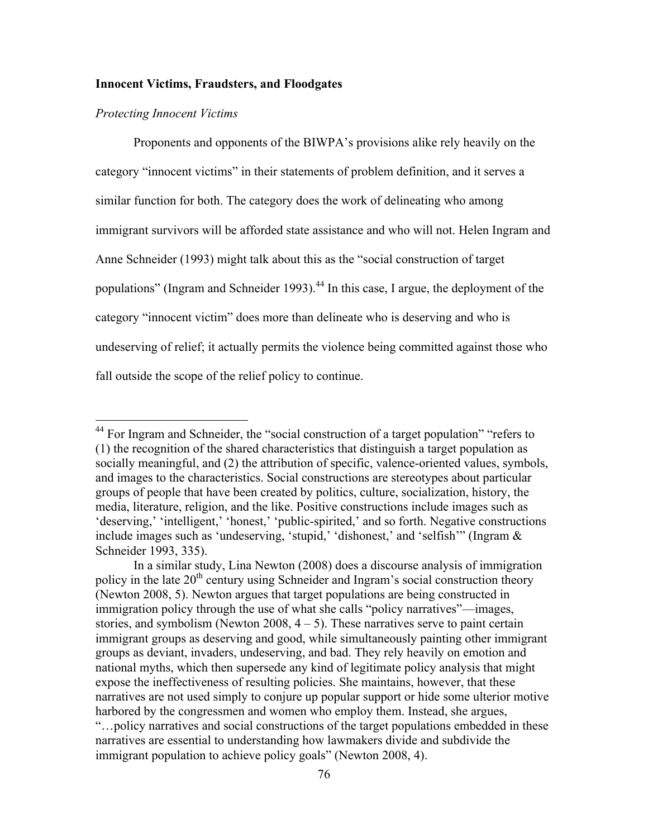# **Innocent Victims, Fraudsters, and Floodgates**

### *Protecting Innocent Victims*

Proponents and opponents of the BIWPA's provisions alike rely heavily on the category "innocent victims" in their statements of problem definition, and it serves a similar function for both. The category does the work of delineating who among immigrant survivors will be afforded state assistance and who will not. Helen Ingram and Anne Schneider (1993) might talk about this as the "social construction of target populations" (Ingram and Schneider 1993).<sup>44</sup> In this case, I argue, the deployment of the category "innocent victim" does more than delineate who is deserving and who is undeserving of relief; it actually permits the violence being committed against those who fall outside the scope of the relief policy to continue.

<sup>&</sup>lt;sup>44</sup> For Ingram and Schneider, the "social construction of a target population" "refers to (1) the recognition of the shared characteristics that distinguish a target population as socially meaningful, and (2) the attribution of specific, valence-oriented values, symbols, and images to the characteristics. Social constructions are stereotypes about particular groups of people that have been created by politics, culture, socialization, history, the media, literature, religion, and the like. Positive constructions include images such as 'deserving,' 'intelligent,' 'honest,' 'public-spirited,' and so forth. Negative constructions include images such as 'undeserving, 'stupid,' 'dishonest,' and 'selfish'" (Ingram & Schneider 1993, 335).

In a similar study, Lina Newton (2008) does a discourse analysis of immigration policy in the late  $20<sup>th</sup>$  century using Schneider and Ingram's social construction theory (Newton 2008, 5). Newton argues that target populations are being constructed in immigration policy through the use of what she calls "policy narratives"—images, stories, and symbolism (Newton 2008,  $4 - 5$ ). These narratives serve to paint certain immigrant groups as deserving and good, while simultaneously painting other immigrant groups as deviant, invaders, undeserving, and bad. They rely heavily on emotion and national myths, which then supersede any kind of legitimate policy analysis that might expose the ineffectiveness of resulting policies. She maintains, however, that these narratives are not used simply to conjure up popular support or hide some ulterior motive harbored by the congressmen and women who employ them. Instead, she argues, "…policy narratives and social constructions of the target populations embedded in these narratives are essential to understanding how lawmakers divide and subdivide the immigrant population to achieve policy goals" (Newton 2008, 4).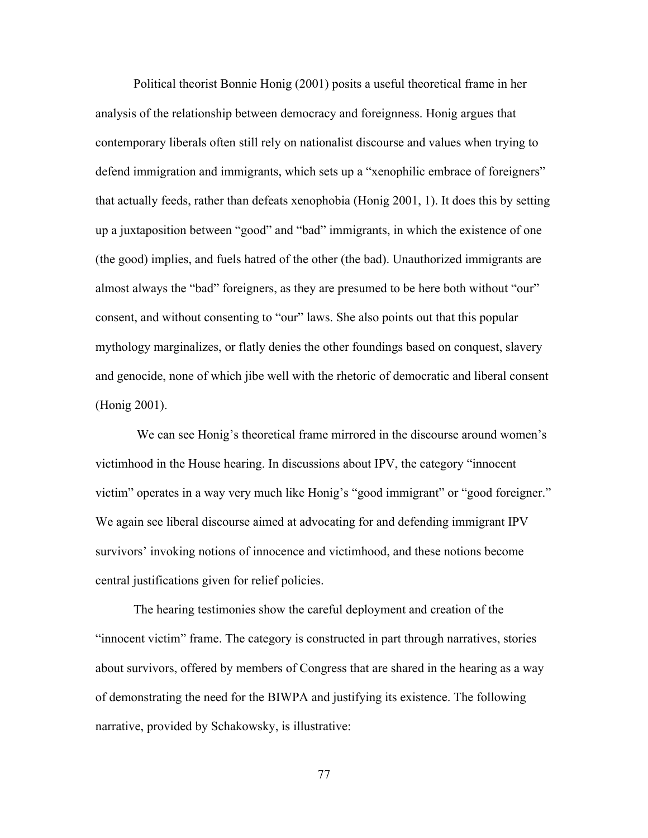Political theorist Bonnie Honig (2001) posits a useful theoretical frame in her analysis of the relationship between democracy and foreignness. Honig argues that contemporary liberals often still rely on nationalist discourse and values when trying to defend immigration and immigrants, which sets up a "xenophilic embrace of foreigners" that actually feeds, rather than defeats xenophobia (Honig 2001, 1). It does this by setting up a juxtaposition between "good" and "bad" immigrants, in which the existence of one (the good) implies, and fuels hatred of the other (the bad). Unauthorized immigrants are almost always the "bad" foreigners, as they are presumed to be here both without "our" consent, and without consenting to "our" laws. She also points out that this popular mythology marginalizes, or flatly denies the other foundings based on conquest, slavery and genocide, none of which jibe well with the rhetoric of democratic and liberal consent (Honig 2001).

We can see Honig's theoretical frame mirrored in the discourse around women's victimhood in the House hearing. In discussions about IPV, the category "innocent victim" operates in a way very much like Honig's "good immigrant" or "good foreigner." We again see liberal discourse aimed at advocating for and defending immigrant IPV survivors' invoking notions of innocence and victimhood, and these notions become central justifications given for relief policies.

The hearing testimonies show the careful deployment and creation of the "innocent victim" frame. The category is constructed in part through narratives, stories about survivors, offered by members of Congress that are shared in the hearing as a way of demonstrating the need for the BIWPA and justifying its existence. The following narrative, provided by Schakowsky, is illustrative: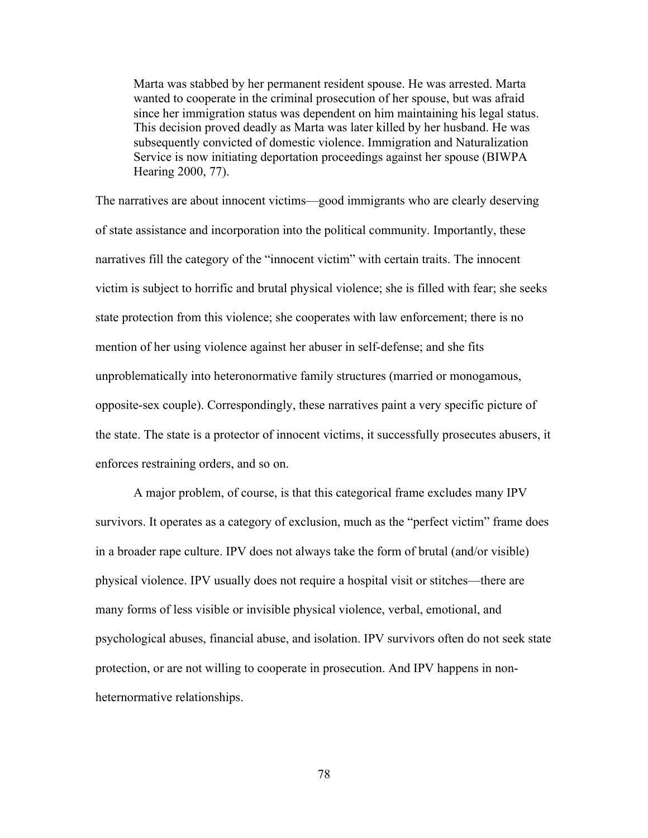Marta was stabbed by her permanent resident spouse. He was arrested. Marta wanted to cooperate in the criminal prosecution of her spouse, but was afraid since her immigration status was dependent on him maintaining his legal status. This decision proved deadly as Marta was later killed by her husband. He was subsequently convicted of domestic violence. Immigration and Naturalization Service is now initiating deportation proceedings against her spouse (BIWPA Hearing 2000, 77).

The narratives are about innocent victims—good immigrants who are clearly deserving of state assistance and incorporation into the political community. Importantly, these narratives fill the category of the "innocent victim" with certain traits. The innocent victim is subject to horrific and brutal physical violence; she is filled with fear; she seeks state protection from this violence; she cooperates with law enforcement; there is no mention of her using violence against her abuser in self-defense; and she fits unproblematically into heteronormative family structures (married or monogamous, opposite-sex couple). Correspondingly, these narratives paint a very specific picture of the state. The state is a protector of innocent victims, it successfully prosecutes abusers, it enforces restraining orders, and so on.

A major problem, of course, is that this categorical frame excludes many IPV survivors. It operates as a category of exclusion, much as the "perfect victim" frame does in a broader rape culture. IPV does not always take the form of brutal (and/or visible) physical violence. IPV usually does not require a hospital visit or stitches—there are many forms of less visible or invisible physical violence, verbal, emotional, and psychological abuses, financial abuse, and isolation. IPV survivors often do not seek state protection, or are not willing to cooperate in prosecution. And IPV happens in nonheternormative relationships.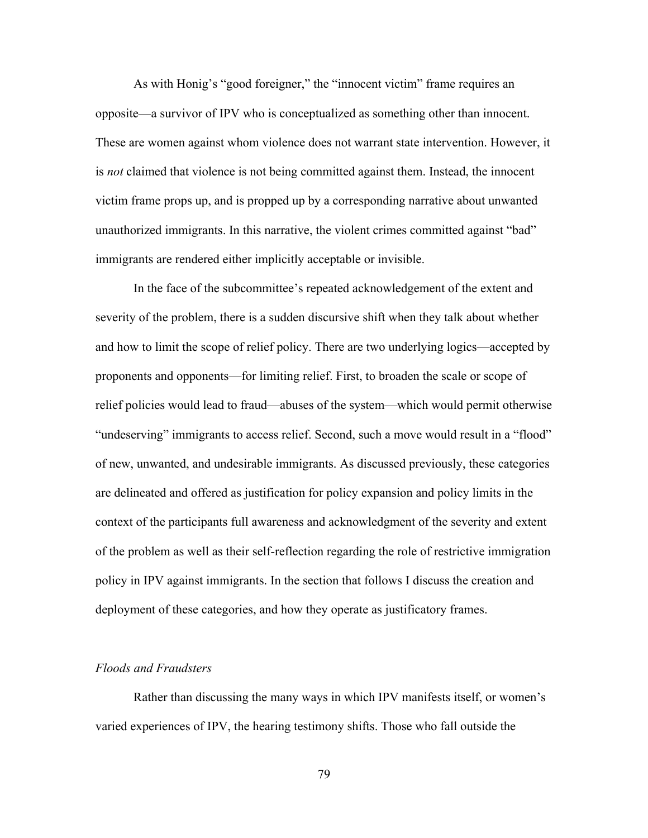As with Honig's "good foreigner," the "innocent victim" frame requires an opposite—a survivor of IPV who is conceptualized as something other than innocent. These are women against whom violence does not warrant state intervention. However, it is *not* claimed that violence is not being committed against them. Instead, the innocent victim frame props up, and is propped up by a corresponding narrative about unwanted unauthorized immigrants. In this narrative, the violent crimes committed against "bad" immigrants are rendered either implicitly acceptable or invisible.

In the face of the subcommittee's repeated acknowledgement of the extent and severity of the problem, there is a sudden discursive shift when they talk about whether and how to limit the scope of relief policy. There are two underlying logics—accepted by proponents and opponents—for limiting relief. First, to broaden the scale or scope of relief policies would lead to fraud—abuses of the system—which would permit otherwise "undeserving" immigrants to access relief. Second, such a move would result in a "flood" of new, unwanted, and undesirable immigrants. As discussed previously, these categories are delineated and offered as justification for policy expansion and policy limits in the context of the participants full awareness and acknowledgment of the severity and extent of the problem as well as their self-reflection regarding the role of restrictive immigration policy in IPV against immigrants. In the section that follows I discuss the creation and deployment of these categories, and how they operate as justificatory frames.

### *Floods and Fraudsters*

Rather than discussing the many ways in which IPV manifests itself, or women's varied experiences of IPV, the hearing testimony shifts. Those who fall outside the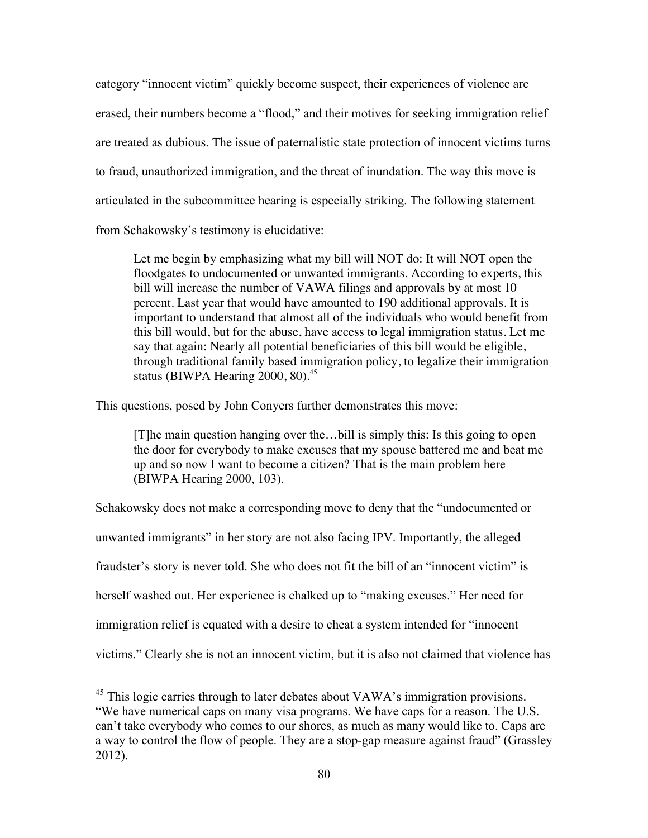category "innocent victim" quickly become suspect, their experiences of violence are erased, their numbers become a "flood," and their motives for seeking immigration relief are treated as dubious. The issue of paternalistic state protection of innocent victims turns to fraud, unauthorized immigration, and the threat of inundation. The way this move is articulated in the subcommittee hearing is especially striking. The following statement from Schakowsky's testimony is elucidative:

Let me begin by emphasizing what my bill will NOT do: It will NOT open the floodgates to undocumented or unwanted immigrants. According to experts, this bill will increase the number of VAWA filings and approvals by at most 10 percent. Last year that would have amounted to 190 additional approvals. It is important to understand that almost all of the individuals who would benefit from this bill would, but for the abuse, have access to legal immigration status. Let me say that again: Nearly all potential beneficiaries of this bill would be eligible, through traditional family based immigration policy, to legalize their immigration status (BIWPA Hearing  $2000$ ,  $80$ ).<sup>45</sup>

This questions, posed by John Conyers further demonstrates this move:

[T]he main question hanging over the…bill is simply this: Is this going to open the door for everybody to make excuses that my spouse battered me and beat me up and so now I want to become a citizen? That is the main problem here (BIWPA Hearing 2000, 103).

Schakowsky does not make a corresponding move to deny that the "undocumented or unwanted immigrants" in her story are not also facing IPV. Importantly, the alleged fraudster's story is never told. She who does not fit the bill of an "innocent victim" is herself washed out. Her experience is chalked up to "making excuses." Her need for immigration relief is equated with a desire to cheat a system intended for "innocent victims." Clearly she is not an innocent victim, but it is also not claimed that violence has

<sup>&</sup>lt;sup>45</sup> This logic carries through to later debates about VAWA's immigration provisions. "We have numerical caps on many visa programs. We have caps for a reason. The U.S. can't take everybody who comes to our shores, as much as many would like to. Caps are a way to control the flow of people. They are a stop-gap measure against fraud" (Grassley 2012).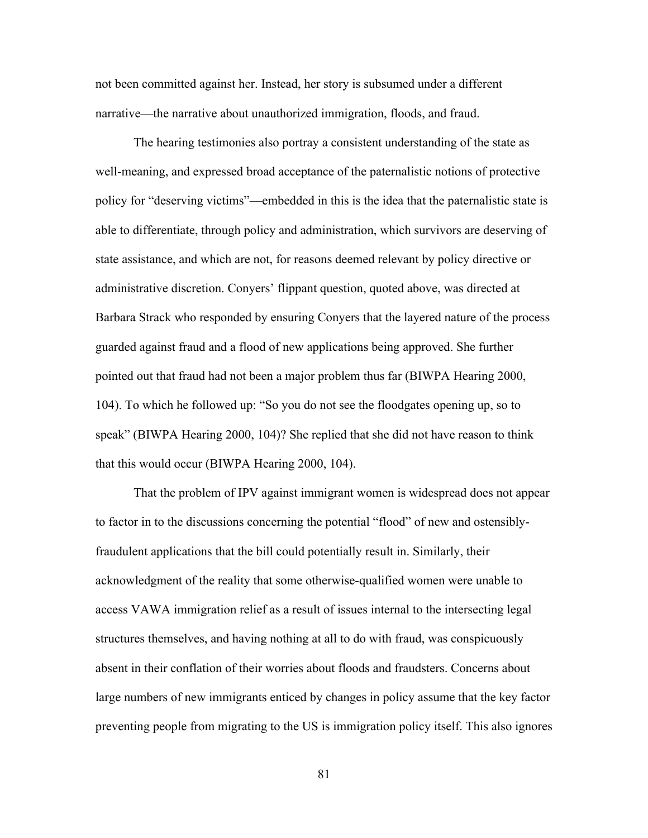not been committed against her. Instead, her story is subsumed under a different narrative—the narrative about unauthorized immigration, floods, and fraud.

The hearing testimonies also portray a consistent understanding of the state as well-meaning, and expressed broad acceptance of the paternalistic notions of protective policy for "deserving victims"—embedded in this is the idea that the paternalistic state is able to differentiate, through policy and administration, which survivors are deserving of state assistance, and which are not, for reasons deemed relevant by policy directive or administrative discretion. Conyers' flippant question, quoted above, was directed at Barbara Strack who responded by ensuring Conyers that the layered nature of the process guarded against fraud and a flood of new applications being approved. She further pointed out that fraud had not been a major problem thus far (BIWPA Hearing 2000, 104). To which he followed up: "So you do not see the floodgates opening up, so to speak" (BIWPA Hearing 2000, 104)? She replied that she did not have reason to think that this would occur (BIWPA Hearing 2000, 104).

That the problem of IPV against immigrant women is widespread does not appear to factor in to the discussions concerning the potential "flood" of new and ostensiblyfraudulent applications that the bill could potentially result in. Similarly, their acknowledgment of the reality that some otherwise-qualified women were unable to access VAWA immigration relief as a result of issues internal to the intersecting legal structures themselves, and having nothing at all to do with fraud, was conspicuously absent in their conflation of their worries about floods and fraudsters. Concerns about large numbers of new immigrants enticed by changes in policy assume that the key factor preventing people from migrating to the US is immigration policy itself. This also ignores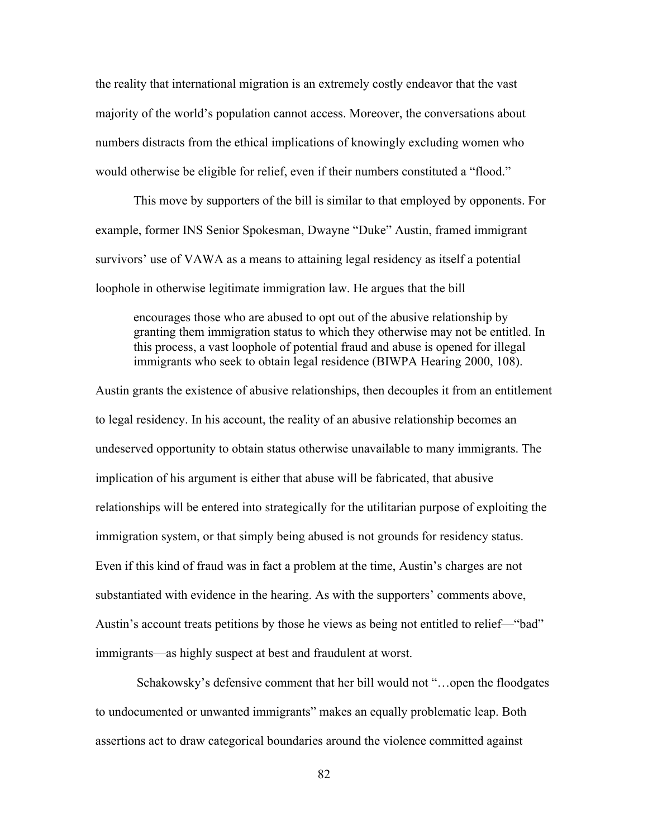the reality that international migration is an extremely costly endeavor that the vast majority of the world's population cannot access. Moreover, the conversations about numbers distracts from the ethical implications of knowingly excluding women who would otherwise be eligible for relief, even if their numbers constituted a "flood."

This move by supporters of the bill is similar to that employed by opponents. For example, former INS Senior Spokesman, Dwayne "Duke" Austin, framed immigrant survivors' use of VAWA as a means to attaining legal residency as itself a potential loophole in otherwise legitimate immigration law. He argues that the bill

encourages those who are abused to opt out of the abusive relationship by granting them immigration status to which they otherwise may not be entitled. In this process, a vast loophole of potential fraud and abuse is opened for illegal immigrants who seek to obtain legal residence (BIWPA Hearing 2000, 108).

Austin grants the existence of abusive relationships, then decouples it from an entitlement to legal residency. In his account, the reality of an abusive relationship becomes an undeserved opportunity to obtain status otherwise unavailable to many immigrants. The implication of his argument is either that abuse will be fabricated, that abusive relationships will be entered into strategically for the utilitarian purpose of exploiting the immigration system, or that simply being abused is not grounds for residency status. Even if this kind of fraud was in fact a problem at the time, Austin's charges are not substantiated with evidence in the hearing. As with the supporters' comments above, Austin's account treats petitions by those he views as being not entitled to relief—"bad" immigrants—as highly suspect at best and fraudulent at worst.

Schakowsky's defensive comment that her bill would not "…open the floodgates to undocumented or unwanted immigrants" makes an equally problematic leap. Both assertions act to draw categorical boundaries around the violence committed against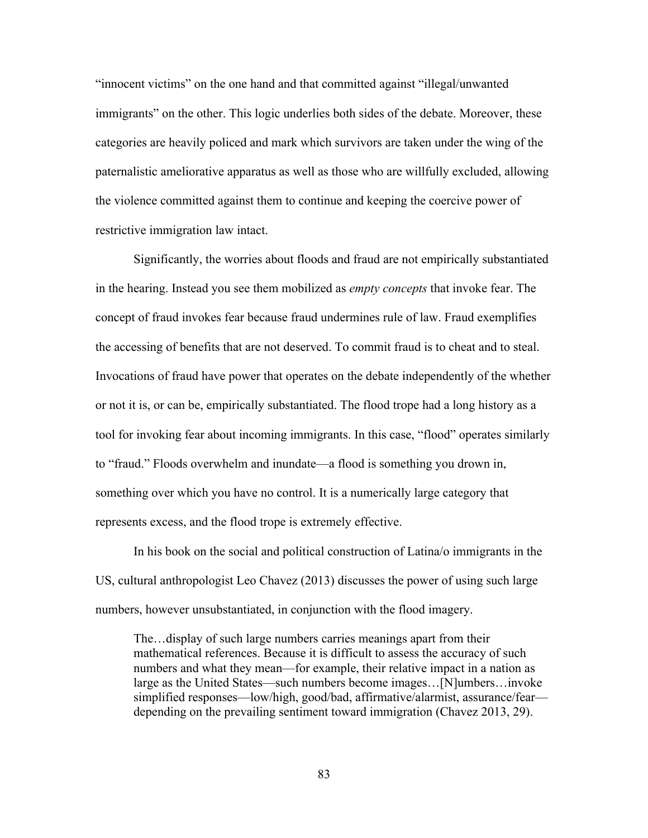"innocent victims" on the one hand and that committed against "illegal/unwanted immigrants" on the other. This logic underlies both sides of the debate. Moreover, these categories are heavily policed and mark which survivors are taken under the wing of the paternalistic ameliorative apparatus as well as those who are willfully excluded, allowing the violence committed against them to continue and keeping the coercive power of restrictive immigration law intact.

Significantly, the worries about floods and fraud are not empirically substantiated in the hearing. Instead you see them mobilized as *empty concepts* that invoke fear. The concept of fraud invokes fear because fraud undermines rule of law. Fraud exemplifies the accessing of benefits that are not deserved. To commit fraud is to cheat and to steal. Invocations of fraud have power that operates on the debate independently of the whether or not it is, or can be, empirically substantiated. The flood trope had a long history as a tool for invoking fear about incoming immigrants. In this case, "flood" operates similarly to "fraud." Floods overwhelm and inundate—a flood is something you drown in, something over which you have no control. It is a numerically large category that represents excess, and the flood trope is extremely effective.

In his book on the social and political construction of Latina/o immigrants in the US, cultural anthropologist Leo Chavez (2013) discusses the power of using such large numbers, however unsubstantiated, in conjunction with the flood imagery.

The…display of such large numbers carries meanings apart from their mathematical references. Because it is difficult to assess the accuracy of such numbers and what they mean—for example, their relative impact in a nation as large as the United States—such numbers become images…[N]umbers…invoke simplified responses—low/high, good/bad, affirmative/alarmist, assurance/fear depending on the prevailing sentiment toward immigration (Chavez 2013, 29).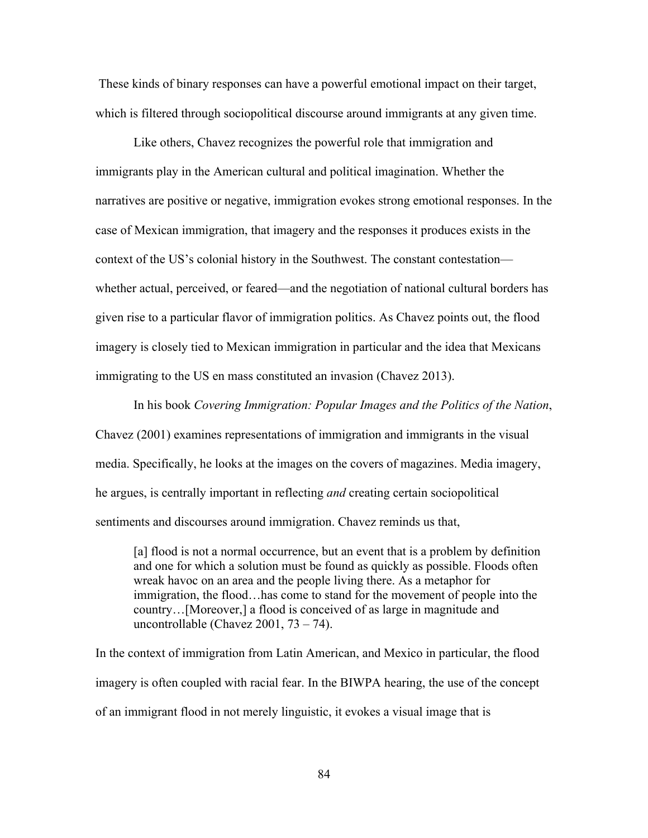These kinds of binary responses can have a powerful emotional impact on their target, which is filtered through sociopolitical discourse around immigrants at any given time.

Like others, Chavez recognizes the powerful role that immigration and immigrants play in the American cultural and political imagination. Whether the narratives are positive or negative, immigration evokes strong emotional responses. In the case of Mexican immigration, that imagery and the responses it produces exists in the context of the US's colonial history in the Southwest. The constant contestation whether actual, perceived, or feared—and the negotiation of national cultural borders has given rise to a particular flavor of immigration politics. As Chavez points out, the flood imagery is closely tied to Mexican immigration in particular and the idea that Mexicans immigrating to the US en mass constituted an invasion (Chavez 2013).

In his book *Covering Immigration: Popular Images and the Politics of the Nation*, Chavez (2001) examines representations of immigration and immigrants in the visual media. Specifically, he looks at the images on the covers of magazines. Media imagery, he argues, is centrally important in reflecting *and* creating certain sociopolitical sentiments and discourses around immigration. Chavez reminds us that,

[a] flood is not a normal occurrence, but an event that is a problem by definition and one for which a solution must be found as quickly as possible. Floods often wreak havoc on an area and the people living there. As a metaphor for immigration, the flood…has come to stand for the movement of people into the country…[Moreover,] a flood is conceived of as large in magnitude and uncontrollable (Chavez 2001,  $73 - 74$ ).

In the context of immigration from Latin American, and Mexico in particular, the flood imagery is often coupled with racial fear. In the BIWPA hearing, the use of the concept of an immigrant flood in not merely linguistic, it evokes a visual image that is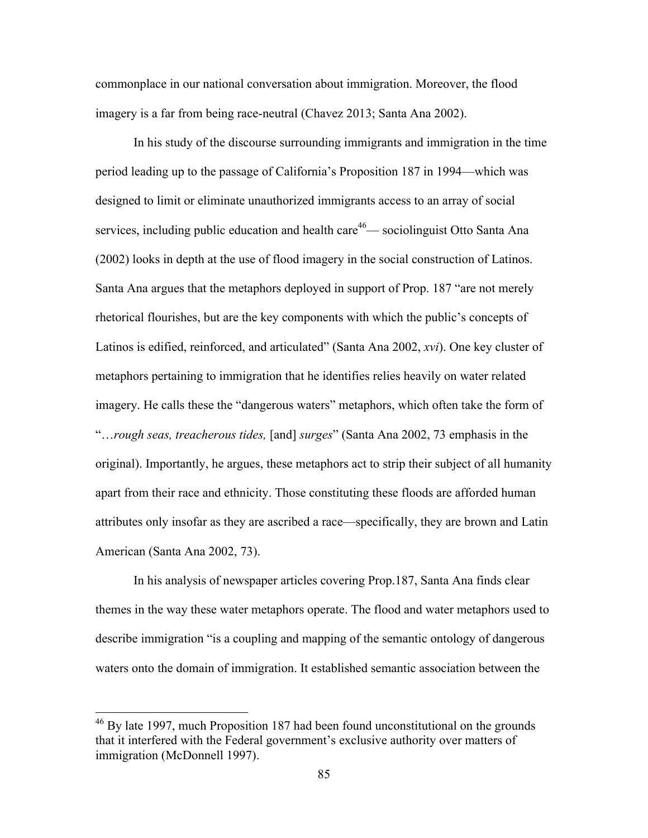commonplace in our national conversation about immigration. Moreover, the flood imagery is a far from being race-neutral (Chavez 2013; Santa Ana 2002).

In his study of the discourse surrounding immigrants and immigration in the time period leading up to the passage of California's Proposition 187 in 1994—which was designed to limit or eliminate unauthorized immigrants access to an array of social services, including public education and health care<sup>46</sup>— sociolinguist Otto Santa Ana (2002) looks in depth at the use of flood imagery in the social construction of Latinos. Santa Ana argues that the metaphors deployed in support of Prop. 187 "are not merely rhetorical flourishes, but are the key components with which the public's concepts of Latinos is edified, reinforced, and articulated" (Santa Ana 2002, *xvi*). One key cluster of metaphors pertaining to immigration that he identifies relies heavily on water related imagery. He calls these the "dangerous waters" metaphors, which often take the form of "…*rough seas, treacherous tides,* [and] *surges*" (Santa Ana 2002, 73 emphasis in the original). Importantly, he argues, these metaphors act to strip their subject of all humanity apart from their race and ethnicity. Those constituting these floods are afforded human attributes only insofar as they are ascribed a race—specifically, they are brown and Latin American (Santa Ana 2002, 73).

In his analysis of newspaper articles covering Prop.187, Santa Ana finds clear themes in the way these water metaphors operate. The flood and water metaphors used to describe immigration "is a coupling and mapping of the semantic ontology of dangerous waters onto the domain of immigration. It established semantic association between the

<sup>&</sup>lt;sup>46</sup> By late 1997, much Proposition 187 had been found unconstitutional on the grounds that it interfered with the Federal government's exclusive authority over matters of immigration (McDonnell 1997).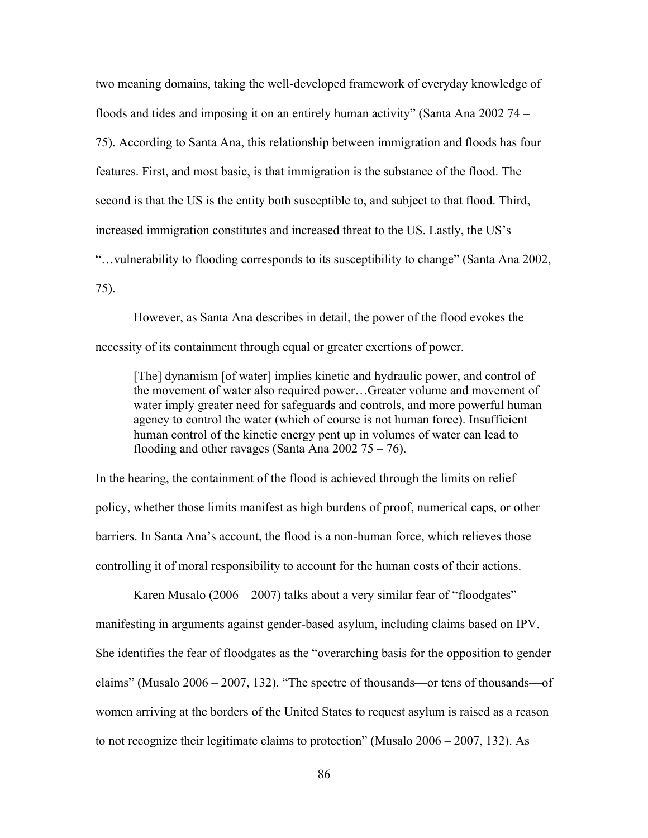two meaning domains, taking the well-developed framework of everyday knowledge of floods and tides and imposing it on an entirely human activity" (Santa Ana 2002 74 – 75). According to Santa Ana, this relationship between immigration and floods has four features. First, and most basic, is that immigration is the substance of the flood. The second is that the US is the entity both susceptible to, and subject to that flood. Third, increased immigration constitutes and increased threat to the US. Lastly, the US's "…vulnerability to flooding corresponds to its susceptibility to change" (Santa Ana 2002, 75).

However, as Santa Ana describes in detail, the power of the flood evokes the necessity of its containment through equal or greater exertions of power.

[The] dynamism [of water] implies kinetic and hydraulic power, and control of the movement of water also required power…Greater volume and movement of water imply greater need for safeguards and controls, and more powerful human agency to control the water (which of course is not human force). Insufficient human control of the kinetic energy pent up in volumes of water can lead to flooding and other ravages (Santa Ana  $2002 \ 75 - 76$ ).

In the hearing, the containment of the flood is achieved through the limits on relief policy, whether those limits manifest as high burdens of proof, numerical caps, or other barriers. In Santa Ana's account, the flood is a non-human force, which relieves those controlling it of moral responsibility to account for the human costs of their actions.

Karen Musalo (2006 – 2007) talks about a very similar fear of "floodgates" manifesting in arguments against gender-based asylum, including claims based on IPV. She identifies the fear of floodgates as the "overarching basis for the opposition to gender claims" (Musalo 2006 – 2007, 132). "The spectre of thousands—or tens of thousands—of women arriving at the borders of the United States to request asylum is raised as a reason to not recognize their legitimate claims to protection" (Musalo 2006 – 2007, 132). As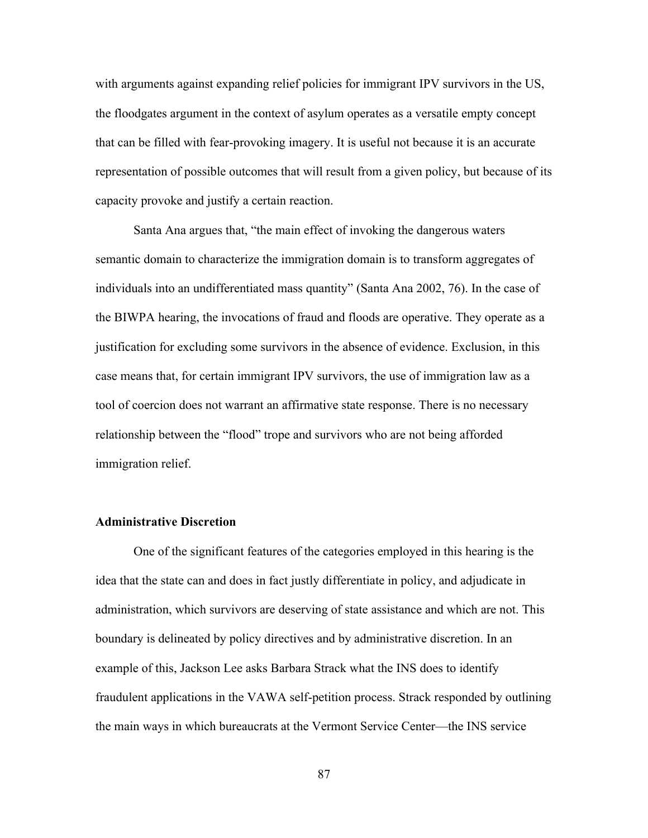with arguments against expanding relief policies for immigrant IPV survivors in the US, the floodgates argument in the context of asylum operates as a versatile empty concept that can be filled with fear-provoking imagery. It is useful not because it is an accurate representation of possible outcomes that will result from a given policy, but because of its capacity provoke and justify a certain reaction.

Santa Ana argues that, "the main effect of invoking the dangerous waters semantic domain to characterize the immigration domain is to transform aggregates of individuals into an undifferentiated mass quantity" (Santa Ana 2002, 76). In the case of the BIWPA hearing, the invocations of fraud and floods are operative. They operate as a justification for excluding some survivors in the absence of evidence. Exclusion, in this case means that, for certain immigrant IPV survivors, the use of immigration law as a tool of coercion does not warrant an affirmative state response. There is no necessary relationship between the "flood" trope and survivors who are not being afforded immigration relief.

# **Administrative Discretion**

One of the significant features of the categories employed in this hearing is the idea that the state can and does in fact justly differentiate in policy, and adjudicate in administration, which survivors are deserving of state assistance and which are not. This boundary is delineated by policy directives and by administrative discretion. In an example of this, Jackson Lee asks Barbara Strack what the INS does to identify fraudulent applications in the VAWA self-petition process. Strack responded by outlining the main ways in which bureaucrats at the Vermont Service Center—the INS service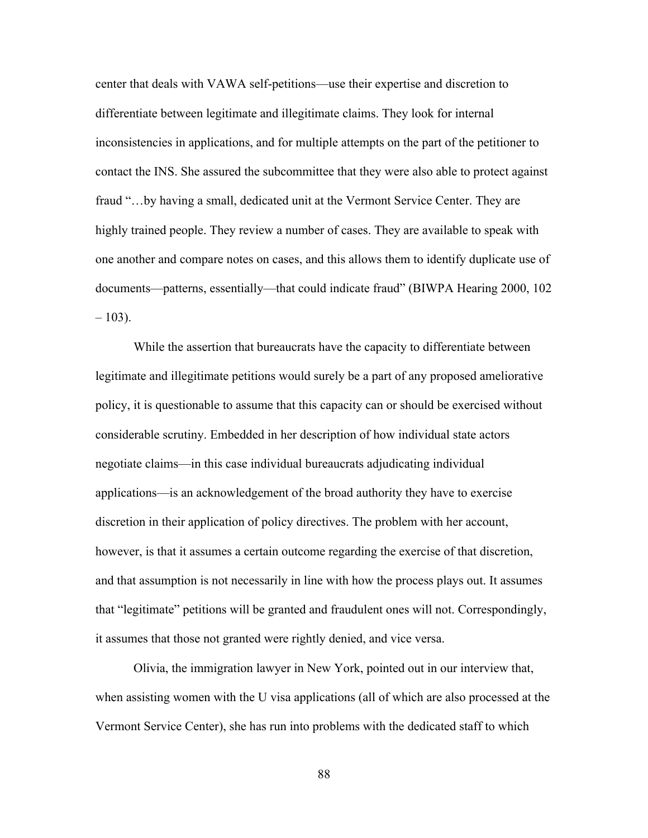center that deals with VAWA self-petitions—use their expertise and discretion to differentiate between legitimate and illegitimate claims. They look for internal inconsistencies in applications, and for multiple attempts on the part of the petitioner to contact the INS. She assured the subcommittee that they were also able to protect against fraud "…by having a small, dedicated unit at the Vermont Service Center. They are highly trained people. They review a number of cases. They are available to speak with one another and compare notes on cases, and this allows them to identify duplicate use of documents—patterns, essentially—that could indicate fraud" (BIWPA Hearing 2000, 102  $-103$ ).

While the assertion that bureaucrats have the capacity to differentiate between legitimate and illegitimate petitions would surely be a part of any proposed ameliorative policy, it is questionable to assume that this capacity can or should be exercised without considerable scrutiny. Embedded in her description of how individual state actors negotiate claims—in this case individual bureaucrats adjudicating individual applications—is an acknowledgement of the broad authority they have to exercise discretion in their application of policy directives. The problem with her account, however, is that it assumes a certain outcome regarding the exercise of that discretion, and that assumption is not necessarily in line with how the process plays out. It assumes that "legitimate" petitions will be granted and fraudulent ones will not. Correspondingly, it assumes that those not granted were rightly denied, and vice versa.

Olivia, the immigration lawyer in New York, pointed out in our interview that, when assisting women with the U visa applications (all of which are also processed at the Vermont Service Center), she has run into problems with the dedicated staff to which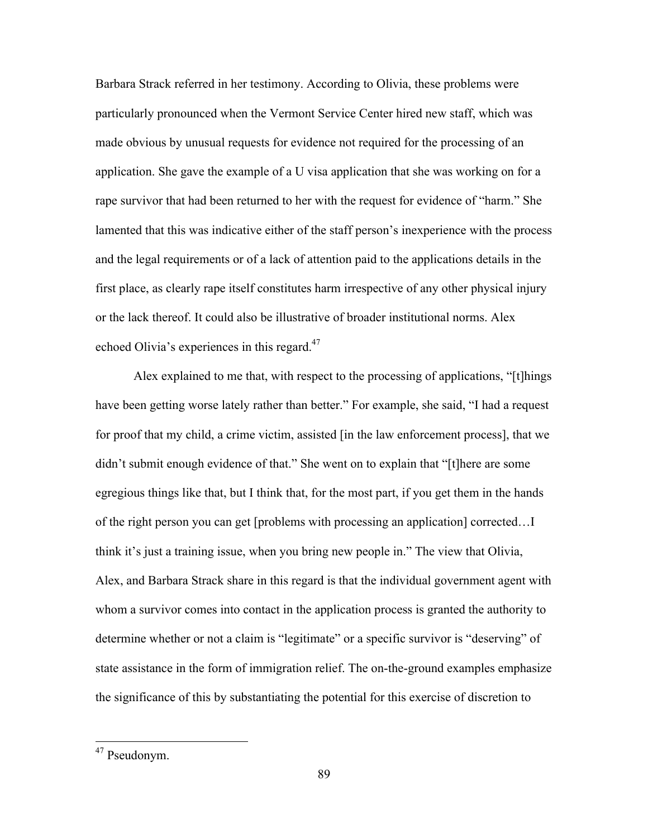Barbara Strack referred in her testimony. According to Olivia, these problems were particularly pronounced when the Vermont Service Center hired new staff, which was made obvious by unusual requests for evidence not required for the processing of an application. She gave the example of a U visa application that she was working on for a rape survivor that had been returned to her with the request for evidence of "harm." She lamented that this was indicative either of the staff person's inexperience with the process and the legal requirements or of a lack of attention paid to the applications details in the first place, as clearly rape itself constitutes harm irrespective of any other physical injury or the lack thereof. It could also be illustrative of broader institutional norms. Alex echoed Olivia's experiences in this regard.<sup>47</sup>

Alex explained to me that, with respect to the processing of applications, "[t]hings have been getting worse lately rather than better." For example, she said, "I had a request for proof that my child, a crime victim, assisted [in the law enforcement process], that we didn't submit enough evidence of that." She went on to explain that "[t]here are some egregious things like that, but I think that, for the most part, if you get them in the hands of the right person you can get [problems with processing an application] corrected…I think it's just a training issue, when you bring new people in." The view that Olivia, Alex, and Barbara Strack share in this regard is that the individual government agent with whom a survivor comes into contact in the application process is granted the authority to determine whether or not a claim is "legitimate" or a specific survivor is "deserving" of state assistance in the form of immigration relief. The on-the-ground examples emphasize the significance of this by substantiating the potential for this exercise of discretion to

 <sup>47</sup> Pseudonym.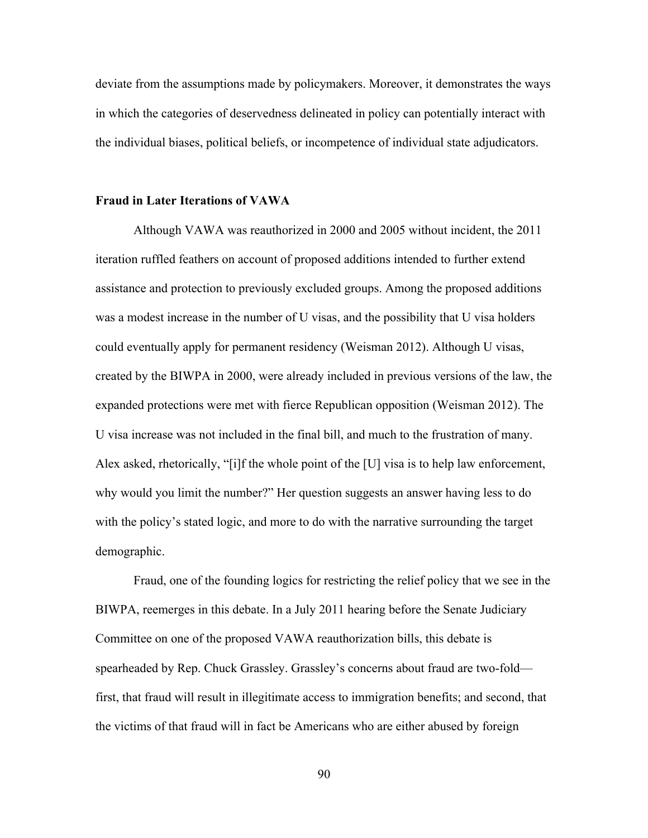deviate from the assumptions made by policymakers. Moreover, it demonstrates the ways in which the categories of deservedness delineated in policy can potentially interact with the individual biases, political beliefs, or incompetence of individual state adjudicators.

#### **Fraud in Later Iterations of VAWA**

Although VAWA was reauthorized in 2000 and 2005 without incident, the 2011 iteration ruffled feathers on account of proposed additions intended to further extend assistance and protection to previously excluded groups. Among the proposed additions was a modest increase in the number of U visas, and the possibility that U visa holders could eventually apply for permanent residency (Weisman 2012). Although U visas, created by the BIWPA in 2000, were already included in previous versions of the law, the expanded protections were met with fierce Republican opposition (Weisman 2012). The U visa increase was not included in the final bill, and much to the frustration of many. Alex asked, rhetorically, "[i]f the whole point of the [U] visa is to help law enforcement, why would you limit the number?" Her question suggests an answer having less to do with the policy's stated logic, and more to do with the narrative surrounding the target demographic.

Fraud, one of the founding logics for restricting the relief policy that we see in the BIWPA, reemerges in this debate. In a July 2011 hearing before the Senate Judiciary Committee on one of the proposed VAWA reauthorization bills, this debate is spearheaded by Rep. Chuck Grassley. Grassley's concerns about fraud are two-fold first, that fraud will result in illegitimate access to immigration benefits; and second, that the victims of that fraud will in fact be Americans who are either abused by foreign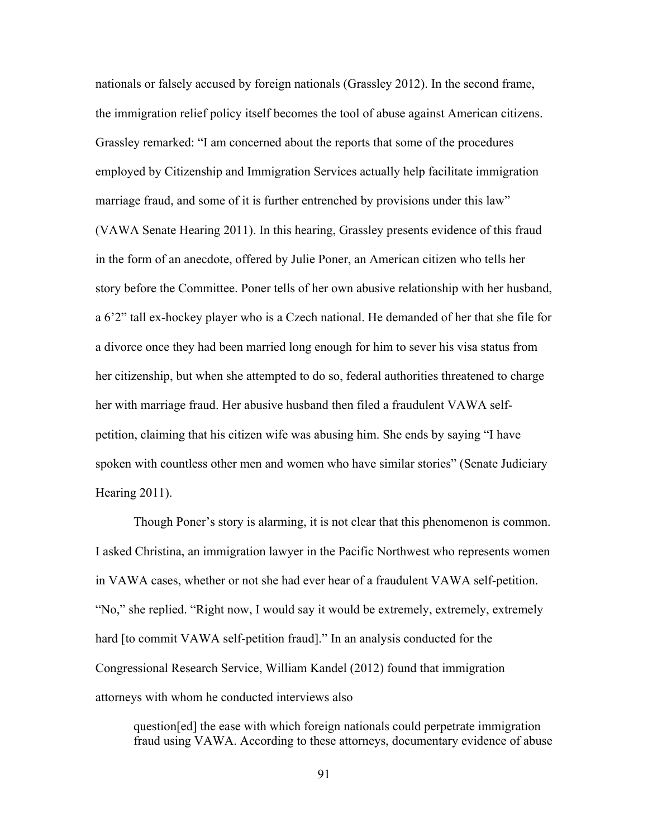nationals or falsely accused by foreign nationals (Grassley 2012). In the second frame, the immigration relief policy itself becomes the tool of abuse against American citizens. Grassley remarked: "I am concerned about the reports that some of the procedures employed by Citizenship and Immigration Services actually help facilitate immigration marriage fraud, and some of it is further entrenched by provisions under this law" (VAWA Senate Hearing 2011). In this hearing, Grassley presents evidence of this fraud in the form of an anecdote, offered by Julie Poner, an American citizen who tells her story before the Committee. Poner tells of her own abusive relationship with her husband, a 6'2" tall ex-hockey player who is a Czech national. He demanded of her that she file for a divorce once they had been married long enough for him to sever his visa status from her citizenship, but when she attempted to do so, federal authorities threatened to charge her with marriage fraud. Her abusive husband then filed a fraudulent VAWA selfpetition, claiming that his citizen wife was abusing him. She ends by saying "I have spoken with countless other men and women who have similar stories" (Senate Judiciary Hearing 2011).

Though Poner's story is alarming, it is not clear that this phenomenon is common. I asked Christina, an immigration lawyer in the Pacific Northwest who represents women in VAWA cases, whether or not she had ever hear of a fraudulent VAWA self-petition. "No," she replied. "Right now, I would say it would be extremely, extremely, extremely hard [to commit VAWA self-petition fraud]." In an analysis conducted for the Congressional Research Service, William Kandel (2012) found that immigration attorneys with whom he conducted interviews also

question[ed] the ease with which foreign nationals could perpetrate immigration fraud using VAWA. According to these attorneys, documentary evidence of abuse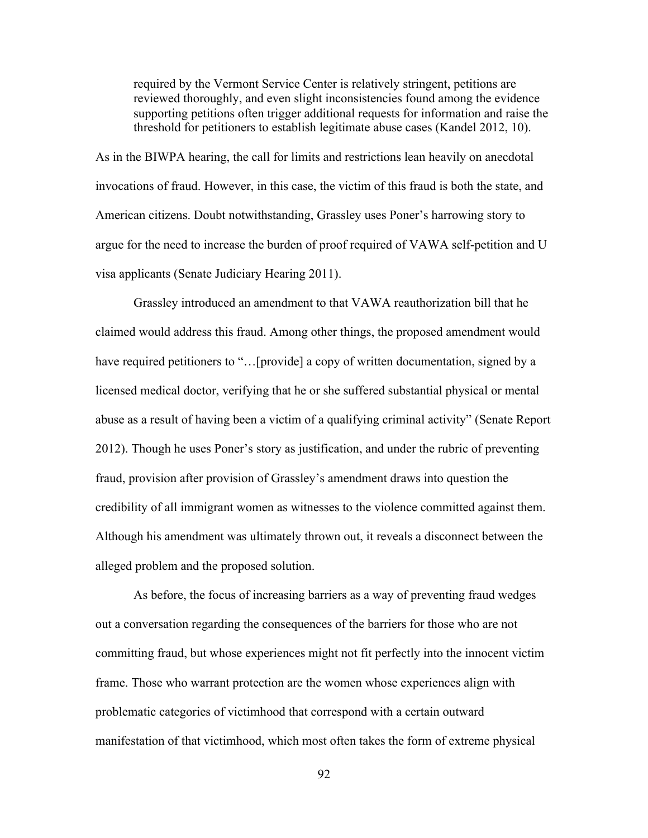required by the Vermont Service Center is relatively stringent, petitions are reviewed thoroughly, and even slight inconsistencies found among the evidence supporting petitions often trigger additional requests for information and raise the threshold for petitioners to establish legitimate abuse cases (Kandel 2012, 10).

As in the BIWPA hearing, the call for limits and restrictions lean heavily on anecdotal invocations of fraud. However, in this case, the victim of this fraud is both the state, and American citizens. Doubt notwithstanding, Grassley uses Poner's harrowing story to argue for the need to increase the burden of proof required of VAWA self-petition and U visa applicants (Senate Judiciary Hearing 2011).

Grassley introduced an amendment to that VAWA reauthorization bill that he claimed would address this fraud. Among other things, the proposed amendment would have required petitioners to "...[provide] a copy of written documentation, signed by a licensed medical doctor, verifying that he or she suffered substantial physical or mental abuse as a result of having been a victim of a qualifying criminal activity" (Senate Report 2012). Though he uses Poner's story as justification, and under the rubric of preventing fraud, provision after provision of Grassley's amendment draws into question the credibility of all immigrant women as witnesses to the violence committed against them. Although his amendment was ultimately thrown out, it reveals a disconnect between the alleged problem and the proposed solution.

As before, the focus of increasing barriers as a way of preventing fraud wedges out a conversation regarding the consequences of the barriers for those who are not committing fraud, but whose experiences might not fit perfectly into the innocent victim frame. Those who warrant protection are the women whose experiences align with problematic categories of victimhood that correspond with a certain outward manifestation of that victimhood, which most often takes the form of extreme physical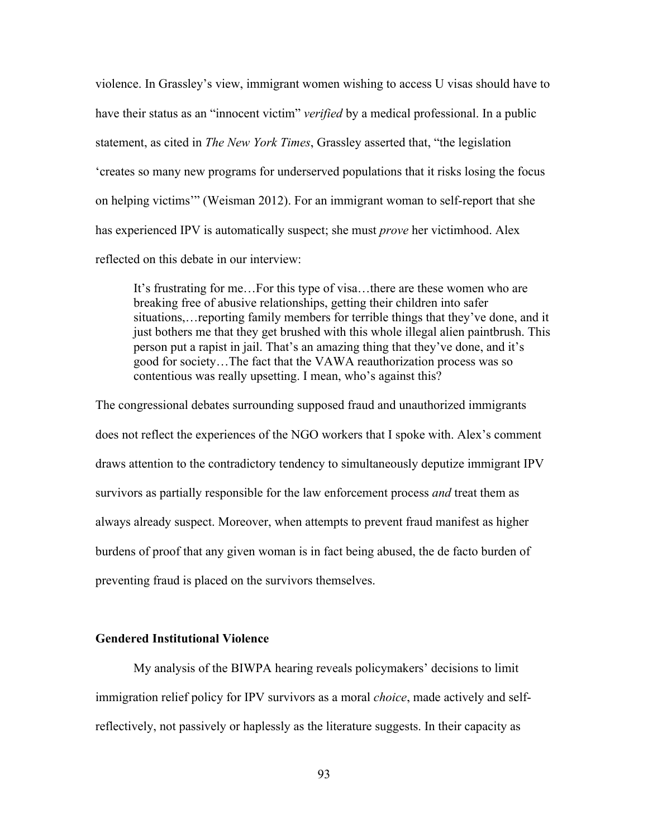violence. In Grassley's view, immigrant women wishing to access U visas should have to have their status as an "innocent victim" *verified* by a medical professional. In a public statement, as cited in *The New York Times*, Grassley asserted that, "the legislation 'creates so many new programs for underserved populations that it risks losing the focus on helping victims'" (Weisman 2012). For an immigrant woman to self-report that she has experienced IPV is automatically suspect; she must *prove* her victimhood. Alex reflected on this debate in our interview:

It's frustrating for me…For this type of visa…there are these women who are breaking free of abusive relationships, getting their children into safer situations,…reporting family members for terrible things that they've done, and it just bothers me that they get brushed with this whole illegal alien paintbrush. This person put a rapist in jail. That's an amazing thing that they've done, and it's good for society…The fact that the VAWA reauthorization process was so contentious was really upsetting. I mean, who's against this?

The congressional debates surrounding supposed fraud and unauthorized immigrants does not reflect the experiences of the NGO workers that I spoke with. Alex's comment draws attention to the contradictory tendency to simultaneously deputize immigrant IPV survivors as partially responsible for the law enforcement process *and* treat them as always already suspect. Moreover, when attempts to prevent fraud manifest as higher burdens of proof that any given woman is in fact being abused, the de facto burden of preventing fraud is placed on the survivors themselves.

### **Gendered Institutional Violence**

My analysis of the BIWPA hearing reveals policymakers' decisions to limit immigration relief policy for IPV survivors as a moral *choice*, made actively and selfreflectively, not passively or haplessly as the literature suggests. In their capacity as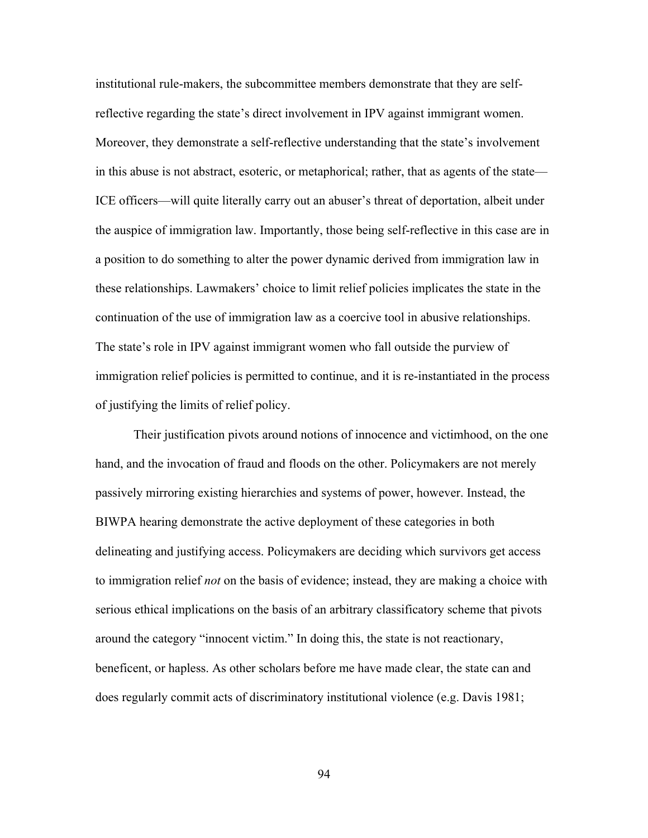institutional rule-makers, the subcommittee members demonstrate that they are selfreflective regarding the state's direct involvement in IPV against immigrant women. Moreover, they demonstrate a self-reflective understanding that the state's involvement in this abuse is not abstract, esoteric, or metaphorical; rather, that as agents of the state— ICE officers—will quite literally carry out an abuser's threat of deportation, albeit under the auspice of immigration law. Importantly, those being self-reflective in this case are in a position to do something to alter the power dynamic derived from immigration law in these relationships. Lawmakers' choice to limit relief policies implicates the state in the continuation of the use of immigration law as a coercive tool in abusive relationships. The state's role in IPV against immigrant women who fall outside the purview of immigration relief policies is permitted to continue, and it is re-instantiated in the process of justifying the limits of relief policy.

Their justification pivots around notions of innocence and victimhood, on the one hand, and the invocation of fraud and floods on the other. Policymakers are not merely passively mirroring existing hierarchies and systems of power, however. Instead, the BIWPA hearing demonstrate the active deployment of these categories in both delineating and justifying access. Policymakers are deciding which survivors get access to immigration relief *not* on the basis of evidence; instead, they are making a choice with serious ethical implications on the basis of an arbitrary classificatory scheme that pivots around the category "innocent victim." In doing this, the state is not reactionary, beneficent, or hapless. As other scholars before me have made clear, the state can and does regularly commit acts of discriminatory institutional violence (e.g. Davis 1981;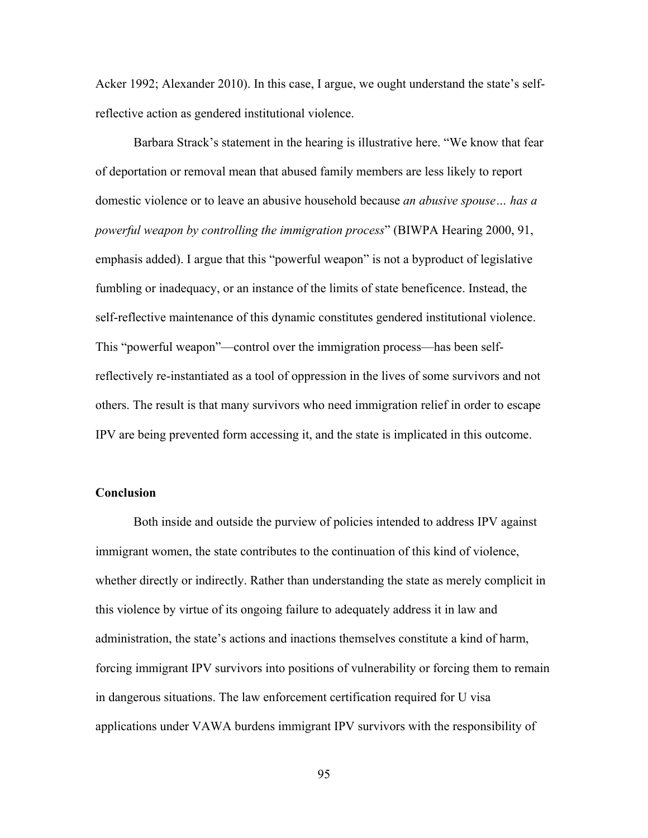Acker 1992; Alexander 2010). In this case, I argue, we ought understand the state's selfreflective action as gendered institutional violence.

Barbara Strack's statement in the hearing is illustrative here. "We know that fear of deportation or removal mean that abused family members are less likely to report domestic violence or to leave an abusive household because *an abusive spouse… has a powerful weapon by controlling the immigration process*" (BIWPA Hearing 2000, 91, emphasis added). I argue that this "powerful weapon" is not a byproduct of legislative fumbling or inadequacy, or an instance of the limits of state beneficence. Instead, the self-reflective maintenance of this dynamic constitutes gendered institutional violence. This "powerful weapon"—control over the immigration process—has been selfreflectively re-instantiated as a tool of oppression in the lives of some survivors and not others. The result is that many survivors who need immigration relief in order to escape IPV are being prevented form accessing it, and the state is implicated in this outcome.

# **Conclusion**

Both inside and outside the purview of policies intended to address IPV against immigrant women, the state contributes to the continuation of this kind of violence, whether directly or indirectly. Rather than understanding the state as merely complicit in this violence by virtue of its ongoing failure to adequately address it in law and administration, the state's actions and inactions themselves constitute a kind of harm, forcing immigrant IPV survivors into positions of vulnerability or forcing them to remain in dangerous situations. The law enforcement certification required for U visa applications under VAWA burdens immigrant IPV survivors with the responsibility of

95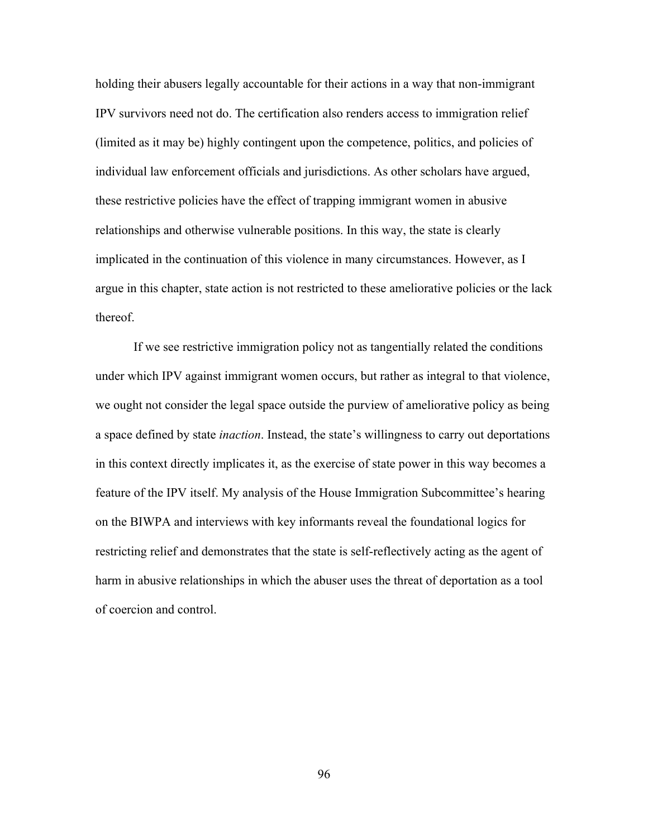holding their abusers legally accountable for their actions in a way that non-immigrant IPV survivors need not do. The certification also renders access to immigration relief (limited as it may be) highly contingent upon the competence, politics, and policies of individual law enforcement officials and jurisdictions. As other scholars have argued, these restrictive policies have the effect of trapping immigrant women in abusive relationships and otherwise vulnerable positions. In this way, the state is clearly implicated in the continuation of this violence in many circumstances. However, as I argue in this chapter, state action is not restricted to these ameliorative policies or the lack thereof.

If we see restrictive immigration policy not as tangentially related the conditions under which IPV against immigrant women occurs, but rather as integral to that violence, we ought not consider the legal space outside the purview of ameliorative policy as being a space defined by state *inaction*. Instead, the state's willingness to carry out deportations in this context directly implicates it, as the exercise of state power in this way becomes a feature of the IPV itself. My analysis of the House Immigration Subcommittee's hearing on the BIWPA and interviews with key informants reveal the foundational logics for restricting relief and demonstrates that the state is self-reflectively acting as the agent of harm in abusive relationships in which the abuser uses the threat of deportation as a tool of coercion and control.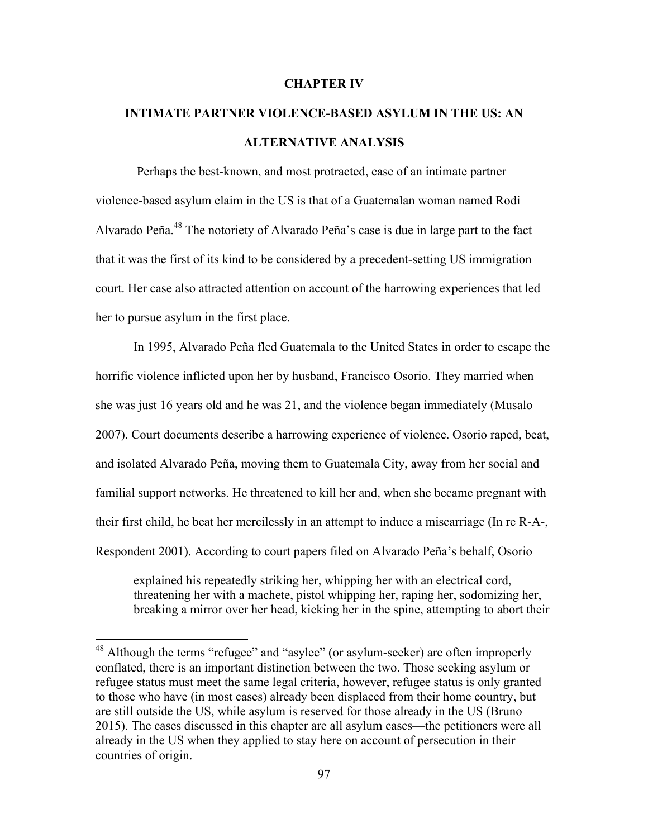#### **CHAPTER IV**

# **INTIMATE PARTNER VIOLENCE-BASED ASYLUM IN THE US: AN ALTERNATIVE ANALYSIS**

Perhaps the best-known, and most protracted, case of an intimate partner violence-based asylum claim in the US is that of a Guatemalan woman named Rodi Alvarado Peña.48 The notoriety of Alvarado Peña's case is due in large part to the fact that it was the first of its kind to be considered by a precedent-setting US immigration court. Her case also attracted attention on account of the harrowing experiences that led her to pursue asylum in the first place.

In 1995, Alvarado Peña fled Guatemala to the United States in order to escape the horrific violence inflicted upon her by husband, Francisco Osorio. They married when she was just 16 years old and he was 21, and the violence began immediately (Musalo 2007). Court documents describe a harrowing experience of violence. Osorio raped, beat, and isolated Alvarado Peña, moving them to Guatemala City, away from her social and familial support networks. He threatened to kill her and, when she became pregnant with their first child, he beat her mercilessly in an attempt to induce a miscarriage (In re R-A-, Respondent 2001). According to court papers filed on Alvarado Peña's behalf, Osorio

explained his repeatedly striking her, whipping her with an electrical cord, threatening her with a machete, pistol whipping her, raping her, sodomizing her, breaking a mirror over her head, kicking her in the spine, attempting to abort their

<sup>&</sup>lt;sup>48</sup> Although the terms "refugee" and "asylee" (or asylum-seeker) are often improperly conflated, there is an important distinction between the two. Those seeking asylum or refugee status must meet the same legal criteria, however, refugee status is only granted to those who have (in most cases) already been displaced from their home country, but are still outside the US, while asylum is reserved for those already in the US (Bruno 2015). The cases discussed in this chapter are all asylum cases—the petitioners were all already in the US when they applied to stay here on account of persecution in their countries of origin.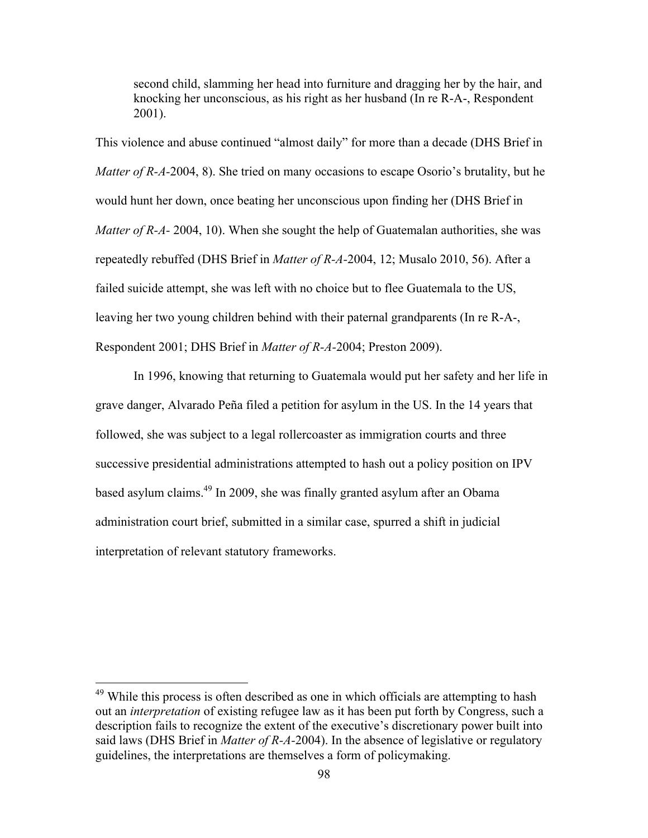second child, slamming her head into furniture and dragging her by the hair, and knocking her unconscious, as his right as her husband (In re R-A-, Respondent 2001).

This violence and abuse continued "almost daily" for more than a decade (DHS Brief in *Matter of R-A-*2004, 8). She tried on many occasions to escape Osorio's brutality, but he would hunt her down, once beating her unconscious upon finding her (DHS Brief in *Matter of R-A-* 2004, 10). When she sought the help of Guatemalan authorities, she was repeatedly rebuffed (DHS Brief in *Matter of R-A-*2004, 12; Musalo 2010, 56). After a failed suicide attempt, she was left with no choice but to flee Guatemala to the US, leaving her two young children behind with their paternal grandparents (In re R-A-, Respondent 2001; DHS Brief in *Matter of R-A-*2004; Preston 2009).

In 1996, knowing that returning to Guatemala would put her safety and her life in grave danger, Alvarado Peña filed a petition for asylum in the US. In the 14 years that followed, she was subject to a legal rollercoaster as immigration courts and three successive presidential administrations attempted to hash out a policy position on IPV based asylum claims.49 In 2009, she was finally granted asylum after an Obama administration court brief, submitted in a similar case, spurred a shift in judicial interpretation of relevant statutory frameworks.

<sup>&</sup>lt;sup>49</sup> While this process is often described as one in which officials are attempting to hash out an *interpretation* of existing refugee law as it has been put forth by Congress, such a description fails to recognize the extent of the executive's discretionary power built into said laws (DHS Brief in *Matter of R-A-*2004). In the absence of legislative or regulatory guidelines, the interpretations are themselves a form of policymaking.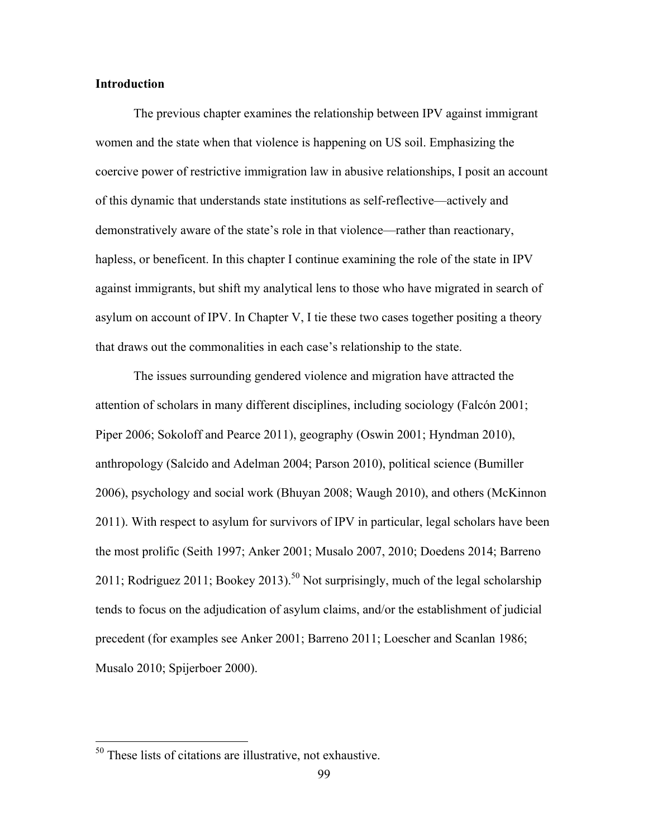# **Introduction**

The previous chapter examines the relationship between IPV against immigrant women and the state when that violence is happening on US soil. Emphasizing the coercive power of restrictive immigration law in abusive relationships, I posit an account of this dynamic that understands state institutions as self-reflective—actively and demonstratively aware of the state's role in that violence—rather than reactionary, hapless, or beneficent. In this chapter I continue examining the role of the state in IPV against immigrants, but shift my analytical lens to those who have migrated in search of asylum on account of IPV. In Chapter V, I tie these two cases together positing a theory that draws out the commonalities in each case's relationship to the state.

The issues surrounding gendered violence and migration have attracted the attention of scholars in many different disciplines, including sociology (Falcón 2001; Piper 2006; Sokoloff and Pearce 2011), geography (Oswin 2001; Hyndman 2010), anthropology (Salcido and Adelman 2004; Parson 2010), political science (Bumiller 2006), psychology and social work (Bhuyan 2008; Waugh 2010), and others (McKinnon 2011). With respect to asylum for survivors of IPV in particular, legal scholars have been the most prolific (Seith 1997; Anker 2001; Musalo 2007, 2010; Doedens 2014; Barreno 2011; Rodriguez 2011; Bookey 2013).<sup>50</sup> Not surprisingly, much of the legal scholarship tends to focus on the adjudication of asylum claims, and/or the establishment of judicial precedent (for examples see Anker 2001; Barreno 2011; Loescher and Scanlan 1986; Musalo 2010; Spijerboer 2000).

 <sup>50</sup> These lists of citations are illustrative, not exhaustive.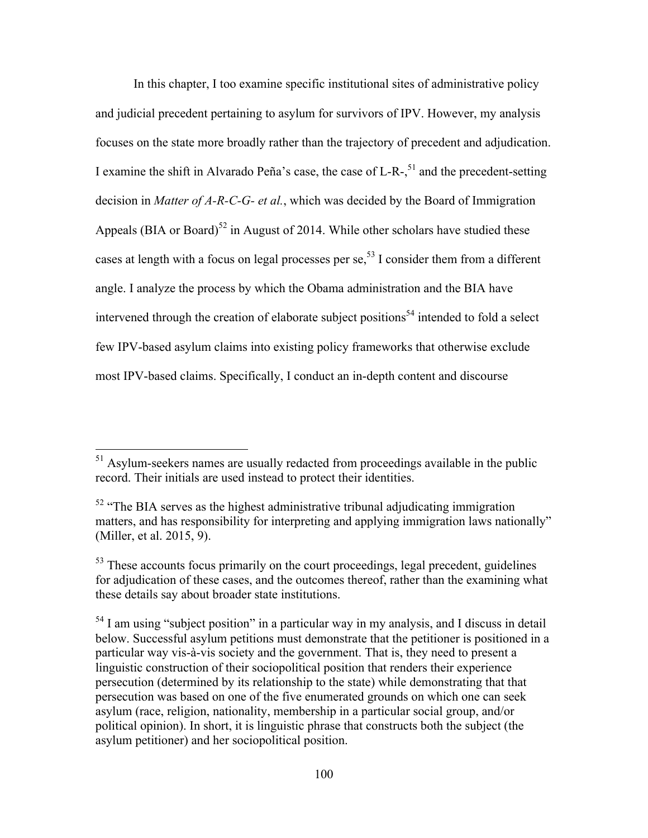In this chapter, I too examine specific institutional sites of administrative policy and judicial precedent pertaining to asylum for survivors of IPV. However, my analysis focuses on the state more broadly rather than the trajectory of precedent and adjudication. I examine the shift in Alvarado Peña's case, the case of L-R-,<sup>51</sup> and the precedent-setting decision in *Matter of A-R-C-G- et al.*, which was decided by the Board of Immigration Appeals (BIA or Board)<sup>52</sup> in August of 2014. While other scholars have studied these cases at length with a focus on legal processes per se,  $5<sup>3</sup>$  I consider them from a different angle. I analyze the process by which the Obama administration and the BIA have intervened through the creation of elaborate subject positions<sup>54</sup> intended to fold a select few IPV-based asylum claims into existing policy frameworks that otherwise exclude most IPV-based claims. Specifically, I conduct an in-depth content and discourse

<sup>&</sup>lt;sup>51</sup> Asylum-seekers names are usually redacted from proceedings available in the public record. Their initials are used instead to protect their identities.

 $52$  "The BIA serves as the highest administrative tribunal adjudicating immigration matters, and has responsibility for interpreting and applying immigration laws nationally" (Miller, et al. 2015, 9).

<sup>&</sup>lt;sup>53</sup> These accounts focus primarily on the court proceedings, legal precedent, guidelines for adjudication of these cases, and the outcomes thereof, rather than the examining what these details say about broader state institutions.

 $<sup>54</sup>$  I am using "subject position" in a particular way in my analysis, and I discuss in detail</sup> below. Successful asylum petitions must demonstrate that the petitioner is positioned in a particular way vis-à-vis society and the government. That is, they need to present a linguistic construction of their sociopolitical position that renders their experience persecution (determined by its relationship to the state) while demonstrating that that persecution was based on one of the five enumerated grounds on which one can seek asylum (race, religion, nationality, membership in a particular social group, and/or political opinion). In short, it is linguistic phrase that constructs both the subject (the asylum petitioner) and her sociopolitical position.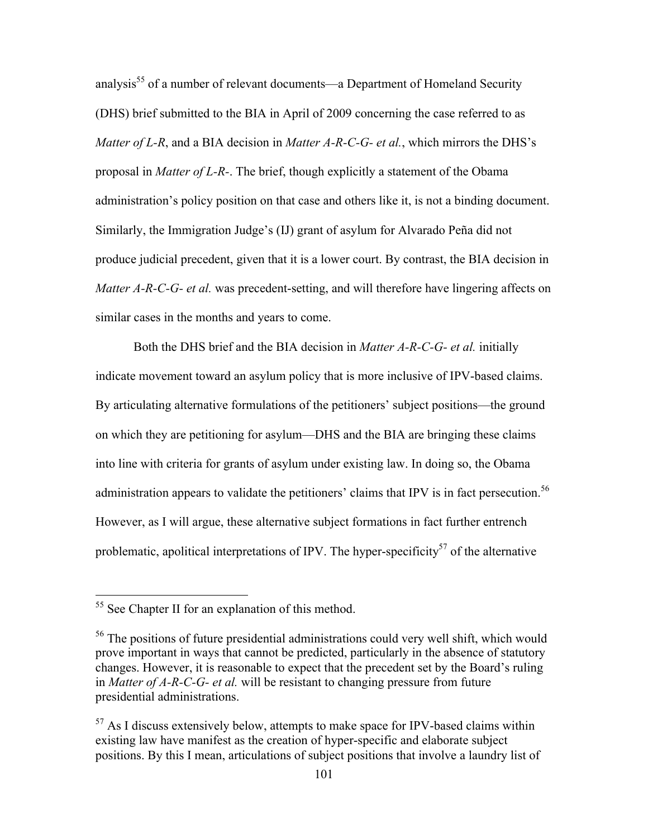analysis<sup>55</sup> of a number of relevant documents—a Department of Homeland Security (DHS) brief submitted to the BIA in April of 2009 concerning the case referred to as *Matter of L-R*, and a BIA decision in *Matter A-R-C-G- et al.*, which mirrors the DHS's proposal in *Matter of L-R-*. The brief, though explicitly a statement of the Obama administration's policy position on that case and others like it, is not a binding document. Similarly, the Immigration Judge's (IJ) grant of asylum for Alvarado Peña did not produce judicial precedent, given that it is a lower court. By contrast, the BIA decision in *Matter A-R-C-G- et al.* was precedent-setting, and will therefore have lingering affects on similar cases in the months and years to come.

Both the DHS brief and the BIA decision in *Matter A-R-C-G- et al.* initially indicate movement toward an asylum policy that is more inclusive of IPV-based claims. By articulating alternative formulations of the petitioners' subject positions—the ground on which they are petitioning for asylum—DHS and the BIA are bringing these claims into line with criteria for grants of asylum under existing law. In doing so, the Obama administration appears to validate the petitioners' claims that IPV is in fact persecution.<sup>56</sup> However, as I will argue, these alternative subject formations in fact further entrench problematic, apolitical interpretations of IPV. The hyper-specificity<sup>57</sup> of the alternative

 <sup>55</sup> See Chapter II for an explanation of this method.

<sup>56</sup> The positions of future presidential administrations could very well shift, which would prove important in ways that cannot be predicted, particularly in the absence of statutory changes. However, it is reasonable to expect that the precedent set by the Board's ruling in *Matter of A-R-C-G- et al.* will be resistant to changing pressure from future presidential administrations.

 $57$  As I discuss extensively below, attempts to make space for IPV-based claims within existing law have manifest as the creation of hyper-specific and elaborate subject positions. By this I mean, articulations of subject positions that involve a laundry list of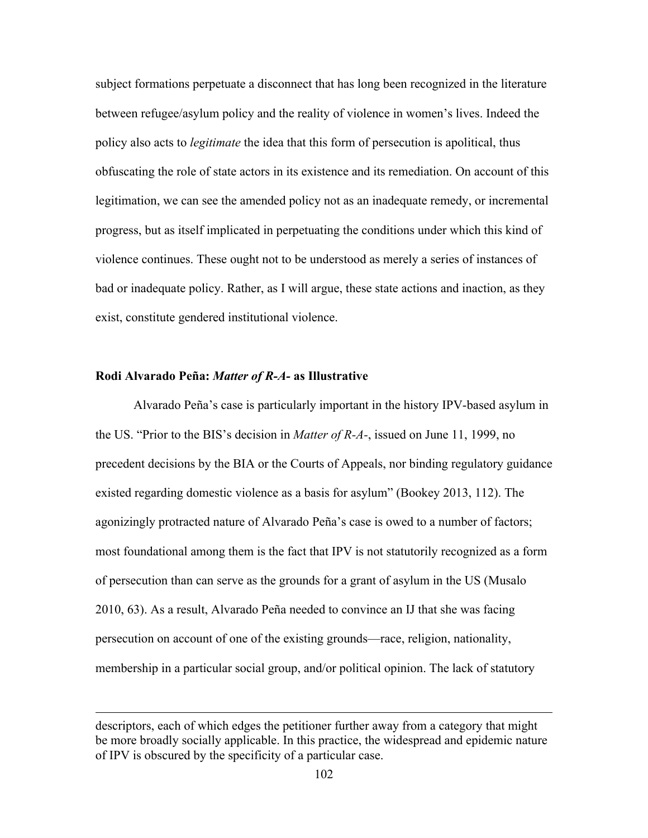subject formations perpetuate a disconnect that has long been recognized in the literature between refugee/asylum policy and the reality of violence in women's lives. Indeed the policy also acts to *legitimate* the idea that this form of persecution is apolitical, thus obfuscating the role of state actors in its existence and its remediation. On account of this legitimation, we can see the amended policy not as an inadequate remedy, or incremental progress, but as itself implicated in perpetuating the conditions under which this kind of violence continues. These ought not to be understood as merely a series of instances of bad or inadequate policy. Rather, as I will argue, these state actions and inaction, as they exist, constitute gendered institutional violence.

# **Rodi Alvarado Peña:** *Matter of R-A-* **as Illustrative**

<u>.</u>

Alvarado Peña's case is particularly important in the history IPV-based asylum in the US. "Prior to the BIS's decision in *Matter of R-A-*, issued on June 11, 1999, no precedent decisions by the BIA or the Courts of Appeals, nor binding regulatory guidance existed regarding domestic violence as a basis for asylum" (Bookey 2013, 112). The agonizingly protracted nature of Alvarado Peña's case is owed to a number of factors; most foundational among them is the fact that IPV is not statutorily recognized as a form of persecution than can serve as the grounds for a grant of asylum in the US (Musalo 2010, 63). As a result, Alvarado Peña needed to convince an IJ that she was facing persecution on account of one of the existing grounds—race, religion, nationality, membership in a particular social group, and/or political opinion. The lack of statutory

descriptors, each of which edges the petitioner further away from a category that might be more broadly socially applicable. In this practice, the widespread and epidemic nature of IPV is obscured by the specificity of a particular case.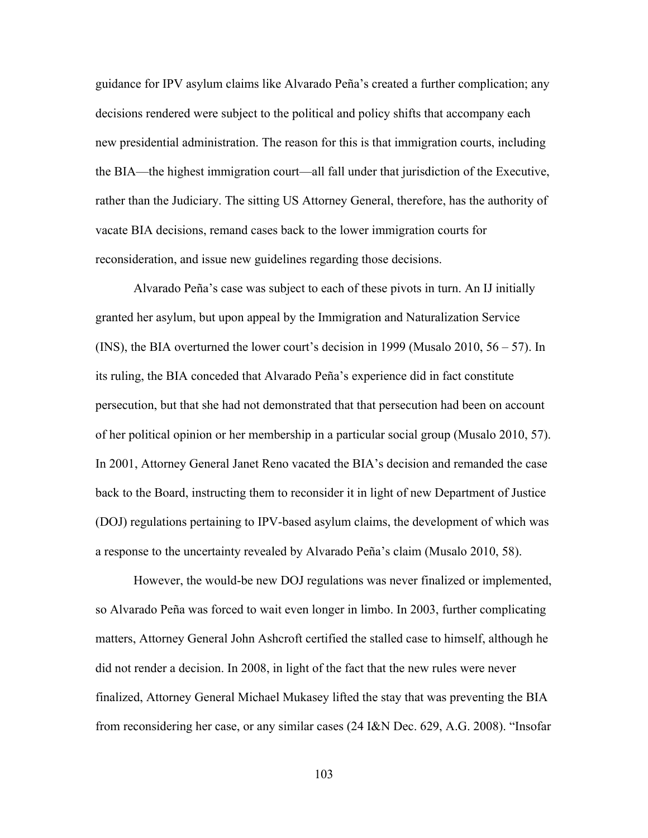guidance for IPV asylum claims like Alvarado Peña's created a further complication; any decisions rendered were subject to the political and policy shifts that accompany each new presidential administration. The reason for this is that immigration courts, including the BIA—the highest immigration court—all fall under that jurisdiction of the Executive, rather than the Judiciary. The sitting US Attorney General, therefore, has the authority of vacate BIA decisions, remand cases back to the lower immigration courts for reconsideration, and issue new guidelines regarding those decisions.

Alvarado Peña's case was subject to each of these pivots in turn. An IJ initially granted her asylum, but upon appeal by the Immigration and Naturalization Service (INS), the BIA overturned the lower court's decision in 1999 (Musalo 2010, 56 – 57). In its ruling, the BIA conceded that Alvarado Peña's experience did in fact constitute persecution, but that she had not demonstrated that that persecution had been on account of her political opinion or her membership in a particular social group (Musalo 2010, 57). In 2001, Attorney General Janet Reno vacated the BIA's decision and remanded the case back to the Board, instructing them to reconsider it in light of new Department of Justice (DOJ) regulations pertaining to IPV-based asylum claims, the development of which was a response to the uncertainty revealed by Alvarado Peña's claim (Musalo 2010, 58).

However, the would-be new DOJ regulations was never finalized or implemented, so Alvarado Peña was forced to wait even longer in limbo. In 2003, further complicating matters, Attorney General John Ashcroft certified the stalled case to himself, although he did not render a decision. In 2008, in light of the fact that the new rules were never finalized, Attorney General Michael Mukasey lifted the stay that was preventing the BIA from reconsidering her case, or any similar cases (24 I&N Dec. 629, A.G. 2008). "Insofar

103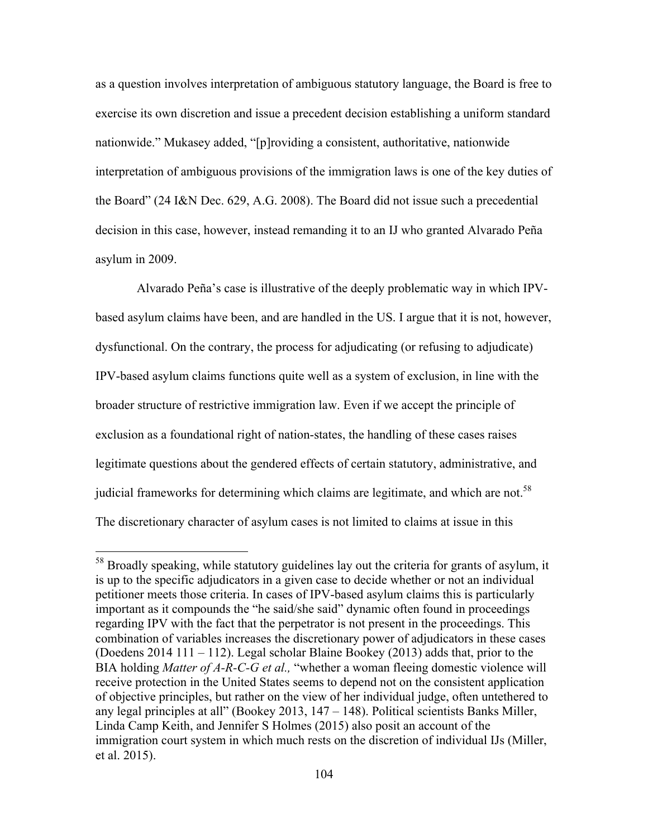as a question involves interpretation of ambiguous statutory language, the Board is free to exercise its own discretion and issue a precedent decision establishing a uniform standard nationwide." Mukasey added, "[p]roviding a consistent, authoritative, nationwide interpretation of ambiguous provisions of the immigration laws is one of the key duties of the Board" (24 I&N Dec. 629, A.G. 2008). The Board did not issue such a precedential decision in this case, however, instead remanding it to an IJ who granted Alvarado Peña asylum in 2009.

Alvarado Peña's case is illustrative of the deeply problematic way in which IPVbased asylum claims have been, and are handled in the US. I argue that it is not, however, dysfunctional. On the contrary, the process for adjudicating (or refusing to adjudicate) IPV-based asylum claims functions quite well as a system of exclusion, in line with the broader structure of restrictive immigration law. Even if we accept the principle of exclusion as a foundational right of nation-states, the handling of these cases raises legitimate questions about the gendered effects of certain statutory, administrative, and judicial frameworks for determining which claims are legitimate, and which are not.<sup>58</sup> The discretionary character of asylum cases is not limited to claims at issue in this

<sup>&</sup>lt;sup>58</sup> Broadly speaking, while statutory guidelines lay out the criteria for grants of asylum, it is up to the specific adjudicators in a given case to decide whether or not an individual petitioner meets those criteria. In cases of IPV-based asylum claims this is particularly important as it compounds the "he said/she said" dynamic often found in proceedings regarding IPV with the fact that the perpetrator is not present in the proceedings. This combination of variables increases the discretionary power of adjudicators in these cases (Doedens 2014 111 – 112). Legal scholar Blaine Bookey (2013) adds that, prior to the BIA holding *Matter of A-R-C-G et al.,* "whether a woman fleeing domestic violence will receive protection in the United States seems to depend not on the consistent application of objective principles, but rather on the view of her individual judge, often untethered to any legal principles at all" (Bookey 2013, 147 – 148). Political scientists Banks Miller, Linda Camp Keith, and Jennifer S Holmes (2015) also posit an account of the immigration court system in which much rests on the discretion of individual IJs (Miller, et al. 2015).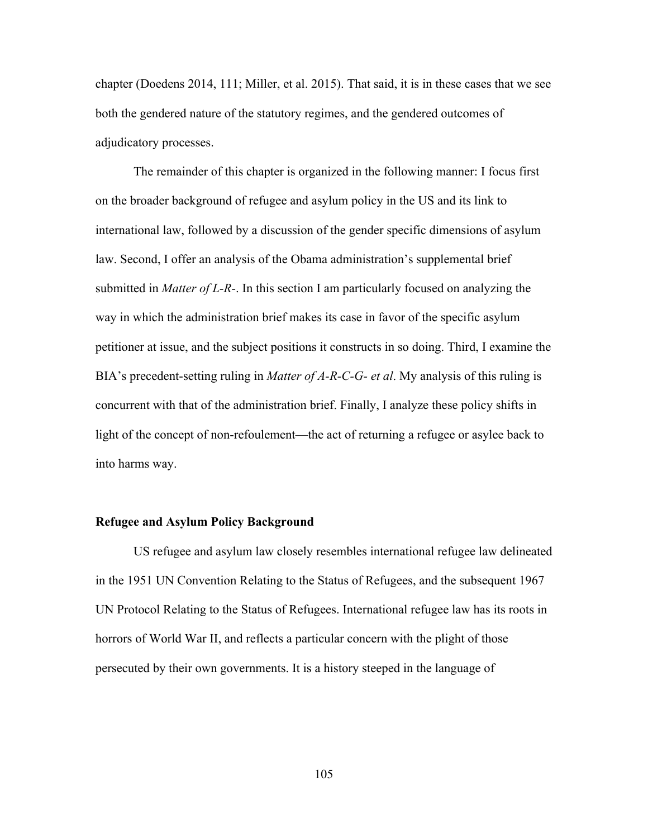chapter (Doedens 2014, 111; Miller, et al. 2015). That said, it is in these cases that we see both the gendered nature of the statutory regimes, and the gendered outcomes of adjudicatory processes.

The remainder of this chapter is organized in the following manner: I focus first on the broader background of refugee and asylum policy in the US and its link to international law, followed by a discussion of the gender specific dimensions of asylum law. Second, I offer an analysis of the Obama administration's supplemental brief submitted in *Matter of L-R-*. In this section I am particularly focused on analyzing the way in which the administration brief makes its case in favor of the specific asylum petitioner at issue, and the subject positions it constructs in so doing. Third, I examine the BIA's precedent-setting ruling in *Matter of A-R-C-G- et al*. My analysis of this ruling is concurrent with that of the administration brief. Finally, I analyze these policy shifts in light of the concept of non-refoulement—the act of returning a refugee or asylee back to into harms way.

## **Refugee and Asylum Policy Background**

US refugee and asylum law closely resembles international refugee law delineated in the 1951 UN Convention Relating to the Status of Refugees, and the subsequent 1967 UN Protocol Relating to the Status of Refugees. International refugee law has its roots in horrors of World War II, and reflects a particular concern with the plight of those persecuted by their own governments. It is a history steeped in the language of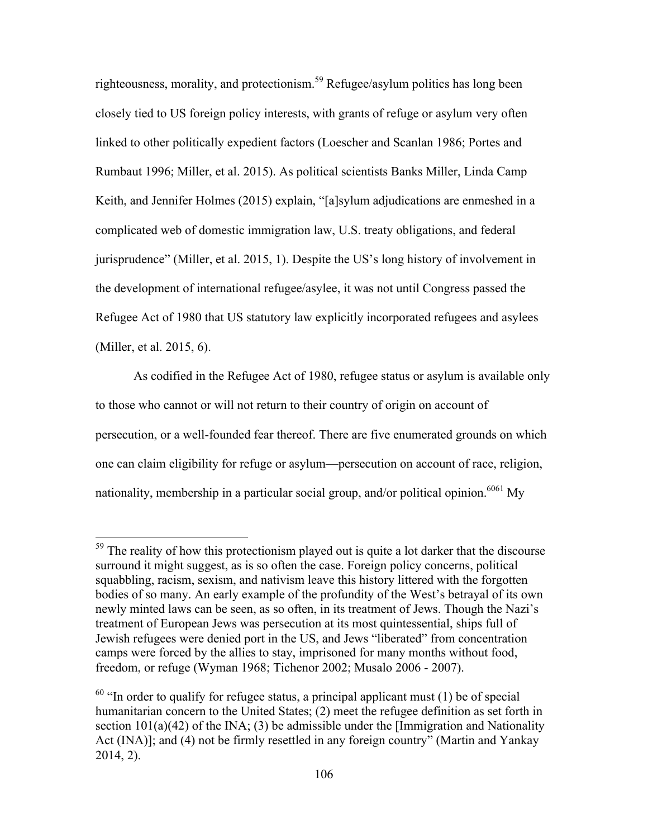righteousness, morality, and protectionism.<sup>59</sup> Refugee/asylum politics has long been closely tied to US foreign policy interests, with grants of refuge or asylum very often linked to other politically expedient factors (Loescher and Scanlan 1986; Portes and Rumbaut 1996; Miller, et al. 2015). As political scientists Banks Miller, Linda Camp Keith, and Jennifer Holmes (2015) explain, "[a]sylum adjudications are enmeshed in a complicated web of domestic immigration law, U.S. treaty obligations, and federal jurisprudence" (Miller, et al. 2015, 1). Despite the US's long history of involvement in the development of international refugee/asylee, it was not until Congress passed the Refugee Act of 1980 that US statutory law explicitly incorporated refugees and asylees (Miller, et al. 2015, 6).

As codified in the Refugee Act of 1980, refugee status or asylum is available only to those who cannot or will not return to their country of origin on account of persecution, or a well-founded fear thereof. There are five enumerated grounds on which one can claim eligibility for refuge or asylum—persecution on account of race, religion, nationality, membership in a particular social group, and/or political opinion.<sup>6061</sup> My

<sup>&</sup>lt;sup>59</sup> The reality of how this protectionism played out is quite a lot darker that the discourse surround it might suggest, as is so often the case. Foreign policy concerns, political squabbling, racism, sexism, and nativism leave this history littered with the forgotten bodies of so many. An early example of the profundity of the West's betrayal of its own newly minted laws can be seen, as so often, in its treatment of Jews. Though the Nazi's treatment of European Jews was persecution at its most quintessential, ships full of Jewish refugees were denied port in the US, and Jews "liberated" from concentration camps were forced by the allies to stay, imprisoned for many months without food, freedom, or refuge (Wyman 1968; Tichenor 2002; Musalo 2006 - 2007).

 $60$  "In order to qualify for refugee status, a principal applicant must (1) be of special humanitarian concern to the United States; (2) meet the refugee definition as set forth in section  $101(a)(42)$  of the INA; (3) be admissible under the [Immigration and Nationality Act (INA)]; and (4) not be firmly resettled in any foreign country" (Martin and Yankay 2014, 2).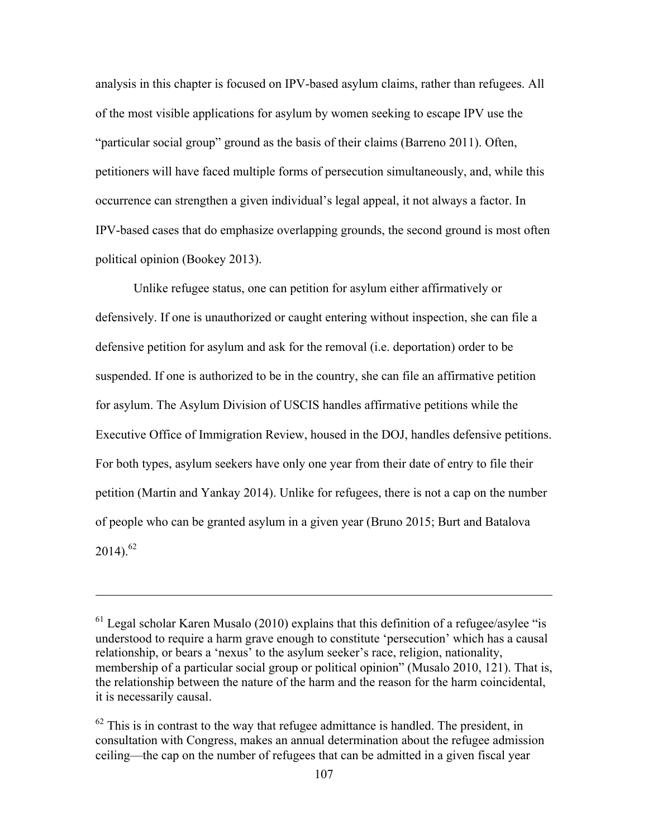analysis in this chapter is focused on IPV-based asylum claims, rather than refugees. All of the most visible applications for asylum by women seeking to escape IPV use the "particular social group" ground as the basis of their claims (Barreno 2011). Often, petitioners will have faced multiple forms of persecution simultaneously, and, while this occurrence can strengthen a given individual's legal appeal, it not always a factor. In IPV-based cases that do emphasize overlapping grounds, the second ground is most often political opinion (Bookey 2013).

Unlike refugee status, one can petition for asylum either affirmatively or defensively. If one is unauthorized or caught entering without inspection, she can file a defensive petition for asylum and ask for the removal (i.e. deportation) order to be suspended. If one is authorized to be in the country, she can file an affirmative petition for asylum. The Asylum Division of USCIS handles affirmative petitions while the Executive Office of Immigration Review, housed in the DOJ, handles defensive petitions. For both types, asylum seekers have only one year from their date of entry to file their petition (Martin and Yankay 2014). Unlike for refugees, there is not a cap on the number of people who can be granted asylum in a given year (Bruno 2015; Burt and Batalova  $2014$ ).<sup>62</sup>

1

 $<sup>61</sup>$  Legal scholar Karen Musalo (2010) explains that this definition of a refugee/asylee "is</sup> understood to require a harm grave enough to constitute 'persecution' which has a causal relationship, or bears a 'nexus' to the asylum seeker's race, religion, nationality, membership of a particular social group or political opinion" (Musalo 2010, 121). That is, the relationship between the nature of the harm and the reason for the harm coincidental, it is necessarily causal.

 $62$  This is in contrast to the way that refugee admittance is handled. The president, in consultation with Congress, makes an annual determination about the refugee admission ceiling—the cap on the number of refugees that can be admitted in a given fiscal year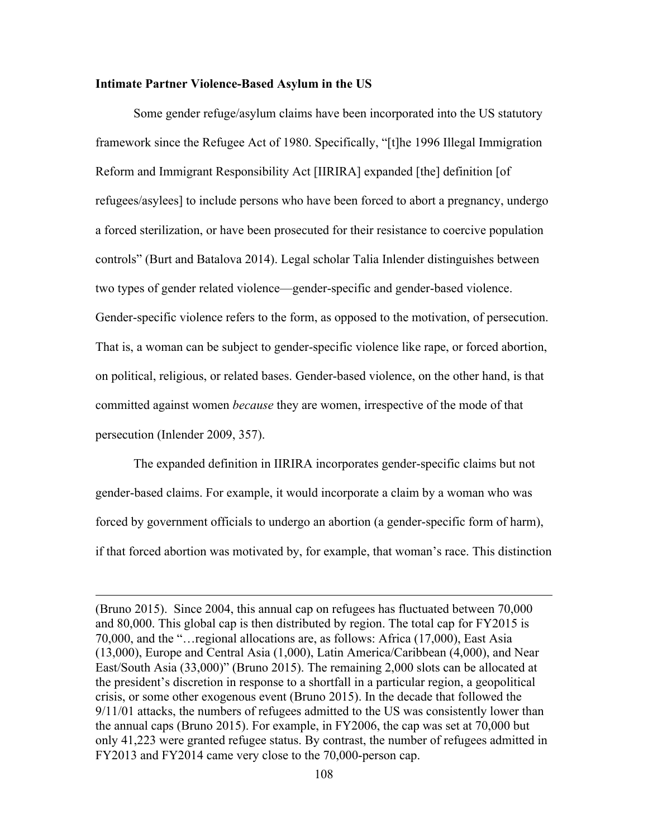# **Intimate Partner Violence-Based Asylum in the US**

1

Some gender refuge/asylum claims have been incorporated into the US statutory framework since the Refugee Act of 1980. Specifically, "[t]he 1996 Illegal Immigration Reform and Immigrant Responsibility Act [IIRIRA] expanded [the] definition [of refugees/asylees] to include persons who have been forced to abort a pregnancy, undergo a forced sterilization, or have been prosecuted for their resistance to coercive population controls" (Burt and Batalova 2014). Legal scholar Talia Inlender distinguishes between two types of gender related violence—gender-specific and gender-based violence. Gender-specific violence refers to the form, as opposed to the motivation, of persecution. That is, a woman can be subject to gender-specific violence like rape, or forced abortion, on political, religious, or related bases. Gender-based violence, on the other hand, is that committed against women *because* they are women, irrespective of the mode of that persecution (Inlender 2009, 357).

The expanded definition in IIRIRA incorporates gender-specific claims but not gender-based claims. For example, it would incorporate a claim by a woman who was forced by government officials to undergo an abortion (a gender-specific form of harm), if that forced abortion was motivated by, for example, that woman's race. This distinction

<sup>(</sup>Bruno 2015). Since 2004, this annual cap on refugees has fluctuated between 70,000 and 80,000. This global cap is then distributed by region. The total cap for FY2015 is 70,000, and the "…regional allocations are, as follows: Africa (17,000), East Asia (13,000), Europe and Central Asia (1,000), Latin America/Caribbean (4,000), and Near East/South Asia (33,000)" (Bruno 2015). The remaining 2,000 slots can be allocated at the president's discretion in response to a shortfall in a particular region, a geopolitical crisis, or some other exogenous event (Bruno 2015). In the decade that followed the 9/11/01 attacks, the numbers of refugees admitted to the US was consistently lower than the annual caps (Bruno 2015). For example, in FY2006, the cap was set at 70,000 but only 41,223 were granted refugee status. By contrast, the number of refugees admitted in FY2013 and FY2014 came very close to the 70,000-person cap.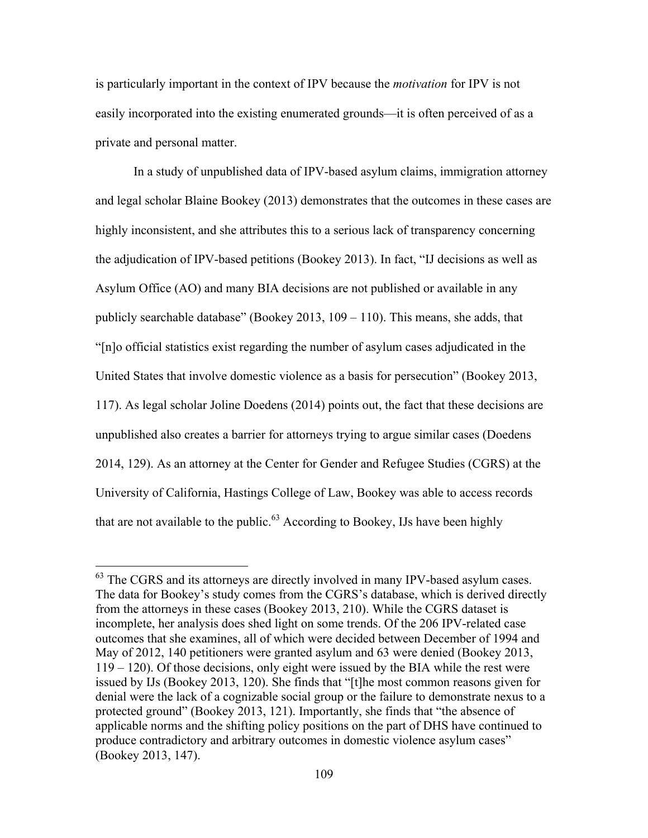is particularly important in the context of IPV because the *motivation* for IPV is not easily incorporated into the existing enumerated grounds—it is often perceived of as a private and personal matter.

In a study of unpublished data of IPV-based asylum claims, immigration attorney and legal scholar Blaine Bookey (2013) demonstrates that the outcomes in these cases are highly inconsistent, and she attributes this to a serious lack of transparency concerning the adjudication of IPV-based petitions (Bookey 2013). In fact, "IJ decisions as well as Asylum Office (AO) and many BIA decisions are not published or available in any publicly searchable database" (Bookey 2013,  $109 - 110$ ). This means, she adds, that "[n]o official statistics exist regarding the number of asylum cases adjudicated in the United States that involve domestic violence as a basis for persecution" (Bookey 2013, 117). As legal scholar Joline Doedens (2014) points out, the fact that these decisions are unpublished also creates a barrier for attorneys trying to argue similar cases (Doedens 2014, 129). As an attorney at the Center for Gender and Refugee Studies (CGRS) at the University of California, Hastings College of Law, Bookey was able to access records that are not available to the public.<sup>63</sup> According to Bookey, IJs have been highly

 $<sup>63</sup>$  The CGRS and its attorneys are directly involved in many IPV-based asylum cases.</sup> The data for Bookey's study comes from the CGRS's database, which is derived directly from the attorneys in these cases (Bookey 2013, 210). While the CGRS dataset is incomplete, her analysis does shed light on some trends. Of the 206 IPV-related case outcomes that she examines, all of which were decided between December of 1994 and May of 2012, 140 petitioners were granted asylum and 63 were denied (Bookey 2013, 119 – 120). Of those decisions, only eight were issued by the BIA while the rest were issued by IJs (Bookey 2013, 120). She finds that "[t]he most common reasons given for denial were the lack of a cognizable social group or the failure to demonstrate nexus to a protected ground" (Bookey 2013, 121). Importantly, she finds that "the absence of applicable norms and the shifting policy positions on the part of DHS have continued to produce contradictory and arbitrary outcomes in domestic violence asylum cases" (Bookey 2013, 147).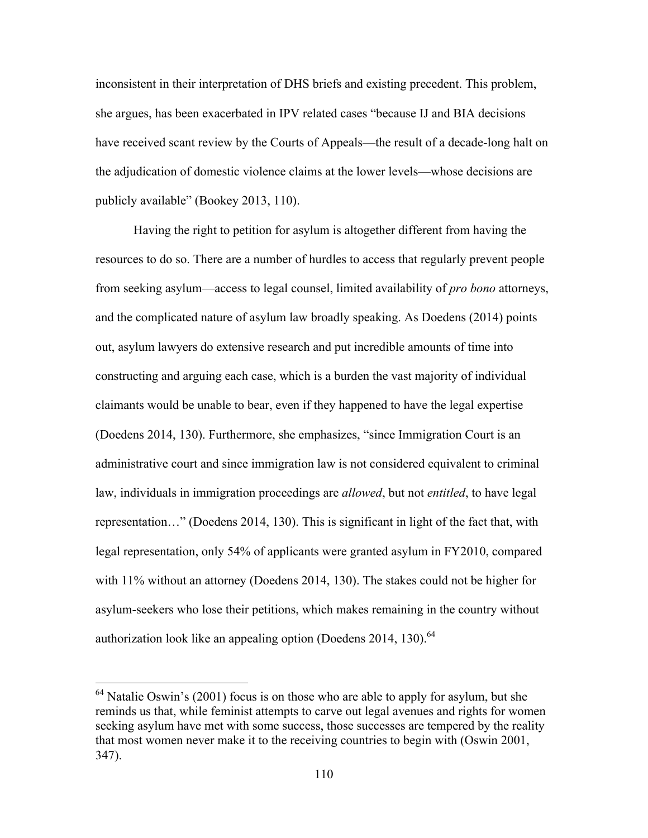inconsistent in their interpretation of DHS briefs and existing precedent. This problem, she argues, has been exacerbated in IPV related cases "because IJ and BIA decisions have received scant review by the Courts of Appeals—the result of a decade-long halt on the adjudication of domestic violence claims at the lower levels—whose decisions are publicly available" (Bookey 2013, 110).

Having the right to petition for asylum is altogether different from having the resources to do so. There are a number of hurdles to access that regularly prevent people from seeking asylum—access to legal counsel, limited availability of *pro bono* attorneys, and the complicated nature of asylum law broadly speaking. As Doedens (2014) points out, asylum lawyers do extensive research and put incredible amounts of time into constructing and arguing each case, which is a burden the vast majority of individual claimants would be unable to bear, even if they happened to have the legal expertise (Doedens 2014, 130). Furthermore, she emphasizes, "since Immigration Court is an administrative court and since immigration law is not considered equivalent to criminal law, individuals in immigration proceedings are *allowed*, but not *entitled*, to have legal representation…" (Doedens 2014, 130). This is significant in light of the fact that, with legal representation, only 54% of applicants were granted asylum in FY2010, compared with 11% without an attorney (Doedens 2014, 130). The stakes could not be higher for asylum-seekers who lose their petitions, which makes remaining in the country without authorization look like an appealing option (Doedens  $2014$ , 130).<sup>64</sup>

<sup>&</sup>lt;sup>64</sup> Natalie Oswin's (2001) focus is on those who are able to apply for asylum, but she reminds us that, while feminist attempts to carve out legal avenues and rights for women seeking asylum have met with some success, those successes are tempered by the reality that most women never make it to the receiving countries to begin with (Oswin 2001, 347).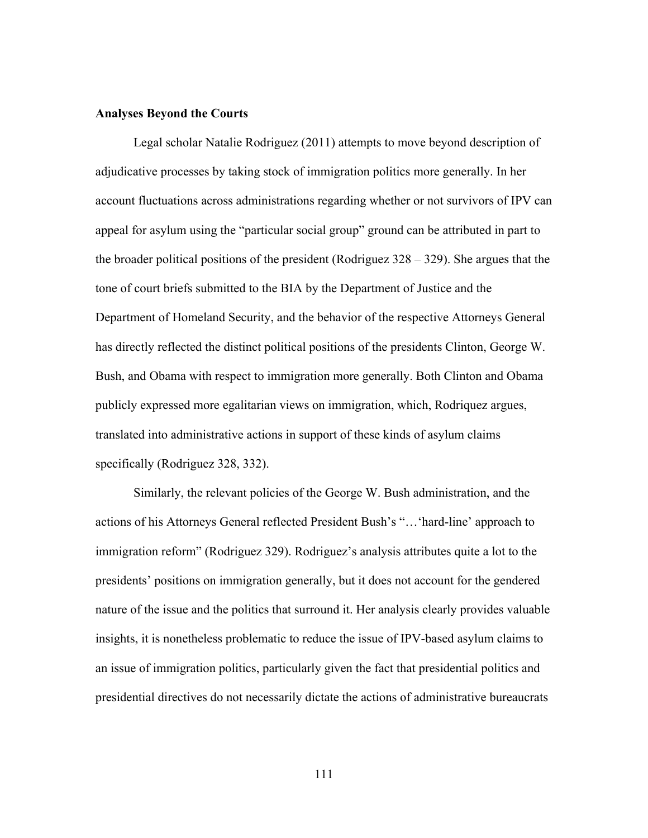# **Analyses Beyond the Courts**

Legal scholar Natalie Rodriguez (2011) attempts to move beyond description of adjudicative processes by taking stock of immigration politics more generally. In her account fluctuations across administrations regarding whether or not survivors of IPV can appeal for asylum using the "particular social group" ground can be attributed in part to the broader political positions of the president (Rodriguez  $328 - 329$ ). She argues that the tone of court briefs submitted to the BIA by the Department of Justice and the Department of Homeland Security, and the behavior of the respective Attorneys General has directly reflected the distinct political positions of the presidents Clinton, George W. Bush, and Obama with respect to immigration more generally. Both Clinton and Obama publicly expressed more egalitarian views on immigration, which, Rodriquez argues, translated into administrative actions in support of these kinds of asylum claims specifically (Rodriguez 328, 332).

Similarly, the relevant policies of the George W. Bush administration, and the actions of his Attorneys General reflected President Bush's "…'hard-line' approach to immigration reform" (Rodriguez 329). Rodriguez's analysis attributes quite a lot to the presidents' positions on immigration generally, but it does not account for the gendered nature of the issue and the politics that surround it. Her analysis clearly provides valuable insights, it is nonetheless problematic to reduce the issue of IPV-based asylum claims to an issue of immigration politics, particularly given the fact that presidential politics and presidential directives do not necessarily dictate the actions of administrative bureaucrats

111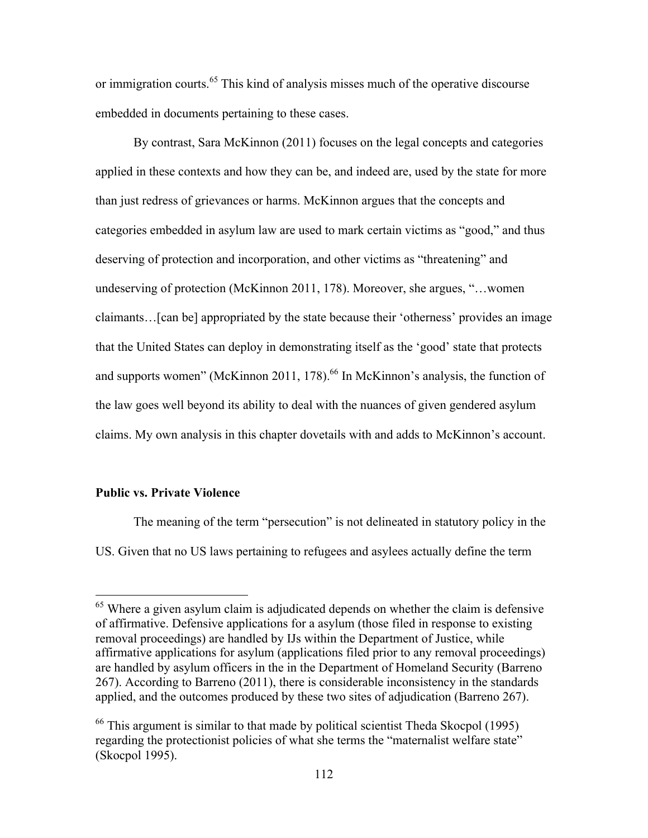or immigration courts.<sup>65</sup> This kind of analysis misses much of the operative discourse embedded in documents pertaining to these cases.

By contrast, Sara McKinnon (2011) focuses on the legal concepts and categories applied in these contexts and how they can be, and indeed are, used by the state for more than just redress of grievances or harms. McKinnon argues that the concepts and categories embedded in asylum law are used to mark certain victims as "good," and thus deserving of protection and incorporation, and other victims as "threatening" and undeserving of protection (McKinnon 2011, 178). Moreover, she argues, "…women claimants…[can be] appropriated by the state because their 'otherness' provides an image that the United States can deploy in demonstrating itself as the 'good' state that protects and supports women" (McKinnon 2011, 178).<sup>66</sup> In McKinnon's analysis, the function of the law goes well beyond its ability to deal with the nuances of given gendered asylum claims. My own analysis in this chapter dovetails with and adds to McKinnon's account.

### **Public vs. Private Violence**

The meaning of the term "persecution" is not delineated in statutory policy in the US. Given that no US laws pertaining to refugees and asylees actually define the term

<sup>&</sup>lt;sup>65</sup> Where a given asylum claim is adjudicated depends on whether the claim is defensive of affirmative. Defensive applications for a asylum (those filed in response to existing removal proceedings) are handled by IJs within the Department of Justice, while affirmative applications for asylum (applications filed prior to any removal proceedings) are handled by asylum officers in the in the Department of Homeland Security (Barreno 267). According to Barreno (2011), there is considerable inconsistency in the standards applied, and the outcomes produced by these two sites of adjudication (Barreno 267).

 $66$  This argument is similar to that made by political scientist Theda Skocpol (1995) regarding the protectionist policies of what she terms the "maternalist welfare state" (Skocpol 1995).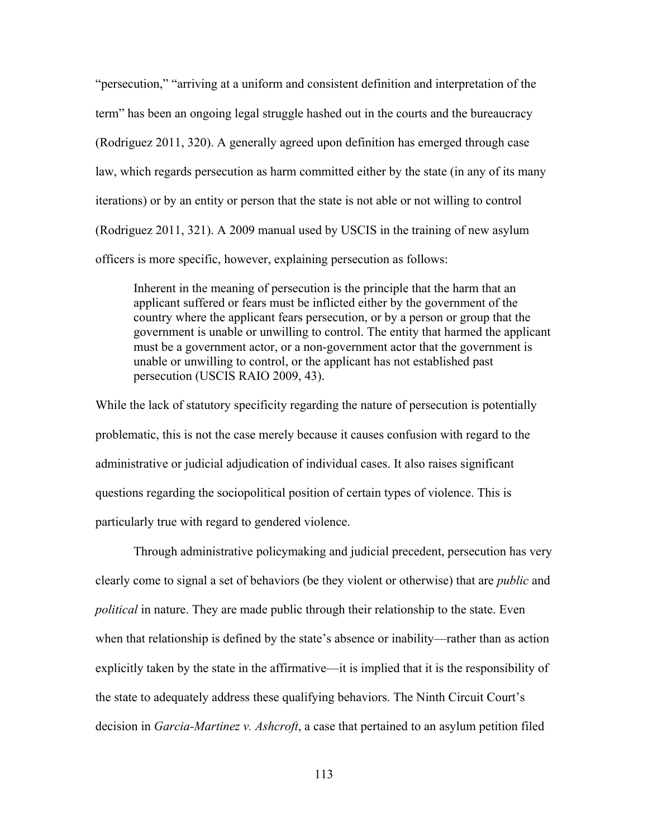"persecution," "arriving at a uniform and consistent definition and interpretation of the term" has been an ongoing legal struggle hashed out in the courts and the bureaucracy (Rodriguez 2011, 320). A generally agreed upon definition has emerged through case law, which regards persecution as harm committed either by the state (in any of its many iterations) or by an entity or person that the state is not able or not willing to control (Rodriguez 2011, 321). A 2009 manual used by USCIS in the training of new asylum officers is more specific, however, explaining persecution as follows:

Inherent in the meaning of persecution is the principle that the harm that an applicant suffered or fears must be inflicted either by the government of the country where the applicant fears persecution, or by a person or group that the government is unable or unwilling to control. The entity that harmed the applicant must be a government actor, or a non-government actor that the government is unable or unwilling to control, or the applicant has not established past persecution (USCIS RAIO 2009, 43).

While the lack of statutory specificity regarding the nature of persecution is potentially problematic, this is not the case merely because it causes confusion with regard to the administrative or judicial adjudication of individual cases. It also raises significant questions regarding the sociopolitical position of certain types of violence. This is particularly true with regard to gendered violence.

Through administrative policymaking and judicial precedent, persecution has very clearly come to signal a set of behaviors (be they violent or otherwise) that are *public* and *political* in nature. They are made public through their relationship to the state. Even when that relationship is defined by the state's absence or inability—rather than as action explicitly taken by the state in the affirmative—it is implied that it is the responsibility of the state to adequately address these qualifying behaviors. The Ninth Circuit Court's decision in *Garcia-Martinez v. Ashcroft*, a case that pertained to an asylum petition filed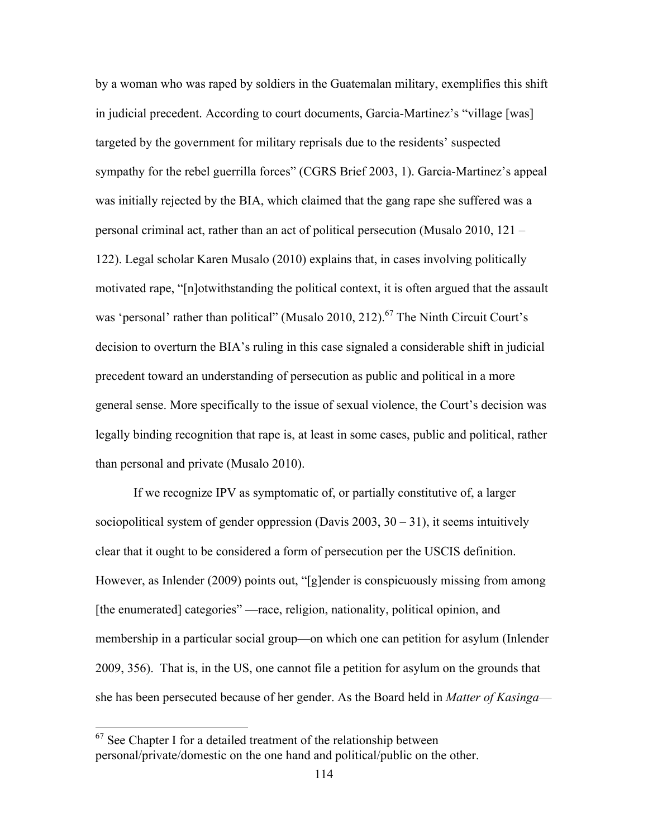by a woman who was raped by soldiers in the Guatemalan military, exemplifies this shift in judicial precedent. According to court documents, Garcia-Martinez's "village [was] targeted by the government for military reprisals due to the residents' suspected sympathy for the rebel guerrilla forces" (CGRS Brief 2003, 1). Garcia-Martinez's appeal was initially rejected by the BIA, which claimed that the gang rape she suffered was a personal criminal act, rather than an act of political persecution (Musalo 2010, 121 – 122). Legal scholar Karen Musalo (2010) explains that, in cases involving politically motivated rape, "[n]otwithstanding the political context, it is often argued that the assault was 'personal' rather than political" (Musalo 2010, 212).<sup>67</sup> The Ninth Circuit Court's decision to overturn the BIA's ruling in this case signaled a considerable shift in judicial precedent toward an understanding of persecution as public and political in a more general sense. More specifically to the issue of sexual violence, the Court's decision was legally binding recognition that rape is, at least in some cases, public and political, rather than personal and private (Musalo 2010).

If we recognize IPV as symptomatic of, or partially constitutive of, a larger sociopolitical system of gender oppression (Davis  $2003$ ,  $30 - 31$ ), it seems intuitively clear that it ought to be considered a form of persecution per the USCIS definition. However, as Inlender (2009) points out, "[g]ender is conspicuously missing from among [the enumerated] categories" —race, religion, nationality, political opinion, and membership in a particular social group—on which one can petition for asylum (Inlender 2009, 356). That is, in the US, one cannot file a petition for asylum on the grounds that she has been persecuted because of her gender. As the Board held in *Matter of Kasinga*—

 $67$  See Chapter I for a detailed treatment of the relationship between personal/private/domestic on the one hand and political/public on the other.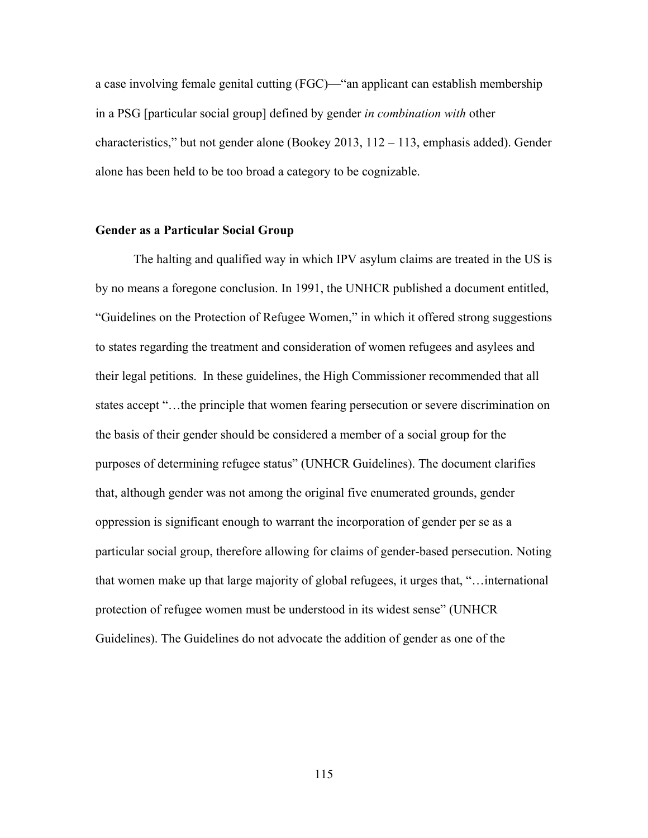a case involving female genital cutting (FGC)—"an applicant can establish membership in a PSG [particular social group] defined by gender *in combination with* other characteristics," but not gender alone (Bookey 2013, 112 – 113, emphasis added). Gender alone has been held to be too broad a category to be cognizable.

# **Gender as a Particular Social Group**

The halting and qualified way in which IPV asylum claims are treated in the US is by no means a foregone conclusion. In 1991, the UNHCR published a document entitled, "Guidelines on the Protection of Refugee Women," in which it offered strong suggestions to states regarding the treatment and consideration of women refugees and asylees and their legal petitions. In these guidelines, the High Commissioner recommended that all states accept "…the principle that women fearing persecution or severe discrimination on the basis of their gender should be considered a member of a social group for the purposes of determining refugee status" (UNHCR Guidelines). The document clarifies that, although gender was not among the original five enumerated grounds, gender oppression is significant enough to warrant the incorporation of gender per se as a particular social group, therefore allowing for claims of gender-based persecution. Noting that women make up that large majority of global refugees, it urges that, "…international protection of refugee women must be understood in its widest sense" (UNHCR Guidelines). The Guidelines do not advocate the addition of gender as one of the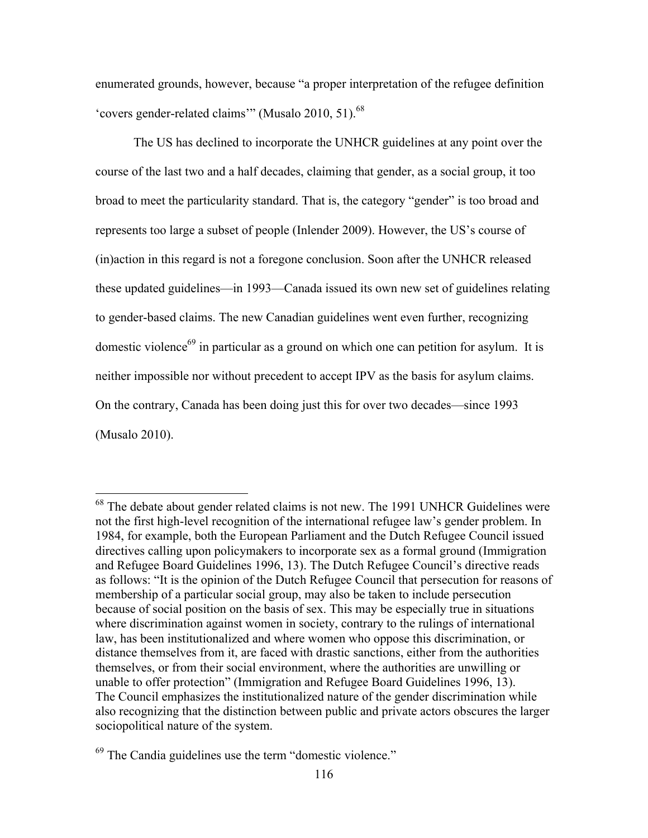enumerated grounds, however, because "a proper interpretation of the refugee definition 'covers gender-related claims'" (Musalo 2010, 51).<sup>68</sup>

The US has declined to incorporate the UNHCR guidelines at any point over the course of the last two and a half decades, claiming that gender, as a social group, it too broad to meet the particularity standard. That is, the category "gender" is too broad and represents too large a subset of people (Inlender 2009). However, the US's course of (in)action in this regard is not a foregone conclusion. Soon after the UNHCR released these updated guidelines—in 1993—Canada issued its own new set of guidelines relating to gender-based claims. The new Canadian guidelines went even further, recognizing domestic violence<sup>69</sup> in particular as a ground on which one can petition for asylum. It is neither impossible nor without precedent to accept IPV as the basis for asylum claims. On the contrary, Canada has been doing just this for over two decades—since 1993 (Musalo 2010).

<sup>&</sup>lt;sup>68</sup> The debate about gender related claims is not new. The 1991 UNHCR Guidelines were not the first high-level recognition of the international refugee law's gender problem. In 1984, for example, both the European Parliament and the Dutch Refugee Council issued directives calling upon policymakers to incorporate sex as a formal ground (Immigration and Refugee Board Guidelines 1996, 13). The Dutch Refugee Council's directive reads as follows: "It is the opinion of the Dutch Refugee Council that persecution for reasons of membership of a particular social group, may also be taken to include persecution because of social position on the basis of sex. This may be especially true in situations where discrimination against women in society, contrary to the rulings of international law, has been institutionalized and where women who oppose this discrimination, or distance themselves from it, are faced with drastic sanctions, either from the authorities themselves, or from their social environment, where the authorities are unwilling or unable to offer protection" (Immigration and Refugee Board Guidelines 1996, 13). The Council emphasizes the institutionalized nature of the gender discrimination while also recognizing that the distinction between public and private actors obscures the larger sociopolitical nature of the system.

<sup>69</sup> The Candia guidelines use the term "domestic violence."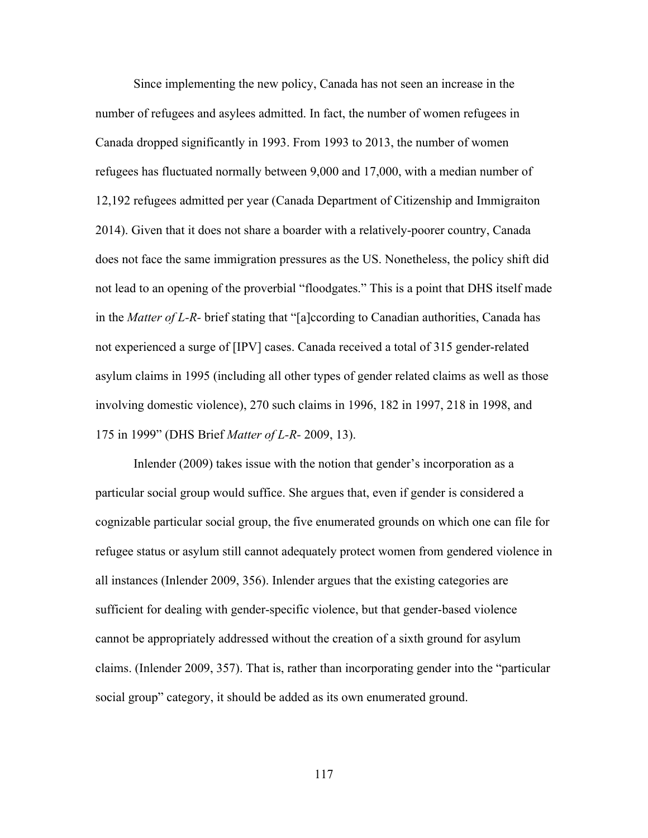Since implementing the new policy, Canada has not seen an increase in the number of refugees and asylees admitted. In fact, the number of women refugees in Canada dropped significantly in 1993. From 1993 to 2013, the number of women refugees has fluctuated normally between 9,000 and 17,000, with a median number of 12,192 refugees admitted per year (Canada Department of Citizenship and Immigraiton 2014). Given that it does not share a boarder with a relatively-poorer country, Canada does not face the same immigration pressures as the US. Nonetheless, the policy shift did not lead to an opening of the proverbial "floodgates." This is a point that DHS itself made in the *Matter of L-R-* brief stating that "[a]ccording to Canadian authorities, Canada has not experienced a surge of [IPV] cases. Canada received a total of 315 gender-related asylum claims in 1995 (including all other types of gender related claims as well as those involving domestic violence), 270 such claims in 1996, 182 in 1997, 218 in 1998, and 175 in 1999" (DHS Brief *Matter of L-R-* 2009, 13).

Inlender (2009) takes issue with the notion that gender's incorporation as a particular social group would suffice. She argues that, even if gender is considered a cognizable particular social group, the five enumerated grounds on which one can file for refugee status or asylum still cannot adequately protect women from gendered violence in all instances (Inlender 2009, 356). Inlender argues that the existing categories are sufficient for dealing with gender-specific violence, but that gender-based violence cannot be appropriately addressed without the creation of a sixth ground for asylum claims. (Inlender 2009, 357). That is, rather than incorporating gender into the "particular social group" category, it should be added as its own enumerated ground.

117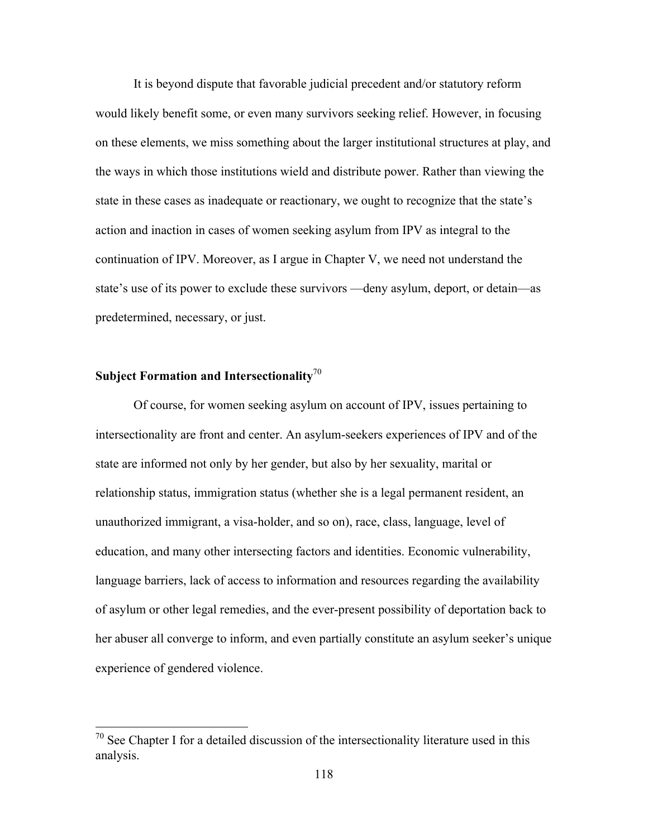It is beyond dispute that favorable judicial precedent and/or statutory reform would likely benefit some, or even many survivors seeking relief. However, in focusing on these elements, we miss something about the larger institutional structures at play, and the ways in which those institutions wield and distribute power. Rather than viewing the state in these cases as inadequate or reactionary, we ought to recognize that the state's action and inaction in cases of women seeking asylum from IPV as integral to the continuation of IPV. Moreover, as I argue in Chapter V, we need not understand the state's use of its power to exclude these survivors —deny asylum, deport, or detain—as predetermined, necessary, or just.

# **Subject Formation and Intersectionality**<sup>70</sup>

Of course, for women seeking asylum on account of IPV, issues pertaining to intersectionality are front and center. An asylum-seekers experiences of IPV and of the state are informed not only by her gender, but also by her sexuality, marital or relationship status, immigration status (whether she is a legal permanent resident, an unauthorized immigrant, a visa-holder, and so on), race, class, language, level of education, and many other intersecting factors and identities. Economic vulnerability, language barriers, lack of access to information and resources regarding the availability of asylum or other legal remedies, and the ever-present possibility of deportation back to her abuser all converge to inform, and even partially constitute an asylum seeker's unique experience of gendered violence.

 $70$  See Chapter I for a detailed discussion of the intersectionality literature used in this analysis.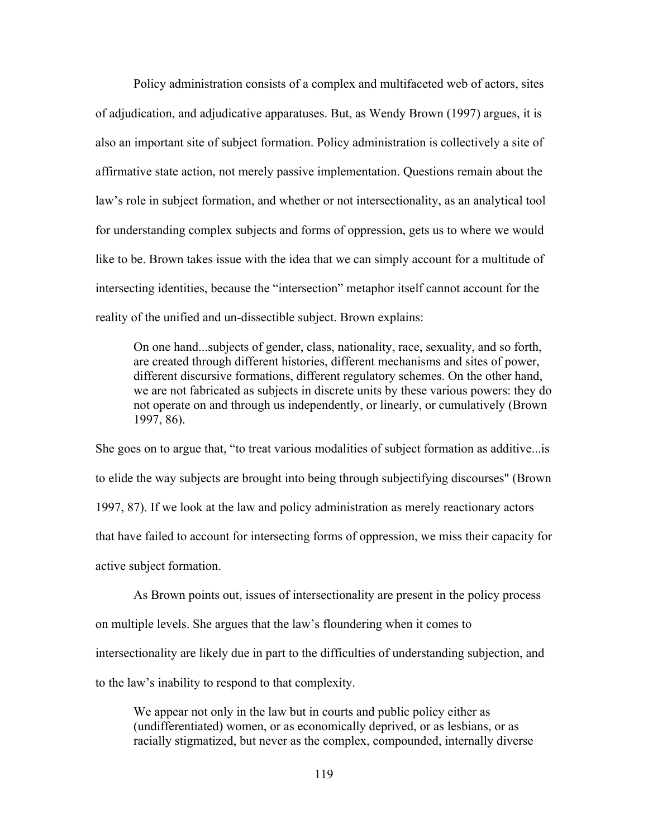Policy administration consists of a complex and multifaceted web of actors, sites of adjudication, and adjudicative apparatuses. But, as Wendy Brown (1997) argues, it is also an important site of subject formation. Policy administration is collectively a site of affirmative state action, not merely passive implementation. Questions remain about the law's role in subject formation, and whether or not intersectionality, as an analytical tool for understanding complex subjects and forms of oppression, gets us to where we would like to be. Brown takes issue with the idea that we can simply account for a multitude of intersecting identities, because the "intersection" metaphor itself cannot account for the reality of the unified and un-dissectible subject. Brown explains:

On one hand...subjects of gender, class, nationality, race, sexuality, and so forth, are created through different histories, different mechanisms and sites of power, different discursive formations, different regulatory schemes. On the other hand, we are not fabricated as subjects in discrete units by these various powers: they do not operate on and through us independently, or linearly, or cumulatively (Brown 1997, 86).

She goes on to argue that, "to treat various modalities of subject formation as additive...is to elide the way subjects are brought into being through subjectifying discourses" (Brown 1997, 87). If we look at the law and policy administration as merely reactionary actors that have failed to account for intersecting forms of oppression, we miss their capacity for active subject formation.

As Brown points out, issues of intersectionality are present in the policy process on multiple levels. She argues that the law's floundering when it comes to intersectionality are likely due in part to the difficulties of understanding subjection, and to the law's inability to respond to that complexity.

We appear not only in the law but in courts and public policy either as (undifferentiated) women, or as economically deprived, or as lesbians, or as racially stigmatized, but never as the complex, compounded, internally diverse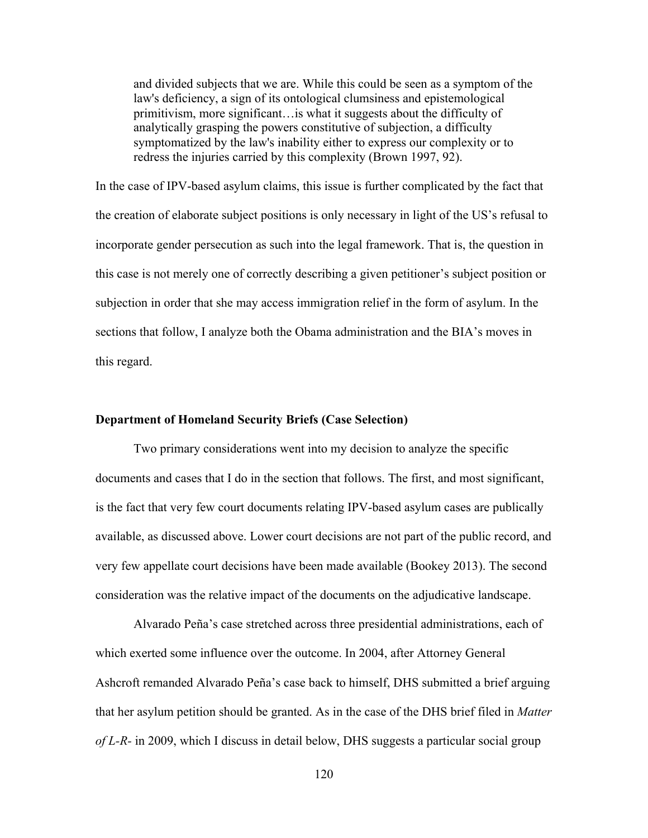and divided subjects that we are. While this could be seen as a symptom of the law's deficiency, a sign of its ontological clumsiness and epistemological primitivism, more significant…is what it suggests about the difficulty of analytically grasping the powers constitutive of subjection, a difficulty symptomatized by the law's inability either to express our complexity or to redress the injuries carried by this complexity (Brown 1997, 92).

In the case of IPV-based asylum claims, this issue is further complicated by the fact that the creation of elaborate subject positions is only necessary in light of the US's refusal to incorporate gender persecution as such into the legal framework. That is, the question in this case is not merely one of correctly describing a given petitioner's subject position or subjection in order that she may access immigration relief in the form of asylum. In the sections that follow, I analyze both the Obama administration and the BIA's moves in this regard.

# **Department of Homeland Security Briefs (Case Selection)**

Two primary considerations went into my decision to analyze the specific documents and cases that I do in the section that follows. The first, and most significant, is the fact that very few court documents relating IPV-based asylum cases are publically available, as discussed above. Lower court decisions are not part of the public record, and very few appellate court decisions have been made available (Bookey 2013). The second consideration was the relative impact of the documents on the adjudicative landscape.

Alvarado Peña's case stretched across three presidential administrations, each of which exerted some influence over the outcome. In 2004, after Attorney General Ashcroft remanded Alvarado Peña's case back to himself, DHS submitted a brief arguing that her asylum petition should be granted. As in the case of the DHS brief filed in *Matter of L-R-* in 2009, which I discuss in detail below, DHS suggests a particular social group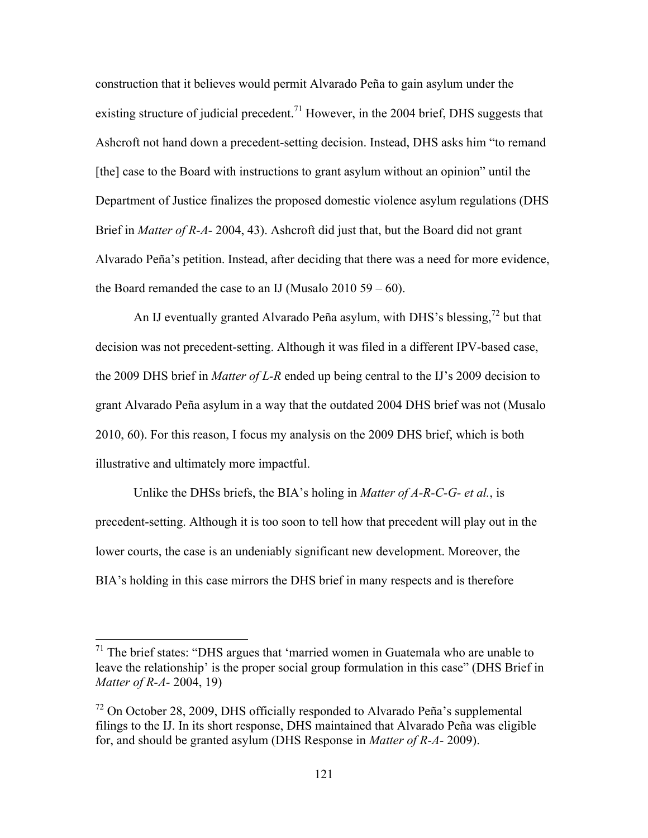construction that it believes would permit Alvarado Peña to gain asylum under the existing structure of judicial precedent.<sup>71</sup> However, in the 2004 brief, DHS suggests that Ashcroft not hand down a precedent-setting decision. Instead, DHS asks him "to remand [the] case to the Board with instructions to grant asylum without an opinion" until the Department of Justice finalizes the proposed domestic violence asylum regulations (DHS Brief in *Matter of R-A-* 2004, 43). Ashcroft did just that, but the Board did not grant Alvarado Peña's petition. Instead, after deciding that there was a need for more evidence, the Board remanded the case to an IJ (Musalo 2010 59 – 60).

An IJ eventually granted Alvarado Peña asylum, with DHS's blessing,  $^{72}$  but that decision was not precedent-setting. Although it was filed in a different IPV-based case, the 2009 DHS brief in *Matter of L-R* ended up being central to the IJ's 2009 decision to grant Alvarado Peña asylum in a way that the outdated 2004 DHS brief was not (Musalo 2010, 60). For this reason, I focus my analysis on the 2009 DHS brief, which is both illustrative and ultimately more impactful.

Unlike the DHSs briefs, the BIA's holing in *Matter of A-R-C-G- et al.*, is precedent-setting. Although it is too soon to tell how that precedent will play out in the lower courts, the case is an undeniably significant new development. Moreover, the BIA's holding in this case mirrors the DHS brief in many respects and is therefore

 $71$  The brief states: "DHS argues that 'married women in Guatemala who are unable to leave the relationship' is the proper social group formulation in this case" (DHS Brief in *Matter of R-A-* 2004, 19)

 $72$  On October 28, 2009, DHS officially responded to Alvarado Peña's supplemental filings to the IJ. In its short response, DHS maintained that Alvarado Peña was eligible for, and should be granted asylum (DHS Response in *Matter of R-A-* 2009).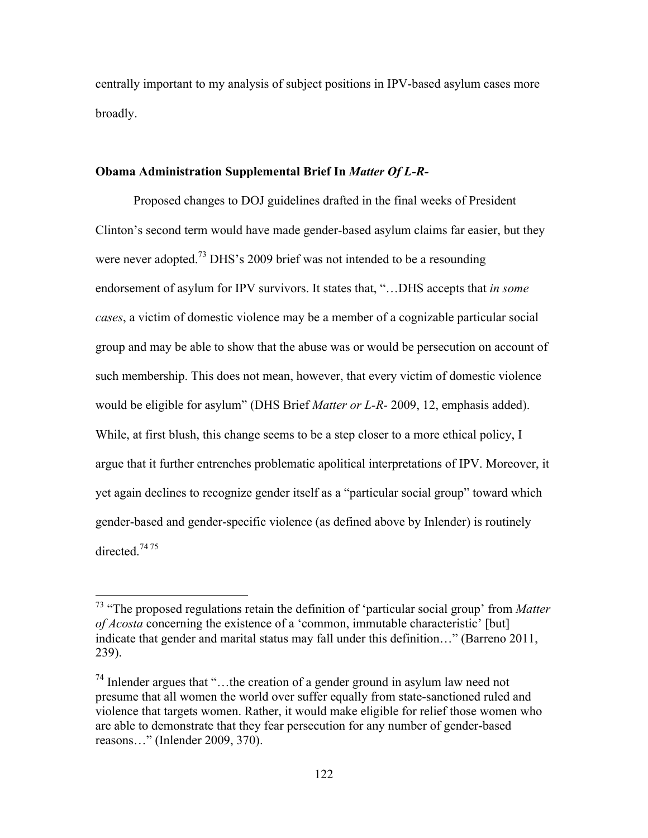centrally important to my analysis of subject positions in IPV-based asylum cases more broadly.

# **Obama Administration Supplemental Brief In** *Matter Of L-R-*

Proposed changes to DOJ guidelines drafted in the final weeks of President Clinton's second term would have made gender-based asylum claims far easier, but they were never adopted.<sup>73</sup> DHS's 2009 brief was not intended to be a resounding endorsement of asylum for IPV survivors. It states that, "…DHS accepts that *in some cases*, a victim of domestic violence may be a member of a cognizable particular social group and may be able to show that the abuse was or would be persecution on account of such membership. This does not mean, however, that every victim of domestic violence would be eligible for asylum" (DHS Brief *Matter or L-R-* 2009, 12, emphasis added). While, at first blush, this change seems to be a step closer to a more ethical policy, I argue that it further entrenches problematic apolitical interpretations of IPV. Moreover, it yet again declines to recognize gender itself as a "particular social group" toward which gender-based and gender-specific violence (as defined above by Inlender) is routinely directed.<sup>7475</sup>

 <sup>73</sup> "The proposed regulations retain the definition of 'particular social group' from *Matter of Acosta* concerning the existence of a 'common, immutable characteristic' [but] indicate that gender and marital status may fall under this definition…" (Barreno 2011, 239).

<sup>74</sup> Inlender argues that "…the creation of a gender ground in asylum law need not presume that all women the world over suffer equally from state-sanctioned ruled and violence that targets women. Rather, it would make eligible for relief those women who are able to demonstrate that they fear persecution for any number of gender-based reasons…" (Inlender 2009, 370).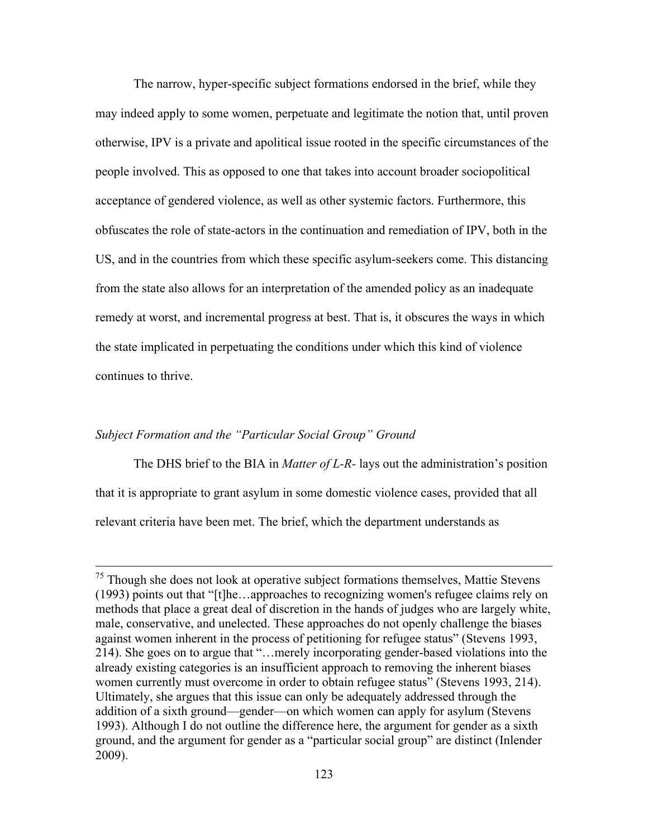The narrow, hyper-specific subject formations endorsed in the brief, while they may indeed apply to some women, perpetuate and legitimate the notion that, until proven otherwise, IPV is a private and apolitical issue rooted in the specific circumstances of the people involved. This as opposed to one that takes into account broader sociopolitical acceptance of gendered violence, as well as other systemic factors. Furthermore, this obfuscates the role of state-actors in the continuation and remediation of IPV, both in the US, and in the countries from which these specific asylum-seekers come. This distancing from the state also allows for an interpretation of the amended policy as an inadequate remedy at worst, and incremental progress at best. That is, it obscures the ways in which the state implicated in perpetuating the conditions under which this kind of violence continues to thrive.

# *Subject Formation and the "Particular Social Group" Ground*

The DHS brief to the BIA in *Matter of L-R-* lays out the administration's position that it is appropriate to grant asylum in some domestic violence cases, provided that all relevant criteria have been met. The brief, which the department understands as

 $<sup>75</sup>$  Though she does not look at operative subject formations themselves, Mattie Stevens</sup> (1993) points out that "[t]he…approaches to recognizing women's refugee claims rely on methods that place a great deal of discretion in the hands of judges who are largely white, male, conservative, and unelected. These approaches do not openly challenge the biases against women inherent in the process of petitioning for refugee status" (Stevens 1993, 214). She goes on to argue that "…merely incorporating gender-based violations into the already existing categories is an insufficient approach to removing the inherent biases women currently must overcome in order to obtain refugee status" (Stevens 1993, 214). Ultimately, she argues that this issue can only be adequately addressed through the addition of a sixth ground—gender—on which women can apply for asylum (Stevens 1993). Although I do not outline the difference here, the argument for gender as a sixth ground, and the argument for gender as a "particular social group" are distinct (Inlender 2009).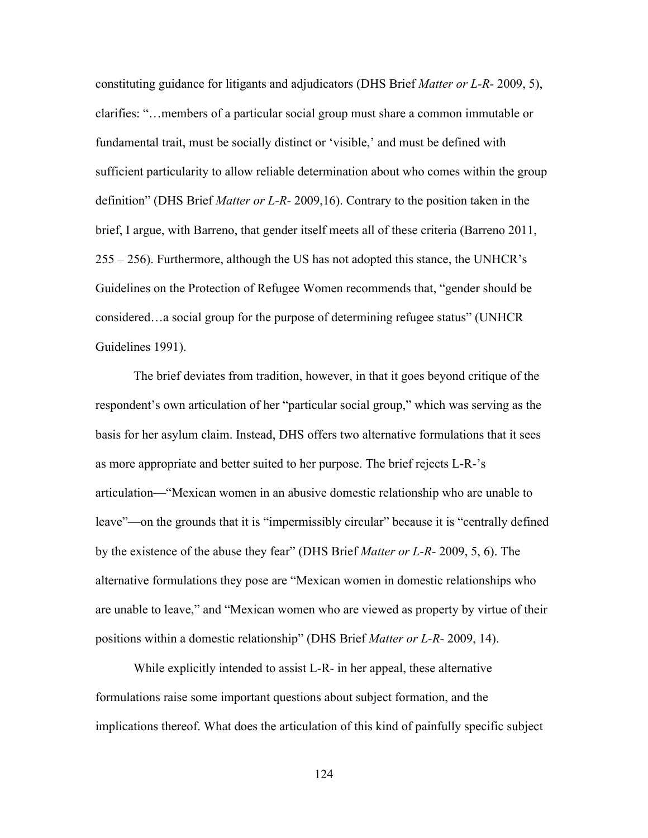constituting guidance for litigants and adjudicators (DHS Brief *Matter or L-R-* 2009, 5), clarifies: "…members of a particular social group must share a common immutable or fundamental trait, must be socially distinct or 'visible,' and must be defined with sufficient particularity to allow reliable determination about who comes within the group definition" (DHS Brief *Matter or L-R-* 2009,16). Contrary to the position taken in the brief, I argue, with Barreno, that gender itself meets all of these criteria (Barreno 2011, 255 – 256). Furthermore, although the US has not adopted this stance, the UNHCR's Guidelines on the Protection of Refugee Women recommends that, "gender should be considered…a social group for the purpose of determining refugee status" (UNHCR Guidelines 1991).

The brief deviates from tradition, however, in that it goes beyond critique of the respondent's own articulation of her "particular social group," which was serving as the basis for her asylum claim. Instead, DHS offers two alternative formulations that it sees as more appropriate and better suited to her purpose. The brief rejects L-R-'s articulation—"Mexican women in an abusive domestic relationship who are unable to leave"—on the grounds that it is "impermissibly circular" because it is "centrally defined by the existence of the abuse they fear" (DHS Brief *Matter or L-R-* 2009, 5, 6). The alternative formulations they pose are "Mexican women in domestic relationships who are unable to leave," and "Mexican women who are viewed as property by virtue of their positions within a domestic relationship" (DHS Brief *Matter or L-R-* 2009, 14).

While explicitly intended to assist L-R- in her appeal, these alternative formulations raise some important questions about subject formation, and the implications thereof. What does the articulation of this kind of painfully specific subject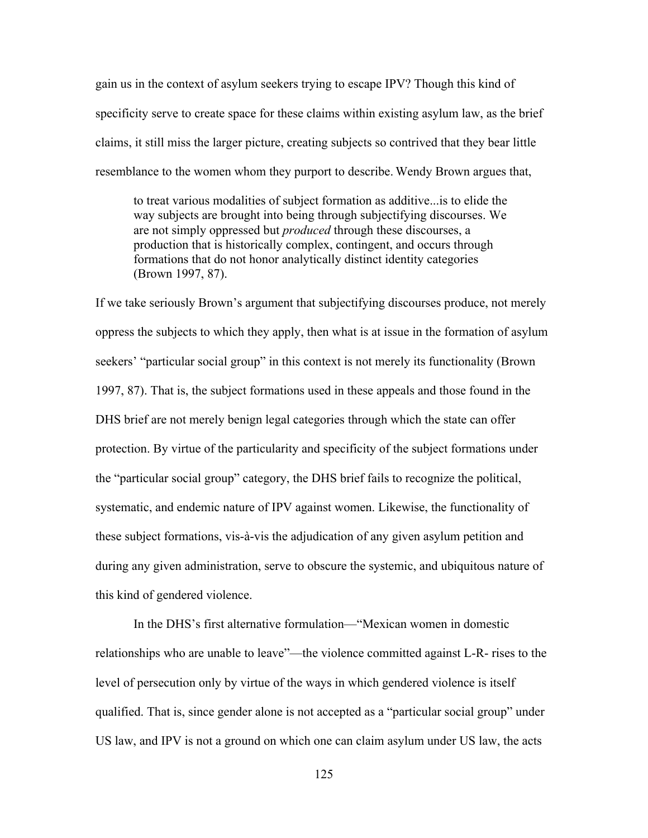gain us in the context of asylum seekers trying to escape IPV? Though this kind of specificity serve to create space for these claims within existing asylum law, as the brief claims, it still miss the larger picture, creating subjects so contrived that they bear little resemblance to the women whom they purport to describe. Wendy Brown argues that,

to treat various modalities of subject formation as additive...is to elide the way subjects are brought into being through subjectifying discourses. We are not simply oppressed but *produced* through these discourses, a production that is historically complex, contingent, and occurs through formations that do not honor analytically distinct identity categories (Brown 1997, 87).

If we take seriously Brown's argument that subjectifying discourses produce, not merely oppress the subjects to which they apply, then what is at issue in the formation of asylum seekers' "particular social group" in this context is not merely its functionality (Brown 1997, 87). That is, the subject formations used in these appeals and those found in the DHS brief are not merely benign legal categories through which the state can offer protection. By virtue of the particularity and specificity of the subject formations under the "particular social group" category, the DHS brief fails to recognize the political, systematic, and endemic nature of IPV against women. Likewise, the functionality of these subject formations, vis-à-vis the adjudication of any given asylum petition and during any given administration, serve to obscure the systemic, and ubiquitous nature of this kind of gendered violence.

In the DHS's first alternative formulation—"Mexican women in domestic relationships who are unable to leave"—the violence committed against L-R- rises to the level of persecution only by virtue of the ways in which gendered violence is itself qualified. That is, since gender alone is not accepted as a "particular social group" under US law, and IPV is not a ground on which one can claim asylum under US law, the acts

125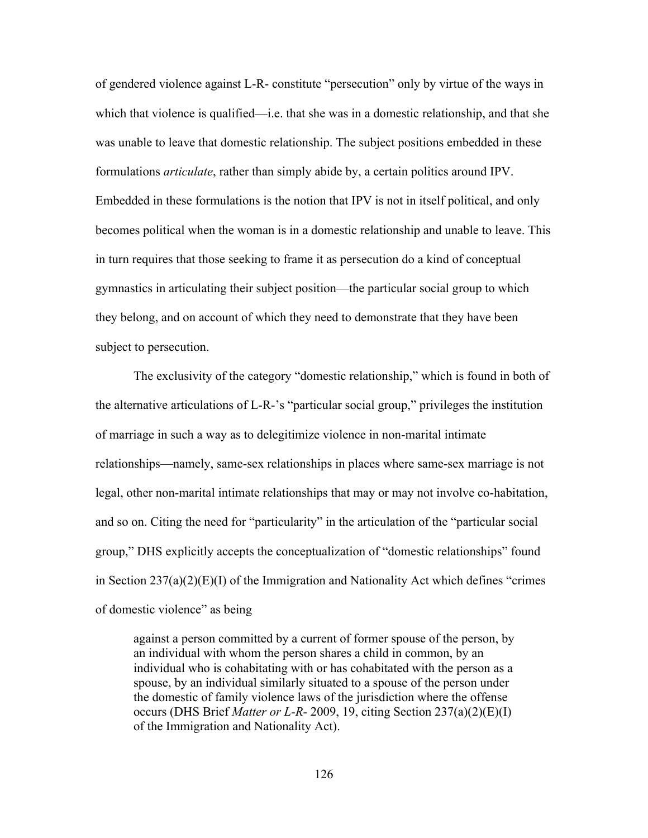of gendered violence against L-R- constitute "persecution" only by virtue of the ways in which that violence is qualified—i.e. that she was in a domestic relationship, and that she was unable to leave that domestic relationship. The subject positions embedded in these formulations *articulate*, rather than simply abide by, a certain politics around IPV. Embedded in these formulations is the notion that IPV is not in itself political, and only becomes political when the woman is in a domestic relationship and unable to leave. This in turn requires that those seeking to frame it as persecution do a kind of conceptual gymnastics in articulating their subject position—the particular social group to which they belong, and on account of which they need to demonstrate that they have been subject to persecution.

The exclusivity of the category "domestic relationship," which is found in both of the alternative articulations of L-R-'s "particular social group," privileges the institution of marriage in such a way as to delegitimize violence in non-marital intimate relationships—namely, same-sex relationships in places where same-sex marriage is not legal, other non-marital intimate relationships that may or may not involve co-habitation, and so on. Citing the need for "particularity" in the articulation of the "particular social group," DHS explicitly accepts the conceptualization of "domestic relationships" found in Section  $237(a)(2)(E)(I)$  of the Immigration and Nationality Act which defines "crimes" of domestic violence" as being

against a person committed by a current of former spouse of the person, by an individual with whom the person shares a child in common, by an individual who is cohabitating with or has cohabitated with the person as a spouse, by an individual similarly situated to a spouse of the person under the domestic of family violence laws of the jurisdiction where the offense occurs (DHS Brief *Matter or L-R-* 2009, 19, citing Section 237(a)(2)(E)(I) of the Immigration and Nationality Act).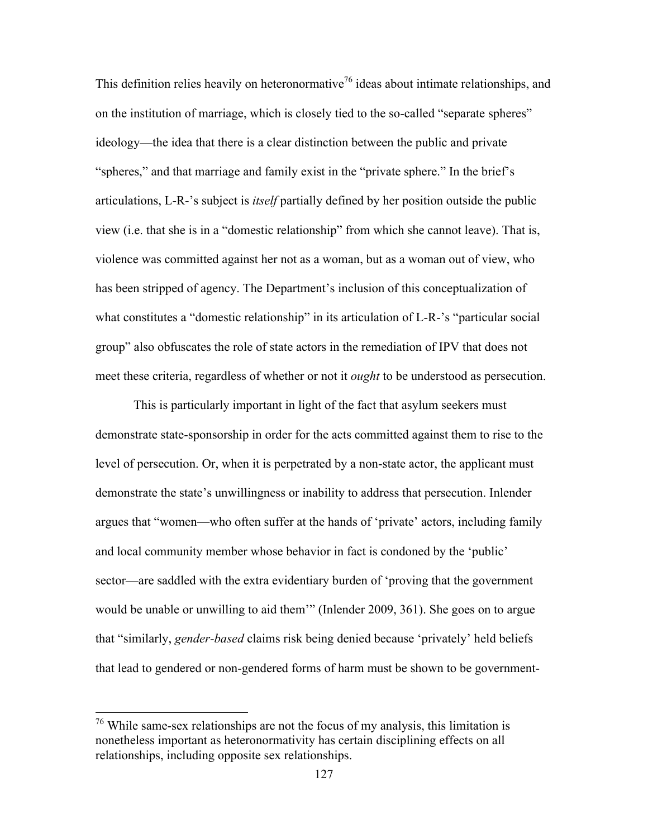This definition relies heavily on heteronormative<sup>76</sup> ideas about intimate relationships, and on the institution of marriage, which is closely tied to the so-called "separate spheres" ideology—the idea that there is a clear distinction between the public and private "spheres," and that marriage and family exist in the "private sphere." In the brief's articulations, L-R-'s subject is *itself* partially defined by her position outside the public view (i.e. that she is in a "domestic relationship" from which she cannot leave). That is, violence was committed against her not as a woman, but as a woman out of view, who has been stripped of agency. The Department's inclusion of this conceptualization of what constitutes a "domestic relationship" in its articulation of L-R-'s "particular social group" also obfuscates the role of state actors in the remediation of IPV that does not meet these criteria, regardless of whether or not it *ought* to be understood as persecution.

This is particularly important in light of the fact that asylum seekers must demonstrate state-sponsorship in order for the acts committed against them to rise to the level of persecution. Or, when it is perpetrated by a non-state actor, the applicant must demonstrate the state's unwillingness or inability to address that persecution. Inlender argues that "women—who often suffer at the hands of 'private' actors, including family and local community member whose behavior in fact is condoned by the 'public' sector—are saddled with the extra evidentiary burden of 'proving that the government would be unable or unwilling to aid them'" (Inlender 2009, 361). She goes on to argue that "similarly, *gender-based* claims risk being denied because 'privately' held beliefs that lead to gendered or non-gendered forms of harm must be shown to be government-

 $76$  While same-sex relationships are not the focus of my analysis, this limitation is nonetheless important as heteronormativity has certain disciplining effects on all relationships, including opposite sex relationships.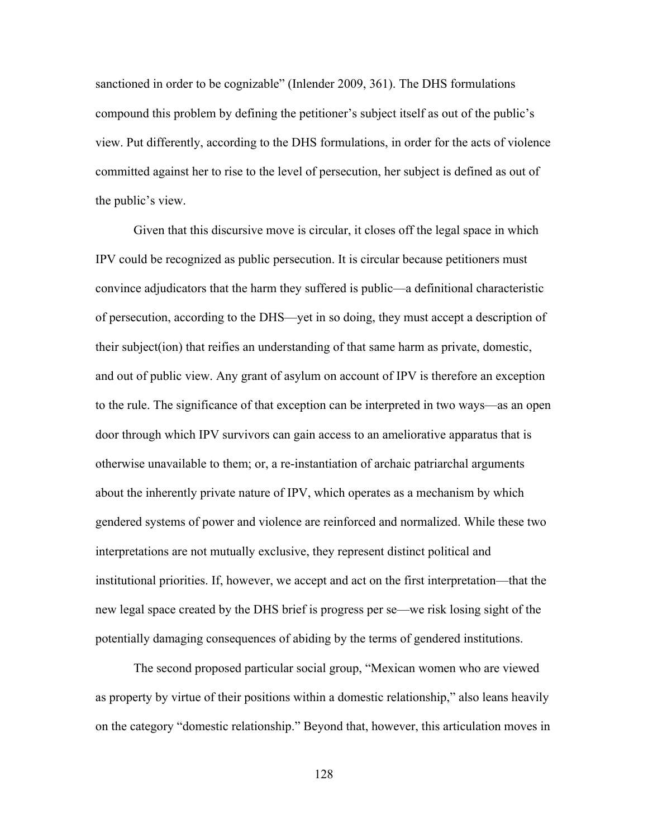sanctioned in order to be cognizable" (Inlender 2009, 361). The DHS formulations compound this problem by defining the petitioner's subject itself as out of the public's view. Put differently, according to the DHS formulations, in order for the acts of violence committed against her to rise to the level of persecution, her subject is defined as out of the public's view.

Given that this discursive move is circular, it closes off the legal space in which IPV could be recognized as public persecution. It is circular because petitioners must convince adjudicators that the harm they suffered is public—a definitional characteristic of persecution, according to the DHS—yet in so doing, they must accept a description of their subject(ion) that reifies an understanding of that same harm as private, domestic, and out of public view. Any grant of asylum on account of IPV is therefore an exception to the rule. The significance of that exception can be interpreted in two ways—as an open door through which IPV survivors can gain access to an ameliorative apparatus that is otherwise unavailable to them; or, a re-instantiation of archaic patriarchal arguments about the inherently private nature of IPV, which operates as a mechanism by which gendered systems of power and violence are reinforced and normalized. While these two interpretations are not mutually exclusive, they represent distinct political and institutional priorities. If, however, we accept and act on the first interpretation—that the new legal space created by the DHS brief is progress per se—we risk losing sight of the potentially damaging consequences of abiding by the terms of gendered institutions.

The second proposed particular social group, "Mexican women who are viewed as property by virtue of their positions within a domestic relationship," also leans heavily on the category "domestic relationship." Beyond that, however, this articulation moves in

128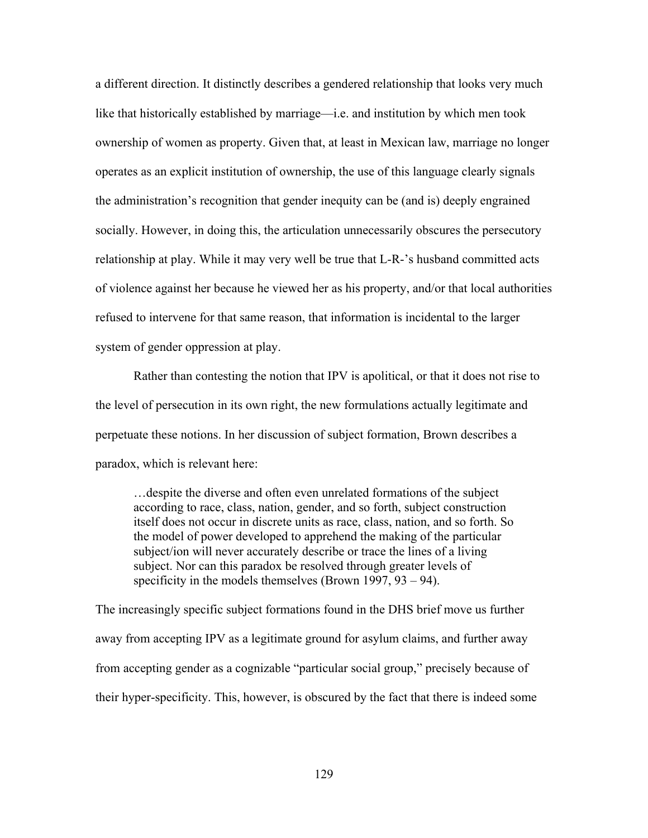a different direction. It distinctly describes a gendered relationship that looks very much like that historically established by marriage—i.e. and institution by which men took ownership of women as property. Given that, at least in Mexican law, marriage no longer operates as an explicit institution of ownership, the use of this language clearly signals the administration's recognition that gender inequity can be (and is) deeply engrained socially. However, in doing this, the articulation unnecessarily obscures the persecutory relationship at play. While it may very well be true that L-R-'s husband committed acts of violence against her because he viewed her as his property, and/or that local authorities refused to intervene for that same reason, that information is incidental to the larger system of gender oppression at play.

Rather than contesting the notion that IPV is apolitical, or that it does not rise to the level of persecution in its own right, the new formulations actually legitimate and perpetuate these notions. In her discussion of subject formation, Brown describes a paradox, which is relevant here:

…despite the diverse and often even unrelated formations of the subject according to race, class, nation, gender, and so forth, subject construction itself does not occur in discrete units as race, class, nation, and so forth. So the model of power developed to apprehend the making of the particular subject/ion will never accurately describe or trace the lines of a living subject. Nor can this paradox be resolved through greater levels of specificity in the models themselves (Brown 1997, 93 – 94).

The increasingly specific subject formations found in the DHS brief move us further away from accepting IPV as a legitimate ground for asylum claims, and further away from accepting gender as a cognizable "particular social group," precisely because of their hyper-specificity. This, however, is obscured by the fact that there is indeed some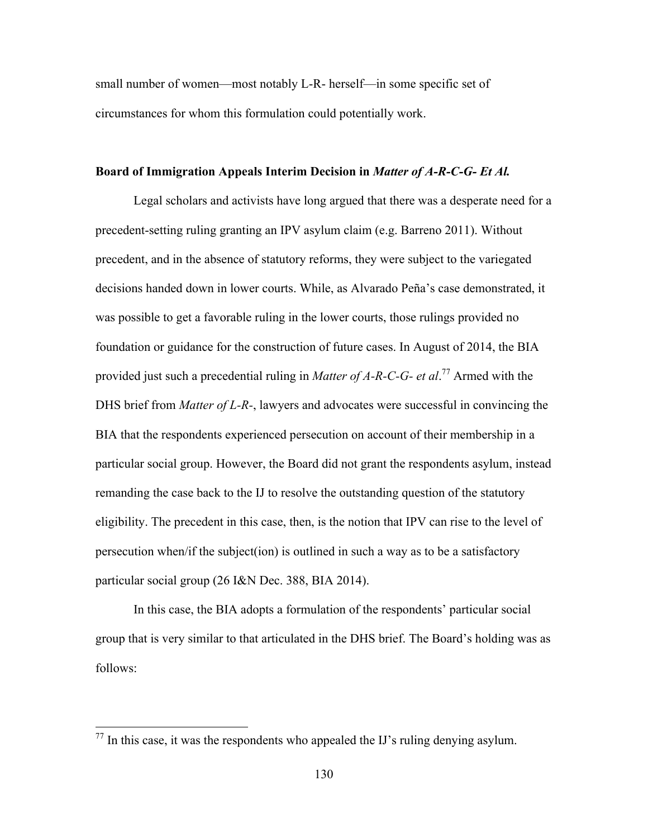small number of women—most notably L-R- herself—in some specific set of circumstances for whom this formulation could potentially work.

# **Board of Immigration Appeals Interim Decision in** *Matter of A-R-C-G- Et Al.*

Legal scholars and activists have long argued that there was a desperate need for a precedent-setting ruling granting an IPV asylum claim (e.g. Barreno 2011). Without precedent, and in the absence of statutory reforms, they were subject to the variegated decisions handed down in lower courts. While, as Alvarado Peña's case demonstrated, it was possible to get a favorable ruling in the lower courts, those rulings provided no foundation or guidance for the construction of future cases. In August of 2014, the BIA provided just such a precedential ruling in *Matter of A-R-C-G- et al*. <sup>77</sup> Armed with the DHS brief from *Matter of L-R-*, lawyers and advocates were successful in convincing the BIA that the respondents experienced persecution on account of their membership in a particular social group. However, the Board did not grant the respondents asylum, instead remanding the case back to the IJ to resolve the outstanding question of the statutory eligibility. The precedent in this case, then, is the notion that IPV can rise to the level of persecution when/if the subject(ion) is outlined in such a way as to be a satisfactory particular social group (26 I&N Dec. 388, BIA 2014).

In this case, the BIA adopts a formulation of the respondents' particular social group that is very similar to that articulated in the DHS brief. The Board's holding was as follows:

 $77$  In this case, it was the respondents who appealed the IJ's ruling denying asylum.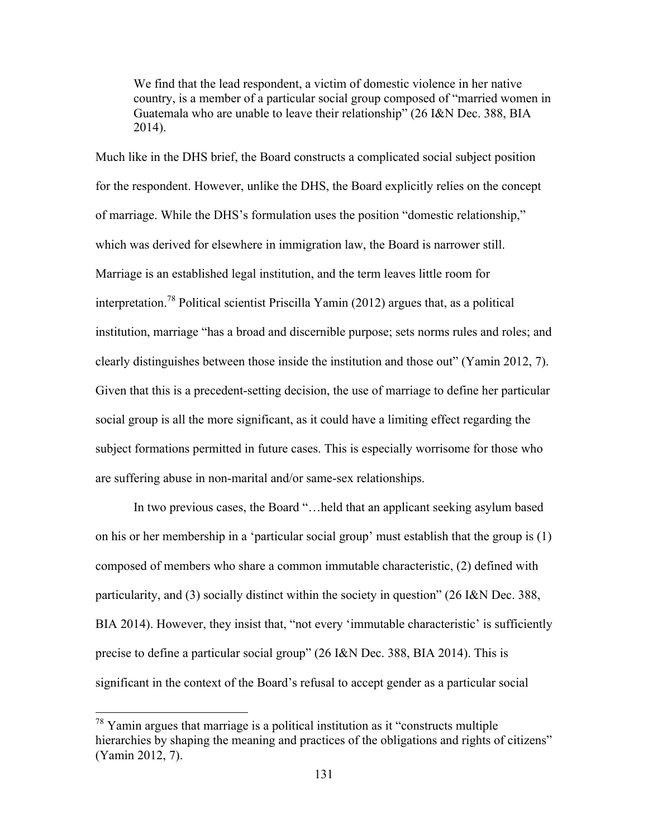We find that the lead respondent, a victim of domestic violence in her native country, is a member of a particular social group composed of "married women in Guatemala who are unable to leave their relationship" (26 I&N Dec. 388, BIA 2014).

Much like in the DHS brief, the Board constructs a complicated social subject position for the respondent. However, unlike the DHS, the Board explicitly relies on the concept of marriage. While the DHS's formulation uses the position "domestic relationship," which was derived for elsewhere in immigration law, the Board is narrower still. Marriage is an established legal institution, and the term leaves little room for interpretation.<sup>78</sup> Political scientist Priscilla Yamin (2012) argues that, as a political institution, marriage "has a broad and discernible purpose; sets norms rules and roles; and clearly distinguishes between those inside the institution and those out" (Yamin 2012, 7). Given that this is a precedent-setting decision, the use of marriage to define her particular social group is all the more significant, as it could have a limiting effect regarding the subject formations permitted in future cases. This is especially worrisome for those who are suffering abuse in non-marital and/or same-sex relationships.

In two previous cases, the Board "…held that an applicant seeking asylum based on his or her membership in a 'particular social group' must establish that the group is (1) composed of members who share a common immutable characteristic, (2) defined with particularity, and (3) socially distinct within the society in question" (26 I&N Dec. 388, BIA 2014). However, they insist that, "not every 'immutable characteristic' is sufficiently precise to define a particular social group" (26 I&N Dec. 388, BIA 2014). This is significant in the context of the Board's refusal to accept gender as a particular social

 $78$  Yamin argues that marriage is a political institution as it "constructs multiple" hierarchies by shaping the meaning and practices of the obligations and rights of citizens" (Yamin 2012, 7).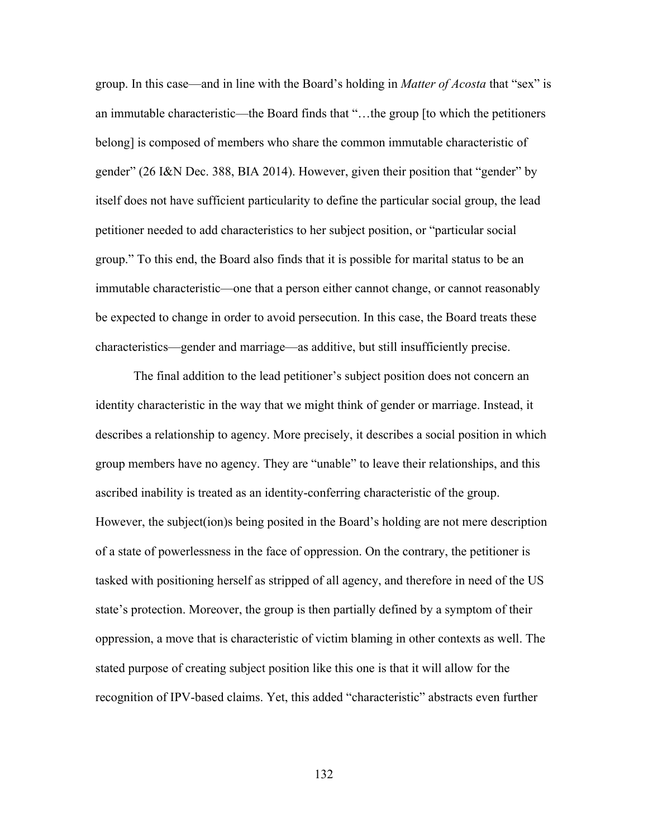group. In this case—and in line with the Board's holding in *Matter of Acosta* that "sex" is an immutable characteristic—the Board finds that "…the group [to which the petitioners belong] is composed of members who share the common immutable characteristic of gender" (26 I&N Dec. 388, BIA 2014). However, given their position that "gender" by itself does not have sufficient particularity to define the particular social group, the lead petitioner needed to add characteristics to her subject position, or "particular social group." To this end, the Board also finds that it is possible for marital status to be an immutable characteristic—one that a person either cannot change, or cannot reasonably be expected to change in order to avoid persecution. In this case, the Board treats these characteristics—gender and marriage—as additive, but still insufficiently precise.

The final addition to the lead petitioner's subject position does not concern an identity characteristic in the way that we might think of gender or marriage. Instead, it describes a relationship to agency. More precisely, it describes a social position in which group members have no agency. They are "unable" to leave their relationships, and this ascribed inability is treated as an identity-conferring characteristic of the group. However, the subject(ion)s being posited in the Board's holding are not mere description of a state of powerlessness in the face of oppression. On the contrary, the petitioner is tasked with positioning herself as stripped of all agency, and therefore in need of the US state's protection. Moreover, the group is then partially defined by a symptom of their oppression, a move that is characteristic of victim blaming in other contexts as well. The stated purpose of creating subject position like this one is that it will allow for the recognition of IPV-based claims. Yet, this added "characteristic" abstracts even further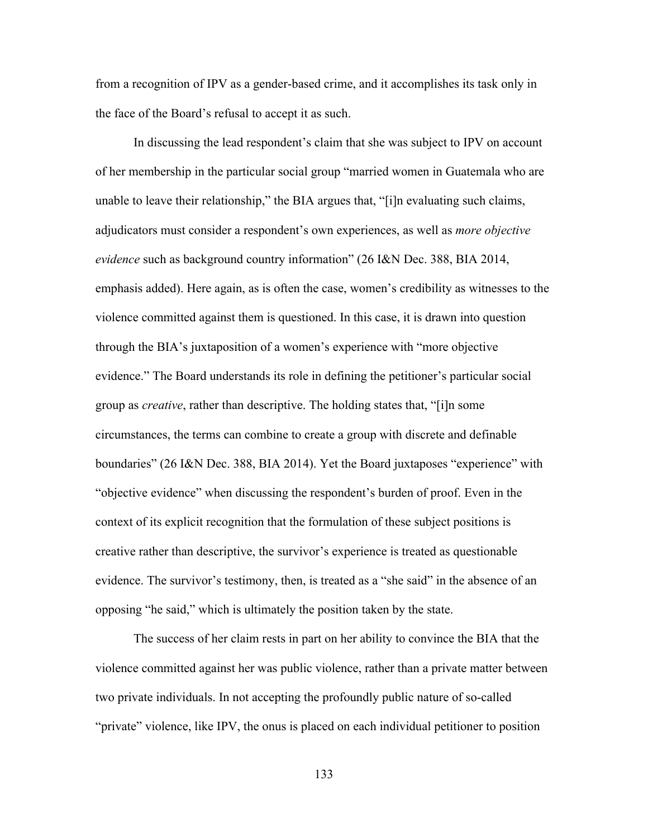from a recognition of IPV as a gender-based crime, and it accomplishes its task only in the face of the Board's refusal to accept it as such.

In discussing the lead respondent's claim that she was subject to IPV on account of her membership in the particular social group "married women in Guatemala who are unable to leave their relationship," the BIA argues that, "[i]n evaluating such claims, adjudicators must consider a respondent's own experiences, as well as *more objective evidence* such as background country information" (26 I&N Dec. 388, BIA 2014, emphasis added). Here again, as is often the case, women's credibility as witnesses to the violence committed against them is questioned. In this case, it is drawn into question through the BIA's juxtaposition of a women's experience with "more objective evidence." The Board understands its role in defining the petitioner's particular social group as *creative*, rather than descriptive. The holding states that, "[i]n some circumstances, the terms can combine to create a group with discrete and definable boundaries" (26 I&N Dec. 388, BIA 2014). Yet the Board juxtaposes "experience" with "objective evidence" when discussing the respondent's burden of proof. Even in the context of its explicit recognition that the formulation of these subject positions is creative rather than descriptive, the survivor's experience is treated as questionable evidence. The survivor's testimony, then, is treated as a "she said" in the absence of an opposing "he said," which is ultimately the position taken by the state.

The success of her claim rests in part on her ability to convince the BIA that the violence committed against her was public violence, rather than a private matter between two private individuals. In not accepting the profoundly public nature of so-called "private" violence, like IPV, the onus is placed on each individual petitioner to position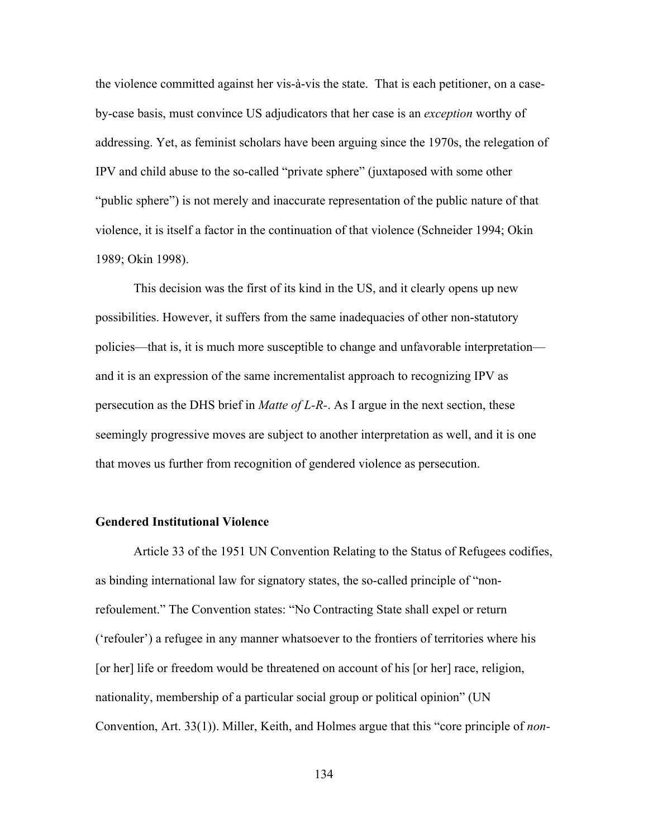the violence committed against her vis-à-vis the state. That is each petitioner, on a caseby-case basis, must convince US adjudicators that her case is an *exception* worthy of addressing. Yet, as feminist scholars have been arguing since the 1970s, the relegation of IPV and child abuse to the so-called "private sphere" (juxtaposed with some other "public sphere") is not merely and inaccurate representation of the public nature of that violence, it is itself a factor in the continuation of that violence (Schneider 1994; Okin 1989; Okin 1998).

This decision was the first of its kind in the US, and it clearly opens up new possibilities. However, it suffers from the same inadequacies of other non-statutory policies—that is, it is much more susceptible to change and unfavorable interpretation and it is an expression of the same incrementalist approach to recognizing IPV as persecution as the DHS brief in *Matte of L-R-*. As I argue in the next section, these seemingly progressive moves are subject to another interpretation as well, and it is one that moves us further from recognition of gendered violence as persecution.

### **Gendered Institutional Violence**

Article 33 of the 1951 UN Convention Relating to the Status of Refugees codifies, as binding international law for signatory states, the so-called principle of "nonrefoulement." The Convention states: "No Contracting State shall expel or return ('refouler') a refugee in any manner whatsoever to the frontiers of territories where his [or her] life or freedom would be threatened on account of his [or her] race, religion, nationality, membership of a particular social group or political opinion" (UN Convention, Art. 33(1)). Miller, Keith, and Holmes argue that this "core principle of *non-*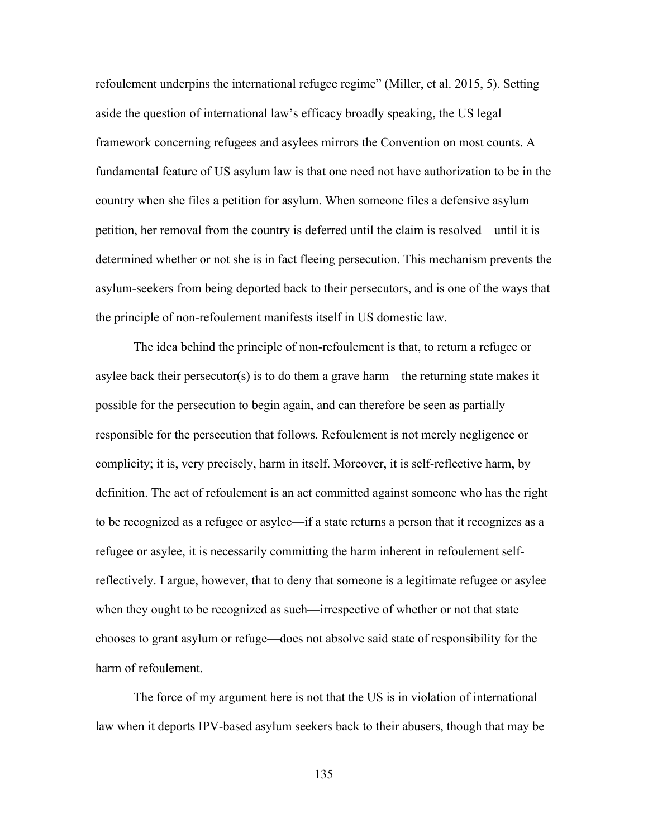refoulement underpins the international refugee regime" (Miller, et al. 2015, 5). Setting aside the question of international law's efficacy broadly speaking, the US legal framework concerning refugees and asylees mirrors the Convention on most counts. A fundamental feature of US asylum law is that one need not have authorization to be in the country when she files a petition for asylum. When someone files a defensive asylum petition, her removal from the country is deferred until the claim is resolved—until it is determined whether or not she is in fact fleeing persecution. This mechanism prevents the asylum-seekers from being deported back to their persecutors, and is one of the ways that the principle of non-refoulement manifests itself in US domestic law.

The idea behind the principle of non-refoulement is that, to return a refugee or asylee back their persecutor(s) is to do them a grave harm—the returning state makes it possible for the persecution to begin again, and can therefore be seen as partially responsible for the persecution that follows. Refoulement is not merely negligence or complicity; it is, very precisely, harm in itself. Moreover, it is self-reflective harm, by definition. The act of refoulement is an act committed against someone who has the right to be recognized as a refugee or asylee—if a state returns a person that it recognizes as a refugee or asylee, it is necessarily committing the harm inherent in refoulement selfreflectively. I argue, however, that to deny that someone is a legitimate refugee or asylee when they ought to be recognized as such—irrespective of whether or not that state chooses to grant asylum or refuge—does not absolve said state of responsibility for the harm of refoulement.

The force of my argument here is not that the US is in violation of international law when it deports IPV-based asylum seekers back to their abusers, though that may be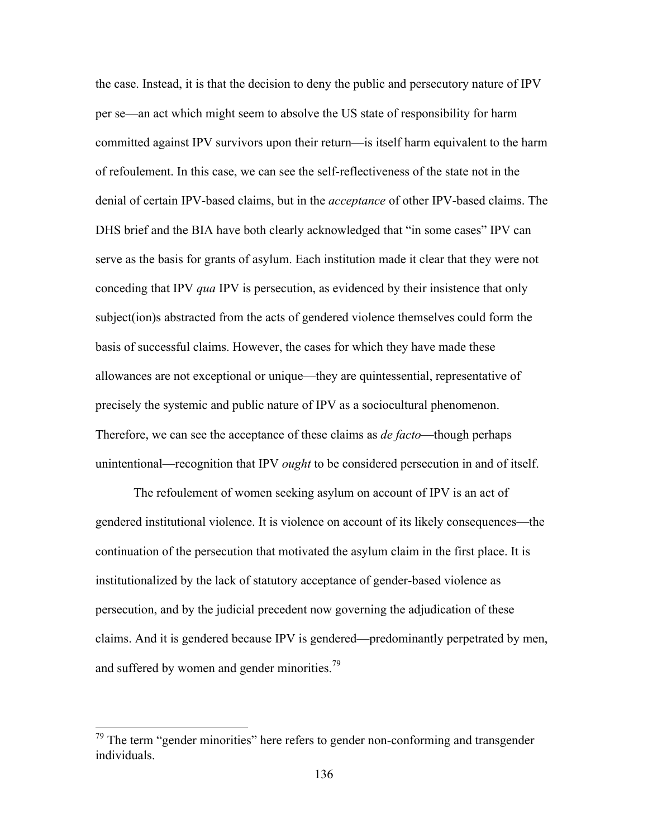the case. Instead, it is that the decision to deny the public and persecutory nature of IPV per se—an act which might seem to absolve the US state of responsibility for harm committed against IPV survivors upon their return—is itself harm equivalent to the harm of refoulement. In this case, we can see the self-reflectiveness of the state not in the denial of certain IPV-based claims, but in the *acceptance* of other IPV-based claims. The DHS brief and the BIA have both clearly acknowledged that "in some cases" IPV can serve as the basis for grants of asylum. Each institution made it clear that they were not conceding that IPV *qua* IPV is persecution, as evidenced by their insistence that only subject(ion)s abstracted from the acts of gendered violence themselves could form the basis of successful claims. However, the cases for which they have made these allowances are not exceptional or unique—they are quintessential, representative of precisely the systemic and public nature of IPV as a sociocultural phenomenon. Therefore, we can see the acceptance of these claims as *de facto*—though perhaps unintentional—recognition that IPV *ought* to be considered persecution in and of itself.

The refoulement of women seeking asylum on account of IPV is an act of gendered institutional violence. It is violence on account of its likely consequences—the continuation of the persecution that motivated the asylum claim in the first place. It is institutionalized by the lack of statutory acceptance of gender-based violence as persecution, and by the judicial precedent now governing the adjudication of these claims. And it is gendered because IPV is gendered—predominantly perpetrated by men, and suffered by women and gender minorities.<sup>79</sup>

 <sup>79</sup> The term "gender minorities" here refers to gender non-conforming and transgender individuals.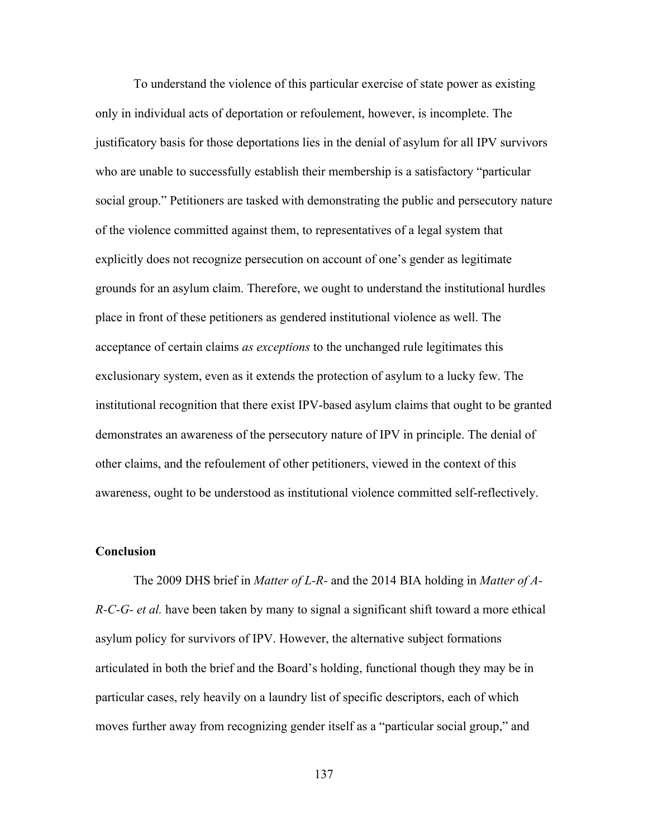To understand the violence of this particular exercise of state power as existing only in individual acts of deportation or refoulement, however, is incomplete. The justificatory basis for those deportations lies in the denial of asylum for all IPV survivors who are unable to successfully establish their membership is a satisfactory "particular social group." Petitioners are tasked with demonstrating the public and persecutory nature of the violence committed against them, to representatives of a legal system that explicitly does not recognize persecution on account of one's gender as legitimate grounds for an asylum claim. Therefore, we ought to understand the institutional hurdles place in front of these petitioners as gendered institutional violence as well. The acceptance of certain claims *as exceptions* to the unchanged rule legitimates this exclusionary system, even as it extends the protection of asylum to a lucky few. The institutional recognition that there exist IPV-based asylum claims that ought to be granted demonstrates an awareness of the persecutory nature of IPV in principle. The denial of other claims, and the refoulement of other petitioners, viewed in the context of this awareness, ought to be understood as institutional violence committed self-reflectively.

#### **Conclusion**

The 2009 DHS brief in *Matter of L-R-* and the 2014 BIA holding in *Matter of A-R-C-G- et al.* have been taken by many to signal a significant shift toward a more ethical asylum policy for survivors of IPV. However, the alternative subject formations articulated in both the brief and the Board's holding, functional though they may be in particular cases, rely heavily on a laundry list of specific descriptors, each of which moves further away from recognizing gender itself as a "particular social group," and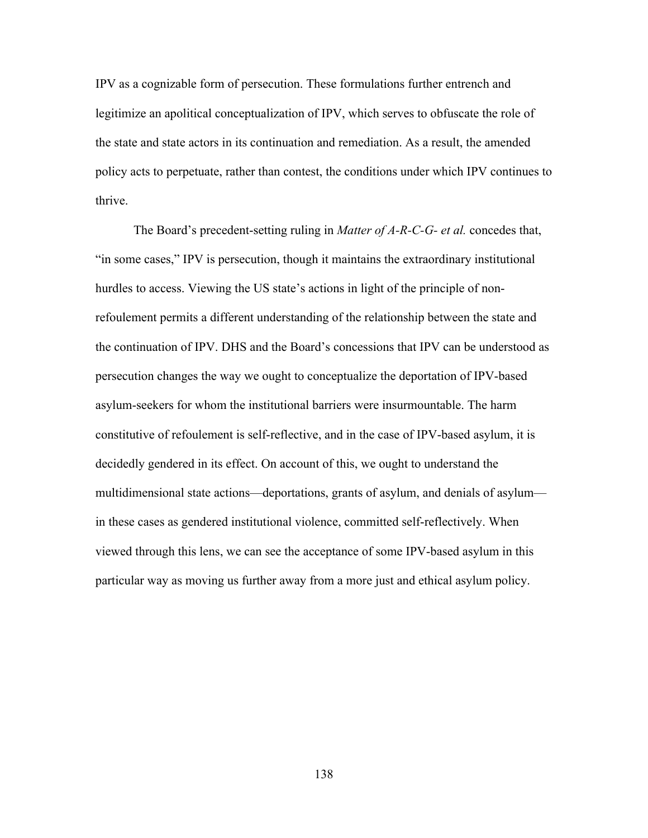IPV as a cognizable form of persecution. These formulations further entrench and legitimize an apolitical conceptualization of IPV, which serves to obfuscate the role of the state and state actors in its continuation and remediation. As a result, the amended policy acts to perpetuate, rather than contest, the conditions under which IPV continues to thrive.

The Board's precedent-setting ruling in *Matter of A-R-C-G- et al.* concedes that, "in some cases," IPV is persecution, though it maintains the extraordinary institutional hurdles to access. Viewing the US state's actions in light of the principle of nonrefoulement permits a different understanding of the relationship between the state and the continuation of IPV. DHS and the Board's concessions that IPV can be understood as persecution changes the way we ought to conceptualize the deportation of IPV-based asylum-seekers for whom the institutional barriers were insurmountable. The harm constitutive of refoulement is self-reflective, and in the case of IPV-based asylum, it is decidedly gendered in its effect. On account of this, we ought to understand the multidimensional state actions—deportations, grants of asylum, and denials of asylum in these cases as gendered institutional violence, committed self-reflectively. When viewed through this lens, we can see the acceptance of some IPV-based asylum in this particular way as moving us further away from a more just and ethical asylum policy.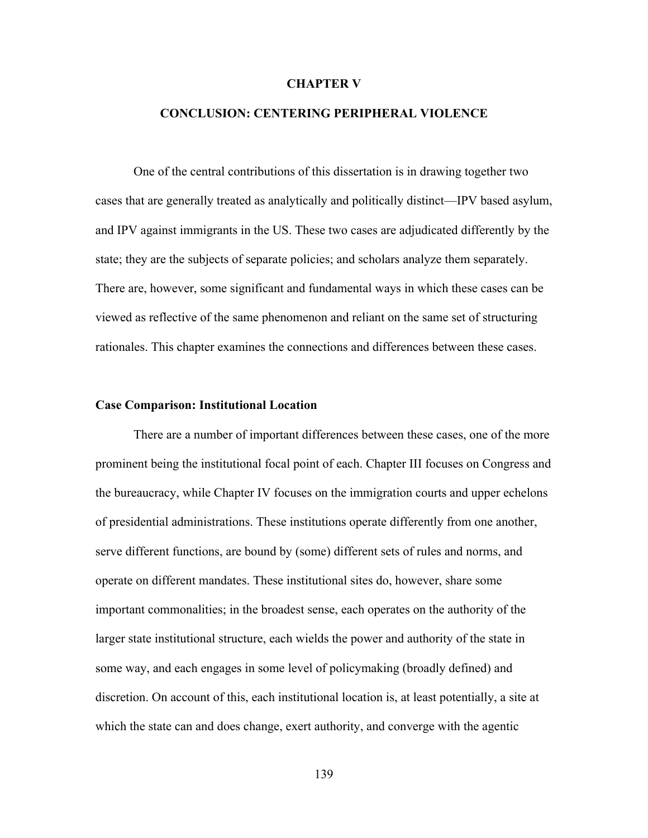#### **CHAPTER V**

## **CONCLUSION: CENTERING PERIPHERAL VIOLENCE**

One of the central contributions of this dissertation is in drawing together two cases that are generally treated as analytically and politically distinct—IPV based asylum, and IPV against immigrants in the US. These two cases are adjudicated differently by the state; they are the subjects of separate policies; and scholars analyze them separately. There are, however, some significant and fundamental ways in which these cases can be viewed as reflective of the same phenomenon and reliant on the same set of structuring rationales. This chapter examines the connections and differences between these cases.

#### **Case Comparison: Institutional Location**

There are a number of important differences between these cases, one of the more prominent being the institutional focal point of each. Chapter III focuses on Congress and the bureaucracy, while Chapter IV focuses on the immigration courts and upper echelons of presidential administrations. These institutions operate differently from one another, serve different functions, are bound by (some) different sets of rules and norms, and operate on different mandates. These institutional sites do, however, share some important commonalities; in the broadest sense, each operates on the authority of the larger state institutional structure, each wields the power and authority of the state in some way, and each engages in some level of policymaking (broadly defined) and discretion. On account of this, each institutional location is, at least potentially, a site at which the state can and does change, exert authority, and converge with the agentic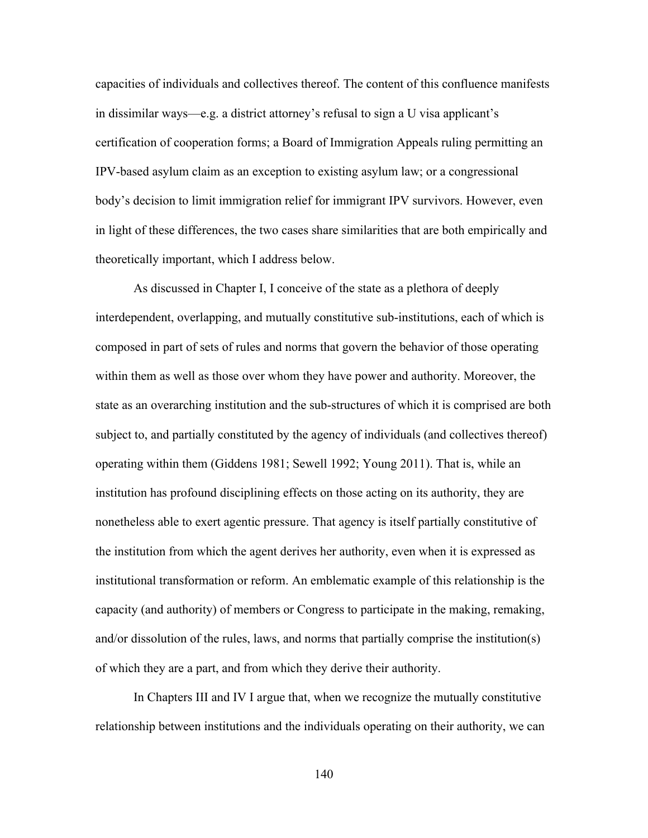capacities of individuals and collectives thereof. The content of this confluence manifests in dissimilar ways—e.g. a district attorney's refusal to sign a U visa applicant's certification of cooperation forms; a Board of Immigration Appeals ruling permitting an IPV-based asylum claim as an exception to existing asylum law; or a congressional body's decision to limit immigration relief for immigrant IPV survivors. However, even in light of these differences, the two cases share similarities that are both empirically and theoretically important, which I address below.

As discussed in Chapter I, I conceive of the state as a plethora of deeply interdependent, overlapping, and mutually constitutive sub-institutions, each of which is composed in part of sets of rules and norms that govern the behavior of those operating within them as well as those over whom they have power and authority. Moreover, the state as an overarching institution and the sub-structures of which it is comprised are both subject to, and partially constituted by the agency of individuals (and collectives thereof) operating within them (Giddens 1981; Sewell 1992; Young 2011). That is, while an institution has profound disciplining effects on those acting on its authority, they are nonetheless able to exert agentic pressure. That agency is itself partially constitutive of the institution from which the agent derives her authority, even when it is expressed as institutional transformation or reform. An emblematic example of this relationship is the capacity (and authority) of members or Congress to participate in the making, remaking, and/or dissolution of the rules, laws, and norms that partially comprise the institution(s) of which they are a part, and from which they derive their authority.

In Chapters III and IV I argue that, when we recognize the mutually constitutive relationship between institutions and the individuals operating on their authority, we can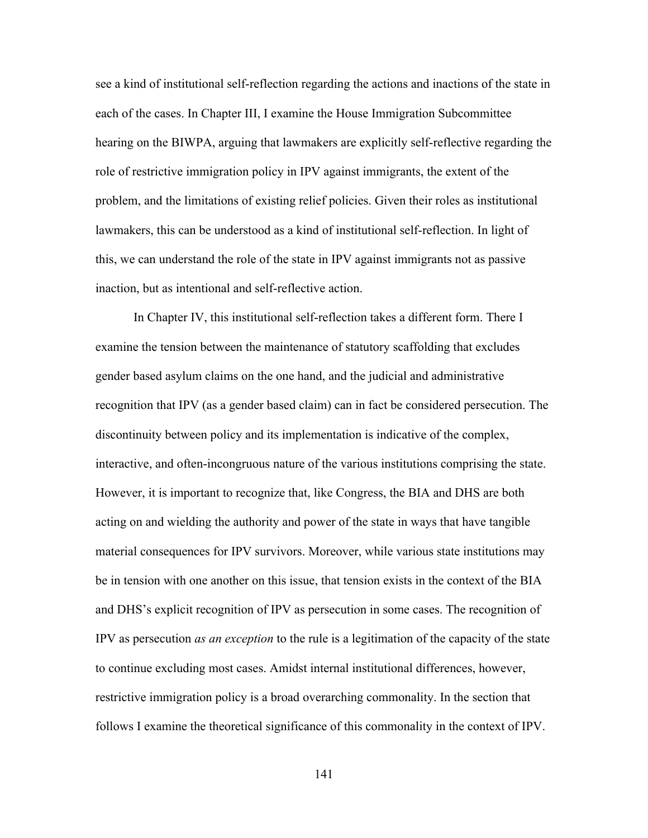see a kind of institutional self-reflection regarding the actions and inactions of the state in each of the cases. In Chapter III, I examine the House Immigration Subcommittee hearing on the BIWPA, arguing that lawmakers are explicitly self-reflective regarding the role of restrictive immigration policy in IPV against immigrants, the extent of the problem, and the limitations of existing relief policies. Given their roles as institutional lawmakers, this can be understood as a kind of institutional self-reflection. In light of this, we can understand the role of the state in IPV against immigrants not as passive inaction, but as intentional and self-reflective action.

In Chapter IV, this institutional self-reflection takes a different form. There I examine the tension between the maintenance of statutory scaffolding that excludes gender based asylum claims on the one hand, and the judicial and administrative recognition that IPV (as a gender based claim) can in fact be considered persecution. The discontinuity between policy and its implementation is indicative of the complex, interactive, and often-incongruous nature of the various institutions comprising the state. However, it is important to recognize that, like Congress, the BIA and DHS are both acting on and wielding the authority and power of the state in ways that have tangible material consequences for IPV survivors. Moreover, while various state institutions may be in tension with one another on this issue, that tension exists in the context of the BIA and DHS's explicit recognition of IPV as persecution in some cases. The recognition of IPV as persecution *as an exception* to the rule is a legitimation of the capacity of the state to continue excluding most cases. Amidst internal institutional differences, however, restrictive immigration policy is a broad overarching commonality. In the section that follows I examine the theoretical significance of this commonality in the context of IPV.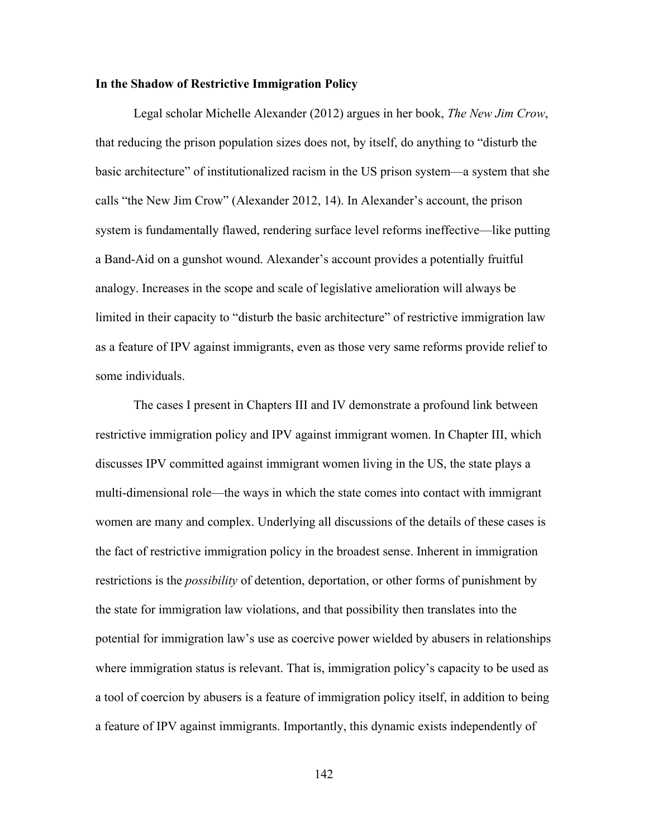#### **In the Shadow of Restrictive Immigration Policy**

Legal scholar Michelle Alexander (2012) argues in her book, *The New Jim Crow*, that reducing the prison population sizes does not, by itself, do anything to "disturb the basic architecture" of institutionalized racism in the US prison system—a system that she calls "the New Jim Crow" (Alexander 2012, 14). In Alexander's account, the prison system is fundamentally flawed, rendering surface level reforms ineffective—like putting a Band-Aid on a gunshot wound. Alexander's account provides a potentially fruitful analogy. Increases in the scope and scale of legislative amelioration will always be limited in their capacity to "disturb the basic architecture" of restrictive immigration law as a feature of IPV against immigrants, even as those very same reforms provide relief to some individuals.

The cases I present in Chapters III and IV demonstrate a profound link between restrictive immigration policy and IPV against immigrant women. In Chapter III, which discusses IPV committed against immigrant women living in the US, the state plays a multi-dimensional role—the ways in which the state comes into contact with immigrant women are many and complex. Underlying all discussions of the details of these cases is the fact of restrictive immigration policy in the broadest sense. Inherent in immigration restrictions is the *possibility* of detention, deportation, or other forms of punishment by the state for immigration law violations, and that possibility then translates into the potential for immigration law's use as coercive power wielded by abusers in relationships where immigration status is relevant. That is, immigration policy's capacity to be used as a tool of coercion by abusers is a feature of immigration policy itself, in addition to being a feature of IPV against immigrants. Importantly, this dynamic exists independently of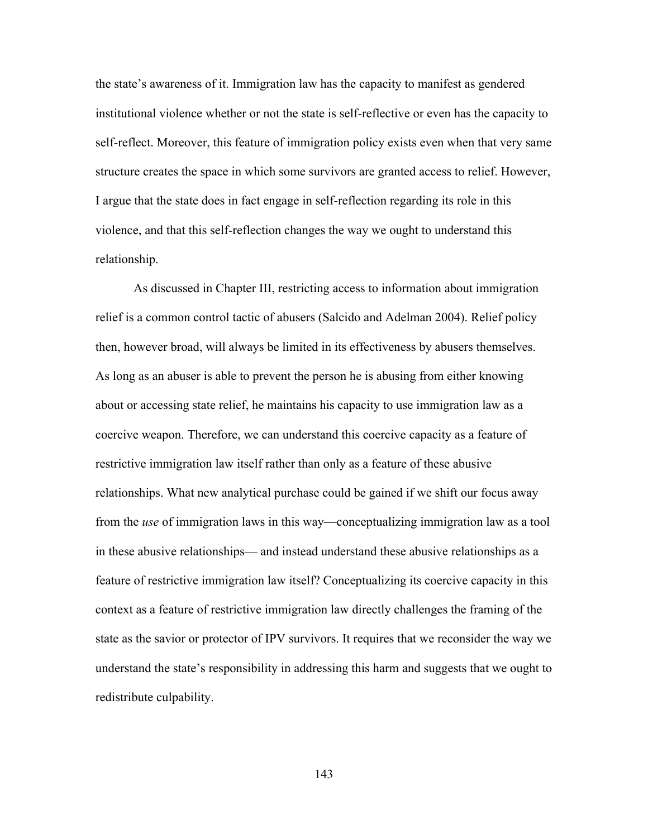the state's awareness of it. Immigration law has the capacity to manifest as gendered institutional violence whether or not the state is self-reflective or even has the capacity to self-reflect. Moreover, this feature of immigration policy exists even when that very same structure creates the space in which some survivors are granted access to relief. However, I argue that the state does in fact engage in self-reflection regarding its role in this violence, and that this self-reflection changes the way we ought to understand this relationship.

As discussed in Chapter III, restricting access to information about immigration relief is a common control tactic of abusers (Salcido and Adelman 2004). Relief policy then, however broad, will always be limited in its effectiveness by abusers themselves. As long as an abuser is able to prevent the person he is abusing from either knowing about or accessing state relief, he maintains his capacity to use immigration law as a coercive weapon. Therefore, we can understand this coercive capacity as a feature of restrictive immigration law itself rather than only as a feature of these abusive relationships. What new analytical purchase could be gained if we shift our focus away from the *use* of immigration laws in this way—conceptualizing immigration law as a tool in these abusive relationships— and instead understand these abusive relationships as a feature of restrictive immigration law itself? Conceptualizing its coercive capacity in this context as a feature of restrictive immigration law directly challenges the framing of the state as the savior or protector of IPV survivors. It requires that we reconsider the way we understand the state's responsibility in addressing this harm and suggests that we ought to redistribute culpability.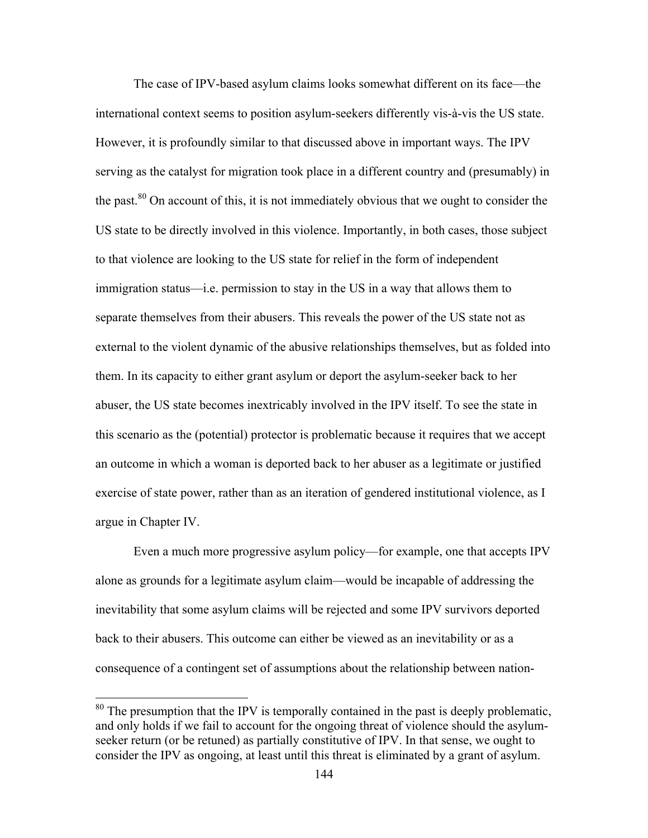The case of IPV-based asylum claims looks somewhat different on its face—the international context seems to position asylum-seekers differently vis-à-vis the US state. However, it is profoundly similar to that discussed above in important ways. The IPV serving as the catalyst for migration took place in a different country and (presumably) in the past.<sup>80</sup> On account of this, it is not immediately obvious that we ought to consider the US state to be directly involved in this violence. Importantly, in both cases, those subject to that violence are looking to the US state for relief in the form of independent immigration status—i.e. permission to stay in the US in a way that allows them to separate themselves from their abusers. This reveals the power of the US state not as external to the violent dynamic of the abusive relationships themselves, but as folded into them. In its capacity to either grant asylum or deport the asylum-seeker back to her abuser, the US state becomes inextricably involved in the IPV itself. To see the state in this scenario as the (potential) protector is problematic because it requires that we accept an outcome in which a woman is deported back to her abuser as a legitimate or justified exercise of state power, rather than as an iteration of gendered institutional violence, as I argue in Chapter IV.

Even a much more progressive asylum policy—for example, one that accepts IPV alone as grounds for a legitimate asylum claim—would be incapable of addressing the inevitability that some asylum claims will be rejected and some IPV survivors deported back to their abusers. This outcome can either be viewed as an inevitability or as a consequence of a contingent set of assumptions about the relationship between nation-

<sup>&</sup>lt;sup>80</sup> The presumption that the IPV is temporally contained in the past is deeply problematic, and only holds if we fail to account for the ongoing threat of violence should the asylumseeker return (or be retuned) as partially constitutive of IPV. In that sense, we ought to consider the IPV as ongoing, at least until this threat is eliminated by a grant of asylum.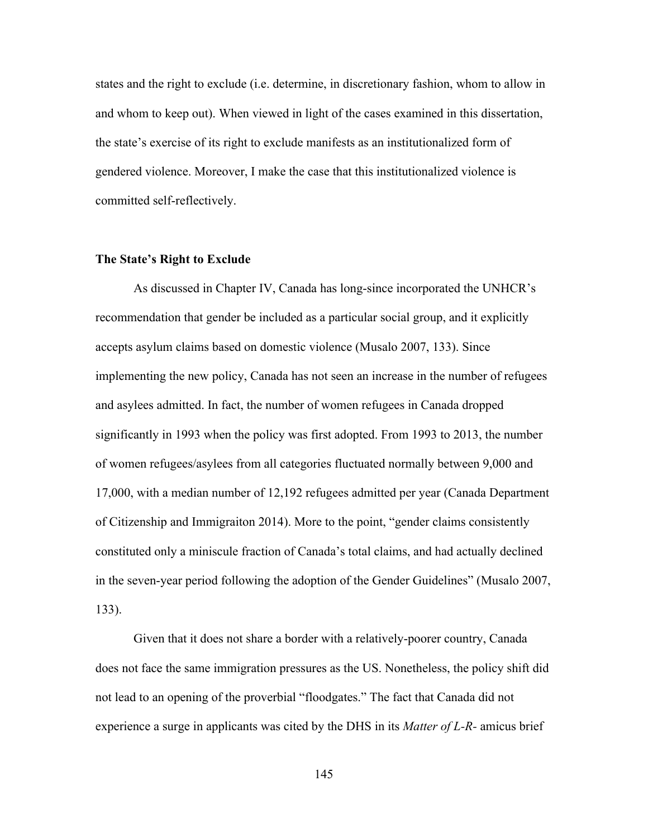states and the right to exclude (i.e. determine, in discretionary fashion, whom to allow in and whom to keep out). When viewed in light of the cases examined in this dissertation, the state's exercise of its right to exclude manifests as an institutionalized form of gendered violence. Moreover, I make the case that this institutionalized violence is committed self-reflectively.

#### **The State's Right to Exclude**

As discussed in Chapter IV, Canada has long-since incorporated the UNHCR's recommendation that gender be included as a particular social group, and it explicitly accepts asylum claims based on domestic violence (Musalo 2007, 133). Since implementing the new policy, Canada has not seen an increase in the number of refugees and asylees admitted. In fact, the number of women refugees in Canada dropped significantly in 1993 when the policy was first adopted. From 1993 to 2013, the number of women refugees/asylees from all categories fluctuated normally between 9,000 and 17,000, with a median number of 12,192 refugees admitted per year (Canada Department of Citizenship and Immigraiton 2014). More to the point, "gender claims consistently constituted only a miniscule fraction of Canada's total claims, and had actually declined in the seven-year period following the adoption of the Gender Guidelines" (Musalo 2007, 133).

Given that it does not share a border with a relatively-poorer country, Canada does not face the same immigration pressures as the US. Nonetheless, the policy shift did not lead to an opening of the proverbial "floodgates." The fact that Canada did not experience a surge in applicants was cited by the DHS in its *Matter of L-R-* amicus brief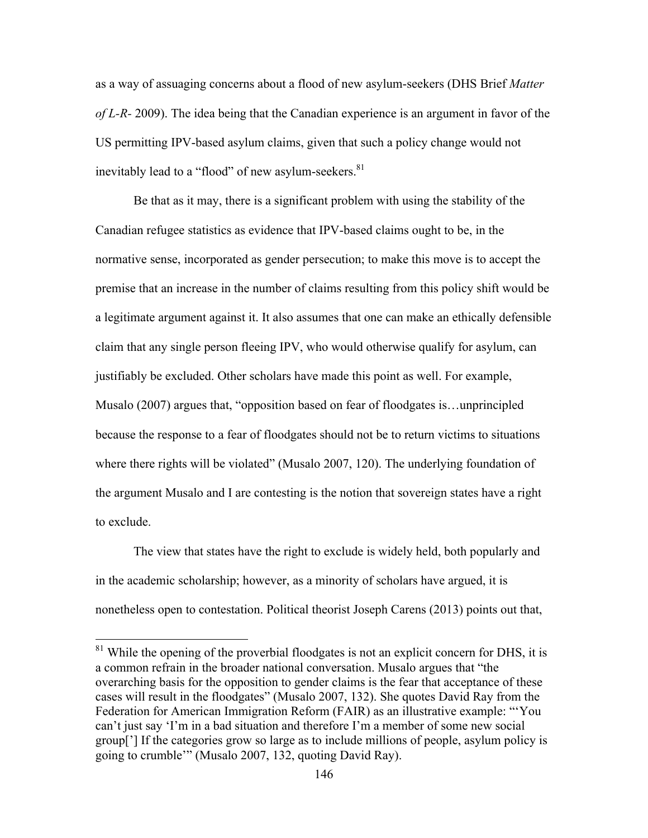as a way of assuaging concerns about a flood of new asylum-seekers (DHS Brief *Matter of L-R-* 2009). The idea being that the Canadian experience is an argument in favor of the US permitting IPV-based asylum claims, given that such a policy change would not inevitably lead to a "flood" of new asylum-seekers.<sup>81</sup>

Be that as it may, there is a significant problem with using the stability of the Canadian refugee statistics as evidence that IPV-based claims ought to be, in the normative sense, incorporated as gender persecution; to make this move is to accept the premise that an increase in the number of claims resulting from this policy shift would be a legitimate argument against it. It also assumes that one can make an ethically defensible claim that any single person fleeing IPV, who would otherwise qualify for asylum, can justifiably be excluded. Other scholars have made this point as well. For example, Musalo (2007) argues that, "opposition based on fear of floodgates is…unprincipled because the response to a fear of floodgates should not be to return victims to situations where there rights will be violated" (Musalo 2007, 120). The underlying foundation of the argument Musalo and I are contesting is the notion that sovereign states have a right to exclude.

The view that states have the right to exclude is widely held, both popularly and in the academic scholarship; however, as a minority of scholars have argued, it is nonetheless open to contestation. Political theorist Joseph Carens (2013) points out that,

 $81$  While the opening of the proverbial floodgates is not an explicit concern for DHS, it is a common refrain in the broader national conversation. Musalo argues that "the overarching basis for the opposition to gender claims is the fear that acceptance of these cases will result in the floodgates" (Musalo 2007, 132). She quotes David Ray from the Federation for American Immigration Reform (FAIR) as an illustrative example: "'You can't just say 'I'm in a bad situation and therefore I'm a member of some new social group['] If the categories grow so large as to include millions of people, asylum policy is going to crumble'" (Musalo 2007, 132, quoting David Ray).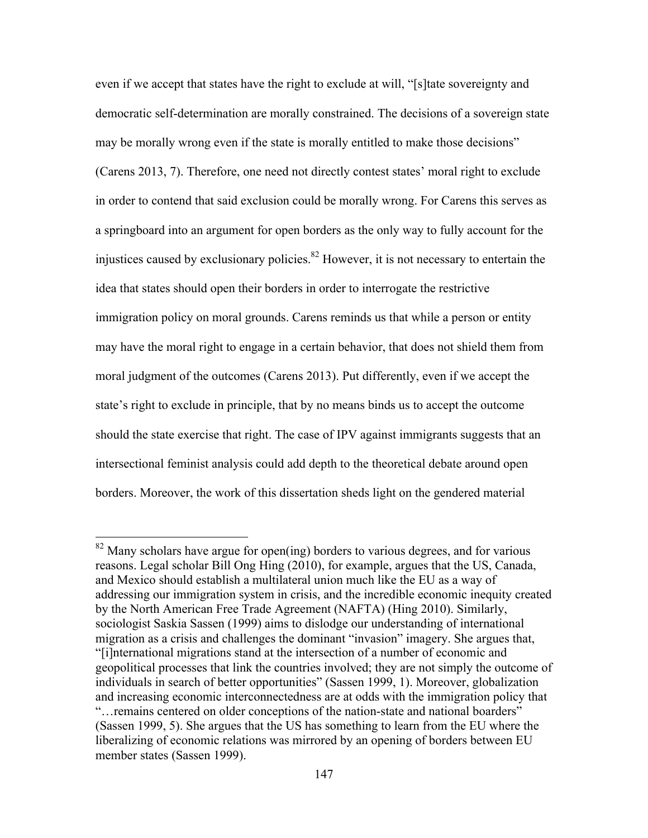even if we accept that states have the right to exclude at will, "[s]tate sovereignty and democratic self-determination are morally constrained. The decisions of a sovereign state may be morally wrong even if the state is morally entitled to make those decisions" (Carens 2013, 7). Therefore, one need not directly contest states' moral right to exclude in order to contend that said exclusion could be morally wrong. For Carens this serves as a springboard into an argument for open borders as the only way to fully account for the injustices caused by exclusionary policies.<sup>82</sup> However, it is not necessary to entertain the idea that states should open their borders in order to interrogate the restrictive immigration policy on moral grounds. Carens reminds us that while a person or entity may have the moral right to engage in a certain behavior, that does not shield them from moral judgment of the outcomes (Carens 2013). Put differently, even if we accept the state's right to exclude in principle, that by no means binds us to accept the outcome should the state exercise that right. The case of IPV against immigrants suggests that an intersectional feminist analysis could add depth to the theoretical debate around open borders. Moreover, the work of this dissertation sheds light on the gendered material

<sup>&</sup>lt;sup>82</sup> Many scholars have argue for open(ing) borders to various degrees, and for various reasons. Legal scholar Bill Ong Hing (2010), for example, argues that the US, Canada, and Mexico should establish a multilateral union much like the EU as a way of addressing our immigration system in crisis, and the incredible economic inequity created by the North American Free Trade Agreement (NAFTA) (Hing 2010). Similarly, sociologist Saskia Sassen (1999) aims to dislodge our understanding of international migration as a crisis and challenges the dominant "invasion" imagery. She argues that, "[i]nternational migrations stand at the intersection of a number of economic and geopolitical processes that link the countries involved; they are not simply the outcome of individuals in search of better opportunities" (Sassen 1999, 1). Moreover, globalization and increasing economic interconnectedness are at odds with the immigration policy that "…remains centered on older conceptions of the nation-state and national boarders" (Sassen 1999, 5). She argues that the US has something to learn from the EU where the liberalizing of economic relations was mirrored by an opening of borders between EU member states (Sassen 1999).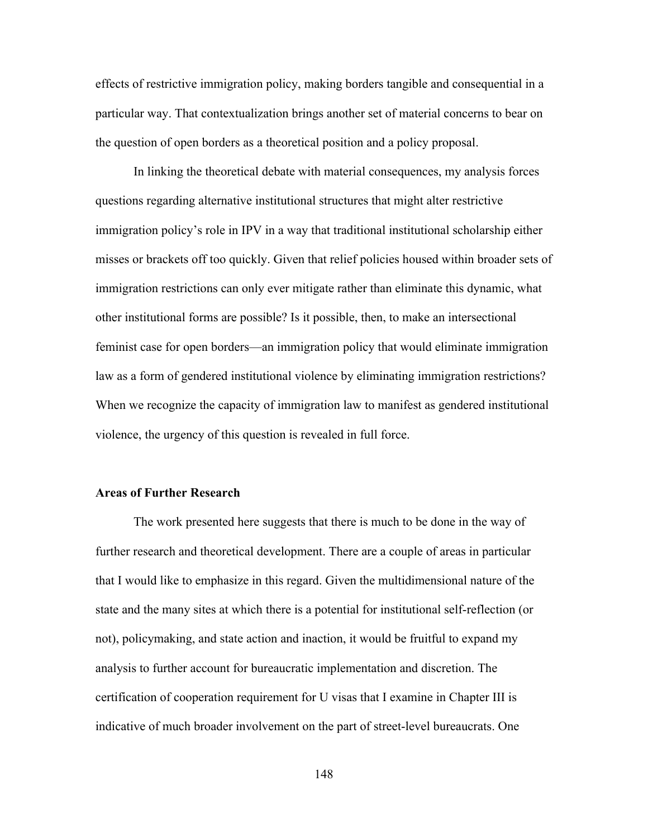effects of restrictive immigration policy, making borders tangible and consequential in a particular way. That contextualization brings another set of material concerns to bear on the question of open borders as a theoretical position and a policy proposal.

In linking the theoretical debate with material consequences, my analysis forces questions regarding alternative institutional structures that might alter restrictive immigration policy's role in IPV in a way that traditional institutional scholarship either misses or brackets off too quickly. Given that relief policies housed within broader sets of immigration restrictions can only ever mitigate rather than eliminate this dynamic, what other institutional forms are possible? Is it possible, then, to make an intersectional feminist case for open borders—an immigration policy that would eliminate immigration law as a form of gendered institutional violence by eliminating immigration restrictions? When we recognize the capacity of immigration law to manifest as gendered institutional violence, the urgency of this question is revealed in full force.

#### **Areas of Further Research**

The work presented here suggests that there is much to be done in the way of further research and theoretical development. There are a couple of areas in particular that I would like to emphasize in this regard. Given the multidimensional nature of the state and the many sites at which there is a potential for institutional self-reflection (or not), policymaking, and state action and inaction, it would be fruitful to expand my analysis to further account for bureaucratic implementation and discretion. The certification of cooperation requirement for U visas that I examine in Chapter III is indicative of much broader involvement on the part of street-level bureaucrats. One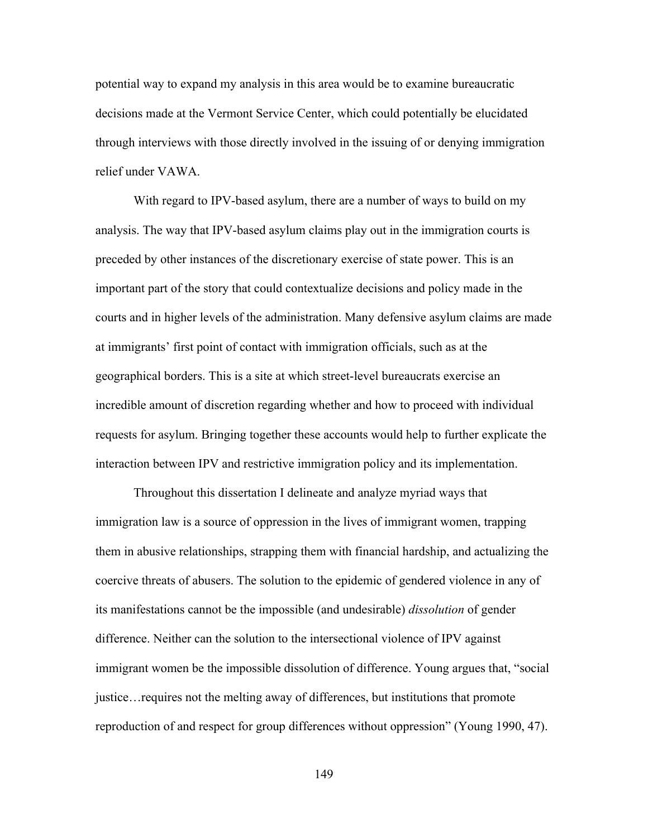potential way to expand my analysis in this area would be to examine bureaucratic decisions made at the Vermont Service Center, which could potentially be elucidated through interviews with those directly involved in the issuing of or denying immigration relief under VAWA.

With regard to IPV-based asylum, there are a number of ways to build on my analysis. The way that IPV-based asylum claims play out in the immigration courts is preceded by other instances of the discretionary exercise of state power. This is an important part of the story that could contextualize decisions and policy made in the courts and in higher levels of the administration. Many defensive asylum claims are made at immigrants' first point of contact with immigration officials, such as at the geographical borders. This is a site at which street-level bureaucrats exercise an incredible amount of discretion regarding whether and how to proceed with individual requests for asylum. Bringing together these accounts would help to further explicate the interaction between IPV and restrictive immigration policy and its implementation.

Throughout this dissertation I delineate and analyze myriad ways that immigration law is a source of oppression in the lives of immigrant women, trapping them in abusive relationships, strapping them with financial hardship, and actualizing the coercive threats of abusers. The solution to the epidemic of gendered violence in any of its manifestations cannot be the impossible (and undesirable) *dissolution* of gender difference. Neither can the solution to the intersectional violence of IPV against immigrant women be the impossible dissolution of difference. Young argues that, "social justice…requires not the melting away of differences, but institutions that promote reproduction of and respect for group differences without oppression" (Young 1990, 47).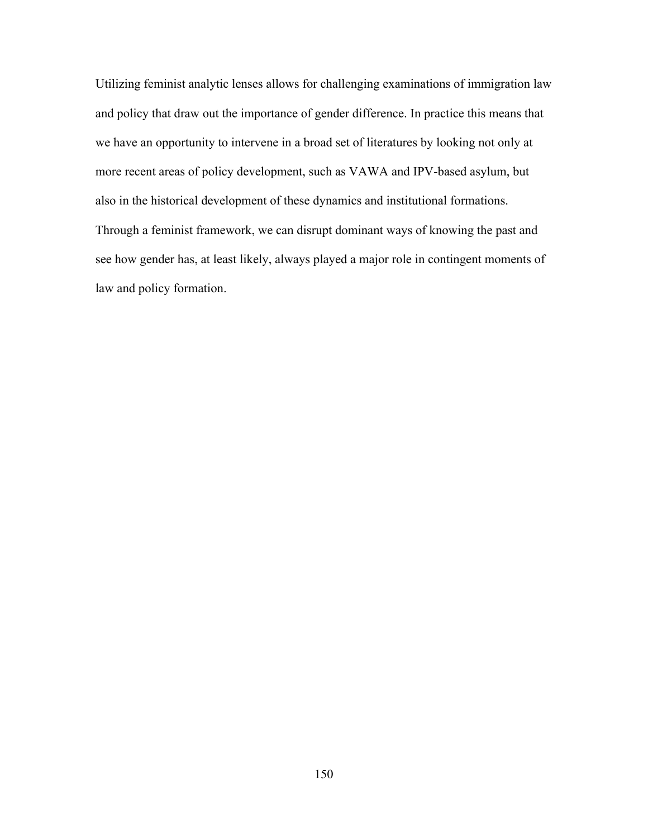Utilizing feminist analytic lenses allows for challenging examinations of immigration law and policy that draw out the importance of gender difference. In practice this means that we have an opportunity to intervene in a broad set of literatures by looking not only at more recent areas of policy development, such as VAWA and IPV-based asylum, but also in the historical development of these dynamics and institutional formations. Through a feminist framework, we can disrupt dominant ways of knowing the past and see how gender has, at least likely, always played a major role in contingent moments of law and policy formation.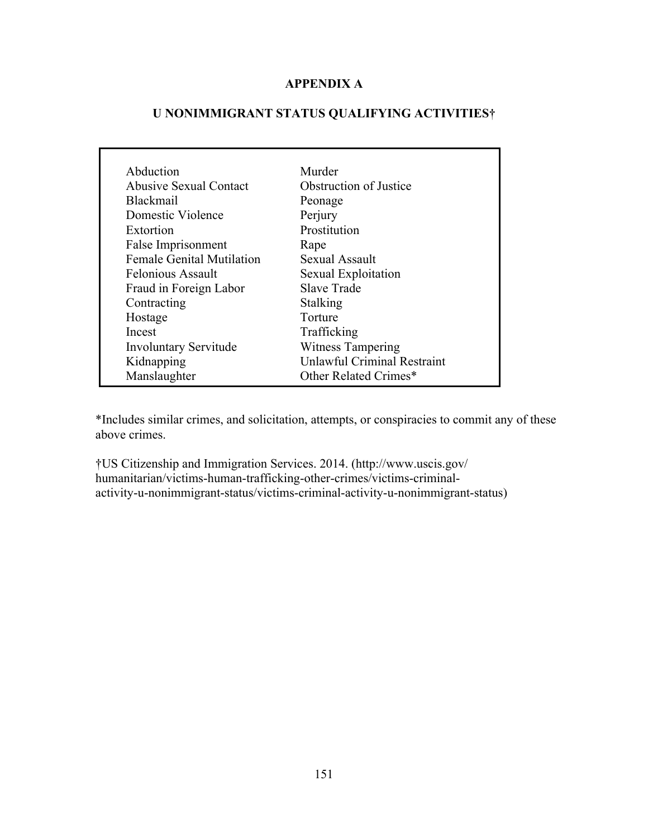## **APPENDIX A**

# **U NONIMMIGRANT STATUS QUALIFYING ACTIVITIES†**

| Abduction                        | Murder                             |
|----------------------------------|------------------------------------|
| Abusive Sexual Contact           | <b>Obstruction of Justice</b>      |
| <b>Blackmail</b>                 | Peonage                            |
| Domestic Violence                | Perjury                            |
| Extortion                        | Prostitution                       |
| False Imprisonment               | Rape                               |
| <b>Female Genital Mutilation</b> | Sexual Assault                     |
| <b>Felonious Assault</b>         | Sexual Exploitation                |
| Fraud in Foreign Labor           | Slave Trade                        |
| Contracting                      | Stalking                           |
| Hostage                          | Torture                            |
| Incest                           | Trafficking                        |
| <b>Involuntary Servitude</b>     | <b>Witness Tampering</b>           |
| Kidnapping                       | <b>Unlawful Criminal Restraint</b> |
| Manslaughter                     | Other Related Crimes*              |

\*Includes similar crimes, and solicitation, attempts, or conspiracies to commit any of these above crimes.

†US Citizenship and Immigration Services. 2014. (http://www.uscis.gov/ humanitarian/victims-human-trafficking-other-crimes/victims-criminalactivity-u-nonimmigrant-status/victims-criminal-activity-u-nonimmigrant-status)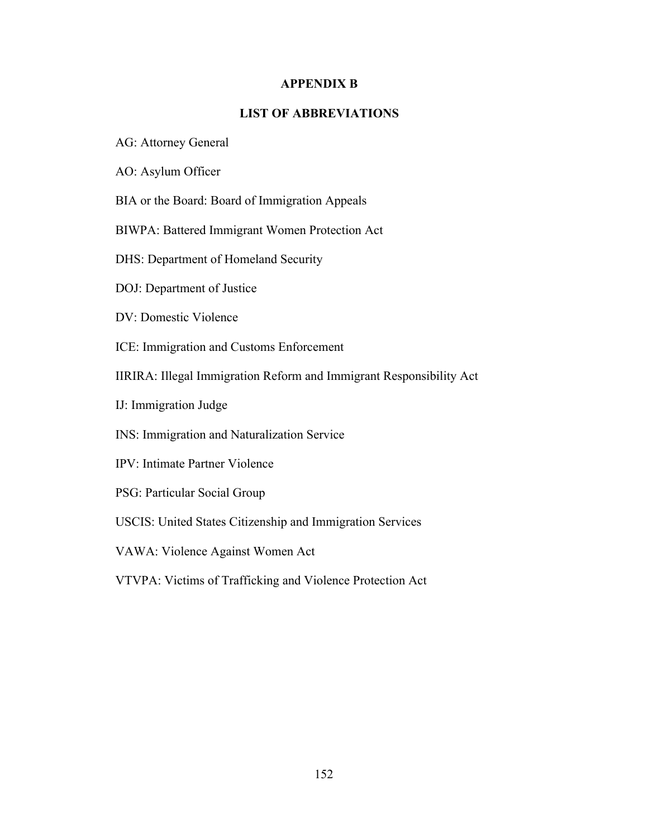## **APPENDIX B**

## **LIST OF ABBREVIATIONS**

- AG: Attorney General
- AO: Asylum Officer
- BIA or the Board: Board of Immigration Appeals
- BIWPA: Battered Immigrant Women Protection Act
- DHS: Department of Homeland Security
- DOJ: Department of Justice
- DV: Domestic Violence
- ICE: Immigration and Customs Enforcement
- IIRIRA: Illegal Immigration Reform and Immigrant Responsibility Act
- IJ: Immigration Judge
- INS: Immigration and Naturalization Service
- IPV: Intimate Partner Violence
- PSG: Particular Social Group
- USCIS: United States Citizenship and Immigration Services
- VAWA: Violence Against Women Act
- VTVPA: Victims of Trafficking and Violence Protection Act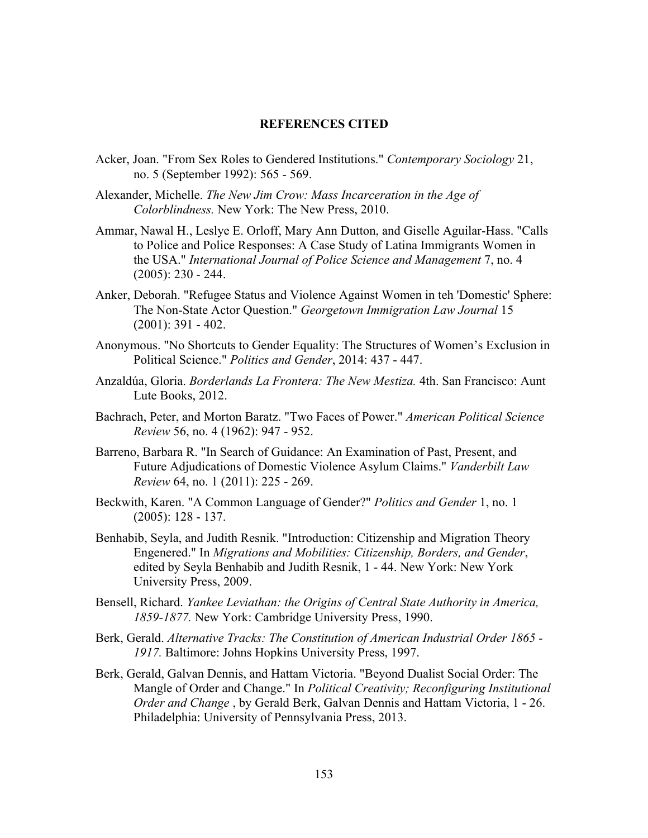#### **REFERENCES CITED**

- Acker, Joan. "From Sex Roles to Gendered Institutions." *Contemporary Sociology* 21, no. 5 (September 1992): 565 - 569.
- Alexander, Michelle. *The New Jim Crow: Mass Incarceration in the Age of Colorblindness.* New York: The New Press, 2010.
- Ammar, Nawal H., Leslye E. Orloff, Mary Ann Dutton, and Giselle Aguilar-Hass. "Calls to Police and Police Responses: A Case Study of Latina Immigrants Women in the USA." *International Journal of Police Science and Management* 7, no. 4  $(2005): 230 - 244.$
- Anker, Deborah. "Refugee Status and Violence Against Women in teh 'Domestic' Sphere: The Non-State Actor Question." *Georgetown Immigration Law Journal* 15 (2001): 391 - 402.
- Anonymous. "No Shortcuts to Gender Equality: The Structures of Women's Exclusion in Political Science." *Politics and Gender*, 2014: 437 - 447.
- Anzaldúa, Gloria. *Borderlands La Frontera: The New Mestiza.* 4th. San Francisco: Aunt Lute Books, 2012.
- Bachrach, Peter, and Morton Baratz. "Two Faces of Power." *American Political Science Review* 56, no. 4 (1962): 947 - 952.
- Barreno, Barbara R. "In Search of Guidance: An Examination of Past, Present, and Future Adjudications of Domestic Violence Asylum Claims." *Vanderbilt Law Review* 64, no. 1 (2011): 225 - 269.
- Beckwith, Karen. "A Common Language of Gender?" *Politics and Gender* 1, no. 1 (2005): 128 - 137.
- Benhabib, Seyla, and Judith Resnik. "Introduction: Citizenship and Migration Theory Engenered." In *Migrations and Mobilities: Citizenship, Borders, and Gender*, edited by Seyla Benhabib and Judith Resnik, 1 - 44. New York: New York University Press, 2009.
- Bensell, Richard. *Yankee Leviathan: the Origins of Central State Authority in America, 1859-1877.* New York: Cambridge University Press, 1990.
- Berk, Gerald. *Alternative Tracks: The Constitution of American Industrial Order 1865 - 1917.* Baltimore: Johns Hopkins University Press, 1997.
- Berk, Gerald, Galvan Dennis, and Hattam Victoria. "Beyond Dualist Social Order: The Mangle of Order and Change." In *Political Creativity; Reconfiguring Institutional Order and Change* , by Gerald Berk, Galvan Dennis and Hattam Victoria, 1 - 26. Philadelphia: University of Pennsylvania Press, 2013.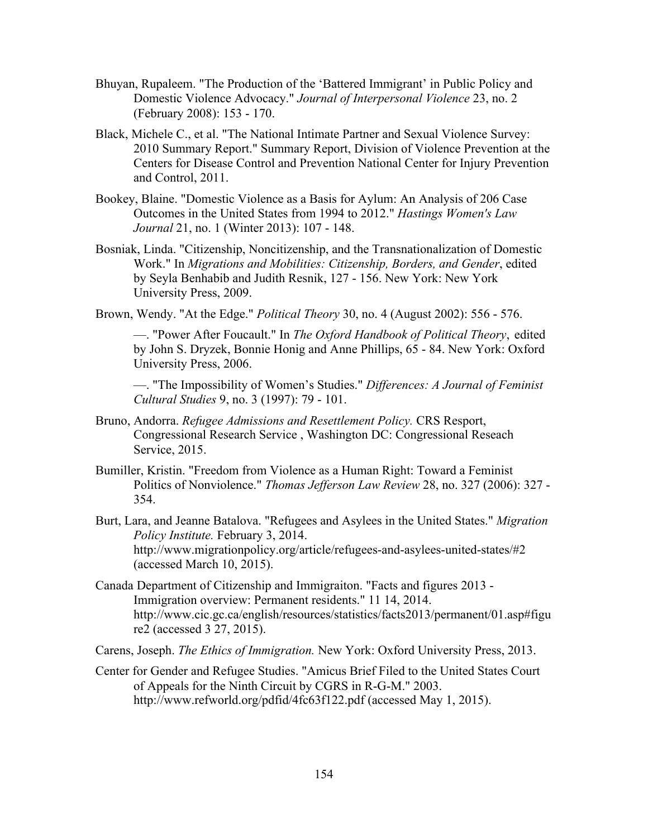- Bhuyan, Rupaleem. "The Production of the 'Battered Immigrant' in Public Policy and Domestic Violence Advocacy." *Journal of Interpersonal Violence* 23, no. 2 (February 2008): 153 - 170.
- Black, Michele C., et al. "The National Intimate Partner and Sexual Violence Survey: 2010 Summary Report." Summary Report, Division of Violence Prevention at the Centers for Disease Control and Prevention National Center for Injury Prevention and Control, 2011.
- Bookey, Blaine. "Domestic Violence as a Basis for Aylum: An Analysis of 206 Case Outcomes in the United States from 1994 to 2012." *Hastings Women's Law Journal* 21, no. 1 (Winter 2013): 107 - 148.
- Bosniak, Linda. "Citizenship, Noncitizenship, and the Transnationalization of Domestic Work." In *Migrations and Mobilities: Citizenship, Borders, and Gender*, edited by Seyla Benhabib and Judith Resnik, 127 - 156. New York: New York University Press, 2009.
- Brown, Wendy. "At the Edge." *Political Theory* 30, no. 4 (August 2002): 556 576.

—. "Power After Foucault." In *The Oxford Handbook of Political Theory*, edited by John S. Dryzek, Bonnie Honig and Anne Phillips, 65 - 84. New York: Oxford University Press, 2006.

—. "The Impossibility of Women's Studies." *Differences: A Journal of Feminist Cultural Studies* 9, no. 3 (1997): 79 - 101.

- Bruno, Andorra. *Refugee Admissions and Resettlement Policy.* CRS Resport, Congressional Research Service , Washington DC: Congressional Reseach Service, 2015.
- Bumiller, Kristin. "Freedom from Violence as a Human Right: Toward a Feminist Politics of Nonviolence." *Thomas Jefferson Law Review* 28, no. 327 (2006): 327 - 354.
- Burt, Lara, and Jeanne Batalova. "Refugees and Asylees in the United States." *Migration Policy Institute.* February 3, 2014. http://www.migrationpolicy.org/article/refugees-and-asylees-united-states/#2 (accessed March 10, 2015).
- Canada Department of Citizenship and Immigraiton. "Facts and figures 2013 Immigration overview: Permanent residents." 11 14, 2014. http://www.cic.gc.ca/english/resources/statistics/facts2013/permanent/01.asp#figu re2 (accessed 3 27, 2015).
- Carens, Joseph. *The Ethics of Immigration.* New York: Oxford University Press, 2013.
- Center for Gender and Refugee Studies. "Amicus Brief Filed to the United States Court of Appeals for the Ninth Circuit by CGRS in R-G-M." 2003. http://www.refworld.org/pdfid/4fc63f122.pdf (accessed May 1, 2015).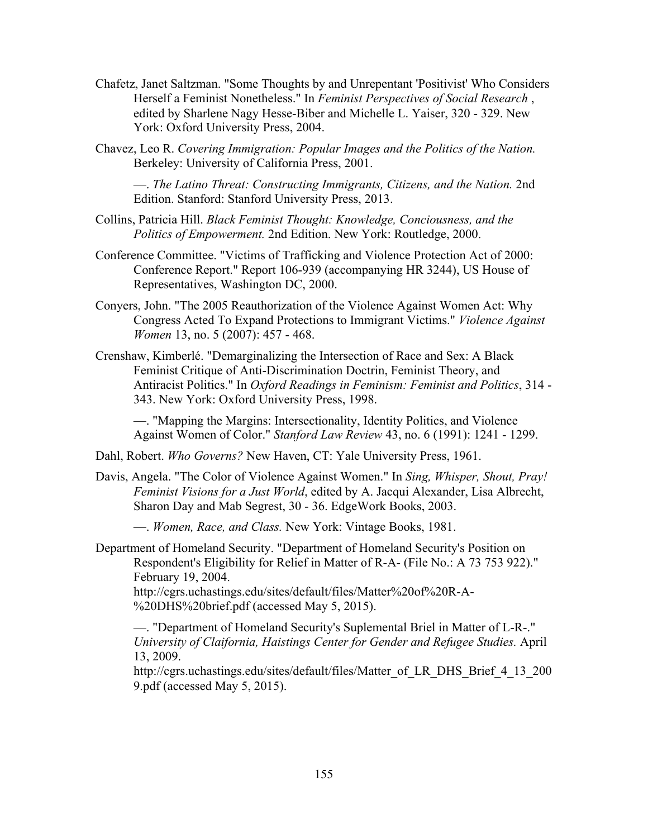- Chafetz, Janet Saltzman. "Some Thoughts by and Unrepentant 'Positivist' Who Considers Herself a Feminist Nonetheless." In *Feminist Perspectives of Social Research* , edited by Sharlene Nagy Hesse-Biber and Michelle L. Yaiser, 320 - 329. New York: Oxford University Press, 2004.
- Chavez, Leo R. *Covering Immigration: Popular Images and the Politics of the Nation.* Berkeley: University of California Press, 2001.

—. *The Latino Threat: Constructing Immigrants, Citizens, and the Nation.* 2nd Edition. Stanford: Stanford University Press, 2013.

- Collins, Patricia Hill. *Black Feminist Thought: Knowledge, Conciousness, and the Politics of Empowerment.* 2nd Edition. New York: Routledge, 2000.
- Conference Committee. "Victims of Trafficking and Violence Protection Act of 2000: Conference Report." Report 106-939 (accompanying HR 3244), US House of Representatives, Washington DC, 2000.
- Conyers, John. "The 2005 Reauthorization of the Violence Against Women Act: Why Congress Acted To Expand Protections to Immigrant Victims." *Violence Against Women* 13, no. 5 (2007): 457 - 468.
- Crenshaw, Kimberlé. "Demarginalizing the Intersection of Race and Sex: A Black Feminist Critique of Anti-Discrimination Doctrin, Feminist Theory, and Antiracist Politics." In *Oxford Readings in Feminism: Feminist and Politics*, 314 - 343. New York: Oxford University Press, 1998.

—. "Mapping the Margins: Intersectionality, Identity Politics, and Violence Against Women of Color." *Stanford Law Review* 43, no. 6 (1991): 1241 - 1299.

Dahl, Robert. *Who Governs?* New Haven, CT: Yale University Press, 1961.

Davis, Angela. "The Color of Violence Against Women." In *Sing, Whisper, Shout, Pray! Feminist Visions for a Just World*, edited by A. Jacqui Alexander, Lisa Albrecht, Sharon Day and Mab Segrest, 30 - 36. EdgeWork Books, 2003.

—. *Women, Race, and Class.* New York: Vintage Books, 1981.

Department of Homeland Security. "Department of Homeland Security's Position on Respondent's Eligibility for Relief in Matter of R-A- (File No.: A 73 753 922)." February 19, 2004.

http://cgrs.uchastings.edu/sites/default/files/Matter%20of%20R-A- %20DHS%20brief.pdf (accessed May 5, 2015).

—. "Department of Homeland Security's Suplemental Briel in Matter of L-R-." *University of Claifornia, Haistings Center for Gender and Refugee Studies.* April 13, 2009.

http://cgrs.uchastings.edu/sites/default/files/Matter\_of\_LR\_DHS\_Brief\_4\_13\_200 9.pdf (accessed May 5, 2015).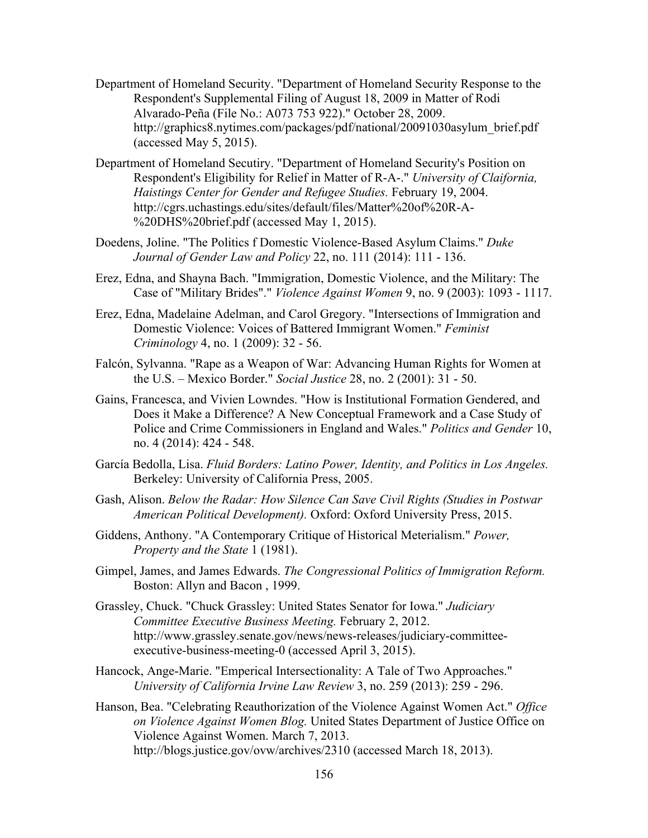- Department of Homeland Security. "Department of Homeland Security Response to the Respondent's Supplemental Filing of August 18, 2009 in Matter of Rodi Alvarado-Peña (File No.: A073 753 922)." October 28, 2009. http://graphics8.nytimes.com/packages/pdf/national/20091030asylum\_brief.pdf (accessed May 5, 2015).
- Department of Homeland Secutiry. "Department of Homeland Security's Position on Respondent's Eligibility for Relief in Matter of R-A-." *University of Claifornia, Haistings Center for Gender and Refugee Studies.* February 19, 2004. http://cgrs.uchastings.edu/sites/default/files/Matter%20of%20R-A- %20DHS%20brief.pdf (accessed May 1, 2015).
- Doedens, Joline. "The Politics f Domestic Violence-Based Asylum Claims." *Duke Journal of Gender Law and Policy* 22, no. 111 (2014): 111 - 136.
- Erez, Edna, and Shayna Bach. "Immigration, Domestic Violence, and the Military: The Case of "Military Brides"." *Violence Against Women* 9, no. 9 (2003): 1093 - 1117.
- Erez, Edna, Madelaine Adelman, and Carol Gregory. "Intersections of Immigration and Domestic Violence: Voices of Battered Immigrant Women." *Feminist Criminology* 4, no. 1 (2009): 32 - 56.
- Falcón, Sylvanna. "Rape as a Weapon of War: Advancing Human Rights for Women at the U.S. – Mexico Border." *Social Justice* 28, no. 2 (2001): 31 - 50.
- Gains, Francesca, and Vivien Lowndes. "How is Institutional Formation Gendered, and Does it Make a Difference? A New Conceptual Framework and a Case Study of Police and Crime Commissioners in England and Wales." *Politics and Gender* 10, no. 4 (2014): 424 - 548.
- García Bedolla, Lisa. *Fluid Borders: Latino Power, Identity, and Politics in Los Angeles.* Berkeley: University of California Press, 2005.
- Gash, Alison. *Below the Radar: How Silence Can Save Civil Rights (Studies in Postwar American Political Development).* Oxford: Oxford University Press, 2015.
- Giddens, Anthony. "A Contemporary Critique of Historical Meterialism." *Power, Property and the State* 1 (1981).
- Gimpel, James, and James Edwards. *The Congressional Politics of Immigration Reform.* Boston: Allyn and Bacon , 1999.
- Grassley, Chuck. "Chuck Grassley: United States Senator for Iowa." *Judiciary Committee Executive Business Meeting.* February 2, 2012. http://www.grassley.senate.gov/news/news-releases/judiciary-committeeexecutive-business-meeting-0 (accessed April 3, 2015).
- Hancock, Ange-Marie. "Emperical Intersectionality: A Tale of Two Approaches." *University of California Irvine Law Review* 3, no. 259 (2013): 259 - 296.
- Hanson, Bea. "Celebrating Reauthorization of the Violence Against Women Act." *Office on Violence Against Women Blog.* United States Department of Justice Office on Violence Against Women. March 7, 2013. http://blogs.justice.gov/ovw/archives/2310 (accessed March 18, 2013).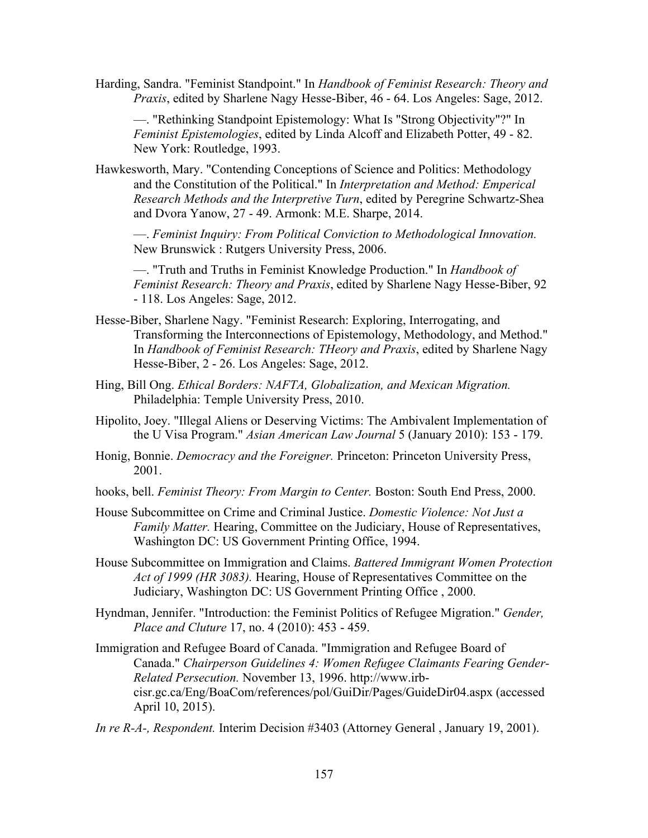Harding, Sandra. "Feminist Standpoint." In *Handbook of Feminist Research: Theory and Praxis*, edited by Sharlene Nagy Hesse-Biber, 46 - 64. Los Angeles: Sage, 2012.

—. "Rethinking Standpoint Epistemology: What Is "Strong Objectivity"?" In *Feminist Epistemologies*, edited by Linda Alcoff and Elizabeth Potter, 49 - 82. New York: Routledge, 1993.

Hawkesworth, Mary. "Contending Conceptions of Science and Politics: Methodology and the Constitution of the Political." In *Interpretation and Method: Emperical Research Methods and the Interpretive Turn*, edited by Peregrine Schwartz-Shea and Dvora Yanow, 27 - 49. Armonk: M.E. Sharpe, 2014.

—. *Feminist Inquiry: From Political Conviction to Methodological Innovation.* New Brunswick : Rutgers University Press, 2006.

—. "Truth and Truths in Feminist Knowledge Production." In *Handbook of Feminist Research: Theory and Praxis*, edited by Sharlene Nagy Hesse-Biber, 92 - 118. Los Angeles: Sage, 2012.

- Hesse-Biber, Sharlene Nagy. "Feminist Research: Exploring, Interrogating, and Transforming the Interconnections of Epistemology, Methodology, and Method." In *Handbook of Feminist Research: THeory and Praxis*, edited by Sharlene Nagy Hesse-Biber, 2 - 26. Los Angeles: Sage, 2012.
- Hing, Bill Ong. *Ethical Borders: NAFTA, Globalization, and Mexican Migration.* Philadelphia: Temple University Press, 2010.
- Hipolito, Joey. "Illegal Aliens or Deserving Victims: The Ambivalent Implementation of the U Visa Program." *Asian American Law Journal* 5 (January 2010): 153 - 179.
- Honig, Bonnie. *Democracy and the Foreigner.* Princeton: Princeton University Press, 2001.
- hooks, bell. *Feminist Theory: From Margin to Center.* Boston: South End Press, 2000.
- House Subcommittee on Crime and Criminal Justice. *Domestic Violence: Not Just a Family Matter.* Hearing, Committee on the Judiciary, House of Representatives, Washington DC: US Government Printing Office, 1994.
- House Subcommittee on Immigration and Claims. *Battered Immigrant Women Protection Act of 1999 (HR 3083).* Hearing, House of Representatives Committee on the Judiciary, Washington DC: US Government Printing Office , 2000.
- Hyndman, Jennifer. "Introduction: the Feminist Politics of Refugee Migration." *Gender, Place and Cluture* 17, no. 4 (2010): 453 - 459.
- Immigration and Refugee Board of Canada. "Immigration and Refugee Board of Canada." *Chairperson Guidelines 4: Women Refugee Claimants Fearing Gender-Related Persecution.* November 13, 1996. http://www.irbcisr.gc.ca/Eng/BoaCom/references/pol/GuiDir/Pages/GuideDir04.aspx (accessed April 10, 2015).
- *In re R-A-, Respondent.* Interim Decision #3403 (Attorney General , January 19, 2001).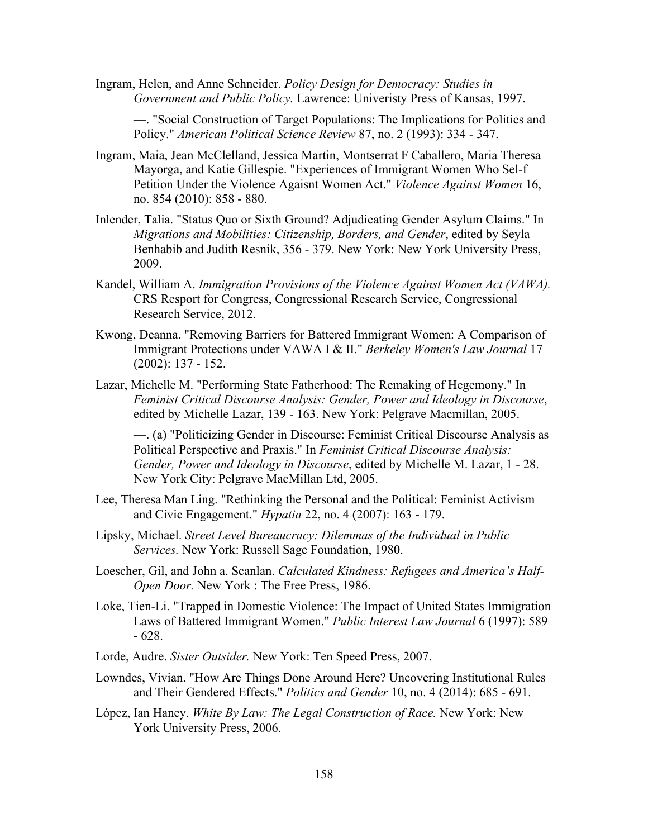Ingram, Helen, and Anne Schneider. *Policy Design for Democracy: Studies in Government and Public Policy.* Lawrence: Univeristy Press of Kansas, 1997.

—. "Social Construction of Target Populations: The Implications for Politics and Policy." *American Political Science Review* 87, no. 2 (1993): 334 - 347.

- Ingram, Maia, Jean McClelland, Jessica Martin, Montserrat F Caballero, Maria Theresa Mayorga, and Katie Gillespie. "Experiences of Immigrant Women Who Sel-f Petition Under the Violence Agaisnt Women Act." *Violence Against Women* 16, no. 854 (2010): 858 - 880.
- Inlender, Talia. "Status Quo or Sixth Ground? Adjudicating Gender Asylum Claims." In *Migrations and Mobilities: Citizenship, Borders, and Gender*, edited by Seyla Benhabib and Judith Resnik, 356 - 379. New York: New York University Press, 2009.
- Kandel, William A. *Immigration Provisions of the Violence Against Women Act (VAWA).* CRS Resport for Congress, Congressional Research Service, Congressional Research Service, 2012.
- Kwong, Deanna. "Removing Barriers for Battered Immigrant Women: A Comparison of Immigrant Protections under VAWA I & II." *Berkeley Women's Law Journal* 17 (2002): 137 - 152.
- Lazar, Michelle M. "Performing State Fatherhood: The Remaking of Hegemony." In *Feminist Critical Discourse Analysis: Gender, Power and Ideology in Discourse*, edited by Michelle Lazar, 139 - 163. New York: Pelgrave Macmillan, 2005.

—. (a) "Politicizing Gender in Discourse: Feminist Critical Discourse Analysis as Political Perspective and Praxis." In *Feminist Critical Discourse Analysis: Gender, Power and Ideology in Discourse*, edited by Michelle M. Lazar, 1 - 28. New York City: Pelgrave MacMillan Ltd, 2005.

- Lee, Theresa Man Ling. "Rethinking the Personal and the Political: Feminist Activism and Civic Engagement." *Hypatia* 22, no. 4 (2007): 163 - 179.
- Lipsky, Michael. *Street Level Bureaucracy: Dilemmas of the Individual in Public Services.* New York: Russell Sage Foundation, 1980.
- Loescher, Gil, and John a. Scanlan. *Calculated Kindness: Refugees and America's Half-Open Door.* New York : The Free Press, 1986.
- Loke, Tien-Li. "Trapped in Domestic Violence: The Impact of United States Immigration Laws of Battered Immigrant Women." *Public Interest Law Journal* 6 (1997): 589 - 628.
- Lorde, Audre. *Sister Outsider.* New York: Ten Speed Press, 2007.
- Lowndes, Vivian. "How Are Things Done Around Here? Uncovering Institutional Rules and Their Gendered Effects." *Politics and Gender* 10, no. 4 (2014): 685 - 691.
- López, Ian Haney. *White By Law: The Legal Construction of Race.* New York: New York University Press, 2006.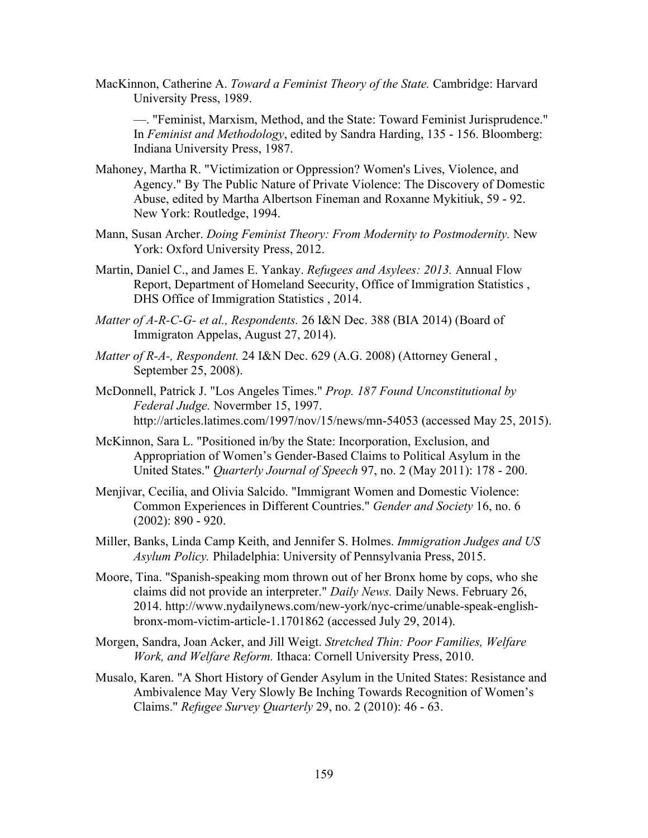MacKinnon, Catherine A. *Toward a Feminist Theory of the State.* Cambridge: Harvard University Press, 1989.

—. "Feminist, Marxism, Method, and the State: Toward Feminist Jurisprudence." In *Feminist and Methodology*, edited by Sandra Harding, 135 - 156. Bloomberg: Indiana University Press, 1987.

- Mahoney, Martha R. "Victimization or Oppression? Women's Lives, Violence, and Agency." By The Public Nature of Private Violence: The Discovery of Domestic Abuse, edited by Martha Albertson Fineman and Roxanne Mykitiuk, 59 - 92. New York: Routledge, 1994.
- Mann, Susan Archer. *Doing Feminist Theory: From Modernity to Postmodernity.* New York: Oxford University Press, 2012.
- Martin, Daniel C., and James E. Yankay. *Refugees and Asylees: 2013.* Annual Flow Report, Department of Homeland Seecurity, Office of Immigration Statistics , DHS Office of Immigration Statistics , 2014.
- *Matter of A-R-C-G- et al., Respondents.* 26 I&N Dec. 388 (BIA 2014) (Board of Immigraton Appelas, August 27, 2014).
- *Matter of R-A-, Respondent.* 24 I&N Dec. 629 (A.G. 2008) (Attorney General , September 25, 2008).
- McDonnell, Patrick J. "Los Angeles Times." *Prop. 187 Found Unconstitutional by Federal Judge.* Novermber 15, 1997. http://articles.latimes.com/1997/nov/15/news/mn-54053 (accessed May 25, 2015).
- McKinnon, Sara L. "Positioned in/by the State: Incorporation, Exclusion, and Appropriation of Women's Gender-Based Claims to Political Asylum in the United States." *Quarterly Journal of Speech* 97, no. 2 (May 2011): 178 - 200.
- Menjívar, Cecilia, and Olivia Salcido. "Immigrant Women and Domestic Violence: Common Experiences in Different Countries." *Gender and Society* 16, no. 6 (2002): 890 - 920.
- Miller, Banks, Linda Camp Keith, and Jennifer S. Holmes. *Immigration Judges and US Asylum Policy.* Philadelphia: University of Pennsylvania Press, 2015.
- Moore, Tina. "Spanish-speaking mom thrown out of her Bronx home by cops, who she claims did not provide an interpreter." *Daily News.* Daily News. February 26, 2014. http://www.nydailynews.com/new-york/nyc-crime/unable-speak-englishbronx-mom-victim-article-1.1701862 (accessed July 29, 2014).
- Morgen, Sandra, Joan Acker, and Jill Weigt. *Stretched Thin: Poor Families, Welfare Work, and Welfare Reform.* Ithaca: Cornell University Press, 2010.
- Musalo, Karen. "A Short History of Gender Asylum in the United States: Resistance and Ambivalence May Very Slowly Be Inching Towards Recognition of Women's Claims." *Refugee Survey Quarterly* 29, no. 2 (2010): 46 - 63.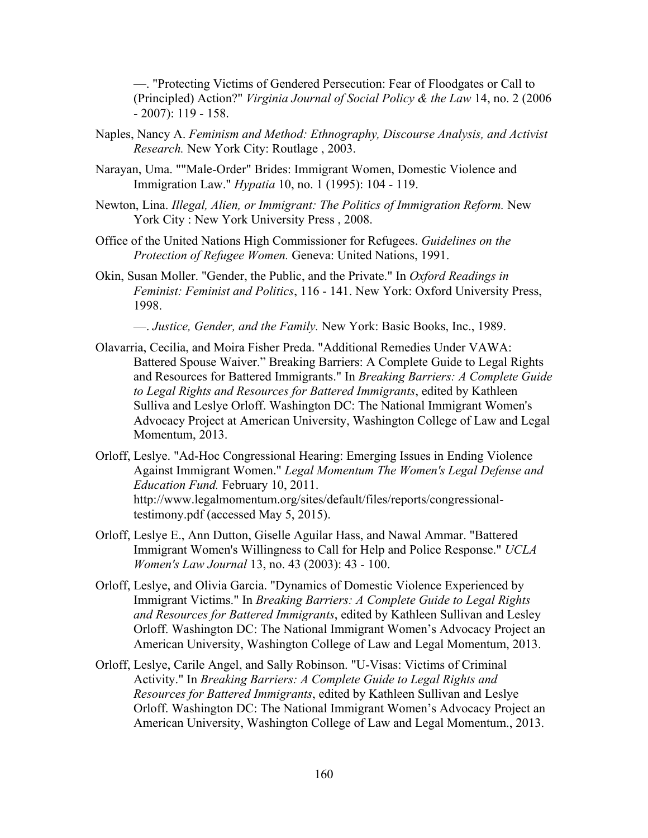—. "Protecting Victims of Gendered Persecution: Fear of Floodgates or Call to (Principled) Action?" *Virginia Journal of Social Policy & the Law* 14, no. 2 (2006 - 2007): 119 - 158.

- Naples, Nancy A. *Feminism and Method: Ethnography, Discourse Analysis, and Activist Research.* New York City: Routlage , 2003.
- Narayan, Uma. ""Male-Order" Brides: Immigrant Women, Domestic Violence and Immigration Law." *Hypatia* 10, no. 1 (1995): 104 - 119.
- Newton, Lina. *Illegal, Alien, or Immigrant: The Politics of Immigration Reform.* New York City : New York University Press , 2008.
- Office of the United Nations High Commissioner for Refugees. *Guidelines on the Protection of Refugee Women.* Geneva: United Nations, 1991.
- Okin, Susan Moller. "Gender, the Public, and the Private." In *Oxford Readings in Feminist: Feminist and Politics*, 116 - 141. New York: Oxford University Press, 1998.
	- —. *Justice, Gender, and the Family.* New York: Basic Books, Inc., 1989.
- Olavarria, Cecilia, and Moira Fisher Preda. "Additional Remedies Under VAWA: Battered Spouse Waiver." Breaking Barriers: A Complete Guide to Legal Rights and Resources for Battered Immigrants." In *Breaking Barriers: A Complete Guide to Legal Rights and Resources for Battered Immigrants*, edited by Kathleen Sulliva and Leslye Orloff. Washington DC: The National Immigrant Women's Advocacy Project at American University, Washington College of Law and Legal Momentum, 2013.
- Orloff, Leslye. "Ad-Hoc Congressional Hearing: Emerging Issues in Ending Violence Against Immigrant Women." *Legal Momentum The Women's Legal Defense and Education Fund.* February 10, 2011. http://www.legalmomentum.org/sites/default/files/reports/congressionaltestimony.pdf (accessed May 5, 2015).
- Orloff, Leslye E., Ann Dutton, Giselle Aguilar Hass, and Nawal Ammar. "Battered Immigrant Women's Willingness to Call for Help and Police Response." *UCLA Women's Law Journal* 13, no. 43 (2003): 43 - 100.
- Orloff, Leslye, and Olivia Garcia. "Dynamics of Domestic Violence Experienced by Immigrant Victims." In *Breaking Barriers: A Complete Guide to Legal Rights and Resources for Battered Immigrants*, edited by Kathleen Sullivan and Lesley Orloff. Washington DC: The National Immigrant Women's Advocacy Project an American University, Washington College of Law and Legal Momentum, 2013.
- Orloff, Leslye, Carile Angel, and Sally Robinson. "U-Visas: Victims of Criminal Activity." In *Breaking Barriers: A Complete Guide to Legal Rights and Resources for Battered Immigrants*, edited by Kathleen Sullivan and Leslye Orloff. Washington DC: The National Immigrant Women's Advocacy Project an American University, Washington College of Law and Legal Momentum., 2013.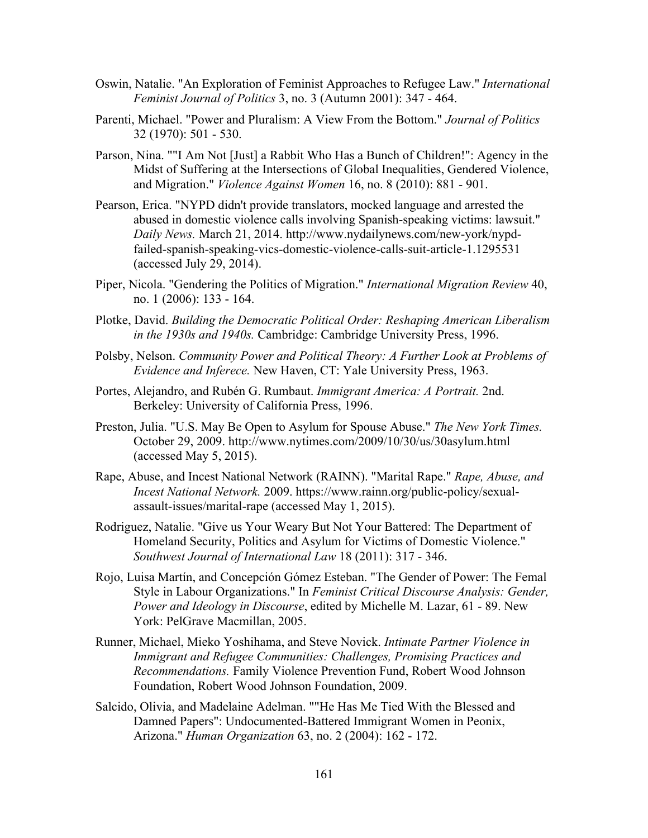- Oswin, Natalie. "An Exploration of Feminist Approaches to Refugee Law." *International Feminist Journal of Politics* 3, no. 3 (Autumn 2001): 347 - 464.
- Parenti, Michael. "Power and Pluralism: A View From the Bottom." *Journal of Politics* 32 (1970): 501 - 530.
- Parson, Nina. ""I Am Not [Just] a Rabbit Who Has a Bunch of Children!": Agency in the Midst of Suffering at the Intersections of Global Inequalities, Gendered Violence, and Migration." *Violence Against Women* 16, no. 8 (2010): 881 - 901.
- Pearson, Erica. "NYPD didn't provide translators, mocked language and arrested the abused in domestic violence calls involving Spanish-speaking victims: lawsuit." *Daily News.* March 21, 2014. http://www.nydailynews.com/new-york/nypdfailed-spanish-speaking-vics-domestic-violence-calls-suit-article-1.1295531 (accessed July 29, 2014).
- Piper, Nicola. "Gendering the Politics of Migration." *International Migration Review* 40, no. 1 (2006): 133 - 164.
- Plotke, David. *Building the Democratic Political Order: Reshaping American Liberalism in the 1930s and 1940s.* Cambridge: Cambridge University Press, 1996.
- Polsby, Nelson. *Community Power and Political Theory: A Further Look at Problems of Evidence and Inferece.* New Haven, CT: Yale University Press, 1963.
- Portes, Alejandro, and Rubén G. Rumbaut. *Immigrant America: A Portrait.* 2nd. Berkeley: University of California Press, 1996.
- Preston, Julia. "U.S. May Be Open to Asylum for Spouse Abuse." *The New York Times.* October 29, 2009. http://www.nytimes.com/2009/10/30/us/30asylum.html (accessed May 5, 2015).
- Rape, Abuse, and Incest National Network (RAINN). "Marital Rape." *Rape, Abuse, and Incest National Network.* 2009. https://www.rainn.org/public-policy/sexualassault-issues/marital-rape (accessed May 1, 2015).
- Rodriguez, Natalie. "Give us Your Weary But Not Your Battered: The Department of Homeland Security, Politics and Asylum for Victims of Domestic Violence." *Southwest Journal of International Law* 18 (2011): 317 - 346.
- Rojo, Luisa Martín, and Concepción Gómez Esteban. "The Gender of Power: The Femal Style in Labour Organizations." In *Feminist Critical Discourse Analysis: Gender, Power and Ideology in Discourse*, edited by Michelle M. Lazar, 61 - 89. New York: PelGrave Macmillan, 2005.
- Runner, Michael, Mieko Yoshihama, and Steve Novick. *Intimate Partner Violence in Immigrant and Refugee Communities: Challenges, Promising Practices and Recommendations.* Family Violence Prevention Fund, Robert Wood Johnson Foundation, Robert Wood Johnson Foundation, 2009.
- Salcido, Olivia, and Madelaine Adelman. ""He Has Me Tied With the Blessed and Damned Papers": Undocumented-Battered Immigrant Women in Peonix, Arizona." *Human Organization* 63, no. 2 (2004): 162 - 172.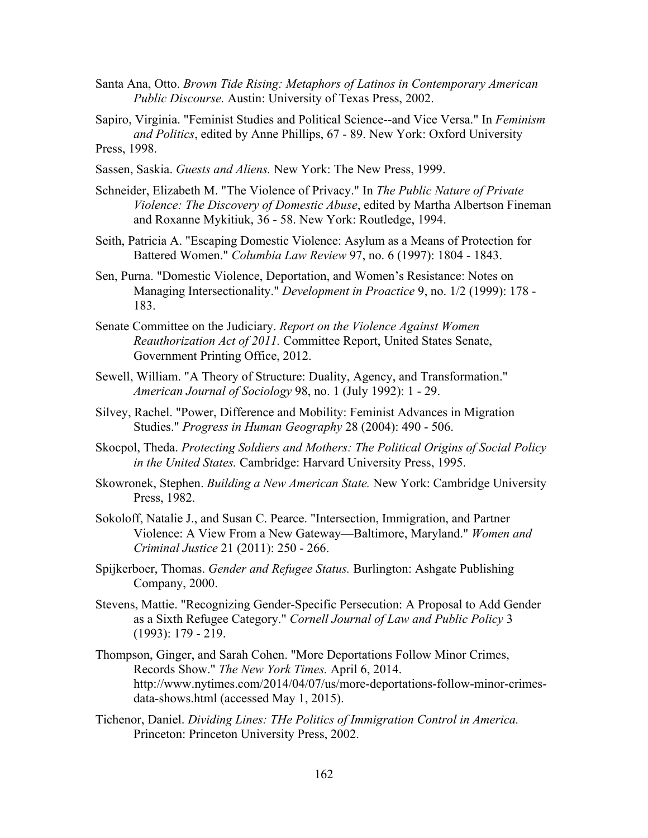- Santa Ana, Otto. *Brown Tide Rising: Metaphors of Latinos in Contemporary American Public Discourse.* Austin: University of Texas Press, 2002.
- Sapiro, Virginia. "Feminist Studies and Political Science--and Vice Versa." In *Feminism and Politics*, edited by Anne Phillips, 67 - 89. New York: Oxford University Press, 1998.
- Sassen, Saskia. *Guests and Aliens.* New York: The New Press, 1999.
- Schneider, Elizabeth M. "The Violence of Privacy." In *The Public Nature of Private Violence: The Discovery of Domestic Abuse*, edited by Martha Albertson Fineman and Roxanne Mykitiuk, 36 - 58. New York: Routledge, 1994.
- Seith, Patricia A. "Escaping Domestic Violence: Asylum as a Means of Protection for Battered Women." *Columbia Law Review* 97, no. 6 (1997): 1804 - 1843.
- Sen, Purna. "Domestic Violence, Deportation, and Women's Resistance: Notes on Managing Intersectionality." *Development in Proactice* 9, no. 1/2 (1999): 178 - 183.
- Senate Committee on the Judiciary. *Report on the Violence Against Women Reauthorization Act of 2011.* Committee Report, United States Senate, Government Printing Office, 2012.
- Sewell, William. "A Theory of Structure: Duality, Agency, and Transformation." *American Journal of Sociology* 98, no. 1 (July 1992): 1 - 29.
- Silvey, Rachel. "Power, Difference and Mobility: Feminist Advances in Migration Studies." *Progress in Human Geography* 28 (2004): 490 - 506.
- Skocpol, Theda. *Protecting Soldiers and Mothers: The Political Origins of Social Policy in the United States.* Cambridge: Harvard University Press, 1995.
- Skowronek, Stephen. *Building a New American State.* New York: Cambridge University Press, 1982.
- Sokoloff, Natalie J., and Susan C. Pearce. "Intersection, Immigration, and Partner Violence: A View From a New Gateway—Baltimore, Maryland." *Women and Criminal Justice* 21 (2011): 250 - 266.
- Spijkerboer, Thomas. *Gender and Refugee Status.* Burlington: Ashgate Publishing Company, 2000.
- Stevens, Mattie. "Recognizing Gender-Specific Persecution: A Proposal to Add Gender as a Sixth Refugee Category." *Cornell Journal of Law and Public Policy* 3 (1993): 179 - 219.
- Thompson, Ginger, and Sarah Cohen. "More Deportations Follow Minor Crimes, Records Show." *The New York Times.* April 6, 2014. http://www.nytimes.com/2014/04/07/us/more-deportations-follow-minor-crimesdata-shows.html (accessed May 1, 2015).
- Tichenor, Daniel. *Dividing Lines: THe Politics of Immigration Control in America.* Princeton: Princeton University Press, 2002.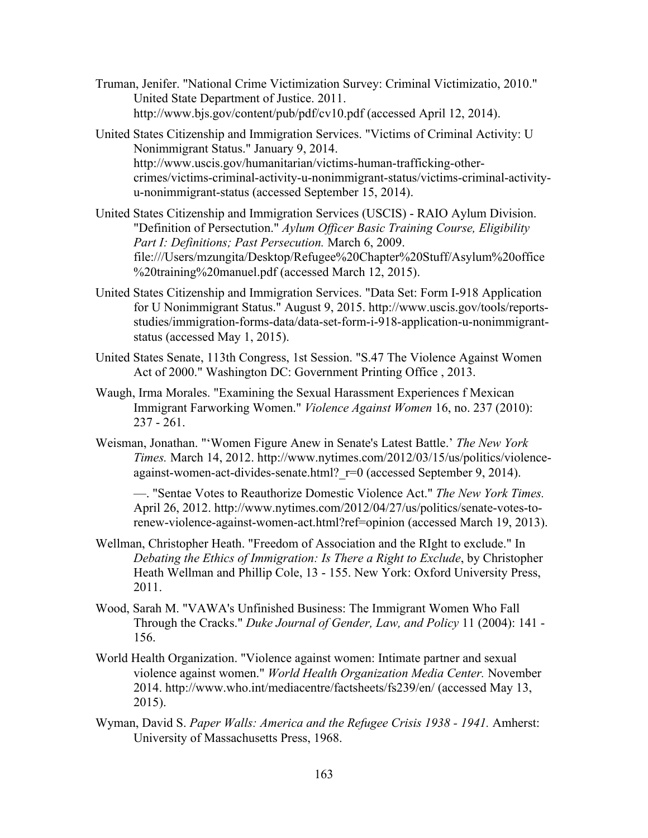- Truman, Jenifer. "National Crime Victimization Survey: Criminal Victimizatio, 2010." United State Department of Justice. 2011. http://www.bjs.gov/content/pub/pdf/cv10.pdf (accessed April 12, 2014).
- United States Citizenship and Immigration Services. "Victims of Criminal Activity: U Nonimmigrant Status." January 9, 2014. http://www.uscis.gov/humanitarian/victims-human-trafficking-othercrimes/victims-criminal-activity-u-nonimmigrant-status/victims-criminal-activityu-nonimmigrant-status (accessed September 15, 2014).
- United States Citizenship and Immigration Services (USCIS) RAIO Aylum Division. "Definition of Persectution." *Aylum Officer Basic Training Course, Eligibility Part I: Definitions; Past Persecution.* March 6, 2009. file:///Users/mzungita/Desktop/Refugee%20Chapter%20Stuff/Asylum%20office %20training%20manuel.pdf (accessed March 12, 2015).
- United States Citizenship and Immigration Services. "Data Set: Form I-918 Application for U Nonimmigrant Status." August 9, 2015. http://www.uscis.gov/tools/reportsstudies/immigration-forms-data/data-set-form-i-918-application-u-nonimmigrantstatus (accessed May 1, 2015).
- United States Senate, 113th Congress, 1st Session. "S.47 The Violence Against Women Act of 2000." Washington DC: Government Printing Office , 2013.
- Waugh, Irma Morales. "Examining the Sexual Harassment Experiences f Mexican Immigrant Farworking Women." *Violence Against Women* 16, no. 237 (2010): 237 - 261.
- Weisman, Jonathan. "'Women Figure Anew in Senate's Latest Battle.' *The New York Times.* March 14, 2012. http://www.nytimes.com/2012/03/15/us/politics/violenceagainst-women-act-divides-senate.html?  $r=0$  (accessed September 9, 2014).

—. "Sentae Votes to Reauthorize Domestic Violence Act." *The New York Times.* April 26, 2012. http://www.nytimes.com/2012/04/27/us/politics/senate-votes-torenew-violence-against-women-act.html?ref=opinion (accessed March 19, 2013).

- Wellman, Christopher Heath. "Freedom of Association and the RIght to exclude." In *Debating the Ethics of Immigration: Is There a Right to Exclude*, by Christopher Heath Wellman and Phillip Cole, 13 - 155. New York: Oxford University Press, 2011.
- Wood, Sarah M. "VAWA's Unfinished Business: The Immigrant Women Who Fall Through the Cracks." *Duke Journal of Gender, Law, and Policy* 11 (2004): 141 - 156.
- World Health Organization. "Violence against women: Intimate partner and sexual violence against women." *World Health Organization Media Center.* November 2014. http://www.who.int/mediacentre/factsheets/fs239/en/ (accessed May 13, 2015).
- Wyman, David S. *Paper Walls: America and the Refugee Crisis 1938 - 1941.* Amherst: University of Massachusetts Press, 1968.